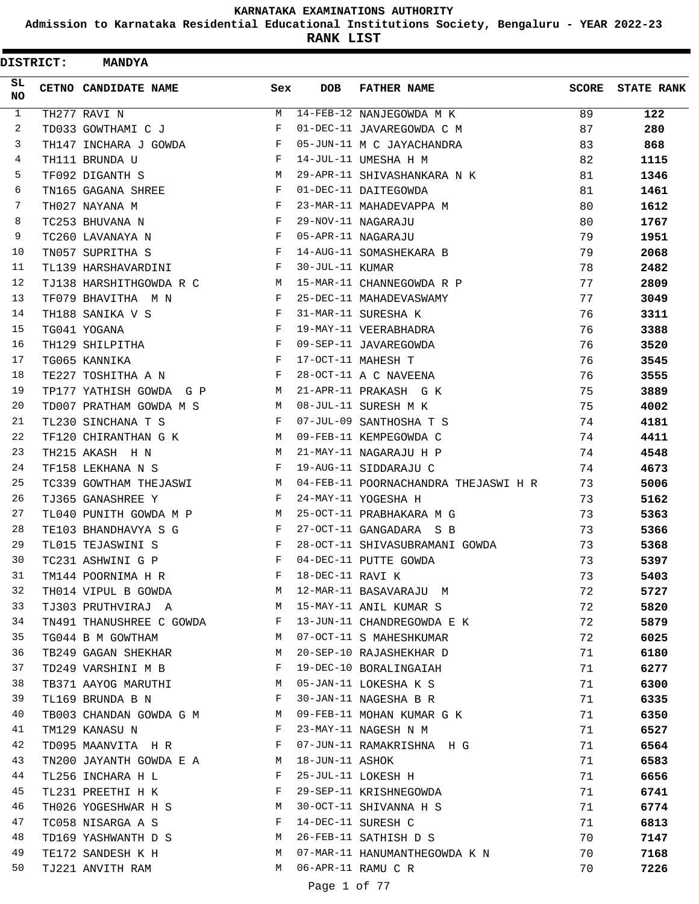**Admission to Karnataka Residential Educational Institutions Society, Bengaluru - YEAR 2022-23**

| <b>DISTRICT:</b> | <b>MANDYA</b>               |     |                  |                                      |       |                   |
|------------------|-----------------------------|-----|------------------|--------------------------------------|-------|-------------------|
| SL<br><b>NO</b>  | <b>CETNO CANDIDATE NAME</b> | Sex | <b>DOB</b>       | <b>FATHER NAME</b>                   | SCORE | <b>STATE RANK</b> |
| $\mathbf{1}$     | TH277 RAVI N                | M   |                  | 14-FEB-12 NANJEGOWDA M K             | 89    | 122               |
| 2                | TD033 GOWTHAMI C J          | F   |                  | 01-DEC-11 JAVAREGOWDA C M            | 87    | 280               |
| 3                | TH147 INCHARA J GOWDA       | F   |                  | 05-JUN-11 M C JAYACHANDRA            | 83    | 868               |
| 4                | TH111 BRUNDA U              | F   |                  | 14-JUL-11 UMESHA H M                 | 82    | 1115              |
| 5                | TF092 DIGANTH S             | M   |                  | 29-APR-11 SHIVASHANKARA N K          | 81    | 1346              |
| 6                | TN165 GAGANA SHREE          | F   |                  | 01-DEC-11 DAITEGOWDA                 | 81    | 1461              |
| 7                | TH027 NAYANA M              | F   |                  | 23-MAR-11 MAHADEVAPPA M              | 80    | 1612              |
| 8                | TC253 BHUVANA N             | F   |                  | 29-NOV-11 NAGARAJU                   | 80    | 1767              |
| 9                | TC260 LAVANAYA N            | F   |                  | 05-APR-11 NAGARAJU                   | 79    | 1951              |
| 10               | TN057 SUPRITHA S            | F   |                  | 14-AUG-11 SOMASHEKARA B              | 79    | 2068              |
| 11               | TL139 HARSHAVARDINI         | F   | 30-JUL-11 KUMAR  |                                      | 78    | 2482              |
| 12               | TJ138 HARSHITHGOWDA R C     | M   |                  | 15-MAR-11 CHANNEGOWDA R P            | 77    | 2809              |
| 13               | TF079 BHAVITHA M N          | F   |                  | 25-DEC-11 MAHADEVASWAMY              | 77    | 3049              |
| 14               | TH188 SANIKA V S            | F   |                  | 31-MAR-11 SURESHA K                  | 76    | 3311              |
| 15               | TG041 YOGANA                | F   |                  | 19-MAY-11 VEERABHADRA                | 76    | 3388              |
| 16               | TH129 SHILPITHA             | F   |                  | 09-SEP-11 JAVAREGOWDA                | 76    | 3520              |
| 17               | TG065 KANNIKA               | F   |                  | 17-OCT-11 MAHESH T                   | 76    | 3545              |
| 18               | TE227 TOSHITHA A N          | F   |                  | 28-OCT-11 A C NAVEENA                | 76    | 3555              |
| 19               | TP177 YATHISH GOWDA G P     | M   |                  | 21-APR-11 PRAKASH G K                | 75    | 3889              |
| 20               | TD007 PRATHAM GOWDA M S     | M   |                  | 08-JUL-11 SURESH M K                 | 75    | 4002              |
| 21               | TL230 SINCHANA T S          | F   |                  | 07-JUL-09 SANTHOSHA T S              | 74    | 4181              |
| 22               | TF120 CHIRANTHAN G K        | M   |                  | 09-FEB-11 KEMPEGOWDA C               | 74    | 4411              |
| 23               | TH215 AKASH H N             | M   |                  | 21-MAY-11 NAGARAJU H P               | 74    | 4548              |
| 24               | TF158 LEKHANA N S           | F   |                  | 19-AUG-11 SIDDARAJU C                | 74    | 4673              |
| 25               | TC339 GOWTHAM THEJASWI      | M   |                  | 04-FEB-11 POORNACHANDRA THEJASWI H R | 73    | 5006              |
| 26               | TJ365 GANASHREE Y           | F   |                  | 24-MAY-11 YOGESHA H                  | 73    | 5162              |
| 27               | TL040 PUNITH GOWDA M P      | M   |                  | 25-OCT-11 PRABHAKARA M G             | 73    | 5363              |
| 28               | TE103 BHANDHAVYA S G        | F   |                  | 27-OCT-11 GANGADARA S B              | 73    | 5366              |
| 29               | TL015 TEJASWINI S           | F   |                  | 28-OCT-11 SHIVASUBRAMANI GOWDA       | 73    | 5368              |
| 30               | TC231 ASHWINI G P           | F   |                  | 04-DEC-11 PUTTE GOWDA                | 73    | 5397              |
| 31               | TM144 POORNIMA H R          | F   | 18-DEC-11 RAVI K |                                      | 73    | 5403              |
| 32               | TH014 VIPUL B GOWDA         | M   |                  | 12-MAR-11 BASAVARAJU M               | 72    | 5727              |
| 33               | TJ303 PRUTHVIRAJ A          | M   |                  | 15-MAY-11 ANIL KUMAR S               | 72    | 5820              |
| 34               | TN491 THANUSHREE C GOWDA    | F   |                  | 13-JUN-11 CHANDREGOWDA E K           | 72    | 5879              |
| 35               | TG044 B M GOWTHAM           | M   |                  | 07-OCT-11 S MAHESHKUMAR              | 72    | 6025              |
| 36               | TB249 GAGAN SHEKHAR         | M   |                  | 20-SEP-10 RAJASHEKHAR D              | 71    | 6180              |
| 37               | TD249 VARSHINI M B          | F   |                  | 19-DEC-10 BORALINGAIAH               | 71    | 6277              |
| 38               | TB371 AAYOG MARUTHI         | М   |                  | 05-JAN-11 LOKESHA K S                | 71    | 6300              |
| 39               | TL169 BRUNDA B N            | F   |                  | 30-JAN-11 NAGESHA B R                | 71    | 6335              |
| 40               | TB003 CHANDAN GOWDA G M     | M   |                  | 09-FEB-11 MOHAN KUMAR G K            | 71    | 6350              |
| 41               | TM129 KANASU N              | F   |                  | 23-MAY-11 NAGESH N M                 | 71    | 6527              |
| 42               | TD095 MAANVITA H R          | F   |                  | 07-JUN-11 RAMAKRISHNA H G            | 71    | 6564              |
| 43               | TN200 JAYANTH GOWDA E A     | M   | 18-JUN-11 ASHOK  |                                      | 71    | 6583              |
| 44               | TL256 INCHARA H L           | F   |                  | 25-JUL-11 LOKESH H                   | 71    | 6656              |
| 45               | TL231 PREETHI H K           | F   |                  | 29-SEP-11 KRISHNEGOWDA               | 71    | 6741              |
| 46               | TH026 YOGESHWAR H S         | M   |                  | 30-OCT-11 SHIVANNA H S               | 71    | 6774              |
| 47               | TC058 NISARGA A S           | F   |                  | 14-DEC-11 SURESH C                   | 71    | 6813              |
| 48               | TD169 YASHWANTH D S         | M   |                  | 26-FEB-11 SATHISH D S                | 70    | 7147              |
| 49               | TE172 SANDESH K H           | M   |                  | 07-MAR-11 HANUMANTHEGOWDA K N        | 70    | 7168              |
| 50               | TJ221 ANVITH RAM            | M   |                  | 06-APR-11 RAMU C R                   | 70    | 7226              |
|                  |                             |     | Page 1 of 77     |                                      |       |                   |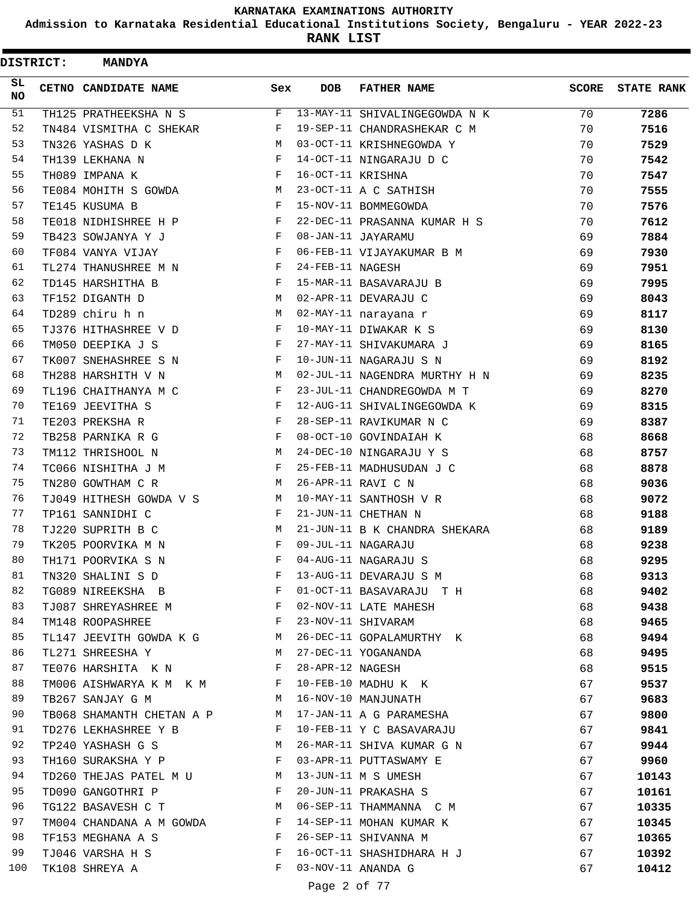**Admission to Karnataka Residential Educational Institutions Society, Bengaluru - YEAR 2022-23**

**RANK LIST**

| <b>DISTRICT:</b> | <b>MANDYA</b>                      |                           |                   |                               |       |                   |
|------------------|------------------------------------|---------------------------|-------------------|-------------------------------|-------|-------------------|
| SL.<br>NO.       | CETNO CANDIDATE NAME               | Sex                       | <b>DOB</b>        | <b>FATHER NAME</b>            | SCORE | <b>STATE RANK</b> |
| 51               | TH125 PRATHEEKSHA N S              | F                         |                   | 13-MAY-11 SHIVALINGEGOWDA N K | 70    | 7286              |
| 52               | TN484 VISMITHA C SHEKAR            | F                         |                   | 19-SEP-11 CHANDRASHEKAR C M   | 70    | 7516              |
| 53               | TN326 YASHAS D K                   | M                         |                   | 03-OCT-11 KRISHNEGOWDA Y      | 70    | 7529              |
| 54               | TH139 LEKHANA N                    | F                         |                   | 14-OCT-11 NINGARAJU D C       | 70    | 7542              |
| 55               | TH089 IMPANA K                     | F                         | 16-OCT-11 KRISHNA |                               | 70    | 7547              |
| 56               | TE084 MOHITH S GOWDA               | M                         |                   | 23-OCT-11 A C SATHISH         | 70    | 7555              |
| 57               | TE145 KUSUMA B                     | F                         |                   | 15-NOV-11 BOMMEGOWDA          | 70    | 7576              |
| 58               | TE018 NIDHISHREE H P               | F                         |                   | 22-DEC-11 PRASANNA KUMAR H S  | 70    | 7612              |
| 59               | TB423 SOWJANYA Y J                 | F                         |                   | 08-JAN-11 JAYARAMU            | 69    | 7884              |
| 60               | TF084 VANYA VIJAY                  | F                         |                   | 06-FEB-11 VIJAYAKUMAR B M     | 69    | 7930              |
| 61               | TL274 THANUSHREE M N               | F                         | 24-FEB-11 NAGESH  |                               | 69    | 7951              |
| 62               | TD145 HARSHITHA B                  | F                         |                   | 15-MAR-11 BASAVARAJU B        | 69    | 7995              |
| 63               | TF152 DIGANTH D                    | M                         |                   | 02-APR-11 DEVARAJU C          | 69    | 8043              |
| 64               | TD289 chiru h n                    | M                         |                   | 02-MAY-11 narayana r          | 69    | 8117              |
| 65               | TJ376 HITHASHREE V D               | F                         |                   | 10-MAY-11 DIWAKAR K S         | 69    | 8130              |
| 66               | TM050 DEEPIKA J S                  | F                         |                   | 27-MAY-11 SHIVAKUMARA J       | 69    | 8165              |
| 67               | TK007 SNEHASHREE S N               | F                         |                   | 10-JUN-11 NAGARAJU S N        | 69    | 8192              |
| 68               | TH288 HARSHITH V N                 | M                         |                   | 02-JUL-11 NAGENDRA MURTHY H N | 69    | 8235              |
| 69               | TL196 CHAITHANYA M C               | F                         |                   | 23-JUL-11 CHANDREGOWDA M T    | 69    | 8270              |
| 70               | TE169 JEEVITHA S                   | F                         |                   | 12-AUG-11 SHIVALINGEGOWDA K   | 69    | 8315              |
| 71               | TE203 PREKSHA R                    | F                         |                   | 28-SEP-11 RAVIKUMAR N C       | 69    | 8387              |
| 72               | TB258 PARNIKA R G                  | F                         |                   | 08-OCT-10 GOVINDAIAH K        | 68    | 8668              |
| 73               | TM112 THRISHOOL N                  | M                         |                   | 24-DEC-10 NINGARAJU Y S       | 68    | 8757              |
| 74               | TC066 NISHITHA J M                 | F                         |                   | 25-FEB-11 MADHUSUDAN J C      | 68    | 8878              |
| 75               | TN280 GOWTHAM C R                  | M                         |                   | 26-APR-11 RAVI C N            | 68    | 9036              |
| 76               | TJ049 HITHESH GOWDA V S            | M                         |                   | 10-MAY-11 SANTHOSH V R        | 68    | 9072              |
| 77               | TP161 SANNIDHI C                   | F                         |                   | 21-JUN-11 CHETHAN N           | 68    | 9188              |
| 78               | TJ220 SUPRITH B C                  | М                         |                   | 21-JUN-11 B K CHANDRA SHEKARA | 68    | 9189              |
| 79               | TK205 POORVIKA M N                 | F                         |                   | 09-JUL-11 NAGARAJU            | 68    | 9238              |
| 80               | TH171 POORVIKA S N                 | F                         |                   | 04-AUG-11 NAGARAJU S          | 68    | 9295              |
| 81               | TN320 SHALINI S D                  | F                         |                   | 13-AUG-11 DEVARAJU S M        | 68    | 9313              |
| 82               | TG089 NIREEKSHA B                  | F                         |                   | 01-OCT-11 BASAVARAJU T H      | 68    | 9402              |
| 83               | TJ087 SHREYASHREE M F              |                           |                   | 02-NOV-11 LATE MAHESH         | 68    | 9438              |
| 84               | TM148 ROOPASHREE                   | $\mathbf{F}$              |                   | 23-NOV-11 SHIVARAM            | 68    | 9465              |
| 85               | TL147 JEEVITH GOWDA K G M          |                           |                   | 26-DEC-11 GOPALAMURTHY K      | 68    | 9494              |
| 86               | TL271 SHREESHA Y<br>M <sub>N</sub> |                           |                   | 27-DEC-11 YOGANANDA           | 68    | 9495              |
| 87               | TE076 HARSHITA K N F               |                           | 28-APR-12 NAGESH  |                               | 68    | 9515              |
| 88               | TM006 AISHWARYA K M K M F          |                           |                   | 10-FEB-10 MADHU K K           | 67    | 9537              |
| 89               | TB267 SANJAY G M                   | M                         |                   | 16-NOV-10 MANJUNATH           | 67    | 9683              |
| 90               | TB068 SHAMANTH CHETAN A P M        |                           |                   | 17-JAN-11 A G PARAMESHA       | 67    | 9800              |
| 91               | TD276 LEKHASHREE Y B               | and the state of the Fig. |                   | 10-FEB-11 Y C BASAVARAJU      | 67    | 9841              |
| 92               | TP240 YASHASH G S                  | M                         |                   | 26-MAR-11 SHIVA KUMAR G N     | 67    | 9944              |
| 93               | TH160 SURAKSHA Y P                 | $\mathbb{F}$              |                   | 03-APR-11 PUTTASWAMY E        | 67    | 9960              |
| 94               | TD260 THEJAS PATEL M U M           |                           |                   | 13-JUN-11 M S UMESH           | 67    | 10143             |
| 95               | TD090 GANGOTHRI P                  | F                         |                   | 20-JUN-11 PRAKASHA S          | 67    | 10161             |
| 96               | TG122 BASAVESH C T                 | $M_{\rm H}$               |                   | 06-SEP-11 THAMMANNA C M       | 67    | 10335             |
| 97               | TM004 CHANDANA A M GOWDA F         |                           |                   | 14-SEP-11 MOHAN KUMAR K       | 67    | 10345             |
| 98               | TF153 MEGHANA A S                  | $\mathbf{F}$              |                   | 26-SEP-11 SHIVANNA M          | 67    | 10365             |
| 99               | TJ046 VARSHA H S                   | $\mathbf{F}$              |                   | 16-OCT-11 SHASHIDHARA H J     | 67    | 10392             |
| 100              | TK108 SHREYA A                     | F                         |                   | 03-NOV-11 ANANDA G            | 67    | 10412             |
|                  |                                    |                           | Page 2 of 77      |                               |       |                   |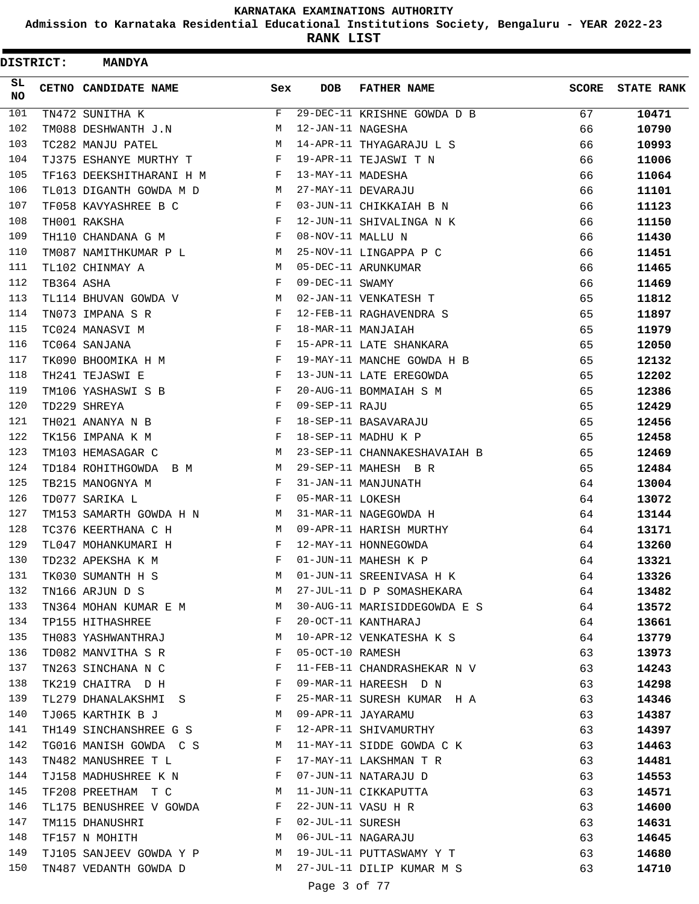**Admission to Karnataka Residential Educational Institutions Society, Bengaluru - YEAR 2022-23**

| <b>DISTRICT:</b> |            | <b>MANDYA</b>            |              |                   |                              |              |                   |
|------------------|------------|--------------------------|--------------|-------------------|------------------------------|--------------|-------------------|
| SL.<br>NO        |            | CETNO CANDIDATE NAME     | Sex          | <b>DOB</b>        | <b>FATHER NAME</b>           | <b>SCORE</b> | <b>STATE RANK</b> |
| 101              |            | TN472 SUNITHA K          | F            |                   | 29-DEC-11 KRISHNE GOWDA D B  | 67           | 10471             |
| 102              |            | TM088 DESHWANTH J.N      | M            | 12-JAN-11 NAGESHA |                              | 66           | 10790             |
| 103              |            | TC282 MANJU PATEL        | M            |                   | 14-APR-11 THYAGARAJU L S     | 66           | 10993             |
| 104              |            | TJ375 ESHANYE MURTHY T   | F            |                   | 19-APR-11 TEJASWI T N        | 66           | 11006             |
| 105              |            | TF163 DEEKSHITHARANI H M | F            | 13-MAY-11 MADESHA |                              | 66           | 11064             |
| 106              |            | TL013 DIGANTH GOWDA M D  | М            |                   | 27-MAY-11 DEVARAJU           | 66           | 11101             |
| 107              |            | TF058 KAVYASHREE B C     | F            |                   | 03-JUN-11 CHIKKAIAH B N      | 66           | 11123             |
| 108              |            | TH001 RAKSHA             | F            |                   | 12-JUN-11 SHIVALINGA N K     | 66           | 11150             |
| 109              |            | TH110 CHANDANA G M       | F            | 08-NOV-11 MALLU N |                              | 66           | 11430             |
| 110              |            | TM087 NAMITHKUMAR P L    | М            |                   | 25-NOV-11 LINGAPPA P C       | 66           | 11451             |
| 111              |            | TL102 CHINMAY A          | M            |                   | 05-DEC-11 ARUNKUMAR          | 66           | 11465             |
| 112              | TB364 ASHA |                          | F            | 09-DEC-11 SWAMY   |                              | 66           | 11469             |
| 113              |            | TL114 BHUVAN GOWDA V     | M            |                   | 02-JAN-11 VENKATESH T        | 65           | 11812             |
| 114              |            | TN073 IMPANA S R         | F            |                   | 12-FEB-11 RAGHAVENDRA S      | 65           | 11897             |
| 115              |            | TC024 MANASVI M          | F            |                   | 18-MAR-11 MANJAIAH           | 65           | 11979             |
| 116              |            | TC064 SANJANA            | F            |                   | 15-APR-11 LATE SHANKARA      | 65           | 12050             |
| 117              |            | TK090 BHOOMIKA H M       | F            |                   | 19-MAY-11 MANCHE GOWDA H B   | 65           | 12132             |
| 118              |            | TH241 TEJASWI E          | F            |                   | 13-JUN-11 LATE EREGOWDA      | 65           | 12202             |
| 119              |            | TM106 YASHASWI S B       | F            |                   | 20-AUG-11 BOMMAIAH S M       | 65           | 12386             |
| 120              |            | TD229 SHREYA             | F            | 09-SEP-11 RAJU    |                              | 65           | 12429             |
| 121              |            | TH021 ANANYA N B         | F            |                   | 18-SEP-11 BASAVARAJU         | 65           | 12456             |
| 122              |            | TK156 IMPANA K M         | F            |                   | 18-SEP-11 MADHU K P          | 65           | 12458             |
| 123              |            | TM103 HEMASAGAR C        | M            |                   | 23-SEP-11 CHANNAKESHAVAIAH B | 65           | 12469             |
| 124              |            | TD184 ROHITHGOWDA B M    | М            |                   | 29-SEP-11 MAHESH B R         | 65           | 12484             |
| 125              |            | TB215 MANOGNYA M         | F            |                   | 31-JAN-11 MANJUNATH          | 64           | 13004             |
| 126              |            | TD077 SARIKA L           | F            | 05-MAR-11 LOKESH  |                              | 64           | 13072             |
| 127              |            | TM153 SAMARTH GOWDA H N  | M            |                   | 31-MAR-11 NAGEGOWDA H        | 64           | 13144             |
| 128              |            | TC376 KEERTHANA C H      | М            |                   | 09-APR-11 HARISH MURTHY      | 64           | 13171             |
| 129              |            | TL047 MOHANKUMARI H      | F            |                   | 12-MAY-11 HONNEGOWDA         | 64           | 13260             |
| 130              |            | TD232 APEKSHA K M        | F            |                   | 01-JUN-11 MAHESH K P         | 64           | 13321             |
| 131              |            | TK030 SUMANTH H S        | M            |                   | 01-JUN-11 SREENIVASA H K     | 64           | 13326             |
| 132              |            | TN166 ARJUN D S          | M            |                   | 27-JUL-11 D P SOMASHEKARA    | 64           | 13482             |
| 133              |            | TN364 MOHAN KUMAR E M    | M            |                   | 30-AUG-11 MARISIDDEGOWDA E S | 64           | 13572             |
| 134              |            | TP155 HITHASHREE         | $\mathbf{F}$ |                   | 20-OCT-11 KANTHARAJ          | 64           | 13661             |
| 135              |            | TH083 YASHWANTHRAJ       | М            |                   | 10-APR-12 VENKATESHA K S     | 64           | 13779             |
| 136              |            | TD082 MANVITHA S R       | F            | 05-OCT-10 RAMESH  |                              | 63           | 13973             |
| 137              |            | TN263 SINCHANA N C       | F            |                   | 11-FEB-11 CHANDRASHEKAR N V  | 63           | 14243             |
| 138              |            | TK219 CHAITRA D H        | F            |                   | 09-MAR-11 HAREESH D N        | 63           | 14298             |
| 139              |            | TL279 DHANALAKSHMI S     | F            |                   | 25-MAR-11 SURESH KUMAR H A   | 63           | 14346             |
| 140              |            | TJ065 KARTHIK B J        | M            |                   | 09-APR-11 JAYARAMU           | 63           | 14387             |
| 141              |            | TH149 SINCHANSHREE G S   | F            |                   | 12-APR-11 SHIVAMURTHY        | 63           | 14397             |
| 142              |            | TG016 MANISH GOWDA C S M |              |                   | 11-MAY-11 SIDDE GOWDA C K    | 63           | 14463             |
| 143              |            | TN482 MANUSHREE T L      | F            |                   | 17-MAY-11 LAKSHMAN T R       | 63           | 14481             |
| 144              |            | TJ158 MADHUSHREE K N     | F            |                   | 07-JUN-11 NATARAJU D         | 63           | 14553             |
| 145              |            | TF208 PREETHAM T C       | M            |                   | 11-JUN-11 CIKKAPUTTA         | 63           | 14571             |
| 146              |            | TL175 BENUSHREE V GOWDA  | F            |                   | 22-JUN-11 VASU H R           | 63           | 14600             |
| 147              |            | TM115 DHANUSHRI          | F            | 02-JUL-11 SURESH  |                              | 63           | 14631             |
| 148              |            | TF157 N MOHITH           | M            |                   | 06-JUL-11 NAGARAJU           | 63           | 14645             |
| 149              |            | TJ105 SANJEEV GOWDA Y P  | M            |                   | 19-JUL-11 PUTTASWAMY Y T     | 63           | 14680             |
| 150              |            | TN487 VEDANTH GOWDA D    | M            |                   | 27-JUL-11 DILIP KUMAR M S    | 63           | 14710             |
|                  |            |                          |              | Page 3 of 77      |                              |              |                   |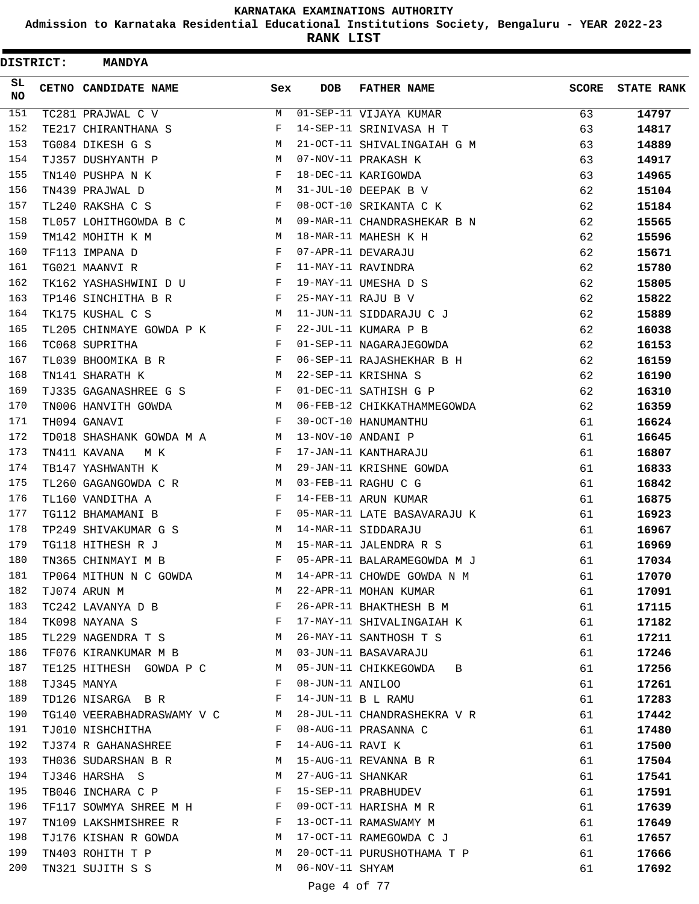**Admission to Karnataka Residential Educational Institutions Society, Bengaluru - YEAR 2022-23**

| <b>DISTRICT:</b> | <b>MANDYA</b>              |            |                   |                             |              |                   |
|------------------|----------------------------|------------|-------------------|-----------------------------|--------------|-------------------|
| SL.<br><b>NO</b> | CETNO CANDIDATE NAME       | Sex        | <b>DOB</b>        | <b>FATHER NAME</b>          | <b>SCORE</b> | <b>STATE RANK</b> |
| 151              | TC281 PRAJWAL C V          | M          |                   | 01-SEP-11 VIJAYA KUMAR      | 63           | 14797             |
| 152              | TE217 CHIRANTHANA S        | F          |                   | 14-SEP-11 SRINIVASA H T     | 63           | 14817             |
| 153              | TG084 DIKESH G S           | M          |                   | 21-OCT-11 SHIVALINGAIAH G M | 63           | 14889             |
| 154              | TJ357 DUSHYANTH P          | M          |                   | 07-NOV-11 PRAKASH K         | 63           | 14917             |
| 155              | TN140 PUSHPA N K           | F          |                   | 18-DEC-11 KARIGOWDA         | 63           | 14965             |
| 156              | TN439 PRAJWAL D            | M          |                   | 31-JUL-10 DEEPAK B V        | 62           | 15104             |
| 157              | TL240 RAKSHA C S           | F          |                   | 08-OCT-10 SRIKANTA C K      | 62           | 15184             |
| 158              | TL057 LOHITHGOWDA B C      | M          |                   | 09-MAR-11 CHANDRASHEKAR B N | 62           | 15565             |
| 159              | TM142 MOHITH K M           | M          |                   | 18-MAR-11 MAHESH K H        | 62           | 15596             |
| 160              | TF113 IMPANA D             | F          |                   | 07-APR-11 DEVARAJU          | 62           | 15671             |
| 161              | TG021 MAANVI R             | $_{\rm F}$ |                   | 11-MAY-11 RAVINDRA          | 62           | 15780             |
| 162              | TK162 YASHASHWINI D U      | F          |                   | 19-MAY-11 UMESHA D S        | 62           | 15805             |
| 163              | TP146 SINCHITHA B R        | F          |                   | 25-MAY-11 RAJU B V          | 62           | 15822             |
| 164              | TK175 KUSHAL C S           | M          |                   | 11-JUN-11 SIDDARAJU C J     | 62           | 15889             |
| 165              | TL205 CHINMAYE GOWDA P K   | F          |                   | 22-JUL-11 KUMARA P B        | 62           | 16038             |
| 166              | TC068 SUPRITHA             | F          |                   | 01-SEP-11 NAGARAJEGOWDA     | 62           | 16153             |
| 167              | TL039 BHOOMIKA B R         | F          |                   | 06-SEP-11 RAJASHEKHAR B H   | 62           | 16159             |
| 168              | TN141 SHARATH K            | M          |                   | 22-SEP-11 KRISHNA S         | 62           | 16190             |
| 169              | TJ335 GAGANASHREE G S      | F          |                   | 01-DEC-11 SATHISH G P       | 62           | 16310             |
| 170              | TN006 HANVITH GOWDA        | M          |                   | 06-FEB-12 CHIKKATHAMMEGOWDA | 62           | 16359             |
| 171              | TH094 GANAVI               | F          |                   | 30-OCT-10 HANUMANTHU        | 61           | 16624             |
| 172              | TD018 SHASHANK GOWDA M A   | M          |                   | 13-NOV-10 ANDANI P          | 61           | 16645             |
| 173              | TN411 KAVANA<br>мк         | F          |                   | 17-JAN-11 KANTHARAJU        | 61           | 16807             |
| 174              | TB147 YASHWANTH K          | M          |                   | 29-JAN-11 KRISHNE GOWDA     | 61           | 16833             |
| 175              | TL260 GAGANGOWDA C R       | М          |                   | 03-FEB-11 RAGHU C G         | 61           | 16842             |
| 176              | TL160 VANDITHA A           | F          |                   | 14-FEB-11 ARUN KUMAR        | 61           | 16875             |
| 177              | TG112 BHAMAMANI B          | F          |                   | 05-MAR-11 LATE BASAVARAJU K | 61           | 16923             |
| 178              | TP249 SHIVAKUMAR G S       | М          |                   | 14-MAR-11 SIDDARAJU         | 61           | 16967             |
| 179              | TG118 HITHESH R J          | M          |                   | 15-MAR-11 JALENDRA R S      | 61           | 16969             |
| 180              | TN365 CHINMAYI M B         | F          |                   | 05-APR-11 BALARAMEGOWDA M J | 61           | 17034             |
| 181              | TP064 MITHUN N C GOWDA     | M          |                   | 14-APR-11 CHOWDE GOWDA N M  | 61           | 17070             |
| 182              | TJ074 ARUN M               | M          |                   | 22-APR-11 MOHAN KUMAR       | 61           | 17091             |
| 183              | TC242 LAVANYA D B          | F          |                   | 26-APR-11 BHAKTHESH B M     | 61           | 17115             |
| 184              | TK098 NAYANA S             | F          |                   | 17-MAY-11 SHIVALINGAIAH K   | 61           | 17182             |
| 185              | TL229 NAGENDRA T S         | M          |                   | 26-MAY-11 SANTHOSH T S      | 61           | 17211             |
| 186              | TF076 KIRANKUMAR M B       | M          |                   | 03-JUN-11 BASAVARAJU        | 61           | 17246             |
| 187              | TE125 HITHESH GOWDA P C    | М          |                   | 05-JUN-11 CHIKKEGOWDA B     | 61           | 17256             |
| 188              | TJ345 MANYA                | F          | 08-JUN-11 ANILOO  |                             | 61           | 17261             |
| 189              | TD126 NISARGA B R          | F          |                   | 14-JUN-11 B L RAMU          | 61           | 17283             |
| 190              | TG140 VEERABHADRASWAMY V C | M          |                   | 28-JUL-11 CHANDRASHEKRA V R | 61           | 17442             |
| 191              | TJ010 NISHCHITHA           | F          |                   | 08-AUG-11 PRASANNA C        | 61           | 17480             |
| 192              | TJ374 R GAHANASHREE        | F          | 14-AUG-11 RAVI K  |                             | 61           | 17500             |
| 193              | TH036 SUDARSHAN B R        | М          |                   | 15-AUG-11 REVANNA B R       | 61           | 17504             |
| 194              | TJ346 HARSHA S             | М          | 27-AUG-11 SHANKAR |                             | 61           | 17541             |
| 195              | TB046 INCHARA C P          | F          |                   | 15-SEP-11 PRABHUDEV         | 61           | 17591             |
| 196              | TF117 SOWMYA SHREE M H     | F          |                   | 09-OCT-11 HARISHA M R       | 61           | 17639             |
| 197              | TN109 LAKSHMISHREE R       | F          |                   | 13-OCT-11 RAMASWAMY M       | 61           | 17649             |
| 198              | TJ176 KISHAN R GOWDA       | M          |                   | 17-OCT-11 RAMEGOWDA C J     | 61           | 17657             |
| 199              | TN403 ROHITH T P           | М          |                   | 20-OCT-11 PURUSHOTHAMA T P  | 61           | 17666             |
| 200              |                            | M          | 06-NOV-11 SHYAM   |                             |              |                   |
|                  | TN321 SUJITH S S           |            |                   |                             | 61           | 17692             |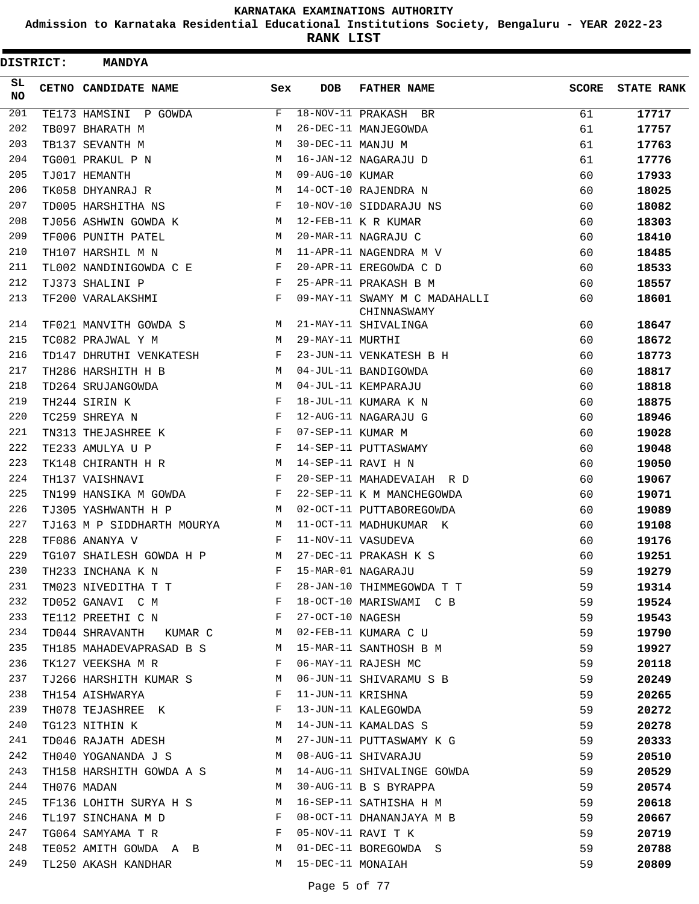**Admission to Karnataka Residential Educational Institutions Society, Bengaluru - YEAR 2022-23**

| <b>DISTRICT:</b> | <b>MANDYA</b>               |              |                   |                                              |              |                   |
|------------------|-----------------------------|--------------|-------------------|----------------------------------------------|--------------|-------------------|
| SL<br><b>NO</b>  | <b>CETNO CANDIDATE NAME</b> | Sex          | DOB               | <b>FATHER NAME</b>                           | <b>SCORE</b> | <b>STATE RANK</b> |
| 201              | TE173 HAMSINI P GOWDA       | F            |                   | 18-NOV-11 PRAKASH BR                         | 61           | 17717             |
| 202              | TB097 BHARATH M             | M            |                   | 26-DEC-11 MANJEGOWDA                         | 61           | 17757             |
| 203              | TB137 SEVANTH M             | M            | 30-DEC-11 MANJU M |                                              | 61           | 17763             |
| 204              | TG001 PRAKUL P N            | М            |                   | 16-JAN-12 NAGARAJU D                         | 61           | 17776             |
| 205              | TJ017 HEMANTH               | M            | 09-AUG-10 KUMAR   |                                              | 60           | 17933             |
| 206              | TK058 DHYANRAJ R            | M            |                   | 14-OCT-10 RAJENDRA N                         | 60           | 18025             |
| 207              | TD005 HARSHITHA NS          | F            |                   | 10-NOV-10 SIDDARAJU NS                       | 60           | 18082             |
| 208              | TJ056 ASHWIN GOWDA K        | M            |                   | 12-FEB-11 K R KUMAR                          | 60           | 18303             |
| 209              | TF006 PUNITH PATEL          | М            |                   | 20-MAR-11 NAGRAJU C                          | 60           | 18410             |
| 210              | TH107 HARSHIL M N           | М            |                   | 11-APR-11 NAGENDRA M V                       | 60           | 18485             |
| 211              | TL002 NANDINIGOWDA C E      | F            |                   | 20-APR-11 EREGOWDA C D                       | 60           | 18533             |
| 212              | TJ373 SHALINI P             | F            |                   | 25-APR-11 PRAKASH B M                        | 60           | 18557             |
| 213              | TF200 VARALAKSHMI           | F            |                   | 09-MAY-11 SWAMY M C MADAHALLI<br>CHINNASWAMY | 60           | 18601             |
| 214              | TF021 MANVITH GOWDA S       | М            |                   | 21-MAY-11 SHIVALINGA                         | 60           | 18647             |
| 215              | TC082 PRAJWAL Y M           | М            | 29-MAY-11 MURTHI  |                                              | 60           | 18672             |
| 216              | TD147 DHRUTHI VENKATESH     | F            |                   | 23-JUN-11 VENKATESH B H                      | 60           | 18773             |
| 217              | TH286 HARSHITH H B          | M            |                   | 04-JUL-11 BANDIGOWDA                         | 60           | 18817             |
| 218              | TD264 SRUJANGOWDA           | М            |                   | 04-JUL-11 KEMPARAJU                          | 60           | 18818             |
| 219              | TH244 SIRIN K               | F            |                   | 18-JUL-11 KUMARA K N                         | 60           | 18875             |
| 220              | TC259 SHREYA N              | F            |                   | 12-AUG-11 NAGARAJU G                         | 60           | 18946             |
| 221              | TN313 THEJASHREE K          | F            | 07-SEP-11 KUMAR M |                                              | 60           | 19028             |
| 222              | TE233 AMULYA U P            | F            |                   | 14-SEP-11 PUTTASWAMY                         | 60           | 19048             |
| 223              | TK148 CHIRANTH H R          | М            |                   | 14-SEP-11 RAVI H N                           | 60           | 19050             |
| 224              | TH137 VAISHNAVI             | F            |                   | 20-SEP-11 MAHADEVAIAH R D                    | 60           | 19067             |
| 225              | TN199 HANSIKA M GOWDA       | F            |                   | 22-SEP-11 K M MANCHEGOWDA                    | 60           | 19071             |
| 226              | TJ305 YASHWANTH H P         | M            |                   | 02-OCT-11 PUTTABOREGOWDA                     | 60           | 19089             |
| 227              | TJ163 M P SIDDHARTH MOURYA  | М            |                   | 11-OCT-11 MADHUKUMAR K                       | 60           | 19108             |
| 228              | TF086 ANANYA V              | F            |                   | 11-NOV-11 VASUDEVA                           | 60           | 19176             |
| 229              | TG107 SHAILESH GOWDA H P    | М            |                   | 27-DEC-11 PRAKASH K S                        | 60           | 19251             |
| 230              | TH233 INCHANA K N           | $\mathbf F$  |                   | 15-MAR-01 NAGARAJU                           | 59           | 19279             |
| 231              | TM023 NIVEDITHA T T         | F            |                   | 28-JAN-10 THIMMEGOWDA T T                    | 59           | 19314             |
| 232              | TD052 GANAVI C M            | $\mathbf{F}$ |                   | 18-OCT-10 MARISWAMI C B                      | 59           | 19524             |
| 233              | TE112 PREETHI C N           | F            | 27-OCT-10 NAGESH  |                                              | 59           | 19543             |
| 234              | TD044 SHRAVANTH KUMAR C     | M            |                   | 02-FEB-11 KUMARA C U                         | 59           | 19790             |
| 235              | TH185 MAHADEVAPRASAD B S    | M            |                   | 15-MAR-11 SANTHOSH B M                       | 59           | 19927             |
| 236              | TK127 VEEKSHA M R           | F            |                   | 06-MAY-11 RAJESH MC                          | 59           | 20118             |
| 237              | TJ266 HARSHITH KUMAR S      | M            |                   | 06-JUN-11 SHIVARAMU S B                      | 59           | 20249             |
| 238              | TH154 AISHWARYA             | F            | 11-JUN-11 KRISHNA |                                              | 59           | 20265             |
| 239              | TH078 TEJASHREE K           | F            |                   | 13-JUN-11 KALEGOWDA                          | 59           | 20272             |
| 240              | TG123 NITHIN K              | М            |                   | 14-JUN-11 KAMALDAS S                         | 59           | 20278             |
| 241              | TD046 RAJATH ADESH          | M            |                   | 27-JUN-11 PUTTASWAMY K G                     | 59           | 20333             |
| 242              | TH040 YOGANANDA J S         | M            |                   | 08-AUG-11 SHIVARAJU                          | 59           | 20510             |
| 243              | TH158 HARSHITH GOWDA A S    | M            |                   | 14-AUG-11 SHIVALINGE GOWDA                   | 59           | 20529             |
| 244              | TH076 MADAN                 | M            |                   | 30-AUG-11 B S BYRAPPA                        | 59           | 20574             |
| 245              | TF136 LOHITH SURYA H S M    |              |                   | 16-SEP-11 SATHISHA H M                       | 59           | 20618             |
| 246              | TL197 SINCHANA M D          | F            |                   | 08-OCT-11 DHANANJAYA M B                     | 59           | 20667             |
| 247              | TG064 SAMYAMA T R           | F            |                   | 05-NOV-11 RAVI T K                           | 59           | 20719             |
| 248              | TE052 AMITH GOWDA A B       | <b>M</b>     |                   | 01-DEC-11 BOREGOWDA S                        | 59           | 20788             |
| 249              | TL250 AKASH KANDHAR         | M            | 15-DEC-11 MONAIAH |                                              | 59           | 20809             |
|                  |                             |              |                   |                                              |              |                   |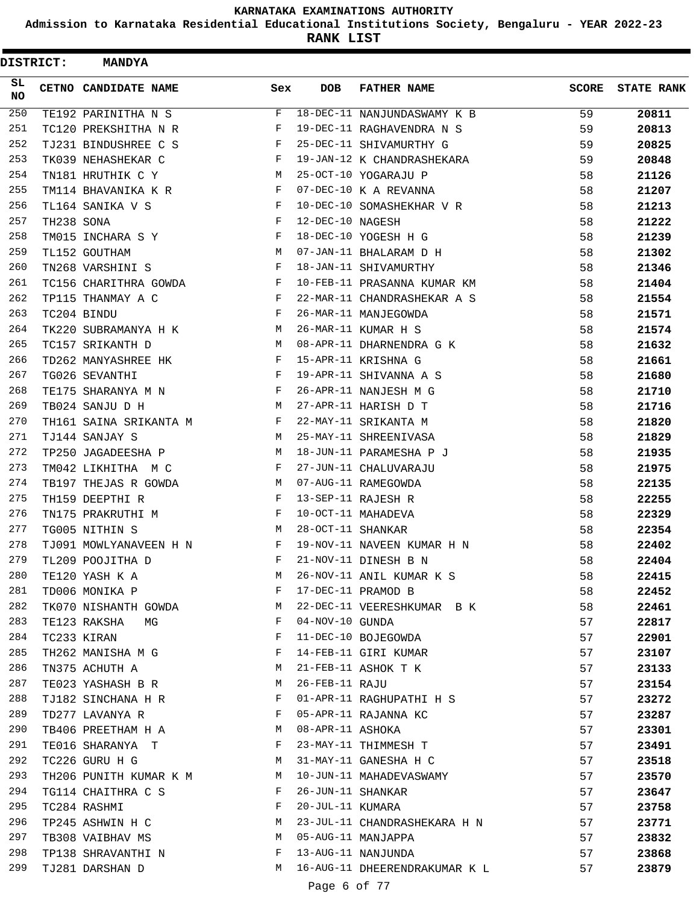**Admission to Karnataka Residential Educational Institutions Society, Bengaluru - YEAR 2022-23**

| <b>DISTRICT:</b> |            | <b>MANDYA</b>          |            |                   |                               |              |                   |
|------------------|------------|------------------------|------------|-------------------|-------------------------------|--------------|-------------------|
| SL.<br><b>NO</b> |            | CETNO CANDIDATE NAME   | Sex        | <b>DOB</b>        | <b>FATHER NAME</b>            | <b>SCORE</b> | <b>STATE RANK</b> |
| 250              |            | TE192 PARINITHA N S    | F          |                   | 18-DEC-11 NANJUNDASWAMY K B   | 59           | 20811             |
| 251              |            | TC120 PREKSHITHA N R   | F          |                   | 19-DEC-11 RAGHAVENDRA N S     | 59           | 20813             |
| 252              |            | TJ231 BINDUSHREE C S   | F          |                   | 25-DEC-11 SHIVAMURTHY G       | 59           | 20825             |
| 253              |            | TK039 NEHASHEKAR C     | F          |                   | 19-JAN-12 K CHANDRASHEKARA    | 59           | 20848             |
| 254              |            | TN181 HRUTHIK C Y      | M          |                   | 25-OCT-10 YOGARAJU P          | 58           | 21126             |
| 255              |            | TM114 BHAVANIKA K R    | F          |                   | 07-DEC-10 K A REVANNA         | 58           | 21207             |
| 256              |            | TL164 SANIKA V S       | F          |                   | 10-DEC-10 SOMASHEKHAR V R     | 58           | 21213             |
| 257              | TH238 SONA |                        | F          | 12-DEC-10 NAGESH  |                               | 58           | 21222             |
| 258              |            | TM015 INCHARA S Y      | $_{\rm F}$ |                   | 18-DEC-10 YOGESH H G          | 58           | 21239             |
| 259              |            | TL152 GOUTHAM          | М          |                   | 07-JAN-11 BHALARAM D H        | 58           | 21302             |
| 260              |            | TN268 VARSHINI S       | $_{\rm F}$ |                   | 18-JAN-11 SHIVAMURTHY         | 58           | 21346             |
| 261              |            | TC156 CHARITHRA GOWDA  | F          |                   | 10-FEB-11 PRASANNA KUMAR KM   | 58           | 21404             |
| 262              |            | TP115 THANMAY A C      | F          |                   | 22-MAR-11 CHANDRASHEKAR A S   | 58           | 21554             |
| 263              |            | TC204 BINDU            | F          |                   | 26-MAR-11 MANJEGOWDA          | 58           | 21571             |
| 264              |            | TK220 SUBRAMANYA H K   | M          |                   | 26-MAR-11 KUMAR H S           | 58           | 21574             |
| 265              |            | TC157 SRIKANTH D       | M          |                   | 08-APR-11 DHARNENDRA G K      | 58           | 21632             |
| 266              |            | TD262 MANYASHREE HK    | F          |                   | 15-APR-11 KRISHNA G           | 58           | 21661             |
| 267              |            | TG026 SEVANTHI         | F          |                   | 19-APR-11 SHIVANNA A S        | 58           | 21680             |
| 268              |            | TE175 SHARANYA M N     | $_{\rm F}$ |                   | 26-APR-11 NANJESH M G         | 58           | 21710             |
| 269              |            | TB024 SANJU D H        | М          |                   | 27-APR-11 HARISH D T          | 58           | 21716             |
| 270              |            | TH161 SAINA SRIKANTA M | F          |                   | 22-MAY-11 SRIKANTA M          | 58           | 21820             |
| 271              |            | TJ144 SANJAY S         | M          |                   | 25-MAY-11 SHREENIVASA         | 58           | 21829             |
| 272              |            | TP250 JAGADEESHA P     | M          |                   | 18-JUN-11 PARAMESHA P J       | 58           | 21935             |
| 273              |            | TM042 LIKHITHA M C     | F          |                   | 27-JUN-11 CHALUVARAJU         | 58           | 21975             |
| 274              |            | TB197 THEJAS R GOWDA   | М          |                   | 07-AUG-11 RAMEGOWDA           | 58           | 22135             |
| 275              |            | TH159 DEEPTHI R        | F          |                   | 13-SEP-11 RAJESH R            | 58           | 22255             |
| 276              |            | TN175 PRAKRUTHI M      | F          |                   | 10-OCT-11 MAHADEVA            | 58           | 22329             |
| 277              |            | TG005 NITHIN S         | М          | 28-OCT-11 SHANKAR |                               | 58           | 22354             |
| 278              |            | TJ091 MOWLYANAVEEN H N | F          |                   | 19-NOV-11 NAVEEN KUMAR H N    | 58           | 22402             |
| 279              |            | TL209 POOJITHA D       | F          |                   | 21-NOV-11 DINESH B N          | 58           | 22404             |
| 280              |            | TE120 YASH K A         | М          |                   | 26-NOV-11 ANIL KUMAR K S      | 58           | 22415             |
| 281              |            | TD006 MONIKA P         | F          |                   | 17-DEC-11 PRAMOD B            | 58           | 22452             |
| 282              |            | TK070 NISHANTH GOWDA   | М          |                   | 22-DEC-11 VEERESHKUMAR B K    | 58           | 22461             |
| 283              |            | TE123 RAKSHA<br>MG     | F          | $04-NOV-10$ GUNDA |                               | 57           | 22817             |
| 284              |            | TC233 KIRAN            | F          |                   | 11-DEC-10 BOJEGOWDA           | 57           | 22901             |
| 285              |            | TH262 MANISHA M G      | F          |                   | 14-FEB-11 GIRI KUMAR          | 57           | 23107             |
| 286              |            | TN375 ACHUTH A         | М          |                   | 21-FEB-11 ASHOK T K           | 57           | 23133             |
| 287              |            | TE023 YASHASH B R      | М          | 26-FEB-11 RAJU    |                               | 57           | 23154             |
| 288              |            | TJ182 SINCHANA H R     | F          |                   | 01-APR-11 RAGHUPATHI H S      | 57           | 23272             |
| 289              |            | TD277 LAVANYA R        | F          |                   | 05-APR-11 RAJANNA KC          | 57           | 23287             |
| 290              |            | TB406 PREETHAM H A     | M          | 08-APR-11 ASHOKA  |                               | 57           | 23301             |
| 291              |            | TE016 SHARANYA T       | F          |                   | 23-MAY-11 THIMMESH T          | 57           | 23491             |
| 292              |            | TC226 GURU H G         | M          |                   | 31-MAY-11 GANESHA H C         | 57           | 23518             |
| 293              |            | TH206 PUNITH KUMAR K M | М          |                   | 10-JUN-11 MAHADEVASWAMY       | 57           | 23570             |
| 294              |            | TG114 CHAITHRA C S     | F          | 26-JUN-11 SHANKAR |                               | 57           | 23647             |
| 295              |            | TC284 RASHMI           | F          | 20-JUL-11 KUMARA  |                               | 57           | 23758             |
| 296              |            | TP245 ASHWIN H C       | M          |                   | 23-JUL-11 CHANDRASHEKARA H N  | 57           | 23771             |
| 297              |            | TB308 VAIBHAV MS       | M          |                   | 05-AUG-11 MANJAPPA            | 57           | 23832             |
| 298              |            | TP138 SHRAVANTHI N     | F          |                   | 13-AUG-11 NANJUNDA            | 57           | 23868             |
| 299              |            | TJ281 DARSHAN D        | M          |                   | 16-AUG-11 DHEERENDRAKUMAR K L | 57           | 23879             |
|                  |            |                        |            | Page 6 of 77      |                               |              |                   |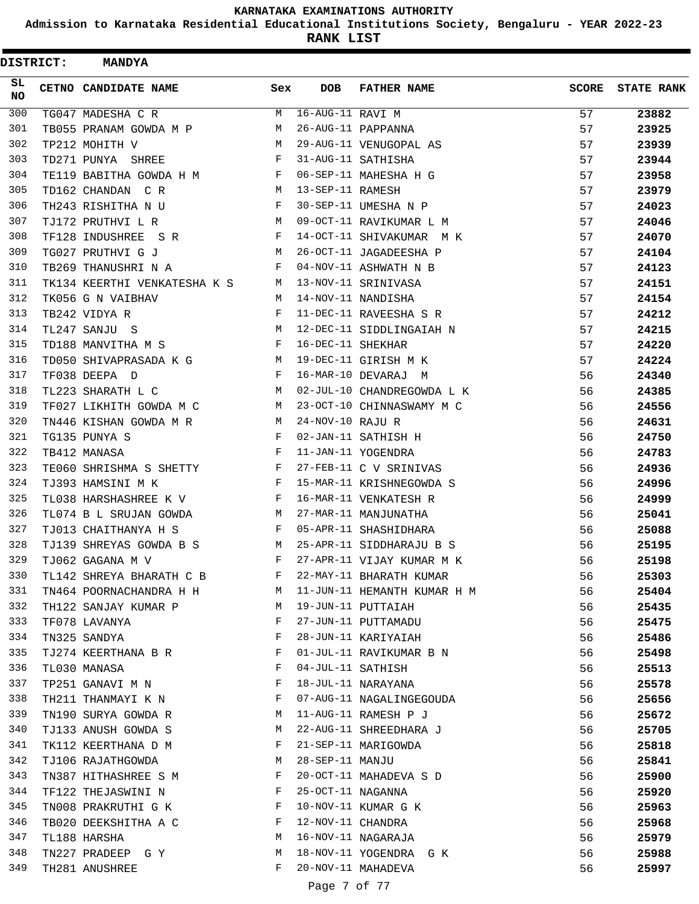**Admission to Karnataka Residential Educational Institutions Society, Bengaluru - YEAR 2022-23**

| <b>DISTRICT:</b> | <b>MANDYA</b>                |     |                   |                             |              |                   |
|------------------|------------------------------|-----|-------------------|-----------------------------|--------------|-------------------|
| SL.<br><b>NO</b> | CETNO CANDIDATE NAME         | Sex | <b>DOB</b>        | <b>FATHER NAME</b>          | <b>SCORE</b> | <b>STATE RANK</b> |
| 300              | TG047 MADESHA C R            | M   | 16-AUG-11 RAVI M  |                             | 57           | 23882             |
| 301              | TB055 PRANAM GOWDA M P       | M   |                   | 26-AUG-11 PAPPANNA          | 57           | 23925             |
| 302              | TP212 MOHITH V               | M   |                   | 29-AUG-11 VENUGOPAL AS      | 57           | 23939             |
| 303              | TD271 PUNYA SHREE            | F   |                   | 31-AUG-11 SATHISHA          | 57           | 23944             |
| 304              | TE119 BABITHA GOWDA H M      | F   |                   | 06-SEP-11 MAHESHA H G       | 57           | 23958             |
| 305              | TD162 CHANDAN C R            | M   | 13-SEP-11 RAMESH  |                             | 57           | 23979             |
| 306              | TH243 RISHITHA N U           | F   |                   | 30-SEP-11 UMESHA N P        | 57           | 24023             |
| 307              | TJ172 PRUTHVI L R            | M   |                   | 09-OCT-11 RAVIKUMAR L M     | 57           | 24046             |
| 308              | TF128 INDUSHREE S R          | F   |                   | 14-OCT-11 SHIVAKUMAR M K    | 57           | 24070             |
| 309              | TG027 PRUTHVI G J            | М   |                   | 26-OCT-11 JAGADEESHA P      | 57           | 24104             |
| 310              | TB269 THANUSHRI N A          | F   |                   | 04-NOV-11 ASHWATH N B       | 57           | 24123             |
| 311              | TK134 KEERTHI VENKATESHA K S | M   |                   | 13-NOV-11 SRINIVASA         | 57           | 24151             |
| 312              | TK056 G N VAIBHAV            | M   |                   | 14-NOV-11 NANDISHA          | 57           | 24154             |
| 313              | TB242 VIDYA R                | F   |                   | 11-DEC-11 RAVEESHA S R      | 57           | 24212             |
| 314              | TL247 SANJU S                | M   |                   | 12-DEC-11 SIDDLINGAIAH N    | 57           | 24215             |
| 315              | TD188 MANVITHA M S           | F   | 16-DEC-11 SHEKHAR |                             | 57           | 24220             |
| 316              | TD050 SHIVAPRASADA K G       | M   |                   | 19-DEC-11 GIRISH M K        | 57           | 24224             |
| 317              | TF038 DEEPA D                | F   |                   | 16-MAR-10 DEVARAJ M         | 56           | 24340             |
| 318              | TL223 SHARATH L C            | M   |                   | 02-JUL-10 CHANDREGOWDA L K  | 56           | 24385             |
| 319              | TF027 LIKHITH GOWDA M C      | М   |                   | 23-OCT-10 CHINNASWAMY M C   | 56           | 24556             |
| 320              | TN446 KISHAN GOWDA M R       | М   | 24-NOV-10 RAJU R  |                             | 56           | 24631             |
| 321              | TG135 PUNYA S                | F   |                   | 02-JAN-11 SATHISH H         | 56           | 24750             |
| 322              | TB412 MANASA                 | F   |                   | 11-JAN-11 YOGENDRA          | 56           | 24783             |
| 323              | TE060 SHRISHMA S SHETTY      | F   |                   | 27-FEB-11 C V SRINIVAS      | 56           | 24936             |
| 324              | TJ393 HAMSINI M K            | F   |                   | 15-MAR-11 KRISHNEGOWDA S    | 56           | 24996             |
| 325              | TL038 HARSHASHREE K V        | F   |                   | 16-MAR-11 VENKATESH R       | 56           | 24999             |
| 326              | TL074 B L SRUJAN GOWDA       | м   |                   | 27-MAR-11 MANJUNATHA        | 56           | 25041             |
| 327              | TJ013 CHAITHANYA H S         | F   |                   | 05-APR-11 SHASHIDHARA       | 56           | 25088             |
| 328              | TJ139 SHREYAS GOWDA B S      | M   |                   | 25-APR-11 SIDDHARAJU B S    | 56           | 25195             |
| 329              | TJ062 GAGANA M V             | F   |                   | 27-APR-11 VIJAY KUMAR M K   | 56           | 25198             |
| 330              | TL142 SHREYA BHARATH C B     | F   |                   | 22-MAY-11 BHARATH KUMAR     | 56           | 25303             |
| 331              | TN464 POORNACHANDRA H H      | M   |                   | 11-JUN-11 HEMANTH KUMAR H M | 56           | 25404             |
| 332              | TH122 SANJAY KUMAR P         | М   |                   | 19-JUN-11 PUTTAIAH          | 56           | 25435             |
| 333              | TF078 LAVANYA                | F   |                   | 27-JUN-11 PUTTAMADU         | 56           | 25475             |
| 334              | TN325 SANDYA                 | F   |                   | 28-JUN-11 KARIYAIAH         | 56           |                   |
| 335              | TJ274 KEERTHANA B R          | F   |                   | 01-JUL-11 RAVIKUMAR B N     | 56           | 25486             |
| 336              | TL030 MANASA                 | F   | 04-JUL-11 SATHISH |                             | 56           | 25498             |
| 337              |                              | F   |                   | 18-JUL-11 NARAYANA          |              | 25513             |
| 338              | TP251 GANAVI M N             |     |                   |                             | 56           | 25578             |
| 339              | TH211 THANMAYI K N           | F   |                   | 07-AUG-11 NAGALINGEGOUDA    | 56           | 25656             |
|                  | TN190 SURYA GOWDA R          | М   |                   | 11-AUG-11 RAMESH P J        | 56           | 25672             |
| 340              | TJ133 ANUSH GOWDA S          | М   |                   | 22-AUG-11 SHREEDHARA J      | 56           | 25705             |
| 341              | TK112 KEERTHANA D M          | F   |                   | 21-SEP-11 MARIGOWDA         | 56           | 25818             |
| 342              | TJ106 RAJATHGOWDA            | М   | 28-SEP-11 MANJU   |                             | 56           | 25841             |
| 343              | TN387 HITHASHREE S M         | F   |                   | 20-OCT-11 MAHADEVA S D      | 56           | 25900             |
| 344              | TF122 THEJASWINI N           | F   | 25-OCT-11 NAGANNA |                             | 56           | 25920             |
| 345              | TN008 PRAKRUTHI G K          | F   |                   | 10-NOV-11 KUMAR G K         | 56           | 25963             |
| 346              | TB020 DEEKSHITHA A C         | F   | 12-NOV-11 CHANDRA |                             | 56           | 25968             |
| 347              | TL188 HARSHA                 | М   |                   | 16-NOV-11 NAGARAJA          | 56           | 25979             |
| 348              | TN227 PRADEEP G Y            | М   |                   | 18-NOV-11 YOGENDRA G K      | 56           | 25988             |
| 349              | TH281 ANUSHREE               | F   |                   | 20-NOV-11 MAHADEVA          | 56           | 25997             |
|                  |                              |     | Page 7 of 77      |                             |              |                   |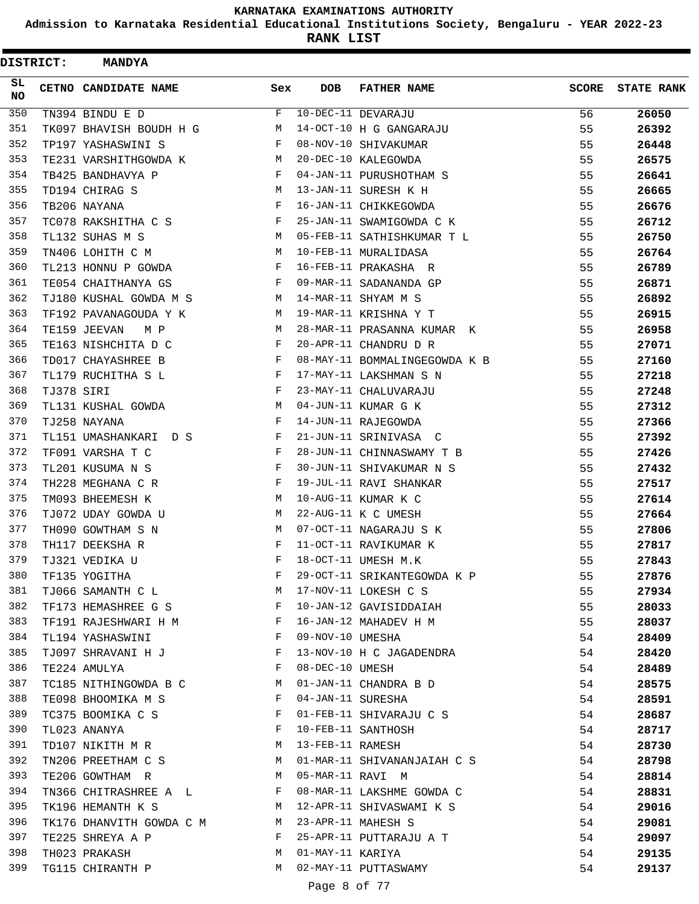**Admission to Karnataka Residential Educational Institutions Society, Bengaluru - YEAR 2022-23**

| <b>DISTRICT:</b> |            | <b>MANDYA</b>            |     |                   |                               |              |                   |
|------------------|------------|--------------------------|-----|-------------------|-------------------------------|--------------|-------------------|
| SL.<br><b>NO</b> |            | CETNO CANDIDATE NAME     | Sex | <b>DOB</b>        | <b>FATHER NAME</b>            | <b>SCORE</b> | <b>STATE RANK</b> |
| 350              |            | TN394 BINDU E D          | F   |                   | 10-DEC-11 DEVARAJU            | 56           | 26050             |
| 351              |            | TK097 BHAVISH BOUDH H G  | М   |                   | 14-OCT-10 H G GANGARAJU       | 55           | 26392             |
| 352              |            | TP197 YASHASWINI S       | F   |                   | 08-NOV-10 SHIVAKUMAR          | 55           | 26448             |
| 353              |            | TE231 VARSHITHGOWDA K    | М   |                   | 20-DEC-10 KALEGOWDA           | 55           | 26575             |
| 354              |            | TB425 BANDHAVYA P        | F   |                   | 04-JAN-11 PURUSHOTHAM S       | 55           | 26641             |
| 355              |            | TD194 CHIRAG S           | М   |                   | 13-JAN-11 SURESH K H          | 55           | 26665             |
| 356              |            | TB206 NAYANA             | F   |                   | 16-JAN-11 CHIKKEGOWDA         | 55           | 26676             |
| 357              |            | TC078 RAKSHITHA C S      | F   |                   | 25-JAN-11 SWAMIGOWDA C K      | 55           | 26712             |
| 358              |            | TL132 SUHAS M S          | М   |                   | 05-FEB-11 SATHISHKUMAR T L    | 55           | 26750             |
| 359              |            | TN406 LOHITH C M         | М   |                   | 10-FEB-11 MURALIDASA          | 55           | 26764             |
| 360              |            | TL213 HONNU P GOWDA      | F   |                   | 16-FEB-11 PRAKASHA R          | 55           | 26789             |
| 361              |            | TE054 CHAITHANYA GS      | F   |                   | 09-MAR-11 SADANANDA GP        | 55           | 26871             |
| 362              |            | TJ180 KUSHAL GOWDA M S   | М   |                   | 14-MAR-11 SHYAM M S           | 55           | 26892             |
| 363              |            | TF192 PAVANAGOUDA Y K    | М   |                   | 19-MAR-11 KRISHNA Y T         | 55           | 26915             |
| 364              |            | TE159 JEEVAN<br>M P      | М   |                   | 28-MAR-11 PRASANNA KUMAR K    | 55           | 26958             |
| 365              |            | TE163 NISHCHITA D C      | F   |                   | 20-APR-11 CHANDRU D R         | 55           | 27071             |
| 366              |            | TD017 CHAYASHREE B       | F   |                   | 08-MAY-11 BOMMALINGEGOWDA K B | 55           | 27160             |
| 367              |            | TL179 RUCHITHA S L       | F   |                   | 17-MAY-11 LAKSHMAN S N        | 55           | 27218             |
| 368              | TJ378 SIRI |                          | F   |                   | 23-MAY-11 CHALUVARAJU         | 55           | 27248             |
| 369              |            | TL131 KUSHAL GOWDA       | M   |                   | 04-JUN-11 KUMAR G K           | 55           | 27312             |
| 370              |            | TJ258 NAYANA             | F   |                   | 14-JUN-11 RAJEGOWDA           | 55           | 27366             |
| 371              |            | TL151 UMASHANKARI D S    | F   |                   | 21-JUN-11 SRINIVASA C         | 55           | 27392             |
| 372              |            | TF091 VARSHA T C         | F   |                   | 28-JUN-11 CHINNASWAMY T B     | 55           | 27426             |
| 373              |            | TL201 KUSUMA N S         | F   |                   | 30-JUN-11 SHIVAKUMAR N S      | 55           | 27432             |
| 374              |            | TH228 MEGHANA C R        | F   |                   | 19-JUL-11 RAVI SHANKAR        | 55           | 27517             |
| 375              |            | TM093 BHEEMESH K         | М   |                   | 10-AUG-11 KUMAR K C           | 55           | 27614             |
| 376              |            | TJ072 UDAY GOWDA U       | М   |                   | 22-AUG-11 K C UMESH           | 55           | 27664             |
| 377              |            | TH090 GOWTHAM S N        | М   |                   | 07-OCT-11 NAGARAJU S K        | 55           | 27806             |
| 378              |            | TH117 DEEKSHA R          | F   |                   | 11-OCT-11 RAVIKUMAR K         | 55           | 27817             |
| 379              |            | TJ321 VEDIKA U           | F   |                   | 18-OCT-11 UMESH M.K           | 55           | 27843             |
| 380              |            | TF135 YOGITHA            | F   |                   | 29-OCT-11 SRIKANTEGOWDA K P   | 55           | 27876             |
| 381              |            | TJ066 SAMANTH C L        | М   |                   | 17-NOV-11 LOKESH C S          | 55           | 27934             |
| 382              |            | TF173 HEMASHREE G S      | F   |                   | 10-JAN-12 GAVISIDDAIAH        | 55           | 28033             |
| 383              |            | TF191 RAJESHWARI H M     | F   |                   | 16-JAN-12 MAHADEV H M         | 55           | 28037             |
| 384              |            | TL194 YASHASWINI         | F   | 09-NOV-10 UMESHA  |                               | 54           | 28409             |
| 385              |            | TJ097 SHRAVANI H J       | F   |                   | 13-NOV-10 H C JAGADENDRA      | 54           | 28420             |
| 386              |            | TE224 AMULYA             | F   | 08-DEC-10 UMESH   |                               | 54           | 28489             |
| 387              |            | TC185 NITHINGOWDA B C    | М   |                   | 01-JAN-11 CHANDRA B D         | 54           | 28575             |
| 388              |            | TE098 BHOOMIKA M S       | F   | 04-JAN-11 SURESHA |                               | 54           | 28591             |
| 389              |            | TC375 BOOMIKA C S        | F   |                   | 01-FEB-11 SHIVARAJU C S       | 54           | 28687             |
| 390              |            | TL023 ANANYA             | F   |                   | 10-FEB-11 SANTHOSH            | 54           | 28717             |
| 391              |            | TD107 NIKITH M R         | M   | 13-FEB-11 RAMESH  |                               | 54           | 28730             |
| 392              |            | TN206 PREETHAM C S       | М   |                   | 01-MAR-11 SHIVANANJAIAH C S   | 54           | 28798             |
| 393              |            | TE206 GOWTHAM R          | M   | 05-MAR-11 RAVI M  |                               | 54           | 28814             |
| 394              |            | TN366 CHITRASHREE A L    | F   |                   | 08-MAR-11 LAKSHME GOWDA C     | 54           | 28831             |
| 395              |            | TK196 HEMANTH K S        | М   |                   | 12-APR-11 SHIVASWAMI K S      | 54           | 29016             |
| 396              |            | TK176 DHANVITH GOWDA C M | M   |                   | 23-APR-11 MAHESH S            | 54           | 29081             |
| 397              |            | TE225 SHREYA A P         | F   |                   | 25-APR-11 PUTTARAJU A T       | 54           | 29097             |
| 398              |            | TH023 PRAKASH            | М   | 01-MAY-11 KARIYA  |                               | 54           | 29135             |
| 399              |            | TG115 CHIRANTH P         | M   |                   | 02-MAY-11 PUTTASWAMY          | 54           | 29137             |
|                  |            |                          |     |                   |                               |              |                   |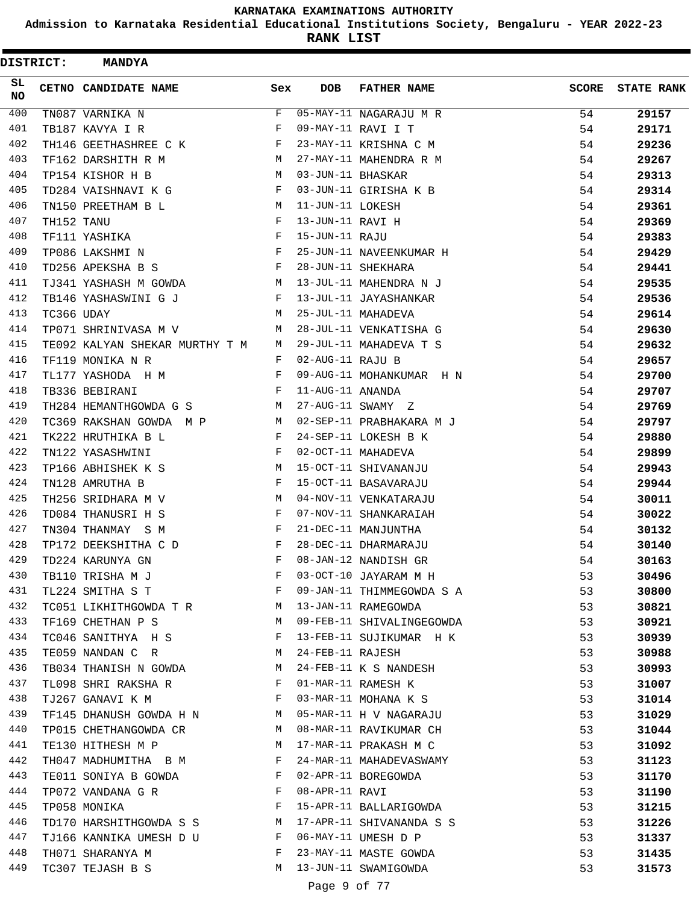**Admission to Karnataka Residential Educational Institutions Society, Bengaluru - YEAR 2022-23**

| <b>DISTRICT:</b> |            | <b>MANDYA</b>                  |            |                   |                           |              |                   |
|------------------|------------|--------------------------------|------------|-------------------|---------------------------|--------------|-------------------|
| SL.<br><b>NO</b> |            | <b>CETNO CANDIDATE NAME</b>    | Sex        | <b>DOB</b>        | <b>FATHER NAME</b>        | <b>SCORE</b> | <b>STATE RANK</b> |
| 400              |            | TN087 VARNIKA N                | F          |                   | $05-MAY-11$ NAGARAJU M R  | 54           | 29157             |
| 401              |            | TB187 KAVYA I R                | F          |                   | 09-MAY-11 RAVI I T        | 54           | 29171             |
| 402              |            | TH146 GEETHASHREE C K          | F          |                   | 23-MAY-11 KRISHNA C M     | 54           | 29236             |
| 403              |            | TF162 DARSHITH R M             | M          |                   | 27-MAY-11 MAHENDRA R M    | 54           | 29267             |
| 404              |            | TP154 KISHOR H B               | M          | 03-JUN-11 BHASKAR |                           | 54           | 29313             |
| 405              |            | TD284 VAISHNAVI K G            | F          |                   | 03-JUN-11 GIRISHA K B     | 54           | 29314             |
| 406              |            | TN150 PREETHAM B L             | M          | 11-JUN-11 LOKESH  |                           | 54           | 29361             |
| 407              | TH152 TANU |                                | F          | 13-JUN-11 RAVI H  |                           | 54           | 29369             |
| 408              |            | TF111 YASHIKA                  | $_{\rm F}$ | 15-JUN-11 RAJU    |                           | 54           | 29383             |
| 409              |            | TP086 LAKSHMI N                | F          |                   | 25-JUN-11 NAVEENKUMAR H   | 54           | 29429             |
| 410              |            | TD256 APEKSHA B S              | F          |                   | 28-JUN-11 SHEKHARA        | 54           | 29441             |
| 411              |            | TJ341 YASHASH M GOWDA          | M          |                   | 13-JUL-11 MAHENDRA N J    | 54           | 29535             |
| 412              |            | TB146 YASHASWINI G J           | F          |                   | 13-JUL-11 JAYASHANKAR     | 54           | 29536             |
| 413              | TC366 UDAY |                                | M          |                   | 25-JUL-11 MAHADEVA        | 54           | 29614             |
| 414              |            | TP071 SHRINIVASA M V           | M          |                   | 28-JUL-11 VENKATISHA G    | 54           | 29630             |
| 415              |            | TE092 KALYAN SHEKAR MURTHY T M | M          |                   | 29-JUL-11 MAHADEVA T S    | 54           | 29632             |
| 416              |            | TF119 MONIKA N R               | F          | 02-AUG-11 RAJU B  |                           | 54           | 29657             |
| 417              |            | TL177 YASHODA H M              | F          |                   | 09-AUG-11 MOHANKUMAR H N  | 54           | 29700             |
| 418              |            | TB336 BEBIRANI                 | F          | 11-AUG-11 ANANDA  |                           | 54           | 29707             |
| 419              |            | TH284 HEMANTHGOWDA G S         | М          |                   | 27-AUG-11 SWAMY Z         | 54           | 29769             |
| 420              |            | TC369 RAKSHAN GOWDA M P        | M          |                   | 02-SEP-11 PRABHAKARA M J  | 54           | 29797             |
| 421              |            | TK222 HRUTHIKA B L             | F          |                   | 24-SEP-11 LOKESH B K      | 54           | 29880             |
| 422              |            | TN122 YASASHWINI               | F          |                   | 02-OCT-11 MAHADEVA        | 54           | 29899             |
| 423              |            | TP166 ABHISHEK K S             | M          |                   | 15-OCT-11 SHIVANANJU      | 54           | 29943             |
| 424              |            | TN128 AMRUTHA B                | F          |                   | 15-OCT-11 BASAVARAJU      | 54           | 29944             |
| 425              |            | TH256 SRIDHARA M V             | M          |                   | 04-NOV-11 VENKATARAJU     | 54           | 30011             |
| 426              |            | TD084 THANUSRI H S             | F          |                   | 07-NOV-11 SHANKARAIAH     | 54           | 30022             |
| 427              |            | TN304 THANMAY S M              | F          |                   | 21-DEC-11 MANJUNTHA       | 54           | 30132             |
| 428              |            | TP172 DEEKSHITHA C D           | F          |                   | 28-DEC-11 DHARMARAJU      | 54           | 30140             |
| 429              |            | TD224 KARUNYA GN               | F          |                   | 08-JAN-12 NANDISH GR      | 54           | 30163             |
| 430              |            | TB110 TRISHA M J               | F          |                   | 03-OCT-10 JAYARAM M H     | 53           | 30496             |
| 431              |            | TL224 SMITHA S T               | F          |                   | 09-JAN-11 THIMMEGOWDA S A | 53           | 30800             |
| 432              |            | TC051 LIKHITHGOWDA T R         | M          |                   | 13-JAN-11 RAMEGOWDA       | 53           | 30821             |
| 433              |            | TF169 CHETHAN P S              | M          |                   | 09-FEB-11 SHIVALINGEGOWDA | 53           | 30921             |
| 434              |            | TC046 SANITHYA H S             | F          |                   | 13-FEB-11 SUJIKUMAR H K   | 53           | 30939             |
| 435              |            | TE059 NANDAN C R               | M          | 24-FEB-11 RAJESH  |                           | 53           | 30988             |
| 436              |            | TB034 THANISH N GOWDA          | M          |                   | 24-FEB-11 K S NANDESH     | 53           | 30993             |
| 437              |            | TL098 SHRI RAKSHA R            | F          |                   | 01-MAR-11 RAMESH K        | 53           | 31007             |
| 438              |            | TJ267 GANAVI K M               | F          |                   | 03-MAR-11 MOHANA K S      | 53           | 31014             |
| 439              |            | TF145 DHANUSH GOWDA H N        | M          |                   | 05-MAR-11 H V NAGARAJU    | 53           | 31029             |
| 440              |            | TP015 CHETHANGOWDA CR          | M          |                   | 08-MAR-11 RAVIKUMAR CH    | 53           | 31044             |
| 441              |            | TE130 HITHESH M P              | M          |                   | 17-MAR-11 PRAKASH M C     | 53           | 31092             |
| 442              |            | TH047 MADHUMITHA B M           | F          |                   | 24-MAR-11 MAHADEVASWAMY   | 53           | 31123             |
| 443              |            | TE011 SONIYA B GOWDA           | F          |                   | 02-APR-11 BOREGOWDA       | 53           | 31170             |
| 444              |            | TP072 VANDANA G R              | F          | 08-APR-11 RAVI    |                           | 53           | 31190             |
| 445              |            | TP058 MONIKA                   | F          |                   | 15-APR-11 BALLARIGOWDA    | 53           | 31215             |
| 446              |            | TD170 HARSHITHGOWDA S S        | M          |                   | 17-APR-11 SHIVANANDA S S  | 53           | 31226             |
| 447              |            | TJ166 KANNIKA UMESH D U        | F          |                   | 06-MAY-11 UMESH D P       | 53           | 31337             |
| 448              |            | TH071 SHARANYA M               | F          |                   | 23-MAY-11 MASTE GOWDA     | 53           | 31435             |
| 449              |            | TC307 TEJASH B S               | М          |                   | 13-JUN-11 SWAMIGOWDA      | 53           | 31573             |
|                  |            |                                |            | Page 9 of 77      |                           |              |                   |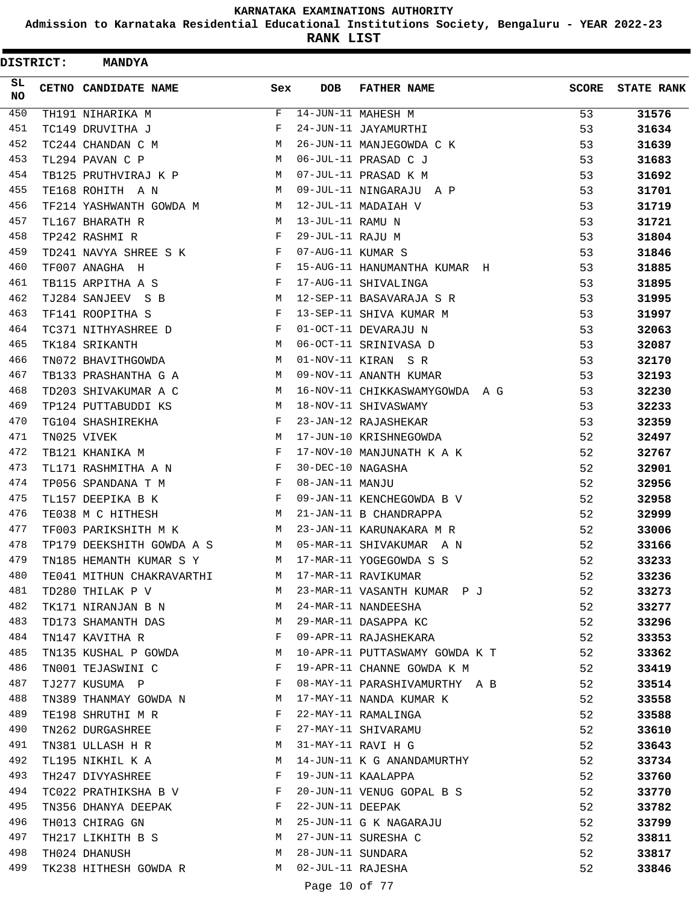**Admission to Karnataka Residential Educational Institutions Society, Bengaluru - YEAR 2022-23**

| <b>DISTRICT:</b> | <b>MANDYA</b>             |     |                   |                                |              |                   |
|------------------|---------------------------|-----|-------------------|--------------------------------|--------------|-------------------|
| SL<br><b>NO</b>  | CETNO CANDIDATE NAME      | Sex | <b>DOB</b>        | <b>FATHER NAME</b>             | <b>SCORE</b> | <b>STATE RANK</b> |
| 450              | TH191 NIHARIKA M          | F   |                   | 14-JUN-11 MAHESH M             | 53           | 31576             |
| 451              | TC149 DRUVITHA J          | F   |                   | 24-JUN-11 JAYAMURTHI           | 53           | 31634             |
| 452              | TC244 CHANDAN C M         | M   |                   | 26-JUN-11 MANJEGOWDA C K       | 53           | 31639             |
| 453              | TL294 PAVAN C P           | M   |                   | 06-JUL-11 PRASAD C J           | 53           | 31683             |
| 454              | TB125 PRUTHVIRAJ K P      | M   |                   | 07-JUL-11 PRASAD K M           | 53           | 31692             |
| 455              | TE168 ROHITH A N          | M   |                   | 09-JUL-11 NINGARAJU A P        | 53           | 31701             |
| 456              | TF214 YASHWANTH GOWDA M   | М   |                   | 12-JUL-11 MADAIAH V            | 53           | 31719             |
| 457              | TL167 BHARATH R           | M   | 13-JUL-11 RAMU N  |                                | 53           | 31721             |
| 458              | TP242 RASHMI R            | F   | 29-JUL-11 RAJU M  |                                | 53           | 31804             |
| 459              | TD241 NAVYA SHREE S K     | F   | 07-AUG-11 KUMAR S |                                | 53           | 31846             |
| 460              | TF007 ANAGHA H            | F   |                   | 15-AUG-11 HANUMANTHA KUMAR H   | 53           | 31885             |
| 461              | TB115 ARPITHA A S         | F   |                   | 17-AUG-11 SHIVALINGA           | 53           | 31895             |
| 462              | TJ284 SANJEEV S B         | M   |                   | 12-SEP-11 BASAVARAJA S R       | 53           | 31995             |
| 463              | TF141 ROOPITHA S          | F   |                   | 13-SEP-11 SHIVA KUMAR M        | 53           | 31997             |
| 464              | TC371 NITHYASHREE D       | F   |                   | 01-OCT-11 DEVARAJU N           | 53           | 32063             |
| 465              | TK184 SRIKANTH            | M   |                   | 06-OCT-11 SRINIVASA D          | 53           | 32087             |
| 466              | TN072 BHAVITHGOWDA        | M   |                   | 01-NOV-11 KIRAN S R            | 53           | 32170             |
| 467              | TB133 PRASHANTHA G A      | M   |                   | 09-NOV-11 ANANTH KUMAR         | 53           | 32193             |
| 468              | TD203 SHIVAKUMAR A C      | M   |                   | 16-NOV-11 CHIKKASWAMYGOWDA A G | 53           | 32230             |
| 469              | TP124 PUTTABUDDI KS       | М   |                   | 18-NOV-11 SHIVASWAMY           | 53           | 32233             |
| 470              | TG104 SHASHIREKHA         | F   |                   | 23-JAN-12 RAJASHEKAR           | 53           | 32359             |
| 471              | TN025 VIVEK               | M   |                   | 17-JUN-10 KRISHNEGOWDA         | 52           | 32497             |
| 472              | TB121 KHANIKA M           | F   |                   | 17-NOV-10 MANJUNATH K A K      | 52           | 32767             |
| 473              | TL171 RASHMITHA A N       | F   | 30-DEC-10 NAGASHA |                                | 52           | 32901             |
| 474              | TP056 SPANDANA T M        | F   | 08-JAN-11 MANJU   |                                | 52           | 32956             |
| 475              | TL157 DEEPIKA B K         | F   |                   | 09-JAN-11 KENCHEGOWDA B V      | 52           | 32958             |
| 476              | TE038 M C HITHESH         | М   |                   | 21-JAN-11 B CHANDRAPPA         | 52           | 32999             |
| 477              | TF003 PARIKSHITH M K      | М   |                   | 23-JAN-11 KARUNAKARA M R       | 52           | 33006             |
| 478              | TP179 DEEKSHITH GOWDA A S | M   |                   | 05-MAR-11 SHIVAKUMAR A N       | 52           | 33166             |
| 479              | TN185 HEMANTH KUMAR S Y   | M   |                   | 17-MAR-11 YOGEGOWDA S S        | 52           | 33233             |
| 480              | TE041 MITHUN CHAKRAVARTHI |     |                   | M 17-MAR-11 RAVIKUMAR          | 52           | 33236             |
| 481              | TD280 THILAK P V          | M   |                   | 23-MAR-11 VASANTH KUMAR PJ     | 52           | 33273             |
| 482              | TK171 NIRANJAN B N        | M   |                   | 24-MAR-11 NANDEESHA            | 52           | 33277             |
| 483              | TD173 SHAMANTH DAS        | M   |                   | 29-MAR-11 DASAPPA KC           | 52           | 33296             |
| 484              | TN147 KAVITHA R           | F   |                   | 09-APR-11 RAJASHEKARA          | 52           | 33353             |
| 485              | TN135 KUSHAL P GOWDA      | M   |                   | 10-APR-11 PUTTASWAMY GOWDA K T | 52           | 33362             |
| 486              | TN001 TEJASWINI C         | F   |                   | 19-APR-11 CHANNE GOWDA K M     | 52           | 33419             |
| 487              | TJ277 KUSUMA P            | F   |                   | 08-MAY-11 PARASHIVAMURTHY A B  | 52           | 33514             |
| 488              | TN389 THANMAY GOWDA N     | M   |                   | 17-MAY-11 NANDA KUMAR K        | 52           | 33558             |
| 489              | TE198 SHRUTHI M R         | F   |                   | 22-MAY-11 RAMALINGA            | 52           | 33588             |
| 490              | TN262 DURGASHREE          | F   |                   | 27-MAY-11 SHIVARAMU            | 52           | 33610             |
| 491              | TN381 ULLASH H R          | M   |                   | 31-MAY-11 RAVI H G             | 52           | 33643             |
| 492              | TL195 NIKHIL K A          | M   |                   | 14-JUN-11 K G ANANDAMURTHY     | 52           | 33734             |
| 493              | TH247 DIVYASHREE          | F   |                   | 19-JUN-11 KAALAPPA             | 52           | 33760             |
| 494              | TC022 PRATHIKSHA B V      | F   |                   | 20-JUN-11 VENUG GOPAL B S      | 52           | 33770             |
| 495              | TN356 DHANYA DEEPAK       | F   | 22-JUN-11 DEEPAK  |                                | 52           | 33782             |
| 496              | TH013 CHIRAG GN           | М   |                   | 25-JUN-11 G K NAGARAJU         | 52           | 33799             |
| 497              | TH217 LIKHITH B S         | M   |                   | 27-JUN-11 SURESHA C            | 52           | 33811             |
| 498              | TH024 DHANUSH             | M   | 28-JUN-11 SUNDARA |                                | 52           | 33817             |
| 499              | TK238 HITHESH GOWDA R     | M   | 02-JUL-11 RAJESHA |                                | 52           | 33846             |
|                  |                           |     | Page 10 of 77     |                                |              |                   |
|                  |                           |     |                   |                                |              |                   |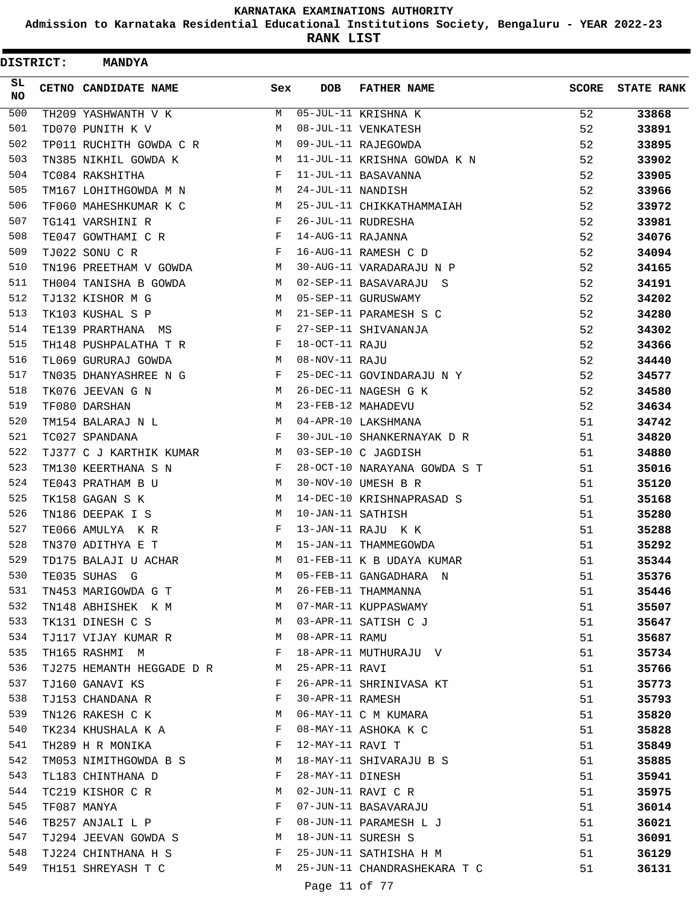**Admission to Karnataka Residential Educational Institutions Society, Bengaluru - YEAR 2022-23**

**RANK LIST**

 $\blacksquare$ 

| <b>DISTRICT:</b> | <b>MANDYA</b>               |                                                |                   |                                |              |                   |
|------------------|-----------------------------|------------------------------------------------|-------------------|--------------------------------|--------------|-------------------|
| SL.<br>NO.       | CETNO CANDIDATE NAME        | Sex                                            | <b>DOB</b>        | <b>FATHER NAME</b>             | <b>SCORE</b> | <b>STATE RANK</b> |
| 500              | TH209 YASHWANTH V K         | M                                              |                   | 05-JUL-11 KRISHNA K            | 52           | 33868             |
| 501              | TD070 PUNITH K V            | M                                              |                   | 08-JUL-11 VENKATESH            | 52           | 33891             |
| 502              | TP011 RUCHITH GOWDA C R     | М                                              |                   | 09-JUL-11 RAJEGOWDA            | 52           | 33895             |
| 503              | TN385 NIKHIL GOWDA K        | М                                              |                   | 11-JUL-11 KRISHNA GOWDA K N    | 52           | 33902             |
| 504              | TC084 RAKSHITHA             | F                                              |                   | 11-JUL-11 BASAVANNA            | 52           | 33905             |
| 505              | TM167 LOHITHGOWDA M N       | М                                              | 24-JUL-11 NANDISH |                                | 52           | 33966             |
| 506              | TF060 MAHESHKUMAR K C       | M                                              |                   | 25-JUL-11 CHIKKATHAMMAIAH      | 52           | 33972             |
| 507              | TG141 VARSHINI R            | F                                              |                   | 26-JUL-11 RUDRESHA             | 52           | 33981             |
| 508              | TE047 GOWTHAMI C R          | F                                              | 14-AUG-11 RAJANNA |                                | 52           | 34076             |
| 509              | TJ022 SONU C R              | F                                              |                   | 16-AUG-11 RAMESH C D           | 52           | 34094             |
| 510              | TN196 PREETHAM V GOWDA      | M                                              |                   | 30-AUG-11 VARADARAJU N P       | 52           | 34165             |
| 511              | TH004 TANISHA B GOWDA       | M                                              |                   | 02-SEP-11 BASAVARAJU S         | 52           | 34191             |
| 512              | TJ132 KISHOR M G            | M                                              |                   | 05-SEP-11 GURUSWAMY            | 52           | 34202             |
| 513              | TK103 KUSHAL S P            | М                                              |                   | 21-SEP-11 PARAMESH S C         | 52           | 34280             |
| 514              | TE139 PRARTHANA MS          | F                                              |                   | 27-SEP-11 SHIVANANJA           | 52           | 34302             |
| 515              | TH148 PUSHPALATHA T R       | F                                              | 18-OCT-11 RAJU    |                                | 52           | 34366             |
| 516              | TL069 GURURAJ GOWDA         | M                                              | 08-NOV-11 RAJU    |                                | 52           | 34440             |
| 517              | TN035 DHANYASHREE N G       | F                                              |                   | 25-DEC-11 GOVINDARAJU N Y      | 52           | 34577             |
| 518              | TK076 JEEVAN G N            | М                                              |                   | 26-DEC-11 NAGESH G K           | 52           | 34580             |
| 519              | TF080 DARSHAN               | M                                              |                   | 23-FEB-12 MAHADEVU             | 52           | 34634             |
| 520              | TM154 BALARAJ N L           | M                                              |                   | 04-APR-10 LAKSHMANA            | 51           | 34742             |
| 521              | TC027 SPANDANA              | $_{\rm F}$                                     |                   | 30-JUL-10 SHANKERNAYAK D R     | 51           | 34820             |
| 522              | TJ377 C J KARTHIK KUMAR     | M                                              |                   | 03-SEP-10 C JAGDISH            | 51           | 34880             |
| 523              | TM130 KEERTHANA S N         | F                                              |                   | 28-OCT-10 NARAYANA GOWDA S T   | 51           | 35016             |
| 524              | TE043 PRATHAM B U           | М                                              |                   | 30-NOV-10 UMESH B R            | 51           | 35120             |
| 525              | TK158 GAGAN S K             | М                                              |                   | 14-DEC-10 KRISHNAPRASAD S      | 51           | 35168             |
| 526              | TN186 DEEPAK I S            | M                                              | 10-JAN-11 SATHISH |                                | 51           | 35280             |
| 527              | TE066 AMULYA K R            | F                                              |                   | 13-JAN-11 RAJU K K             | 51           | 35288             |
| 528              | TN370 ADITHYA E T           | M                                              |                   | 15-JAN-11 THAMMEGOWDA          | 51           | 35292             |
| 529              | TD175 BALAJI U ACHAR        | M                                              |                   | 01-FEB-11 K B UDAYA KUMAR      | 51           | 35344             |
| 530              | TE035 SUHAS G               | M                                              |                   | 05-FEB-11 GANGADHARA N         | 51           | 35376             |
| 531              | TN453 MARIGOWDA G T         | M                                              |                   | 26-FEB-11 THAMMANNA            | 51           | 35446             |
| 532              | TN148 ABHISHEK K M          | M                                              |                   | 07-MAR-11 KUPPASWAMY           | 51           | 35507             |
| 533              | TK131 DINESH C S            | M                                              |                   | 03-APR-11 SATISH C J           | 51           | 35647             |
| 534              | TJ117 VIJAY KUMAR R         | M                                              | 08-APR-11 RAMU    |                                | 51           | 35687             |
| 535              | TH165 RASHMI M              | $\mathbf{F}$ and $\mathbf{F}$ and $\mathbf{F}$ |                   | 18-APR-11 MUTHURAJU V          | 51           | 35734             |
| 536              | TJ275 HEMANTH HEGGADE D R M |                                                | 25-APR-11 RAVI    |                                | 51           | 35766             |
| 537              | TJ160 GANAVI KS             | F                                              |                   | 26-APR-11 SHRINIVASA KT        | 51           | 35773             |
| 538              | TJ153 CHANDANA R            | $\mathbf{F}$                                   | 30-APR-11 RAMESH  |                                | 51           | 35793             |
| 539              | TN126 RAKESH C K M          |                                                |                   | 06-MAY-11 C M KUMARA           | 51           | 35820             |
| 540              | TK234 KHUSHALA K A F        |                                                |                   | 08-MAY-11 ASHOKA K C           | 51           | 35828             |
| 541              | TH289 H R MONIKA            | $\mathbf{F}$                                   | 12-MAY-11 RAVI T  |                                | 51           | 35849             |
| 542              | TM053 NIMITHGOWDA B S M     |                                                |                   | 18-MAY-11 SHIVARAJU B S        | 51           | 35885             |
| 543              | TL183 CHINTHANA D           | F                                              | 28-MAY-11 DINESH  |                                | 51           | 35941             |
| 544              | TC219 KISHOR C R            | М                                              |                   | 02-JUN-11 RAVI C R             | 51           | 35975             |
| 545              | TF087 MANYA                 | F                                              |                   | 07-JUN-11 BASAVARAJU           | 51           | 36014             |
| 546              | TB257 ANJALI L P            | F                                              |                   | 08-JUN-11 PARAMESH L J         | 51           | 36021             |
| 547              | TJ294 JEEVAN GOWDA S M      |                                                |                   | 18-JUN-11 SURESH S             | 51           | 36091             |
| 548              | TJ224 CHINTHANA H S         | <b>Example 20</b>                              |                   | 25-JUN-11 SATHISHA H M         | 51           | 36129             |
| 549              | TH151 SHREYASH T C          |                                                |                   | M 25-JUN-11 CHANDRASHEKARA T C | 51           | 36131             |
|                  |                             |                                                |                   | $11$ $0.77$                    |              |                   |

Page 11 of 77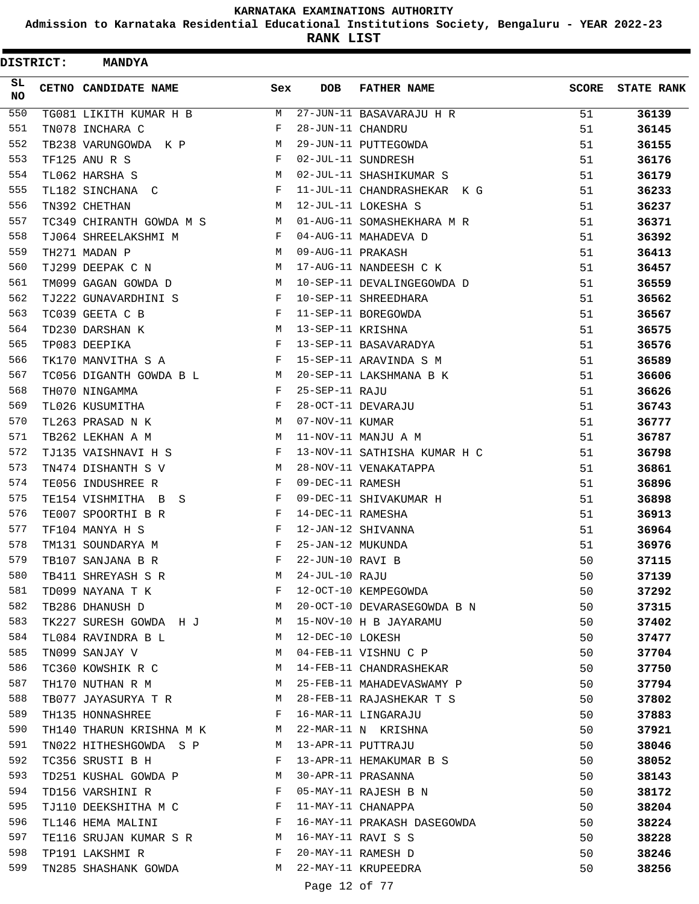**Admission to Karnataka Residential Educational Institutions Society, Bengaluru - YEAR 2022-23**

| <b>DISTRICT:</b> | <b>MANDYA</b>                                                                                                                                                                                                                                         |                          |                   |                              |              |                   |
|------------------|-------------------------------------------------------------------------------------------------------------------------------------------------------------------------------------------------------------------------------------------------------|--------------------------|-------------------|------------------------------|--------------|-------------------|
| SL.<br>NO.       | CETNO CANDIDATE NAME                                                                                                                                                                                                                                  | Sex                      | <b>DOB</b>        | <b>FATHER NAME</b>           | <b>SCORE</b> | <b>STATE RANK</b> |
| 550              | TG081 LIKITH KUMAR H B                                                                                                                                                                                                                                | M                        |                   | 27-JUN-11 BASAVARAJU H R     | 51           | 36139             |
| 551              | TN078 INCHARA C                                                                                                                                                                                                                                       | F                        | 28-JUN-11 CHANDRU |                              | 51           | 36145             |
| 552              | TB238 VARUNGOWDA K P                                                                                                                                                                                                                                  | M                        |                   | 29-JUN-11 PUTTEGOWDA         | 51           | 36155             |
| 553              | TF125 ANU R S                                                                                                                                                                                                                                         | F                        |                   | 02-JUL-11 SUNDRESH           | 51           | 36176             |
| 554              | TL062 HARSHA S                                                                                                                                                                                                                                        | М                        |                   | 02-JUL-11 SHASHIKUMAR S      | 51           | 36179             |
| 555              | TL182 SINCHANA C                                                                                                                                                                                                                                      | F                        |                   | 11-JUL-11 CHANDRASHEKAR K G  | 51           | 36233             |
| 556              | TN392 CHETHAN                                                                                                                                                                                                                                         | M                        |                   | 12-JUL-11 LOKESHA S          | 51           | 36237             |
| 557              | TC349 CHIRANTH GOWDA M S                                                                                                                                                                                                                              | M                        |                   | 01-AUG-11 SOMASHEKHARA M R   | 51           | 36371             |
| 558              | TJ064 SHREELAKSHMI M                                                                                                                                                                                                                                  | F                        |                   | 04-AUG-11 MAHADEVA D         | 51           | 36392             |
| 559              | TH271 MADAN P                                                                                                                                                                                                                                         | М                        | 09-AUG-11 PRAKASH |                              | 51           | 36413             |
| 560              | TJ299 DEEPAK C N                                                                                                                                                                                                                                      | М                        |                   | 17-AUG-11 NANDEESH C K       | 51           | 36457             |
| 561              | TM099 GAGAN GOWDA D                                                                                                                                                                                                                                   | M                        |                   | 10-SEP-11 DEVALINGEGOWDA D   | 51           | 36559             |
| 562              | TJ222 GUNAVARDHINI S                                                                                                                                                                                                                                  | F                        |                   | 10-SEP-11 SHREEDHARA         | 51           | 36562             |
| 563              | TC039 GEETA C B                                                                                                                                                                                                                                       | F                        |                   | 11-SEP-11 BOREGOWDA          | 51           | 36567             |
| 564              | TD230 DARSHAN K                                                                                                                                                                                                                                       | М                        | 13-SEP-11 KRISHNA |                              | 51           | 36575             |
| 565              | TP083 DEEPIKA                                                                                                                                                                                                                                         | F                        |                   | 13-SEP-11 BASAVARADYA        | 51           | 36576             |
| 566              | TK170 MANVITHA S A                                                                                                                                                                                                                                    | F                        |                   | 15-SEP-11 ARAVINDA S M       | 51           | 36589             |
| 567              | TC056 DIGANTH GOWDA B L                                                                                                                                                                                                                               | M                        |                   | 20-SEP-11 LAKSHMANA B K      | 51           | 36606             |
| 568              | TH070 NINGAMMA                                                                                                                                                                                                                                        | F                        | 25-SEP-11 RAJU    |                              | 51           | 36626             |
| 569              | TL026 KUSUMITHA                                                                                                                                                                                                                                       | F                        |                   | 28-OCT-11 DEVARAJU           | 51           | 36743             |
| 570              | TL263 PRASAD N K                                                                                                                                                                                                                                      | М                        | 07-NOV-11 KUMAR   |                              | 51           | 36777             |
| 571              | TB262 LEKHAN A M                                                                                                                                                                                                                                      | М                        |                   | 11-NOV-11 MANJU A M          | 51           | 36787             |
| 572              | TJ135 VAISHNAVI H S                                                                                                                                                                                                                                   | F                        |                   | 13-NOV-11 SATHISHA KUMAR H C | 51           | 36798             |
| 573              | TN474 DISHANTH S V                                                                                                                                                                                                                                    | М                        |                   | 28-NOV-11 VENAKATAPPA        | 51           | 36861             |
| 574              | TE056 INDUSHREE R                                                                                                                                                                                                                                     | F                        | 09-DEC-11 RAMESH  |                              | 51           | 36896             |
| 575              | TE154 VISHMITHA B<br>S S                                                                                                                                                                                                                              | F                        |                   | 09-DEC-11 SHIVAKUMAR H       | 51           | 36898             |
| 576              | TE007 SPOORTHI B R                                                                                                                                                                                                                                    | F                        | 14-DEC-11 RAMESHA |                              | 51           | 36913             |
| 577              | TF104 MANYA H S                                                                                                                                                                                                                                       | F                        |                   | 12-JAN-12 SHIVANNA           | 51           | 36964             |
| 578              | TM131 SOUNDARYA M                                                                                                                                                                                                                                     | F                        | 25-JAN-12 MUKUNDA |                              | 51           | 36976             |
| 579              | TB107 SANJANA B R                                                                                                                                                                                                                                     | F                        | 22-JUN-10 RAVI B  |                              | 50           | 37115             |
| 580              | TB411 SHREYASH S R                                                                                                                                                                                                                                    | M                        | 24-JUL-10 RAJU    |                              | 50           | 37139             |
| 581              | TD099 NAYANA T K                                                                                                                                                                                                                                      | F                        |                   | 12-OCT-10 KEMPEGOWDA         | 50           | 37292             |
| 582              | <b>M</b><br>TB286 DHANUSH D                                                                                                                                                                                                                           |                          |                   | 20-OCT-10 DEVARASEGOWDA B N  | 50           | 37315             |
| 583              | TK227 SURESH GOWDA H J M                                                                                                                                                                                                                              |                          |                   | 15-NOV-10 H B JAYARAMU       | 50           | 37402             |
| 584              | TL084 RAVINDRA B L                                                                                                                                                                                                                                    | M                        | 12-DEC-10 LOKESH  |                              | 50           | 37477             |
| 585              | TN099 SANJAY V                                                                                                                                                                                                                                        | M                        |                   | 04-FEB-11 VISHNU C P         | 50           | 37704             |
| 586              | TC360 KOWSHIK R C                                                                                                                                                                                                                                     | M                        |                   | 14-FEB-11 CHANDRASHEKAR      | 50           | 37750             |
| 587              | TH170 NUTHAN R M                                                                                                                                                                                                                                      | М                        |                   | 25-FEB-11 MAHADEVASWAMY P    | 50           | 37794             |
| 588              | TB077 JAYASURYA T R M                                                                                                                                                                                                                                 |                          |                   | 28-FEB-11 RAJASHEKAR T S     | 50           | 37802             |
| 589              | TH135 HONNASHREE<br>$\mathbf{F}$ and the set of the set of the set of the set of the set of the set of the set of the set of the set of the set of the set of the set of the set of the set of the set of the set of the set of the set of the set of |                          |                   | 16-MAR-11 LINGARAJU          | 50           | 37883             |
| 590              | TH140 THARUN KRISHNA M K M                                                                                                                                                                                                                            |                          |                   | 22-MAR-11 N KRISHNA          | 50           | 37921             |
| 591              | TN022 HITHESHGOWDA S P                                                                                                                                                                                                                                | M                        |                   | 13-APR-11 PUTTRAJU           | 50           | 38046             |
| 592              | TC356 SRUSTI B H                                                                                                                                                                                                                                      | F                        |                   | 13-APR-11 HEMAKUMAR B S      | 50           | 38052             |
| 593              | TD251 KUSHAL GOWDA P M                                                                                                                                                                                                                                |                          |                   | 30-APR-11 PRASANNA           | 50           | 38143             |
| 594              | $\mathbf{F}$ . The contract of the contract of $\mathbf{F}$<br>TD156 VARSHINI R                                                                                                                                                                       |                          |                   | 05-MAY-11 RAJESH B N         | 50           | 38172             |
| 595              | TJ110 DEEKSHITHA M C                                                                                                                                                                                                                                  | $\mathbf{F}$             |                   | 11-MAY-11 CHANAPPA           | 50           | 38204             |
| 596              | $\mathbf{F}$<br>TL146 HEMA MALINI                                                                                                                                                                                                                     |                          |                   | 16-MAY-11 PRAKASH DASEGOWDA  | 50           | 38224             |
| 597              | TE116 SRUJAN KUMAR S R M                                                                                                                                                                                                                              |                          |                   | 16-MAY-11 RAVI S S           | 50           | 38228             |
| 598              | TP191 LAKSHMI R                                                                                                                                                                                                                                       | in the state of the Fig. |                   | 20-MAY-11 RAMESH D           | 50           | 38246             |
| 599              | TN285 SHASHANK GOWDA                                                                                                                                                                                                                                  | M                        |                   | 22-MAY-11 KRUPEEDRA          | 50           | 38256             |
|                  |                                                                                                                                                                                                                                                       |                          | Page 12 of 77     |                              |              |                   |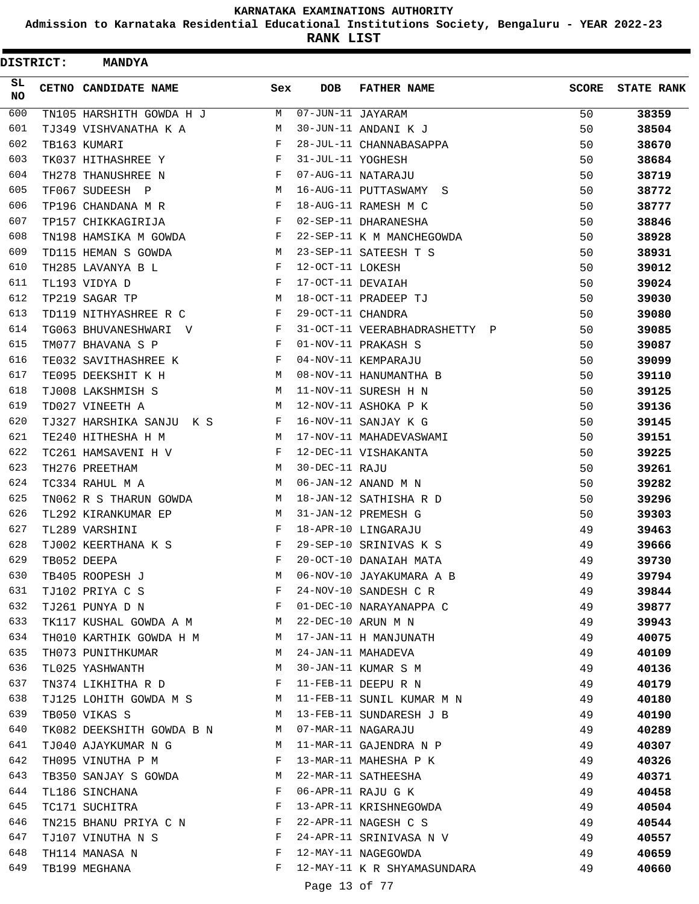**Admission to Karnataka Residential Educational Institutions Society, Bengaluru - YEAR 2022-23**

| <b>DISTRICT:</b> | <b>MANDYA</b>                             |              |                   |                               |              |                   |
|------------------|-------------------------------------------|--------------|-------------------|-------------------------------|--------------|-------------------|
| SL.<br>NO.       | CETNO CANDIDATE NAME                      | Sex          | <b>DOB</b>        | <b>FATHER NAME</b>            | <b>SCORE</b> | <b>STATE RANK</b> |
| 600              | TN105 HARSHITH GOWDA H J                  | M            | 07-JUN-11 JAYARAM |                               | 50           | 38359             |
| 601              | TJ349 VISHVANATHA K A                     | М            |                   | 30-JUN-11 ANDANI K J          | 50           | 38504             |
| 602              | TB163 KUMARI                              | F            |                   | 28-JUL-11 CHANNABASAPPA       | 50           | 38670             |
| 603              | TK037 HITHASHREE Y                        | F            | 31-JUL-11 YOGHESH |                               | 50           | 38684             |
| 604              | TH278 THANUSHREE N                        | F            |                   | 07-AUG-11 NATARAJU            | 50           | 38719             |
| 605              | TF067 SUDEESH P                           | М            |                   | 16-AUG-11 PUTTASWAMY<br>S     | 50           | 38772             |
| 606              | TP196 CHANDANA M R                        | F            |                   | 18-AUG-11 RAMESH M C          | 50           | 38777             |
| 607              | TP157 CHIKKAGIRIJA                        | F            |                   | 02-SEP-11 DHARANESHA          | 50           | 38846             |
| 608              | TN198 HAMSIKA M GOWDA                     | F            |                   | 22-SEP-11 K M MANCHEGOWDA     | 50           | 38928             |
| 609              | TD115 HEMAN S GOWDA                       | М            |                   | 23-SEP-11 SATEESH T S         | 50           | 38931             |
| 610              | TH285 LAVANYA B L                         | F            | 12-OCT-11 LOKESH  |                               | 50           | 39012             |
| 611              | TL193 VIDYA D                             | F            | 17-OCT-11 DEVAIAH |                               | 50           | 39024             |
| 612              | TP219 SAGAR TP                            | M            |                   | 18-OCT-11 PRADEEP TJ          | 50           | 39030             |
| 613              | TD119 NITHYASHREE R C                     | F            | 29-OCT-11 CHANDRA |                               | 50           | 39080             |
| 614              | TG063 BHUVANESHWARI V                     | F            |                   | 31-OCT-11 VEERABHADRASHETTY P | 50           | 39085             |
| 615              | TM077 BHAVANA S P                         | F            |                   | 01-NOV-11 PRAKASH S           | 50           | 39087             |
| 616              | TE032 SAVITHASHREE K                      | F            |                   | 04-NOV-11 KEMPARAJU           | 50           | 39099             |
| 617              | TE095 DEEKSHIT K H                        | М            |                   | 08-NOV-11 HANUMANTHA B        | 50           | 39110             |
| 618              | TJ008 LAKSHMISH S                         | M            |                   | 11-NOV-11 SURESH H N          | 50           | 39125             |
| 619              | TD027 VINEETH A                           | М            |                   | 12-NOV-11 ASHOKA P K          | 50           | 39136             |
| 620              | TJ327 HARSHIKA SANJU K S                  | F            |                   | 16-NOV-11 SANJAY K G          | 50           | 39145             |
| 621              | TE240 HITHESHA H M                        | М            |                   | 17-NOV-11 MAHADEVASWAMI       | 50           | 39151             |
| 622              | TC261 HAMSAVENI H V                       | F            |                   | 12-DEC-11 VISHAKANTA          | 50           | 39225             |
| 623              | TH276 PREETHAM                            | М            | 30-DEC-11 RAJU    |                               | 50           | 39261             |
| 624              | TC334 RAHUL M A                           | M            |                   | 06-JAN-12 ANAND M N           | 50           | 39282             |
| 625              | TN062 R S THARUN GOWDA                    | М            |                   | 18-JAN-12 SATHISHA R D        | 50           | 39296             |
| 626              | TL292 KIRANKUMAR EP                       | M            |                   | 31-JAN-12 PREMESH G           | 50           | 39303             |
| 627              | TL289 VARSHINI                            | F            |                   | 18-APR-10 LINGARAJU           | 49           | 39463             |
| 628              | TJ002 KEERTHANA K S                       | F            |                   | 29-SEP-10 SRINIVAS K S        | 49           | 39666             |
| 629              | TB052 DEEPA                               | F            |                   | 20-OCT-10 DANAIAH MATA        | 49           | 39730             |
| 630              | TB405 ROOPESH J                           | М            |                   | 06-NOV-10 JAYAKUMARA A B      | 49           | 39794             |
| 631              | TJ102 PRIYA C S                           | F            |                   | 24-NOV-10 SANDESH C R         | 49           | 39844             |
| 632              | TJ261 PUNYA D N                           | $\mathbf{F}$ |                   | 01-DEC-10 NARAYANAPPA C       | 49           | 39877             |
| 633              | TK117 KUSHAL GOWDA A M                    |              |                   | 22-DEC-10 ARUN M N            | 49           | 39943             |
| 634              | TH010 KARTHIK GOWDA H M M                 |              |                   | 17-JAN-11 H MANJUNATH         | 49           | 40075             |
| 635              | TH073 PUNITHKUMAR                         | M            |                   | 24-JAN-11 MAHADEVA            | 49           | 40109             |
| 636              | TL025 YASHWANTH                           | M            |                   | 30-JAN-11 KUMAR S M           | 49           | 40136             |
| 637              | TN374 LIKHITHA R D                        | F            |                   | 11-FEB-11 DEEPURN             | 49           | 40179             |
| 638              |                                           |              |                   | 11-FEB-11 SUNIL KUMAR M N     | 49           | 40180             |
| 639              | TJ125 LOHITH GOWDA M S M<br>TB050 VIKAS S | M            |                   | 13-FEB-11 SUNDARESH J B       | 49           |                   |
| 640              | TK082 DEEKSHITH GOWDA B N M               |              |                   | 07-MAR-11 NAGARAJU            | 49           | 40190             |
| 641              |                                           | M            |                   | 11-MAR-11 GAJENDRA N P        | 49           | 40289             |
| 642              | TJ040 AJAYKUMAR N G                       | F            |                   |                               |              | 40307             |
|                  | TH095 VINUTHA P M                         |              |                   | 13-MAR-11 MAHESHA P K         | 49           | 40326             |
| 643              | TB350 SANJAY S GOWDA                      | M            |                   | 22-MAR-11 SATHEESHA           | 49           | 40371             |
| 644<br>645       | TL186 SINCHANA                            | F            |                   | 06-APR-11 RAJU G K            | 49           | 40458             |
|                  | TC171 SUCHITRA                            | F            |                   | 13-APR-11 KRISHNEGOWDA        | 49           | 40504             |
| 646              | TN215 BHANU PRIYA C N                     | F            |                   | 22-APR-11 NAGESH C S          | 49           | 40544             |
| 647              | TJ107 VINUTHA N S                         | F            |                   | 24-APR-11 SRINIVASA N V       | 49           | 40557             |
| 648              | TH114 MANASA N                            | F            |                   | 12-MAY-11 NAGEGOWDA           | 49           | 40659             |
| 649              | TB199 MEGHANA                             | F            |                   | 12-MAY-11 K R SHYAMASUNDARA   | 49           | 40660             |
|                  |                                           |              | Page 13 of 77     |                               |              |                   |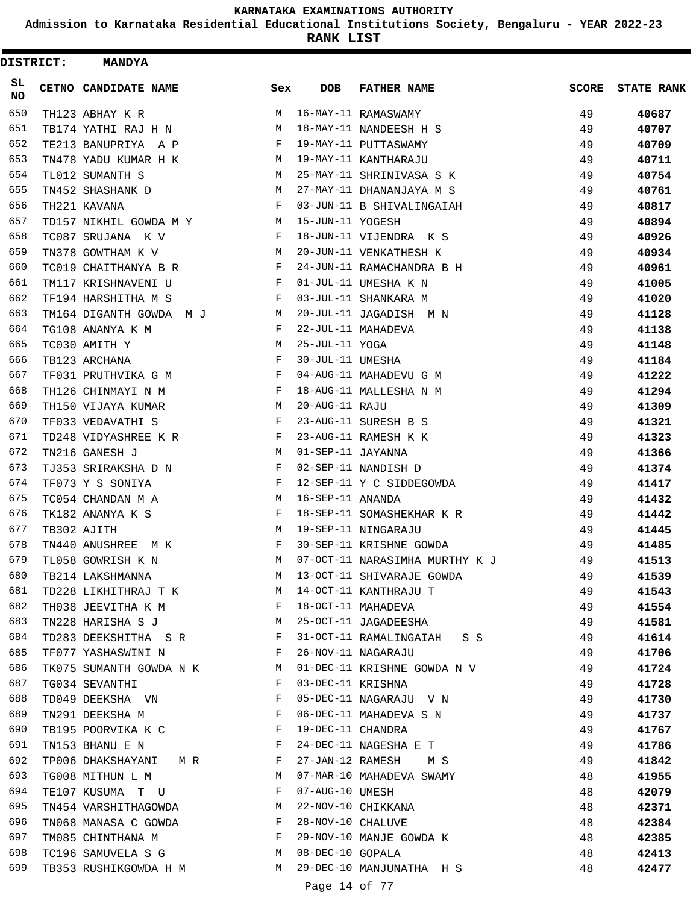**Admission to Karnataka Residential Educational Institutions Society, Bengaluru - YEAR 2022-23**

|                 | <b>DISTRICT:</b> | <b>MANDYA</b>           |              |                   |                                |              |                   |
|-----------------|------------------|-------------------------|--------------|-------------------|--------------------------------|--------------|-------------------|
| SL<br><b>NO</b> |                  | CETNO CANDIDATE NAME    | Sex          | <b>DOB</b>        | <b>FATHER NAME</b>             | <b>SCORE</b> | <b>STATE RANK</b> |
| 650             |                  | TH123 ABHAY K R         | М            |                   | 16-MAY-11 RAMASWAMY            | 49           | 40687             |
| 651             |                  | TB174 YATHI RAJ H N     | М            |                   | 18-MAY-11 NANDEESH H S         | 49           | 40707             |
| 652             |                  | TE213 BANUPRIYA A P     | F            |                   | 19-MAY-11 PUTTASWAMY           | 49           | 40709             |
| 653             |                  | TN478 YADU KUMAR H K    | M            |                   | 19-MAY-11 KANTHARAJU           | 49           | 40711             |
| 654             |                  | TL012 SUMANTH S         | M            |                   | 25-MAY-11 SHRINIVASA S K       | 49           | 40754             |
| 655             |                  | TN452 SHASHANK D        | M            |                   | 27-MAY-11 DHANANJAYA M S       | 49           | 40761             |
| 656             |                  | TH221 KAVANA            | F            |                   | 03-JUN-11 B SHIVALINGAIAH      | 49           | 40817             |
| 657             |                  | TD157 NIKHIL GOWDA M Y  | M            | 15-JUN-11 YOGESH  |                                | 49           | 40894             |
| 658             |                  | TC087 SRUJANA K V       | F            |                   | 18-JUN-11 VIJENDRA K S         | 49           | 40926             |
| 659             |                  | TN378 GOWTHAM K V       | М            |                   | 20-JUN-11 VENKATHESH K         | 49           | 40934             |
| 660             |                  | TC019 CHAITHANYA B R    | F            |                   | 24-JUN-11 RAMACHANDRA B H      | 49           | 40961             |
| 661             |                  | TM117 KRISHNAVENI U     | F            |                   | 01-JUL-11 UMESHA K N           | 49           | 41005             |
| 662             |                  | TF194 HARSHITHA M S     | F            |                   | 03-JUL-11 SHANKARA M           | 49           | 41020             |
| 663             |                  | TM164 DIGANTH GOWDA M J | М            |                   | 20-JUL-11 JAGADISH M N         | 49           | 41128             |
| 664             |                  | TG108 ANANYA K M        | F            |                   | 22-JUL-11 MAHADEVA             | 49           | 41138             |
| 665             |                  | TC030 AMITH Y           | M            | 25-JUL-11 YOGA    |                                | 49           | 41148             |
| 666             |                  | TB123 ARCHANA           | F            | 30-JUL-11 UMESHA  |                                | 49           | 41184             |
| 667             |                  | TF031 PRUTHVIKA G M     | F            |                   | 04-AUG-11 MAHADEVU G M         | 49           | 41222             |
| 668             |                  | TH126 CHINMAYI N M      | F            |                   | 18-AUG-11 MALLESHA N M         | 49           | 41294             |
| 669             |                  | TH150 VIJAYA KUMAR      | M            | 20-AUG-11 RAJU    |                                | 49           | 41309             |
| 670             |                  | TF033 VEDAVATHI S       | F            |                   | 23-AUG-11 SURESH B S           | 49           | 41321             |
| 671             |                  | TD248 VIDYASHREE K R    | F            |                   | 23-AUG-11 RAMESH K K           | 49           | 41323             |
| 672             |                  | TN216 GANESH J          | М            | 01-SEP-11 JAYANNA |                                | 49           | 41366             |
| 673             |                  | TJ353 SRIRAKSHA D N     | F            |                   | 02-SEP-11 NANDISH D            | 49           | 41374             |
| 674             |                  | TF073 Y S SONIYA        | F            |                   | 12-SEP-11 Y C SIDDEGOWDA       | 49           | 41417             |
| 675             |                  | TC054 CHANDAN M A       | M            | 16-SEP-11 ANANDA  |                                | 49           | 41432             |
| 676             |                  | TK182 ANANYA K S        | F            |                   | 18-SEP-11 SOMASHEKHAR K R      | 49           | 41442             |
| 677             |                  | TB302 AJITH             | M            |                   | 19-SEP-11 NINGARAJU            | 49           | 41445             |
| 678             |                  | TN440 ANUSHREE<br>M K   | F            |                   | 30-SEP-11 KRISHNE GOWDA        | 49           | 41485             |
| 679             |                  | TL058 GOWRISH K N       | М            |                   | 07-OCT-11 NARASIMHA MURTHY K J | 49           | 41513             |
| 680             |                  | TB214 LAKSHMANNA        | М            |                   | 13-OCT-11 SHIVARAJE GOWDA      | 49           | 41539             |
| 681             |                  | TD228 LIKHITHRAJ T K    | M            |                   | 14-OCT-11 KANTHRAJU T          | 49           | 41543             |
| 682             |                  | TH038 JEEVITHA K M      | F            |                   | 18-OCT-11 MAHADEVA             | 49           | 41554             |
| 683             |                  | TN228 HARISHA S J       | M            |                   | 25-OCT-11 JAGADEESHA           | 49           | 41581             |
| 684             |                  | TD283 DEEKSHITHA S R    | $\mathbf{F}$ |                   | 31-OCT-11 RAMALINGAIAH S S     | 49           | 41614             |
| 685             |                  | TF077 YASHASWINI N      | F            |                   | 26-NOV-11 NAGARAJU             | 49           | 41706             |
| 686             |                  | TK075 SUMANTH GOWDA N K | M            |                   | 01-DEC-11 KRISHNE GOWDA N V    | 49           | 41724             |
| 687             |                  | TG034 SEVANTHI          | F            | 03-DEC-11 KRISHNA |                                | 49           | 41728             |
| 688             |                  | TD049 DEEKSHA VN        | F            |                   | 05-DEC-11 NAGARAJU V N         | 49           | 41730             |
| 689             |                  | TN291 DEEKSHA M         | F            |                   | 06-DEC-11 MAHADEVA S N         | 49           | 41737             |
| 690             |                  | TB195 POORVIKA K C      | F            | 19-DEC-11 CHANDRA |                                | 49           | 41767             |
| 691             |                  | TN153 BHANU E N         | F            |                   | 24-DEC-11 NAGESHA E T          | 49           | 41786             |
| 692             |                  | TP006 DHAKSHAYANI M R   | $\mathbf{F}$ |                   | 27-JAN-12 RAMESH M S           | 49           | 41842             |
| 693             |                  | TG008 MITHUN L M        | M            |                   | 07-MAR-10 MAHADEVA SWAMY       | 48           | 41955             |
| 694             |                  | TE107 KUSUMA T U        | F            | 07-AUG-10 UMESH   |                                | 48           | 42079             |
| 695             |                  | TN454 VARSHITHAGOWDA    | M            |                   | 22-NOV-10 CHIKKANA             | 48           | 42371             |
| 696             |                  | TN068 MANASA C GOWDA    | F            | 28-NOV-10 CHALUVE |                                | 48           | 42384             |
| 697             |                  | TM085 CHINTHANA M       | F            |                   | 29-NOV-10 MANJE GOWDA K        | 48           | 42385             |
| 698             |                  | TC196 SAMUVELA S G      | M            | 08-DEC-10 GOPALA  |                                | 48           | 42413             |
| 699             |                  | TB353 RUSHIKGOWDA H M   | M            |                   | 29-DEC-10 MANJUNATHA H S       | 48           | 42477             |
|                 |                  |                         |              |                   |                                |              |                   |
|                 |                  |                         |              | Page 14 of 77     |                                |              |                   |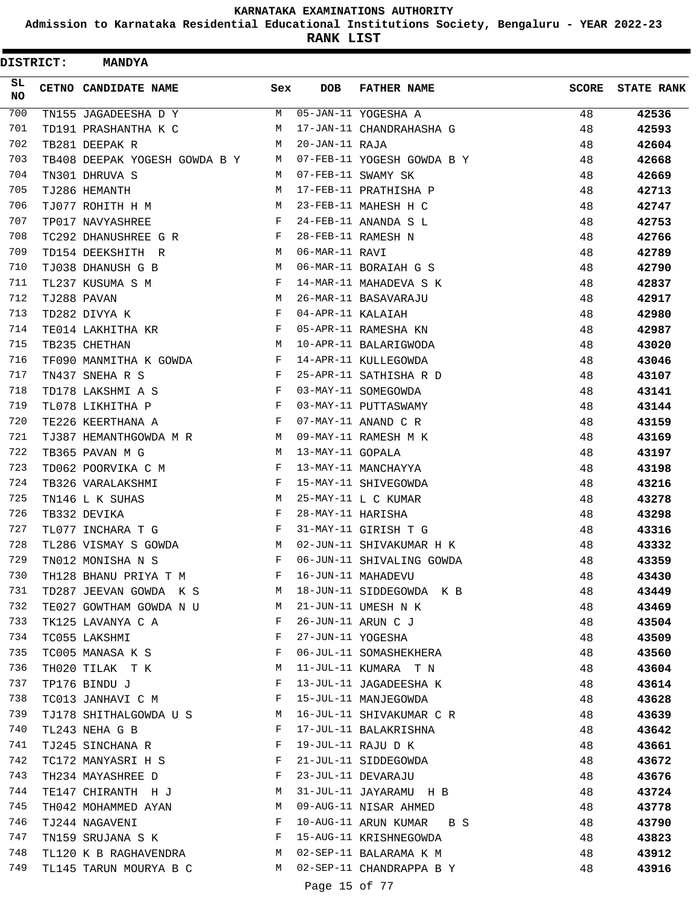**Admission to Karnataka Residential Educational Institutions Society, Bengaluru - YEAR 2022-23**

ı

**RANK LIST**

| <b>DISTRICT:</b> | <b>MANDYA</b>                 |              |                   |                            |       |                   |
|------------------|-------------------------------|--------------|-------------------|----------------------------|-------|-------------------|
| SL.<br>NO.       | CETNO CANDIDATE NAME          | Sex          | <b>DOB</b>        | <b>FATHER NAME</b>         | SCORE | <b>STATE RANK</b> |
| 700              | TN155 JAGADEESHA D Y          | M            |                   | 05-JAN-11 YOGESHA A        | 48    | 42536             |
| 701              | TD191 PRASHANTHA K C          | М            |                   | 17-JAN-11 CHANDRAHASHA G   | 48    | 42593             |
| 702              | TB281 DEEPAK R                | M            | 20-JAN-11 RAJA    |                            | 48    | 42604             |
| 703              | TB408 DEEPAK YOGESH GOWDA B Y | M            |                   | 07-FEB-11 YOGESH GOWDA B Y | 48    | 42668             |
| 704              | TN301 DHRUVA S                | M            |                   | 07-FEB-11 SWAMY SK         | 48    | 42669             |
| 705              | TJ286 HEMANTH                 | М            |                   | 17-FEB-11 PRATHISHA P      | 48    | 42713             |
| 706              | TJ077 ROHITH H M              | M            |                   | 23-FEB-11 MAHESH H C       | 48    | 42747             |
| 707              | TP017 NAVYASHREE              | F            |                   | 24-FEB-11 ANANDA S L       | 48    | 42753             |
| 708              | TC292 DHANUSHREE G R          | F            |                   | 28-FEB-11 RAMESH N         | 48    | 42766             |
| 709              | TD154 DEEKSHITH R             | М            | 06-MAR-11 RAVI    |                            | 48    | 42789             |
| 710              | TJ038 DHANUSH G B             | M            |                   | 06-MAR-11 BORAIAH G S      | 48    | 42790             |
| 711              | TL237 KUSUMA S M              | F            |                   | 14-MAR-11 MAHADEVA S K     | 48    | 42837             |
| 712              | TJ288 PAVAN                   | M            |                   | 26-MAR-11 BASAVARAJU       | 48    | 42917             |
| 713              | TD282 DIVYA K                 | F            | 04-APR-11 KALAIAH |                            | 48    | 42980             |
| 714              | TE014 LAKHITHA KR             | F            |                   | 05-APR-11 RAMESHA KN       | 48    | 42987             |
| 715              | TB235 CHETHAN                 | М            |                   | 10-APR-11 BALARIGWODA      | 48    | 43020             |
| 716              | TF090 MANMITHA K GOWDA        | F            |                   | 14-APR-11 KULLEGOWDA       | 48    | 43046             |
| 717              | TN437 SNEHA R S               | $\mathbf{F}$ |                   | 25-APR-11 SATHISHA R D     | 48    | 43107             |
| 718              | TD178 LAKSHMI A S             | F            |                   | 03-MAY-11 SOMEGOWDA        | 48    | 43141             |
| 719              | TL078 LIKHITHA P              | $\mathbf{F}$ |                   | 03-MAY-11 PUTTASWAMY       | 48    | 43144             |
| 720              | TE226 KEERTHANA A             | $\mathbf{F}$ |                   | 07-MAY-11 ANAND C R        | 48    | 43159             |
| 721              | TJ387 HEMANTHGOWDA M R        | M            |                   | 09-MAY-11 RAMESH M K       | 48    | 43169             |
| 722              | TB365 PAVAN M G               | M            | 13-MAY-11 GOPALA  |                            | 48    | 43197             |
| 723              | TD062 POORVIKA C M            | F            |                   | 13-MAY-11 MANCHAYYA        | 48    | 43198             |
| 724              | TB326 VARALAKSHMI             | F            |                   | 15-MAY-11 SHIVEGOWDA       | 48    | 43216             |
| 725              | TN146 L K SUHAS               | М            |                   | 25-MAY-11 L C KUMAR        | 48    | 43278             |
| 726              | TB332 DEVIKA                  | F            | 28-MAY-11 HARISHA |                            | 48    | 43298             |
| 727              | TL077 INCHARA T G             | F            |                   | 31-MAY-11 GIRISH T G       | 48    | 43316             |
| 728              | TL286 VISMAY S GOWDA          | M            |                   | 02-JUN-11 SHIVAKUMAR H K   | 48    | 43332             |
| 729              | TN012 MONISHA N S             | F            |                   | 06-JUN-11 SHIVALING GOWDA  | 48    | 43359             |
| 730              | TH128 BHANU PRIYA T M         | F            |                   | 16-JUN-11 MAHADEVU         | 48    | 43430             |
| 731              | TD287 JEEVAN GOWDA KS         | M            |                   | 18-JUN-11 SIDDEGOWDA K B   | 48    | 43449             |
| 732              | TE027 GOWTHAM GOWDA N U       | M            |                   | 21-JUN-11 UMESH N K        | 48    | 43469             |
| 733              | TK125 LAVANYA C A             | F            |                   | 26-JUN-11 ARUN C J         | 48    | 43504             |
| 734              | TC055 LAKSHMI                 | F            | 27-JUN-11 YOGESHA |                            | 48    | 43509             |
| 735              | TC005 MANASA K S              | F            |                   | 06-JUL-11 SOMASHEKHERA     | 48    | 43560             |
| 736              | TH020 TILAK T K               | M            |                   | 11-JUL-11 KUMARA T N       | 48    | 43604             |
| 737              | TP176 BINDU J                 | F            |                   | 13-JUL-11 JAGADEESHA K     | 48    | 43614             |
| 738              | TC013 JANHAVI C M             | F            |                   | 15-JUL-11 MANJEGOWDA       | 48    | 43628             |
| 739              | TJ178 SHITHALGOWDA U S        | M            |                   | 16-JUL-11 SHIVAKUMAR C R   | 48    | 43639             |
| 740              | TL243 NEHA G B                | F            |                   | 17-JUL-11 BALAKRISHNA      | 48    | 43642             |
| 741              | TJ245 SINCHANA R              | F            |                   | 19-JUL-11 RAJU D K         | 48    | 43661             |
| 742              |                               | F            |                   | 21-JUL-11 SIDDEGOWDA       | 48    |                   |
| 743              | TC172 MANYASRI H S            | F            |                   |                            |       | 43672             |
| 744              | TH234 MAYASHREE D             | M            |                   | 23-JUL-11 DEVARAJU         | 48    | 43676             |
| 745              | TE147 CHIRANTH H J            |              |                   | 31-JUL-11 JAYARAMU H B     | 48    | 43724             |
|                  | TH042 MOHAMMED AYAN           | M            |                   | 09-AUG-11 NISAR AHMED      | 48    | 43778             |
| 746              | TJ244 NAGAVENI                | F            |                   | 10-AUG-11 ARUN KUMAR BS    | 48    | 43790             |
| 747              | TN159 SRUJANA S K             | F            |                   | 15-AUG-11 KRISHNEGOWDA     | 48    | 43823             |
| 748              | TL120 K B RAGHAVENDRA         | M            |                   | 02-SEP-11 BALARAMA K M     | 48    | 43912             |
| 749              | TL145 TARUN MOURYA B C        | M            |                   | 02-SEP-11 CHANDRAPPA B Y   | 48    | 43916             |
|                  |                               |              | Page 15 of 77     |                            |       |                   |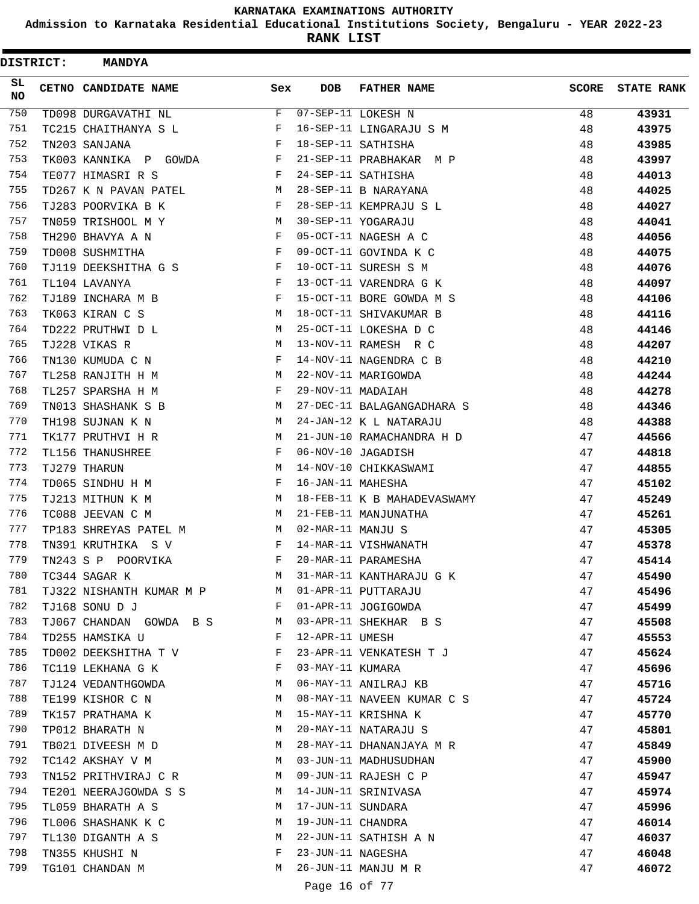**Admission to Karnataka Residential Educational Institutions Society, Bengaluru - YEAR 2022-23**

**RANK LIST**

| <b>DISTRICT:</b> | <b>MANDYA</b>            |     |                   |                             |              |                   |
|------------------|--------------------------|-----|-------------------|-----------------------------|--------------|-------------------|
| SL.<br>NO.       | CETNO CANDIDATE NAME     | Sex | <b>DOB</b>        | <b>FATHER NAME</b>          | <b>SCORE</b> | <b>STATE RANK</b> |
| 750              | TD098 DURGAVATHI NL      | F   |                   | 07-SEP-11 LOKESH N          | 48           | 43931             |
| 751              | TC215 CHAITHANYA S L     | F   |                   | 16-SEP-11 LINGARAJU S M     | 48           | 43975             |
| 752              | TN203 SANJANA            | F   |                   | 18-SEP-11 SATHISHA          | 48           | 43985             |
| 753              | TK003 KANNIKA P GOWDA    | F   |                   | 21-SEP-11 PRABHAKAR M P     | 48           | 43997             |
| 754              | TE077 HIMASRI R S        | F   |                   | 24-SEP-11 SATHISHA          | 48           | 44013             |
| 755              | TD267 K N PAVAN PATEL    | М   |                   | 28-SEP-11 B NARAYANA        | 48           | 44025             |
| 756              | TJ283 POORVIKA B K       | F   |                   | 28-SEP-11 KEMPRAJU S L      | 48           | 44027             |
| 757              | TN059 TRISHOOL M Y       | М   |                   | 30-SEP-11 YOGARAJU          | 48           | 44041             |
| 758              | TH290 BHAVYA A N         | F   |                   | 05-OCT-11 NAGESH A C        | 48           | 44056             |
| 759              | TD008 SUSHMITHA          | F   |                   | 09-OCT-11 GOVINDA K C       | 48           | 44075             |
| 760              | TJ119 DEEKSHITHA G S     | F   |                   | 10-OCT-11 SURESH S M        | 48           | 44076             |
| 761              | TL104 LAVANYA            | F   |                   | 13-OCT-11 VARENDRA G K      | 48           | 44097             |
| 762              | TJ189 INCHARA M B        | F   |                   | 15-OCT-11 BORE GOWDA M S    | 48           | 44106             |
| 763              | TK063 KIRAN C S          | М   |                   | 18-OCT-11 SHIVAKUMAR B      | 48           | 44116             |
| 764              | TD222 PRUTHWI D L        | M   |                   | 25-OCT-11 LOKESHA D C       | 48           | 44146             |
| 765              | TJ228 VIKAS R            | M   |                   | 13-NOV-11 RAMESH R C        | 48           | 44207             |
| 766              | TN130 KUMUDA C N         | F   |                   | 14-NOV-11 NAGENDRA C B      | 48           | 44210             |
| 767              | TL258 RANJITH H M        | М   |                   | 22-NOV-11 MARIGOWDA         | 48           | 44244             |
| 768              | TL257 SPARSHA H M        | F   | 29-NOV-11 MADAIAH |                             | 48           | 44278             |
| 769              | TN013 SHASHANK S B       | М   |                   | 27-DEC-11 BALAGANGADHARA S  | 48           | 44346             |
| 770              | TH198 SUJNAN K N         | М   |                   | 24-JAN-12 K L NATARAJU      | 48           | 44388             |
| 771              | TK177 PRUTHVI H R        | М   |                   | 21-JUN-10 RAMACHANDRA H D   | 47           | 44566             |
| 772              | TL156 THANUSHREE         | F   |                   | 06-NOV-10 JAGADISH          | 47           | 44818             |
| 773              | TJ279 THARUN             | М   |                   | 14-NOV-10 CHIKKASWAMI       | 47           | 44855             |
| 774              | TD065 SINDHU H M         | F   | 16-JAN-11 MAHESHA |                             | 47           | 45102             |
| 775              | TJ213 MITHUN K M         | М   |                   | 18-FEB-11 K B MAHADEVASWAMY | 47           | 45249             |
| 776              | TC088 JEEVAN C M         | M   |                   | 21-FEB-11 MANJUNATHA        | 47           | 45261             |
| 777              | TP183 SHREYAS PATEL M    | М   | 02-MAR-11 MANJU S |                             | 47           | 45305             |
| 778              | TN391 KRUTHIKA S V       | F   |                   | 14-MAR-11 VISHWANATH        | 47           | 45378             |
| 779              | TN243 S P POORVIKA       | F   |                   | 20-MAR-11 PARAMESHA         | 47           | 45414             |
| 780              | TC344 SAGAR K            | М   |                   | 31-MAR-11 KANTHARAJU G K    | 47           | 45490             |
| 781              | TJ322 NISHANTH KUMAR M P | М   |                   | 01-APR-11 PUTTARAJU         | 47           | 45496             |
| 782              | TJ168 SONU D J           | F   |                   | 01-APR-11 JOGIGOWDA         | 47           | 45499             |
| 783              | TJ067 CHANDAN GOWDA B S  | M   |                   | 03-APR-11 SHEKHAR B S       | 47           | 45508             |
| 784              | TD255 HAMSIKA U          | F   | 12-APR-11 UMESH   |                             | 47           | 45553             |
| 785              | TD002 DEEKSHITHA T V     | F   |                   | 23-APR-11 VENKATESH T J     | 47           | 45624             |
| 786              | TC119 LEKHANA G K        | F   | 03-MAY-11 KUMARA  |                             | 47           | 45696             |
| 787              | TJ124 VEDANTHGOWDA       | M   |                   | 06-MAY-11 ANILRAJ KB        | 47           | 45716             |
| 788              | TE199 KISHOR C N         | М   |                   | 08-MAY-11 NAVEEN KUMAR C S  | 47           | 45724             |
| 789              | TK157 PRATHAMA K         | М   |                   | 15-MAY-11 KRISHNA K         | 47           | 45770             |
| 790              | TP012 BHARATH N          | M   |                   | 20-MAY-11 NATARAJU S        | 47           | 45801             |
| 791              | TB021 DIVEESH M D        | M   |                   | 28-MAY-11 DHANANJAYA M R    | 47           | 45849             |
| 792              | TC142 AKSHAY V M         | M   |                   | 03-JUN-11 MADHUSUDHAN       | 47           | 45900             |
| 793              | TN152 PRITHVIRAJ C R     | M   |                   | 09-JUN-11 RAJESH C P        | 47           | 45947             |
| 794              | TE201 NEERAJGOWDA S S    | М   |                   | 14-JUN-11 SRINIVASA         | 47           | 45974             |
| 795              | TL059 BHARATH A S        | М   | 17-JUN-11 SUNDARA |                             | 47           | 45996             |
| 796              | TL006 SHASHANK K C       | М   | 19-JUN-11 CHANDRA |                             | 47           | 46014             |
| 797              | TL130 DIGANTH A S        | М   |                   | 22-JUN-11 SATHISH A N       | 47           | 46037             |
| 798              | TN355 KHUSHI N           | F   | 23-JUN-11 NAGESHA |                             | 47           | 46048             |
| 799              | TG101 CHANDAN M          | М   |                   | 26-JUN-11 MANJU M R         | 47           | 46072             |
|                  |                          |     | Page 16 of 77     |                             |              |                   |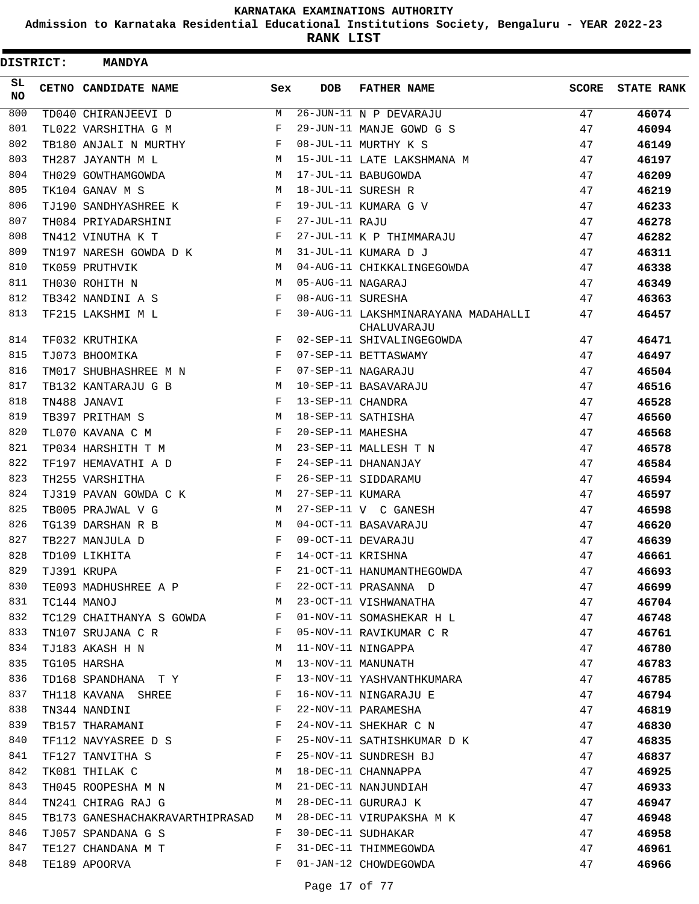**Admission to Karnataka Residential Educational Institutions Society, Bengaluru - YEAR 2022-23**

**RANK LIST**

| <b>DISTRICT:</b> | <b>MANDYA</b>                   |     |                   |                                                    |       |                   |
|------------------|---------------------------------|-----|-------------------|----------------------------------------------------|-------|-------------------|
| SL.<br>NO        | CETNO CANDIDATE NAME            | Sex | <b>DOB</b>        | <b>FATHER NAME</b>                                 | SCORE | <b>STATE RANK</b> |
| 800              | TD040 CHIRANJEEVI D             | М   |                   | 26-JUN-11 N P DEVARAJU                             | 47    | 46074             |
| 801              | TL022 VARSHITHA G M             | F   |                   | 29-JUN-11 MANJE GOWD G S                           | 47    | 46094             |
| 802              | TB180 ANJALI N MURTHY           | F   |                   | 08-JUL-11 MURTHY K S                               | 47    | 46149             |
| 803              | TH287 JAYANTH M L               | М   |                   | 15-JUL-11 LATE LAKSHMANA M                         | 47    | 46197             |
| 804              | TH029 GOWTHAMGOWDA              | М   |                   | 17-JUL-11 BABUGOWDA                                | 47    | 46209             |
| 805              | TK104 GANAV M S                 | M   |                   | 18-JUL-11 SURESH R                                 | 47    | 46219             |
| 806              | TJ190 SANDHYASHREE K            | F   |                   | 19-JUL-11 KUMARA G V                               | 47    | 46233             |
| 807              | TH084 PRIYADARSHINI             | F   | 27-JUL-11 RAJU    |                                                    | 47    | 46278             |
| 808              | TN412 VINUTHA K T               | F   |                   | 27-JUL-11 K P THIMMARAJU                           | 47    | 46282             |
| 809              | TN197 NARESH GOWDA D K          | М   |                   | 31-JUL-11 KUMARA D J                               | 47    | 46311             |
| 810              | TK059 PRUTHVIK                  | M   |                   | 04-AUG-11 CHIKKALINGEGOWDA                         | 47    | 46338             |
| 811              | TH030 ROHITH N                  | M   | 05-AUG-11 NAGARAJ |                                                    | 47    | 46349             |
| 812              | TB342 NANDINI A S               | F   | 08-AUG-11 SURESHA |                                                    | 47    | 46363             |
| 813              | TF215 LAKSHMI M L               | F   |                   | 30-AUG-11 LAKSHMINARAYANA MADAHALLI<br>CHALUVARAJU | 47    | 46457             |
| 814              | TF032 KRUTHIKA                  | F   |                   | 02-SEP-11 SHIVALINGEGOWDA                          | 47    | 46471             |
| 815              | TJ073 BHOOMIKA                  | F   |                   | 07-SEP-11 BETTASWAMY                               | 47    | 46497             |
| 816              | TM017 SHUBHASHREE M N           | F   |                   | 07-SEP-11 NAGARAJU                                 | 47    | 46504             |
| 817              | TB132 KANTARAJU G B             | M   |                   | 10-SEP-11 BASAVARAJU                               | 47    | 46516             |
| 818              | TN488 JANAVI                    | F   | 13-SEP-11 CHANDRA |                                                    | 47    | 46528             |
| 819              | TB397 PRITHAM S                 | M   |                   | 18-SEP-11 SATHISHA                                 | 47    | 46560             |
| 820              | TL070 KAVANA C M                | F   | 20-SEP-11 MAHESHA |                                                    | 47    | 46568             |
| 821              | TP034 HARSHITH T M              | M   |                   | 23-SEP-11 MALLESH T N                              | 47    | 46578             |
| 822              | TF197 HEMAVATHI A D             | F   |                   | 24-SEP-11 DHANANJAY                                | 47    | 46584             |
| 823              | TH255 VARSHITHA                 | F   |                   | 26-SEP-11 SIDDARAMU                                | 47    | 46594             |
| 824              | TJ319 PAVAN GOWDA C K           | М   | 27-SEP-11 KUMARA  |                                                    | 47    | 46597             |
| 825              | TB005 PRAJWAL V G               | М   |                   | 27-SEP-11 V C GANESH                               | 47    | 46598             |
| 826              | TG139 DARSHAN R B               | M   |                   | 04-OCT-11 BASAVARAJU                               | 47    | 46620             |
| 827              | TB227 MANJULA D                 | F   |                   | 09-OCT-11 DEVARAJU                                 | 47    | 46639             |
| 828              | TD109 LIKHITA                   | F   | 14-OCT-11 KRISHNA |                                                    | 47    | 46661             |
| 829              | TJ391 KRUPA                     | F   |                   | 21-OCT-11 HANUMANTHEGOWDA                          | 47    | 46693             |
| 830              | TE093 MADHUSHREE A P            | F   |                   | 22-OCT-11 PRASANNA D                               | 47    | 46699             |
| 831              | TC144 MANOJ                     | М   |                   | 23-OCT-11 VISHWANATHA                              | 47    | 46704             |
| 832              | TC129 CHAITHANYA S GOWDA        | F   |                   | 01-NOV-11 SOMASHEKAR H L                           | 47    | 46748             |
| 833              | TN107 SRUJANA C R               | F   |                   | 05-NOV-11 RAVIKUMAR C R                            | 47    | 46761             |
| 834              | TJ183 AKASH H N                 | M   |                   | 11-NOV-11 NINGAPPA                                 | 47    | 46780             |
| 835              | TG105 HARSHA                    | М   |                   | 13-NOV-11 MANUNATH                                 | 47    | 46783             |
| 836              | TD168 SPANDHANA T Y             | F   |                   | 13-NOV-11 YASHVANTHKUMARA                          | 47    | 46785             |
| 837              | TH118 KAVANA SHREE              | F   |                   | 16-NOV-11 NINGARAJU E                              | 47    | 46794             |
| 838              | TN344 NANDINI                   | F   |                   | 22-NOV-11 PARAMESHA                                | 47    | 46819             |
| 839              | TB157 THARAMANI                 | F   |                   | 24-NOV-11 SHEKHAR C N                              | 47    | 46830             |
| 840              |                                 | F   |                   | 25-NOV-11 SATHISHKUMAR D K                         | 47    | 46835             |
| 841              | TF112 NAVYASREE D S             | F   |                   |                                                    |       |                   |
| 842              | TF127 TANVITHA S                | М   |                   | 25-NOV-11 SUNDRESH BJ<br>18-DEC-11 CHANNAPPA       | 47    | 46837             |
| 843              | TK081 THILAK C                  | М   |                   |                                                    | 47    | 46925             |
| 844              | TH045 ROOPESHA M N              |     |                   | 21-DEC-11 NANJUNDIAH                               | 47    | 46933             |
|                  | TN241 CHIRAG RAJ G              | М   |                   | 28-DEC-11 GURURAJ K                                | 47    | 46947             |
| 845              | TB173 GANESHACHAKRAVARTHIPRASAD | M   |                   | 28-DEC-11 VIRUPAKSHA M K                           | 47    | 46948             |
| 846              | TJ057 SPANDANA G S              | F   |                   | 30-DEC-11 SUDHAKAR                                 | 47    | 46958             |
| 847              | TE127 CHANDANA M T              | F   |                   | 31-DEC-11 THIMMEGOWDA                              | 47    | 46961             |
| 848              | TE189 APOORVA                   | F   |                   | 01-JAN-12 CHOWDEGOWDA                              | 47    | 46966             |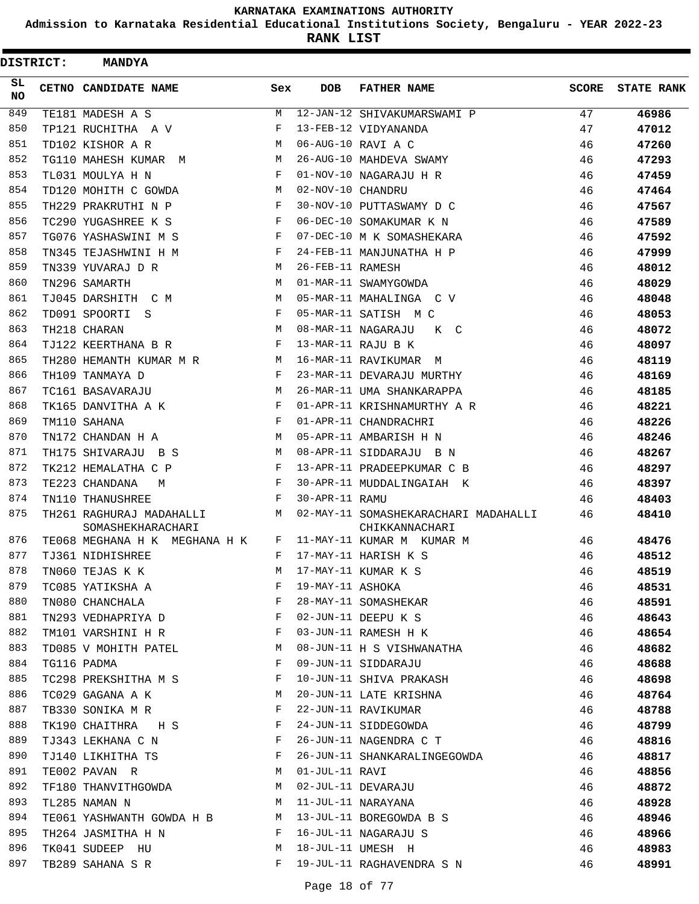**Admission to Karnataka Residential Educational Institutions Society, Bengaluru - YEAR 2022-23**

**RANK LIST**

| <b>DISTRICT:</b> | <b>MANDYA</b>                                 |     |                   |                                                        |              |                   |
|------------------|-----------------------------------------------|-----|-------------------|--------------------------------------------------------|--------------|-------------------|
| SL.<br>NO.       | CETNO CANDIDATE NAME                          | Sex | <b>DOB</b>        | <b>FATHER NAME</b>                                     | <b>SCORE</b> | <b>STATE RANK</b> |
| 849              | TE181 MADESH A S                              | М   |                   | 12-JAN-12 SHIVAKUMARSWAMI P                            | 47           | 46986             |
| 850              | TP121 RUCHITHA A V                            | F   |                   | 13-FEB-12 VIDYANANDA                                   | 47           | 47012             |
| 851              | TD102 KISHOR A R                              | M   |                   | 06-AUG-10 RAVI A C                                     | 46           | 47260             |
| 852              | TG110 MAHESH KUMAR<br>M                       | М   |                   | 26-AUG-10 MAHDEVA SWAMY                                | 46           | 47293             |
| 853              | TL031 MOULYA H N                              | F   |                   | 01-NOV-10 NAGARAJU H R                                 | 46           | 47459             |
| 854              | TD120 MOHITH C GOWDA                          | M   | 02-NOV-10 CHANDRU |                                                        | 46           | 47464             |
| 855              | TH229 PRAKRUTHI N P                           | F   |                   | 30-NOV-10 PUTTASWAMY D C                               | 46           | 47567             |
| 856              | TC290 YUGASHREE K S                           | F   |                   | 06-DEC-10 SOMAKUMAR K N                                | 46           | 47589             |
| 857              | TG076 YASHASWINI M S                          | F   |                   | 07-DEC-10 M K SOMASHEKARA                              | 46           | 47592             |
| 858              | TN345 TEJASHWINI H M                          | F   |                   | 24-FEB-11 MANJUNATHA H P                               | 46           | 47999             |
| 859              | TN339 YUVARAJ D R                             | M   | 26-FEB-11 RAMESH  |                                                        | 46           | 48012             |
| 860              | TN296 SAMARTH                                 | M   |                   | 01-MAR-11 SWAMYGOWDA                                   | 46           | 48029             |
| 861              | TJ045 DARSHITH C M                            | M   |                   | 05-MAR-11 MAHALINGA C V                                | 46           | 48048             |
| 862              | TD091 SPOORTI S                               | F   |                   | 05-MAR-11 SATISH M C                                   | 46           | 48053             |
| 863              | TH218 CHARAN                                  | M   |                   | 08-MAR-11 NAGARAJU<br>K C                              | 46           | 48072             |
| 864              | TJ122 KEERTHANA B R                           | F   |                   | 13-MAR-11 RAJU B K                                     | 46           | 48097             |
| 865              | TH280 HEMANTH KUMAR M R                       | M   |                   | 16-MAR-11 RAVIKUMAR M                                  | 46           | 48119             |
| 866              | TH109 TANMAYA D                               | F   |                   | 23-MAR-11 DEVARAJU MURTHY                              | 46           | 48169             |
| 867              | TC161 BASAVARAJU                              | M   |                   | 26-MAR-11 UMA SHANKARAPPA                              | 46           | 48185             |
| 868              | TK165 DANVITHA A K                            | F   |                   | 01-APR-11 KRISHNAMURTHY A R                            | 46           | 48221             |
| 869              | TM110 SAHANA                                  | F   |                   | 01-APR-11 CHANDRACHRI                                  | 46           | 48226             |
| 870              | TN172 CHANDAN H A                             | М   |                   | 05-APR-11 AMBARISH H N                                 | 46           | 48246             |
| 871              | TH175 SHIVARAJU B S                           | M   |                   | 08-APR-11 SIDDARAJU B N                                | 46           | 48267             |
| 872              | TK212 HEMALATHA C P                           | F   |                   | 13-APR-11 PRADEEPKUMAR C B                             | 46           | 48297             |
| 873              | TE223 CHANDANA<br>M                           | F   |                   | 30-APR-11 MUDDALINGAIAH K                              | 46           | 48397             |
| 874              | TN110 THANUSHREE                              | F   | 30-APR-11 RAMU    |                                                        | 46           | 48403             |
| 875              | TH261 RAGHURAJ MADAHALLI<br>SOMASHEKHARACHARI | M   |                   | 02-MAY-11 SOMASHEKARACHARI MADAHALLI<br>CHIKKANNACHARI | 46           | 48410             |
| 876              | TE068 MEGHANA H K MEGHANA H K                 | F   |                   | 11-MAY-11 KUMAR M KUMAR M                              | 46           | 48476             |
| 877              | TJ361 NIDHISHREE                              | F   |                   | 17-MAY-11 HARISH K S                                   | 46           | 48512             |
| 878              | TN060 TEJAS K K                               | М   |                   | 17-MAY-11 KUMAR K S                                    | 46           | 48519             |
| 879              | TC085 YATIKSHA A                              | F   | 19-MAY-11 ASHOKA  |                                                        | 46           | 48531             |
| 880              | TN080 CHANCHALA                               | F   |                   | 28-MAY-11 SOMASHEKAR                                   | 46           | 48591             |
| 881              | TN293 VEDHAPRIYA D                            | F   |                   | 02-JUN-11 DEEPU K S                                    | 46           | 48643             |
| 882              | TM101 VARSHINI H R                            | F   |                   | 03-JUN-11 RAMESH H K                                   | 46           | 48654             |
| 883              | TD085 V MOHITH PATEL                          | М   |                   | 08-JUN-11 H S VISHWANATHA                              | 46           | 48682             |
| 884              | TG116 PADMA                                   | F   |                   | 09-JUN-11 SIDDARAJU                                    | 46           | 48688             |
| 885              | TC298 PREKSHITHA M S                          | F   |                   | 10-JUN-11 SHIVA PRAKASH                                | 46           | 48698             |
| 886              | TC029 GAGANA A K                              | М   |                   | 20-JUN-11 LATE KRISHNA                                 | 46           | 48764             |
| 887              | TB330 SONIKA M R                              | F   |                   | 22-JUN-11 RAVIKUMAR                                    | 46           | 48788             |
| 888              | TK190 CHAITHRA H S                            | F   |                   | 24-JUN-11 SIDDEGOWDA                                   | 46           | 48799             |
| 889              | TJ343 LEKHANA C N                             | F   |                   | 26-JUN-11 NAGENDRA C T                                 | 46           | 48816             |
| 890              | TJ140 LIKHITHA TS                             | F   |                   | 26-JUN-11 SHANKARALINGEGOWDA                           | 46           | 48817             |
| 891              | TE002 PAVAN R                                 | M   | 01-JUL-11 RAVI    |                                                        | 46           | 48856             |
| 892              | TF180 THANVITHGOWDA                           | М   |                   | 02-JUL-11 DEVARAJU                                     | 46           | 48872             |
| 893              | TL285 NAMAN N                                 | М   |                   | 11-JUL-11 NARAYANA                                     | 46           | 48928             |
| 894              | TE061 YASHWANTH GOWDA H B                     | M   |                   | 13-JUL-11 BOREGOWDA B S                                | 46           | 48946             |
| 895              | TH264 JASMITHA H N                            | F   |                   | 16-JUL-11 NAGARAJU S                                   | 46           | 48966             |
| 896              | TK041 SUDEEP HU                               | М   |                   | 18-JUL-11 UMESH H                                      | 46           | 48983             |
| 897              | TB289 SAHANA S R                              | F   |                   | 19-JUL-11 RAGHAVENDRA S N                              | 46           | 48991             |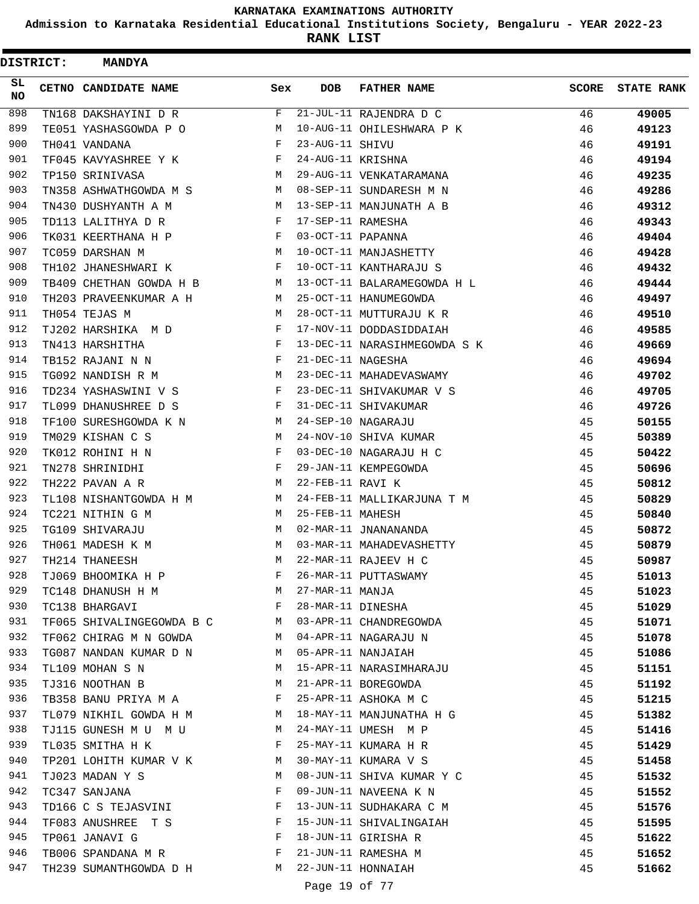**Admission to Karnataka Residential Educational Institutions Society, Bengaluru - YEAR 2022-23**

| <b>DISTRICT:</b> | <b>MANDYA</b>             |     |                   |                              |              |                   |
|------------------|---------------------------|-----|-------------------|------------------------------|--------------|-------------------|
| SL<br>NO         | CETNO CANDIDATE NAME      | Sex | <b>DOB</b>        | <b>FATHER NAME</b>           | <b>SCORE</b> | <b>STATE RANK</b> |
| 898              | TN168 DAKSHAYINI D R      | F   |                   | 21-JUL-11 RAJENDRA D C       | 46           | 49005             |
| 899              | TE051 YASHASGOWDA P O     | М   |                   | 10-AUG-11 OHILESHWARA P K    | 46           | 49123             |
| 900              | TH041 VANDANA             | F   | 23-AUG-11 SHIVU   |                              | 46           | 49191             |
| 901              | TF045 KAVYASHREE Y K      | F   | 24-AUG-11 KRISHNA |                              | 46           | 49194             |
| 902              | TP150 SRINIVASA           | М   |                   | 29-AUG-11 VENKATARAMANA      | 46           | 49235             |
| 903              | TN358 ASHWATHGOWDA M S    | M   |                   | 08-SEP-11 SUNDARESH M N      | 46           | 49286             |
| 904              | TN430 DUSHYANTH A M       | М   |                   | 13-SEP-11 MANJUNATH A B      | 46           | 49312             |
| 905              | TD113 LALITHYA D R        | F   | 17-SEP-11 RAMESHA |                              | 46           | 49343             |
| 906              | TK031 KEERTHANA H P       | F   | 03-OCT-11 PAPANNA |                              | 46           | 49404             |
| 907              | TC059 DARSHAN M           | M   |                   | 10-OCT-11 MANJASHETTY        | 46           | 49428             |
| 908              | TH102 JHANESHWARI K       | F   |                   | 10-OCT-11 KANTHARAJU S       | 46           | 49432             |
| 909              | TB409 CHETHAN GOWDA H B   | М   |                   | 13-OCT-11 BALARAMEGOWDA H L  | 46           | 49444             |
| 910              | TH203 PRAVEENKUMAR A H    | М   |                   | 25-OCT-11 HANUMEGOWDA        | 46           | 49497             |
| 911              | TH054 TEJAS M             | M   |                   | 28-OCT-11 MUTTURAJU K R      | 46           | 49510             |
| 912              | TJ202 HARSHIKA M D        | F   |                   | 17-NOV-11 DODDASIDDAIAH      | 46           | 49585             |
| 913              | TN413 HARSHITHA           | F   |                   | 13-DEC-11 NARASIHMEGOWDA S K | 46           | 49669             |
| 914              | TB152 RAJANI N N          | F   | 21-DEC-11 NAGESHA |                              | 46           | 49694             |
| 915              | TG092 NANDISH R M         | М   |                   | 23-DEC-11 MAHADEVASWAMY      | 46           | 49702             |
| 916              | TD234 YASHASWINI V S      | F   |                   | 23-DEC-11 SHIVAKUMAR V S     | 46           | 49705             |
| 917              | TL099 DHANUSHREE D S      | F   |                   | 31-DEC-11 SHIVAKUMAR         | 46           | 49726             |
| 918              | TF100 SURESHGOWDA K N     | М   |                   | 24-SEP-10 NAGARAJU           | 45           | 50155             |
| 919              | TM029 KISHAN C S          | M   |                   | 24-NOV-10 SHIVA KUMAR        | 45           | 50389             |
| 920              | TK012 ROHINI H N          | F   |                   | 03-DEC-10 NAGARAJU H C       | 45           | 50422             |
| 921              | TN278 SHRINIDHI           | F   |                   | 29-JAN-11 KEMPEGOWDA         | 45           | 50696             |
| 922              | TH222 PAVAN A R           | М   | 22-FEB-11 RAVI K  |                              | 45           | 50812             |
| 923              | TL108 NISHANTGOWDA H M    | M   |                   | 24-FEB-11 MALLIKARJUNA T M   | 45           | 50829             |
| 924              | TC221 NITHIN G M          | М   | 25-FEB-11 MAHESH  |                              | 45           | 50840             |
| 925              | TG109 SHIVARAJU           | M   |                   | 02-MAR-11 JNANANANDA         | 45           | 50872             |
| 926              | TH061 MADESH K M          | M   |                   | 03-MAR-11 MAHADEVASHETTY     | 45           | 50879             |
| 927              | TH214 THANEESH            | М   |                   | 22-MAR-11 RAJEEV H C         | 45           | 50987             |
| 928              | TJ069 BHOOMIKA H P        | F   |                   | 26-MAR-11 PUTTASWAMY         | 45           | 51013             |
| 929              | TC148 DHANUSH H M         | M   | 27-MAR-11 MANJA   |                              | 45           | 51023             |
| 930              | TC138 BHARGAVI            | F   | 28-MAR-11 DINESHA |                              | 45           | 51029             |
| 931              | TF065 SHIVALINGEGOWDA B C | M   |                   | 03-APR-11 CHANDREGOWDA       | 45           | 51071             |
| 932              | TF062 CHIRAG M N GOWDA    | M   |                   | 04-APR-11 NAGARAJU N         | 45           | 51078             |
| 933              | TG087 NANDAN KUMAR D N    | M   |                   | 05-APR-11 NANJAIAH           | 45           | 51086             |
| 934              | TL109 MOHAN S N           | М   |                   | 15-APR-11 NARASIMHARAJU      | 45           | 51151             |
| 935              | TJ316 NOOTHAN B           | М   |                   | 21-APR-11 BOREGOWDA          | 45           | 51192             |
| 936              | TB358 BANU PRIYA M A      | F   |                   | 25-APR-11 ASHOKA M C         | 45           | 51215             |
| 937              | TL079 NIKHIL GOWDA H M    | M   |                   | 18-MAY-11 MANJUNATHA H G     | 45           | 51382             |
| 938              | TJ115 GUNESH M U M U      | M   |                   | 24-MAY-11 UMESH M P          | 45           | 51416             |
| 939              | TL035 SMITHA H K          | F   |                   | 25-MAY-11 KUMARA H R         | 45           | 51429             |
| 940              | TP201 LOHITH KUMAR V K    | M   |                   | 30-MAY-11 KUMARA V S         | 45           | 51458             |
| 941              | TJ023 MADAN Y S           | M   |                   | 08-JUN-11 SHIVA KUMAR Y C    | 45           | 51532             |
| 942              | TC347 SANJANA             | F   |                   | 09-JUN-11 NAVEENA K N        | 45           | 51552             |
| 943              | TD166 C S TEJASVINI       | F   |                   | 13-JUN-11 SUDHAKARA C M      | 45           | 51576             |
| 944              | TF083 ANUSHREE T S        | F   |                   | 15-JUN-11 SHIVALINGAIAH      | 45           | 51595             |
| 945              | TP061 JANAVI G            | F   |                   | 18-JUN-11 GIRISHA R          | 45           | 51622             |
| 946              | TB006 SPANDANA M R        | F   |                   | 21-JUN-11 RAMESHA M          | 45           | 51652             |
| 947              | TH239 SUMANTHGOWDA D H    | M   |                   | 22-JUN-11 HONNAIAH           | 45           | 51662             |
|                  |                           |     | Page 19 of 77     |                              |              |                   |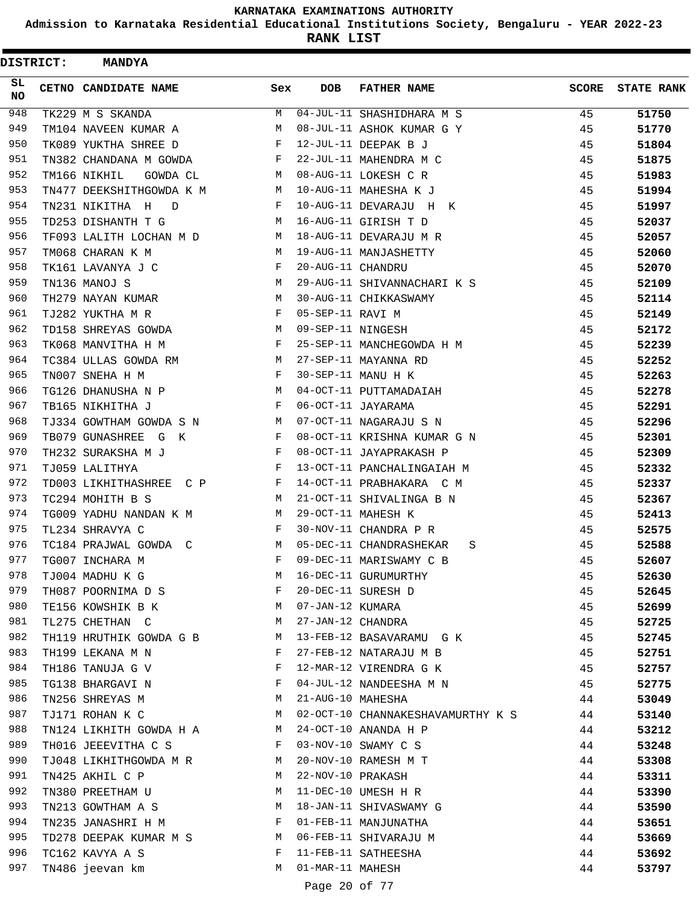**Admission to Karnataka Residential Educational Institutions Society, Bengaluru - YEAR 2022-23**

| <b>DISTRICT:</b> | <b>MANDYA</b>             |                                                                  |                   |                                   |              |                   |
|------------------|---------------------------|------------------------------------------------------------------|-------------------|-----------------------------------|--------------|-------------------|
| SL.<br>NO.       | CETNO CANDIDATE NAME      | Sex                                                              | <b>DOB</b>        | <b>FATHER NAME</b>                | <b>SCORE</b> | <b>STATE RANK</b> |
| 948              | TK229 M S SKANDA          | М                                                                |                   | 04-JUL-11 SHASHIDHARA M S         | 45           | 51750             |
| 949              | TM104 NAVEEN KUMAR A      | M                                                                |                   | 08-JUL-11 ASHOK KUMAR G Y         | 45           | 51770             |
| 950              | TK089 YUKTHA SHREE D      | F                                                                |                   | 12-JUL-11 DEEPAK B J              | 45           | 51804             |
| 951              | TN382 CHANDANA M GOWDA    | F                                                                |                   | 22-JUL-11 MAHENDRA M C            | 45           | 51875             |
| 952              | TM166 NIKHIL<br>GOWDA CL  | M                                                                |                   | 08-AUG-11 LOKESH C R              | 45           | 51983             |
| 953              | TN477 DEEKSHITHGOWDA K M  | M                                                                |                   | 10-AUG-11 MAHESHA K J             | 45           | 51994             |
| 954              | TN231 NIKITHA H<br>D      | F                                                                |                   | 10-AUG-11 DEVARAJU H K            | 45           | 51997             |
| 955              | TD253 DISHANTH T G        | М                                                                |                   | 16-AUG-11 GIRISH T D              | 45           | 52037             |
| 956              | TF093 LALITH LOCHAN M D   | M                                                                |                   | 18-AUG-11 DEVARAJU M R            | 45           | 52057             |
| 957              | TM068 CHARAN K M          | М                                                                |                   | 19-AUG-11 MANJASHETTY             | 45           | 52060             |
| 958              | TK161 LAVANYA J C         | F                                                                | 20-AUG-11 CHANDRU |                                   | 45           | 52070             |
| 959              | TN136 MANOJ S             | М                                                                |                   | 29-AUG-11 SHIVANNACHARI K S       | 45           | 52109             |
| 960              | TH279 NAYAN KUMAR         | М                                                                |                   | 30-AUG-11 CHIKKASWAMY             | 45           | 52114             |
| 961              | TJ282 YUKTHA M R          | F                                                                | 05-SEP-11 RAVI M  |                                   | 45           | 52149             |
| 962              | TD158 SHREYAS GOWDA       | M                                                                | 09-SEP-11 NINGESH |                                   | 45           | 52172             |
| 963              | TK068 MANVITHA H M        | F                                                                |                   | 25-SEP-11 MANCHEGOWDA H M         | 45           | 52239             |
| 964              | TC384 ULLAS GOWDA RM      | M                                                                |                   | 27-SEP-11 MAYANNA RD              | 45           | 52252             |
| 965              | TN007 SNEHA H M           | F                                                                |                   | 30-SEP-11 MANU H K                | 45           | 52263             |
| 966              | TG126 DHANUSHA N P        | M                                                                |                   | 04-OCT-11 PUTTAMADAIAH            | 45           | 52278             |
| 967              | TB165 NIKHITHA J          | F                                                                |                   | 06-OCT-11 JAYARAMA                | 45           | 52291             |
| 968              | TJ334 GOWTHAM GOWDA S N   | М                                                                |                   | 07-OCT-11 NAGARAJU S N            | 45           | 52296             |
| 969              | TB079 GUNASHREE G K       | F                                                                |                   | 08-OCT-11 KRISHNA KUMAR G N       | 45           | 52301             |
| 970              | TH232 SURAKSHA M J        | F                                                                |                   | 08-OCT-11 JAYAPRAKASH P           | 45           | 52309             |
| 971              | TJ059 LALITHYA            | F                                                                |                   | 13-OCT-11 PANCHALINGAIAH M        | 45           | 52332             |
| 972              | TD003 LIKHITHASHREE C P   | F                                                                |                   | 14-OCT-11 PRABHAKARA C M          | 45           | 52337             |
| 973              | TC294 MOHITH B S          | М                                                                |                   | 21-OCT-11 SHIVALINGA B N          | 45           | 52367             |
| 974              | TG009 YADHU NANDAN K M    | M                                                                |                   | 29-OCT-11 MAHESH K                | 45           | 52413             |
| 975              | TL234 SHRAVYA C           | F                                                                |                   | 30-NOV-11 CHANDRA P R             | 45           | 52575             |
| 976              | TC184 PRAJWAL GOWDA C     | M                                                                |                   | 05-DEC-11 CHANDRASHEKAR           | 45           | 52588             |
| 977              | TG007 INCHARA M           | F                                                                |                   | S<br>09-DEC-11 MARISWAMY C B      | 45           |                   |
| 978              | TJ004 MADHU K G           | M                                                                |                   | 16-DEC-11 GURUMURTHY              |              | 52607<br>52630    |
| 979              | TH087 POORNIMA D S        | F                                                                |                   | 20-DEC-11 SURESH D                | 45           |                   |
| 980              |                           |                                                                  |                   |                                   | 45           | 52645             |
| 981              | TE156 KOWSHIK B K M       | <b>M</b>                                                         | 07-JAN-12 KUMARA  |                                   | 45           | 52699             |
|                  | TL275 CHETHAN C           |                                                                  | 27-JAN-12 CHANDRA |                                   | 45           | 52725             |
| 982              | TH119 HRUTHIK GOWDA G B M |                                                                  |                   | 13-FEB-12 BASAVARAMU G K          | 45           | 52745             |
| 983              | TH199 LEKANA M N          | F                                                                |                   | 27-FEB-12 NATARAJU M B            | 45           | 52751             |
| 984              | TH186 TANUJA G V          | F                                                                |                   | 12-MAR-12 VIRENDRA G K            | 45           | 52757             |
| 985              | TG138 BHARGAVI N          | $\mathbf{F}$                                                     |                   | 04-JUL-12 NANDEESHA M N           | 45           | 52775             |
| 986              | TN256 SHREYAS M           | M                                                                | 21-AUG-10 MAHESHA |                                   | 44           | 53049             |
| 987              | TJ171 ROHAN K C           | M                                                                |                   | 02-OCT-10 CHANNAKESHAVAMURTHY K S | 44           | 53140             |
| 988              | TN124 LIKHITH GOWDA H A M |                                                                  |                   | 24-OCT-10 ANANDA H P              | 44           | 53212             |
| 989              | TH016 JEEEVITHA C S       | $\mathbb{F}^{\mathbb{Z}}$ . The set of $\mathbb{F}^{\mathbb{Z}}$ |                   | 03-NOV-10 SWAMY C S               | 44           | 53248             |
| 990              | TJ048 LIKHITHGOWDA M R M  |                                                                  |                   | 20-NOV-10 RAMESH M T              | 44           | 53308             |
| 991              | TN425 AKHIL C P           | M                                                                | 22-NOV-10 PRAKASH |                                   | 44           | 53311             |
| 992              | TN380 PREETHAM U          | M                                                                |                   | 11-DEC-10 UMESH H R               | 44           | 53390             |
| 993              | TN213 GOWTHAM A S         | M                                                                |                   | 18-JAN-11 SHIVASWAMY G            | 44           | 53590             |
| 994              | TN235 JANASHRI H M        | F                                                                |                   | 01-FEB-11 MANJUNATHA              | 44           | 53651             |
| 995              | TD278 DEEPAK KUMAR M S M  |                                                                  |                   | 06-FEB-11 SHIVARAJU M             | 44           | 53669             |
| 996              | TC162 KAVYA A S           | F                                                                |                   | 11-FEB-11 SATHEESHA               | 44           | 53692             |
| 997              | TN486 jeevan km           | М                                                                | 01-MAR-11 MAHESH  |                                   | 44           | 53797             |
|                  |                           |                                                                  | Page 20 of 77     |                                   |              |                   |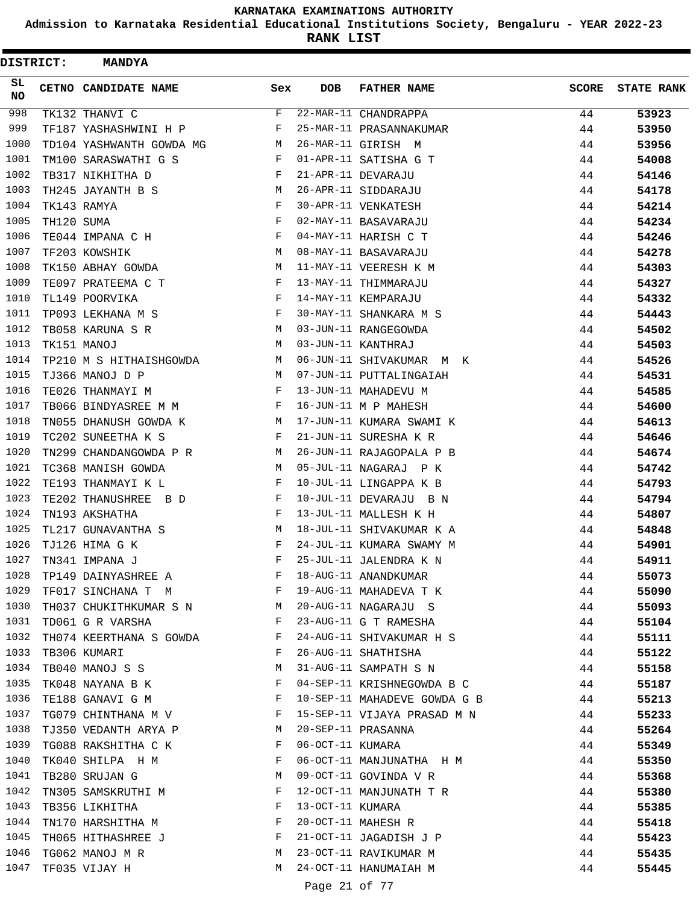**Admission to Karnataka Residential Educational Institutions Society, Bengaluru - YEAR 2022-23**

| <b>DISTRICT:</b> |            | <b>MANDYA</b>            |              |                  |                              |              |                   |
|------------------|------------|--------------------------|--------------|------------------|------------------------------|--------------|-------------------|
| SL<br>NO.        |            | CETNO CANDIDATE NAME     | Sex          | <b>DOB</b>       | <b>FATHER NAME</b>           | <b>SCORE</b> | <b>STATE RANK</b> |
| 998              |            | TK132 THANVI C           | F            |                  | 22-MAR-11 CHANDRAPPA         | 44           | 53923             |
| 999              |            | TF187 YASHASHWINI H P    | F            |                  | 25-MAR-11 PRASANNAKUMAR      | 44           | 53950             |
| 1000             |            | TD104 YASHWANTH GOWDA MG | М            |                  | 26-MAR-11 GIRISH M           | 44           | 53956             |
| 1001             |            | TM100 SARASWATHI G S     | F            |                  | 01-APR-11 SATISHA G T        | 44           | 54008             |
| 1002             |            | TB317 NIKHITHA D         | F            |                  | 21-APR-11 DEVARAJU           | 44           | 54146             |
| 1003             |            | TH245 JAYANTH B S        | M            |                  | 26-APR-11 SIDDARAJU          | 44           | 54178             |
| 1004             |            | TK143 RAMYA              | F            |                  | 30-APR-11 VENKATESH          | 44           | 54214             |
| 1005             | TH120 SUMA |                          | F            |                  | 02-MAY-11 BASAVARAJU         | 44           | 54234             |
| 1006             |            | TE044 IMPANA C H         | F            |                  | 04-MAY-11 HARISH C T         | 44           | 54246             |
| 1007             |            | TF203 KOWSHIK            | M            |                  | 08-MAY-11 BASAVARAJU         | 44           | 54278             |
| 1008             |            | TK150 ABHAY GOWDA        | M            |                  | 11-MAY-11 VEERESH K M        | 44           | 54303             |
| 1009             |            | TE097 PRATEEMA C T       | F            |                  | 13-MAY-11 THIMMARAJU         | 44           | 54327             |
| 1010             |            | TL149 POORVIKA           | F            |                  | 14-MAY-11 KEMPARAJU          | 44           | 54332             |
| 1011             |            | TP093 LEKHANA M S        | $\mathbf{F}$ |                  | 30-MAY-11 SHANKARA M S       | 44           | 54443             |
| 1012             |            | TB058 KARUNA S R         | M            |                  | 03-JUN-11 RANGEGOWDA         | 44           | 54502             |
| 1013             |            | TK151 MANOJ              | M            |                  | 03-JUN-11 KANTHRAJ           | 44           | 54503             |
| 1014             |            | TP210 M S HITHAISHGOWDA  | M            |                  | 06-JUN-11 SHIVAKUMAR M K     | 44           | 54526             |
| 1015             |            | TJ366 MANOJ D P          | M            |                  | 07-JUN-11 PUTTALINGAIAH      | 44           | 54531             |
| 1016             |            | TE026 THANMAYI M         | F            |                  | 13-JUN-11 MAHADEVU M         | 44           | 54585             |
| 1017             |            | TB066 BINDYASREE M M     | F            |                  | 16-JUN-11 M P MAHESH         | 44           | 54600             |
| 1018             |            | TN055 DHANUSH GOWDA K    | M            |                  | 17-JUN-11 KUMARA SWAMI K     | 44           | 54613             |
| 1019             |            | TC202 SUNEETHA K S       | F            |                  | 21-JUN-11 SURESHA K R        | 44           | 54646             |
| 1020             |            | TN299 CHANDANGOWDA P R   | М            |                  | 26-JUN-11 RAJAGOPALA P B     | 44           | 54674             |
| 1021             |            | TC368 MANISH GOWDA       | M            |                  | 05-JUL-11 NAGARAJ P K        | 44           | 54742             |
| 1022             |            | TE193 THANMAYI K L       | F            |                  | 10-JUL-11 LINGAPPA K B       | 44           | 54793             |
| 1023             |            | TE202 THANUSHREE B D     | F            |                  | 10-JUL-11 DEVARAJU B N       | 44           | 54794             |
| 1024             |            | TN193 AKSHATHA           | F            |                  | 13-JUL-11 MALLESH K H        | 44           | 54807             |
| 1025             |            | TL217 GUNAVANTHA S       | M            |                  | 18-JUL-11 SHIVAKUMAR K A     | 44           | 54848             |
| 1026             |            | TJ126 HIMA G K           | F            |                  | 24-JUL-11 KUMARA SWAMY M     | 44           | 54901             |
| 1027             |            | TN341 IMPANA J           | $_{\rm F}$   |                  | 25-JUL-11 JALENDRA K N       | 44           | 54911             |
| 1028             |            | TP149 DAINYASHREE A      | F            |                  | 18-AUG-11 ANANDKUMAR         | 44           | 55073             |
| 1029             |            | TF017 SINCHANA T M       | $\mathbf{F}$ |                  | 19-AUG-11 MAHADEVA T K       | 44           | 55090             |
| 1030             |            | TH037 CHUKITHKUMAR S N M |              |                  | 20-AUG-11 NAGARAJU S         | 44           | 55093             |
| 1031             |            | TD061 G R VARSHA         | $\mathbf{F}$ |                  | 23-AUG-11 G T RAMESHA        | 44           | 55104             |
| 1032             |            | TH074 KEERTHANA S GOWDA  | $\mathbb{F}$ |                  | 24-AUG-11 SHIVAKUMAR H S     | 44           | 55111             |
| 1033             |            | TB306 KUMARI             | F            |                  | 26-AUG-11 SHATHISHA          | 44           | 55122             |
| 1034             |            | TB040 MANOJ S S          | М            |                  | 31-AUG-11 SAMPATH S N        | 44           | 55158             |
| 1035             |            | TK048 NAYANA B K         | F            |                  | 04-SEP-11 KRISHNEGOWDA B C   | 44           | 55187             |
| 1036             |            | TE188 GANAVI G M         | F            |                  | 10-SEP-11 MAHADEVE GOWDA G B | 44           | 55213             |
| 1037             |            | TG079 CHINTHANA M V F    |              |                  | 15-SEP-11 VIJAYA PRASAD M N  | 44           | 55233             |
| 1038             |            | TJ350 VEDANTH ARYA P M   |              |                  | 20-SEP-11 PRASANNA           | 44           | 55264             |
| 1039             |            | TG088 RAKSHITHA C K      | $\mathbf{F}$ | 06-OCT-11 KUMARA |                              | 44           | 55349             |
| 1040             |            | TK040 SHILPA H M         | F            |                  | 06-OCT-11 MANJUNATHA H M     | 44           | 55350             |
| 1041             |            | TB280 SRUJAN G           | M            |                  | 09-OCT-11 GOVINDA V R        | 44           | 55368             |
| 1042             |            | TN305 SAMSKRUTHI M       | F            |                  | 12-OCT-11 MANJUNATH T R      | 44           | 55380             |
| 1043             |            | TB356 LIKHITHA           | F            | 13-OCT-11 KUMARA |                              | 44           | 55385             |
| 1044             |            | TN170 HARSHITHA M        | F            |                  | 20-OCT-11 MAHESH R           | 44           | 55418             |
| 1045             |            | TH065 HITHASHREE J       | F            |                  | 21-OCT-11 JAGADISH J P       | 44           | 55423             |
| 1046             |            | TG062 MANOJ M R          | M            |                  | 23-OCT-11 RAVIKUMAR M        | 44           | 55435             |
| 1047             |            | TF035 VIJAY H            | М            |                  | 24-OCT-11 HANUMAIAH M        | 44           | 55445             |
|                  |            |                          |              | Page 21 of 77    |                              |              |                   |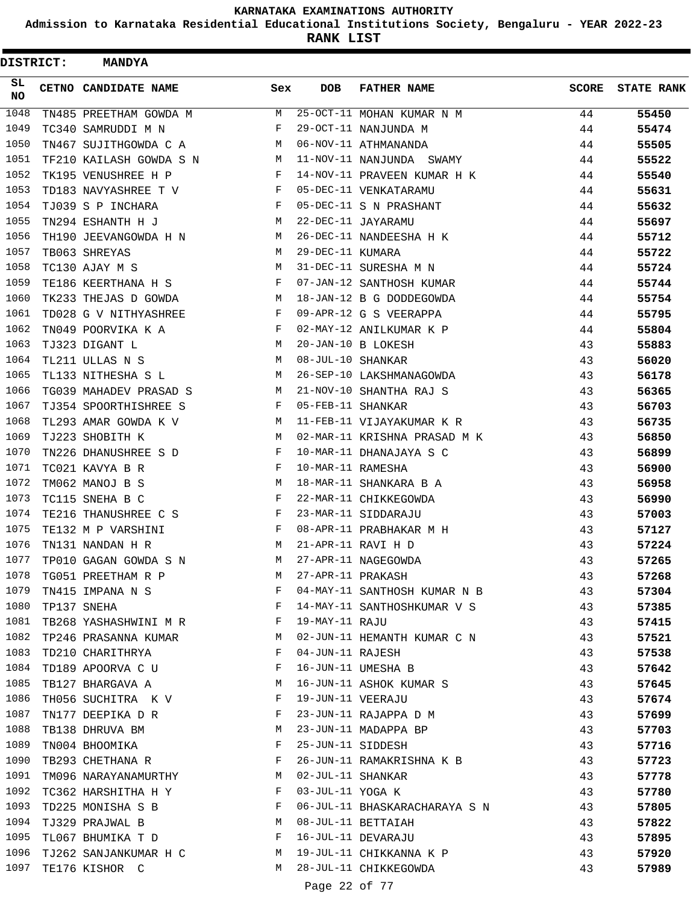**Admission to Karnataka Residential Educational Institutions Society, Bengaluru - YEAR 2022-23**

**RANK LIST**

Ė

| DISTRICT:         | <b>MANDYA</b>                |              |                   |                               |              |                   |
|-------------------|------------------------------|--------------|-------------------|-------------------------------|--------------|-------------------|
| SL.<br><b>NO</b>  | CETNO CANDIDATE NAME         | Sex          | <b>DOB</b>        | <b>FATHER NAME</b>            | <b>SCORE</b> | <b>STATE RANK</b> |
| $\overline{1048}$ | TN485 PREETHAM GOWDA M       | М            |                   | 25-OCT-11 MOHAN KUMAR N M     | 44           | 55450             |
| 1049              | TC340 SAMRUDDI M N           | F            |                   | 29-OCT-11 NANJUNDA M          | 44           | 55474             |
| 1050              | TN467 SUJITHGOWDA C A        | M            |                   | 06-NOV-11 ATHMANANDA          | 44           | 55505             |
| 1051              | TF210 KAILASH GOWDA S N      | M            |                   | 11-NOV-11 NANJUNDA SWAMY      | 44           | 55522             |
| 1052              | TK195 VENUSHREE H P          | F            |                   | 14-NOV-11 PRAVEEN KUMAR H K   | 44           | 55540             |
| 1053              | TD183 NAVYASHREE T V         | F            |                   | 05-DEC-11 VENKATARAMU         | 44           | 55631             |
| 1054              | TJ039 S P INCHARA            | F            |                   | 05-DEC-11 S N PRASHANT        | 44           | 55632             |
| 1055              | TN294 ESHANTH H J            | M            |                   | 22-DEC-11 JAYARAMU            | 44           | 55697             |
| 1056              | TH190 JEEVANGOWDA H N        | M            |                   | 26-DEC-11 NANDEESHA H K       | 44           | 55712             |
| 1057              | TB063 SHREYAS                | М            | 29-DEC-11 KUMARA  |                               | 44           | 55722             |
| 1058              | TC130 AJAY M S               | М            |                   | 31-DEC-11 SURESHA M N         | 44           | 55724             |
| 1059              | TE186 KEERTHANA H S          | F            |                   | 07-JAN-12 SANTHOSH KUMAR      | 44           | 55744             |
| 1060              | TK233 THEJAS D GOWDA         | M            |                   | 18-JAN-12 B G DODDEGOWDA      | 44           | 55754             |
| 1061              | TD028 G V NITHYASHREE        | F            |                   | 09-APR-12 G S VEERAPPA        | 44           | 55795             |
| 1062              | TN049 POORVIKA K A           | $\mathbf{F}$ |                   | 02-MAY-12 ANILKUMAR K P       | 44           | 55804             |
| 1063              | TJ323 DIGANT L               | M            |                   | 20-JAN-10 B LOKESH            | 43           | 55883             |
| 1064              | TL211 ULLAS N S              | M            | 08-JUL-10 SHANKAR |                               | 43           | 56020             |
| 1065              | TL133 NITHESHA S L           | M            |                   | 26-SEP-10 LAKSHMANAGOWDA      | 43           | 56178             |
| 1066              | TG039 MAHADEV PRASAD S       | M            |                   | 21-NOV-10 SHANTHA RAJ S       | 43           | 56365             |
| 1067              | TJ354 SPOORTHISHREE S        | F            | 05-FEB-11 SHANKAR |                               | 43           | 56703             |
| 1068              | TL293 AMAR GOWDA K V         | М            |                   | 11-FEB-11 VIJAYAKUMAR K R     | 43           | 56735             |
| 1069              | TJ223 SHOBITH K              | M            |                   | 02-MAR-11 KRISHNA PRASAD M K  | 43           | 56850             |
| 1070              | TN226 DHANUSHREE S D         | F            |                   | 10-MAR-11 DHANAJAYA S C       | 43           | 56899             |
| 1071              | TC021 KAVYA B R              | F            | 10-MAR-11 RAMESHA |                               | 43           | 56900             |
| 1072              | TM062 MANOJ B S              | M            |                   | 18-MAR-11 SHANKARA B A        | 43           | 56958             |
| 1073              | TC115 SNEHA B C              | F            |                   | 22-MAR-11 CHIKKEGOWDA         | 43           | 56990             |
| 1074              | TE216 THANUSHREE C S         | $\mathbf{F}$ |                   | 23-MAR-11 SIDDARAJU           | 43           | 57003             |
| 1075              | TE132 M P VARSHINI           | F            |                   | 08-APR-11 PRABHAKAR M H       | 43           | 57127             |
| 1076              | TN131 NANDAN H R             | M            |                   | 21-APR-11 RAVI H D            | 43           | 57224             |
| 1077              | TP010 GAGAN GOWDA S N        | М            |                   | 27-APR-11 NAGEGOWDA           | 43           | 57265             |
| 1078              | TG051 PREETHAM R P           | М            | 27-APR-11 PRAKASH |                               | 43           | 57268             |
| 1079              | TN415 IMPANA N S             | F            |                   | 04-MAY-11 SANTHOSH KUMAR N B  | 43           | 57304             |
| 1080              | TP137 SNEHA                  | F            |                   | 14-MAY-11 SANTHOSHKUMAR V S   | 43           | 57385             |
|                   | 1081 TB268 YASHASHWINI M R F |              | 19-MAY-11 RAJU    |                               | 43           | 57415             |
| 1082              | TP246 PRASANNA KUMAR         | M            |                   | 02-JUN-11 HEMANTH KUMAR C N   | 43           | 57521             |
| 1083              | TD210 CHARITHRYA             | F            | 04-JUN-11 RAJESH  |                               | 43           | 57538             |
| 1084              | TD189 APOORVA C U            | F            |                   | 16-JUN-11 UMESHA B            | 43           | 57642             |
| 1085              | TB127 BHARGAVA A             | M            |                   | 16-JUN-11 ASHOK KUMAR S       | 43           | 57645             |
| 1086              | TH056 SUCHITRA K V           | F            | 19-JUN-11 VEERAJU |                               | 43           | 57674             |
| 1087              | TN177 DEEPIKA D R            | F            |                   | 23-JUN-11 RAJAPPA D M         | 43           | 57699             |
| 1088              | TB138 DHRUVA BM              | M            |                   | 23-JUN-11 MADAPPA BP          | 43           | 57703             |
| 1089              | TN004 BHOOMIKA               | F            |                   | 25-JUN-11 SIDDESH             | 43           | 57716             |
| 1090              | TB293 CHETHANA R             | F            |                   | 26-JUN-11 RAMAKRISHNA K B     | 43           | 57723             |
| 1091              | TM096 NARAYANAMURTHY         | M            | 02-JUL-11 SHANKAR |                               | 43           | 57778             |
| 1092              | TC362 HARSHITHA H Y          | $\mathbf{F}$ | 03-JUL-11 YOGA K  |                               | 43           | 57780             |
| 1093              | TD225 MONISHA S B            | F            |                   | 06-JUL-11 BHASKARACHARAYA S N | 43           | 57805             |
| 1094              | TJ329 PRAJWAL B              | M            |                   | 08-JUL-11 BETTAIAH            | 43           | 57822             |
| 1095              | TL067 BHUMIKA T D            | F            |                   | 16-JUL-11 DEVARAJU            | 43           | 57895             |
| 1096              | TJ262 SANJANKUMAR H C        | M            |                   | 19-JUL-11 CHIKKANNA K P       | 43           | 57920             |
| 1097              | TE176 KISHOR C               | M            |                   | 28-JUL-11 CHIKKEGOWDA         | 43           | 57989             |
|                   |                              |              |                   |                               |              |                   |

Page 22 of 77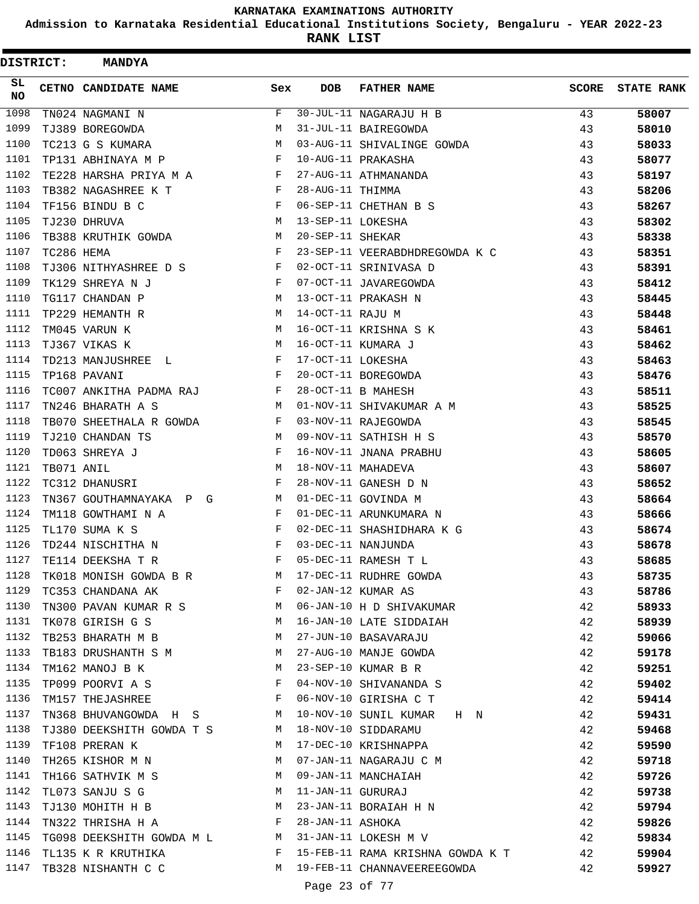**Admission to Karnataka Residential Educational Institutions Society, Bengaluru - YEAR 2022-23**

**RANK LIST**

 $\blacksquare$ 

| <b>DISTRICT:</b> |            | <b>MANDYA</b>                                            |              |                   |                                                  |              |                   |
|------------------|------------|----------------------------------------------------------|--------------|-------------------|--------------------------------------------------|--------------|-------------------|
| SL<br>NO.        |            | CETNO CANDIDATE NAME                                     | Sex          | <b>DOB</b>        | <b>FATHER NAME</b>                               | <b>SCORE</b> | <b>STATE RANK</b> |
| 1098             |            | TN024 NAGMANI N                                          | F            |                   | 30-JUL-11 NAGARAJU H B                           | 43           | 58007             |
| 1099             |            | TJ389 BOREGOWDA                                          | М            |                   | 31-JUL-11 BAIREGOWDA                             | 43           | 58010             |
| 1100             |            | TC213 G S KUMARA                                         | M            |                   | 03-AUG-11 SHIVALINGE GOWDA                       | 43           | 58033             |
| 1101             |            | TP131 ABHINAYA M P                                       | F            |                   | 10-AUG-11 PRAKASHA                               | 43           | 58077             |
| 1102             |            | TE228 HARSHA PRIYA M A F                                 |              |                   | 27-AUG-11 ATHMANANDA                             | 43           | 58197             |
| 1103             |            | TB382 NAGASHREE K T                                      | $\mathbf{F}$ | 28-AUG-11 THIMMA  |                                                  | 43           | 58206             |
| 1104             |            | TF156 BINDU B C                                          | F            |                   | 06-SEP-11 CHETHAN B S                            | 43           | 58267             |
| 1105             |            | TJ230 DHRUVA                                             | М            | 13-SEP-11 LOKESHA |                                                  | 43           | 58302             |
| 1106             |            | <b>M</b><br>TB388 KRUTHIK GOWDA                          |              | 20-SEP-11 SHEKAR  |                                                  | 43           | 58338             |
| 1107             | TC286 HEMA |                                                          | F            |                   | 23-SEP-11 VEERABDHDREGOWDA K C                   | 43           | 58351             |
| 1108             |            | TJ306 NITHYASHREE D S                                    | $\mathbf{F}$ |                   | 02-OCT-11 SRINIVASA D                            | 43           | 58391             |
| 1109             |            | TK129 SHREYA N J<br><b>Example 20</b> F                  |              |                   | 07-OCT-11 JAVAREGOWDA                            | 43           | 58412             |
| 1110             |            | <b>M</b><br>TG117 CHANDAN P                              |              |                   | 13-OCT-11 PRAKASH N                              | 43           | 58445             |
| 1111             |            | TP229 HEMANTH R                                          | M            | 14-OCT-11 RAJU M  |                                                  | 43           | 58448             |
| 1112             |            | TM045 VARUN K                                            | M            |                   | 16-OCT-11 KRISHNA S K                            | 43           | 58461             |
| 1113             |            | TJ367 VIKAS K                                            | М            |                   | 16-OCT-11 KUMARA J                               | 43           | 58462             |
| 1114             |            | TD213 MANJUSHREE L                                       | F            | 17-OCT-11 LOKESHA |                                                  | 43           | 58463             |
| 1115             |            | TP168 PAVANI                                             | $\mathbf{F}$ |                   | 20-OCT-11 BOREGOWDA                              | 43           | 58476             |
| 1116             |            | TC007 ANKITHA PADMA RAJ F                                |              |                   | 28-OCT-11 B MAHESH                               | 43           | 58511             |
| 1117             |            | TN246 BHARATH A S                                        | M            |                   | 01-NOV-11 SHIVAKUMAR A M                         | 43           | 58525             |
| 1118             |            | TB070 SHEETHALA R GOWDA                                  | F            |                   | 03-NOV-11 RAJEGOWDA                              | 43           | 58545             |
| 1119             |            | TJ210 CHANDAN TS                                         | M            |                   | 09-NOV-11 SATHISH H S                            | 43           | 58570             |
| 1120             |            | TD063 SHREYA J                                           | F            |                   | 16-NOV-11 JNANA PRABHU                           | 43           | 58605             |
| 1121             | TB071 ANIL |                                                          | M            |                   | 18-NOV-11 MAHADEVA                               | 43           | 58607             |
| 1122             |            | TC312 DHANUSRI                                           | F            |                   | 28-NOV-11 GANESH D N                             | 43           | 58652             |
| 1123             |            | TN367 GOUTHAMNAYAKA P G                                  | M            |                   | 01-DEC-11 GOVINDA M                              | 43           | 58664             |
| 1124             |            | TM118 GOWTHAMI N A                                       | F            |                   | 01-DEC-11 ARUNKUMARA N                           | 43           | 58666             |
| 1125             |            | TL170 SUMA K S                                           | F            |                   | 02-DEC-11 SHASHIDHARA K G                        | 43           | 58674             |
| 1126             |            | TD244 NISCHITHA N                                        | F            |                   | 03-DEC-11 NANJUNDA                               | 43           | 58678             |
| 1127             |            | TE114 DEEKSHA T R                                        | F            |                   | 05-DEC-11 RAMESH T L                             | 43           | 58685             |
| 1128             |            | TK018 MONISH GOWDA B R                                   |              |                   | M 17-DEC-11 RUDHRE GOWDA<br>F 02-JAN-12 KUMAR AS | 43           | 58735             |
| 1129             |            | TC353 CHANDANA AK<br><b>Experimental Service Service</b> |              |                   |                                                  | 43           | 58786             |
| 1130             |            | TN300 PAVAN KUMAR R S M                                  |              |                   | 06-JAN-10 H D SHIVAKUMAR                         | 42           | 58933             |
| 1131             |            | TK078 GIRISH G S                                         | M            |                   | 16-JAN-10 LATE SIDDAIAH                          | 42           | 58939             |
| 1132             |            | TB253 BHARATH M B                                        | M            |                   | 27-JUN-10 BASAVARAJU                             | 42           | 59066             |
| 1133             |            | TB183 DRUSHANTH S M M                                    |              |                   | 27-AUG-10 MANJE GOWDA                            | 42           | 59178             |
| 1134             |            | <b>M</b><br>TM162 MANOJ B K                              |              |                   | 23-SEP-10 KUMAR B R                              | 42           | 59251             |
| 1135             |            | TP099 POORVI A S                                         | F            |                   | 04-NOV-10 SHIVANANDA S                           | 42           | 59402             |
| 1136             |            | TM157 THEJASHREE                                         | F            |                   | 06-NOV-10 GIRISHA C T                            | 42           | 59414             |
| 1137             |            | TN368 BHUVANGOWDA H S M                                  |              |                   | 10-NOV-10 SUNIL KUMAR H N                        | 42           | 59431             |
| 1138             |            | TJ380 DEEKSHITH GOWDA T S M                              |              |                   | 18-NOV-10 SIDDARAMU                              | 42           | 59468             |
| 1139             |            | TF108 PRERAN K                                           | M            |                   | 17-DEC-10 KRISHNAPPA                             | 42           | 59590             |
| 1140             |            | TH265 KISHOR M N                                         | M            |                   | 07-JAN-11 NAGARAJU C M                           | 42           | 59718             |
| 1141             |            | TH166 SATHVIK M S                                        | M            |                   | 09-JAN-11 MANCHAIAH                              | 42           | 59726             |
| 1142             |            | TL073 SANJU S G                                          | M            |                   | 11-JAN-11 GURURAJ                                | 42           | 59738             |
| 1143             |            | TJ130 MOHITH H B                                         | M            |                   | 23-JAN-11 BORAIAH H N<br>28-JAN-11 ASHOKA        | 42           | 59794             |
| 1144             |            | TN322 THRISHA H A                                        | $\mathbf{F}$ |                   |                                                  | 42           | 59826             |
| 1145             |            | TG098 DEEKSHITH GOWDA M L M 31-JAN-11 LOKESH M V         |              |                   |                                                  | 42           | 59834             |
| 1146             |            | TL135 K R KRUTHIKA                                       | $\mathbf{F}$ |                   | 15-FEB-11 RAMA KRISHNA GOWDA K T 42              |              | 59904             |
| 1147             |            | TB328 NISHANTH C C                                       | M            |                   | 19-FEB-11 CHANNAVEEREEGOWDA                      | 42           | 59927             |

Page 23 of 77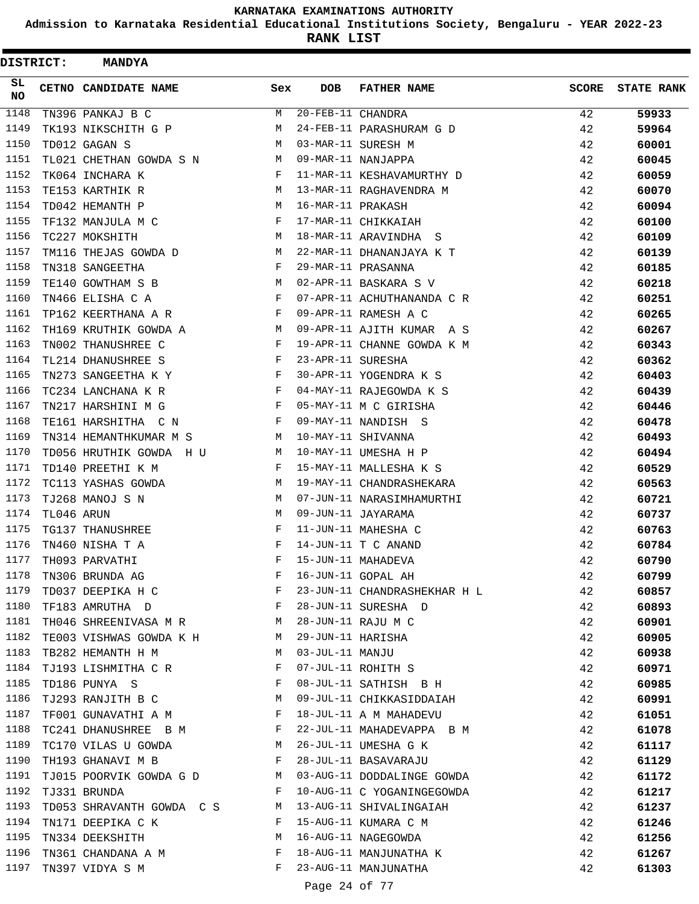**Admission to Karnataka Residential Educational Institutions Society, Bengaluru - YEAR 2022-23**

**RANK LIST**

| <b>DISTRICT:</b> |            | <b>MANDYA</b>                                                                  |     |                   |                              |              |                   |
|------------------|------------|--------------------------------------------------------------------------------|-----|-------------------|------------------------------|--------------|-------------------|
| SL<br>NO.        |            | CETNO CANDIDATE NAME                                                           | Sex | <b>DOB</b>        | <b>FATHER NAME</b>           | <b>SCORE</b> | <b>STATE RANK</b> |
| 1148             |            | TN396 PANKAJ B C                                                               | М   | 20-FEB-11 CHANDRA |                              | 42           | 59933             |
| 1149             |            | TK193 NIKSCHITH G P                                                            | М   |                   | 24-FEB-11 PARASHURAM G D     | 42           | 59964             |
| 1150             |            | TD012 GAGAN S                                                                  | M   |                   | 03-MAR-11 SURESH M           | 42           | 60001             |
| 1151             |            | TL021 CHETHAN GOWDA S N                                                        | M   |                   | 09-MAR-11 NANJAPPA           | 42           | 60045             |
| 1152             |            | TK064 INCHARA K                                                                | F   |                   | 11-MAR-11 KESHAVAMURTHY D    | 42           | 60059             |
| 1153             |            | TE153 KARTHIK R                                                                | M   |                   | 13-MAR-11 RAGHAVENDRA M      | 42           | 60070             |
| 1154             |            | TD042 HEMANTH P                                                                | M   | 16-MAR-11 PRAKASH |                              | 42           | 60094             |
| 1155             |            | TF132 MANJULA M C                                                              | F   |                   | 17-MAR-11 CHIKKAIAH          | 42           | 60100             |
| 1156             |            | TC227 MOKSHITH                                                                 | M   |                   | 18-MAR-11 ARAVINDHA S        | 42           | 60109             |
| 1157             |            | TM116 THEJAS GOWDA D                                                           | M   |                   | 22-MAR-11 DHANANJAYA K T     | 42           | 60139             |
| 1158             |            | TN318 SANGEETHA                                                                | F   |                   | 29-MAR-11 PRASANNA           | 42           | 60185             |
| 1159             |            | TE140 GOWTHAM S B                                                              | M   |                   | 02-APR-11 BASKARA S V        | 42           | 60218             |
| 1160             |            | TN466 ELISHA C A                                                               | F   |                   | 07-APR-11 ACHUTHANANDA C R   | 42           | 60251             |
| 1161             |            | TP162 KEERTHANA A R                                                            | F   |                   | 09-APR-11 RAMESH A C         | 42           | 60265             |
| 1162             |            | TH169 KRUTHIK GOWDA A                                                          | M   |                   | 09-APR-11 AJITH KUMAR A S    | 42           | 60267             |
| 1163             |            | TN002 THANUSHREE C                                                             | F   |                   | 19-APR-11 CHANNE GOWDA K M   | 42           | 60343             |
| 1164             |            | TL214 DHANUSHREE S                                                             | F   | 23-APR-11 SURESHA |                              | 42           | 60362             |
| 1165             |            | TN273 SANGEETHA K Y                                                            | F   |                   | 30-APR-11 YOGENDRA K S       | 42           | 60403             |
| 1166             |            | TC234 LANCHANA K R                                                             | F   |                   | 04-MAY-11 RAJEGOWDA K S      | 42           | 60439             |
| 1167             |            | TN217 HARSHINI M G                                                             | F   |                   | 05-MAY-11 M C GIRISHA        | 42           | 60446             |
| 1168             |            | TE161 HARSHITHA C N                                                            | F   |                   | 09-MAY-11 NANDISH S          | 42           | 60478             |
| 1169             |            | TN314 HEMANTHKUMAR M S                                                         | M   |                   | 10-MAY-11 SHIVANNA           | 42           | 60493             |
| 1170             |            | TD056 HRUTHIK GOWDA H U                                                        | M   |                   | 10-MAY-11 UMESHA H P         | 42           | 60494             |
| 1171             |            | TD140 PREETHI K M                                                              | F   |                   | 15-MAY-11 MALLESHA K S       | 42           | 60529             |
| 1172             |            | TC113 YASHAS GOWDA                                                             | М   |                   | 19-MAY-11 CHANDRASHEKARA     | 42           | 60563             |
| 1173             |            | TJ268 MANOJ S N                                                                | М   |                   | 07-JUN-11 NARASIMHAMURTHI    | 42           | 60721             |
| 1174             | TL046 ARUN |                                                                                | M   |                   | 09-JUN-11 JAYARAMA           | 42           | 60737             |
| 1175             |            | TG137 THANUSHREE                                                               | F   |                   | 11-JUN-11 MAHESHA C          | 42           | 60763             |
| 1176             |            | TN460 NISHA T A                                                                | F   |                   | 14-JUN-11 T C ANAND          | 42           | 60784             |
| 1177             |            | TH093 PARVATHI                                                                 | F   |                   | 15-JUN-11 MAHADEVA           | 42           | 60790             |
| 1178             |            | TN306 BRUNDA AG                                                                | F   |                   | 16-JUN-11 GOPAL AH           | 42           | 60799             |
| 1179             |            | TD037 DEEPIKA H C                                                              | F   |                   | 23-JUN-11 CHANDRASHEKHAR H L | 42           | 60857             |
| 1180             |            | $\mathbf{F}$ . The contract of the contract of $\mathbf{F}$<br>TF183 AMRUTHA D |     |                   | 28-JUN-11 SURESHA D          | 42           | 60893             |
| 1181             |            | TH046 SHREENIVASA M R M                                                        |     |                   | 28-JUN-11 RAJU M C           | 42           | 60901             |
| 1182             |            | TE003 VISHWAS GOWDA K H M                                                      |     | 29-JUN-11 HARISHA |                              | 42           | 60905             |
| 1183             |            | TB282 HEMANTH H M                                                              | M   | 03-JUL-11 MANJU   |                              | 42           | 60938             |
| 1184             |            | TJ193 LISHMITHA C R                                                            | F   |                   | 07-JUL-11 ROHITH S           | 42           | 60971             |
| 1185             |            | TD186 PUNYA S                                                                  | F   |                   | 08-JUL-11 SATHISH B H        | 42           | 60985             |
| 1186             |            | TJ293 RANJITH B C                                                              | М   |                   | 09-JUL-11 CHIKKASIDDAIAH     | 42           | 60991             |
| 1187             |            | TF001 GUNAVATHI A M                                                            | F   |                   | 18-JUL-11 A M MAHADEVU       | 42           | 61051             |
| 1188             |            | TC241 DHANUSHREE B M                                                           | F   |                   | 22-JUL-11 MAHADEVAPPA B M    | 42           | 61078             |
| 1189             |            | TC170 VILAS U GOWDA                                                            | M   |                   | 26-JUL-11 UMESHA G K         | 42           | 61117             |
| 1190             |            | TH193 GHANAVI M B                                                              | F   |                   | 28-JUL-11 BASAVARAJU         | 42           | 61129             |
| 1191             |            | TJ015 POORVIK GOWDA G D                                                        | M   |                   | 03-AUG-11 DODDALINGE GOWDA   | 42           | 61172             |
| 1192             |            | TJ331 BRUNDA                                                                   | F   |                   | 10-AUG-11 C YOGANINGEGOWDA   | 42           | 61217             |
| 1193             |            | TD053 SHRAVANTH GOWDA C S                                                      | M   |                   | 13-AUG-11 SHIVALINGAIAH      | 42           | 61237             |
| 1194             |            | TN171 DEEPIKA C K                                                              | F   |                   | 15-AUG-11 KUMARA C M         | 42           | 61246             |
| 1195             |            | TN334 DEEKSHITH                                                                | M   |                   | 16-AUG-11 NAGEGOWDA          | 42           | 61256             |
| 1196             |            | TN361 CHANDANA A M                                                             | F   |                   | 18-AUG-11 MANJUNATHA K       | 42           | 61267             |
| 1197             |            | TN397 VIDYA S M                                                                | F   |                   | 23-AUG-11 MANJUNATHA         | 42           | 61303             |
|                  |            |                                                                                |     | Page 24 of 77     |                              |              |                   |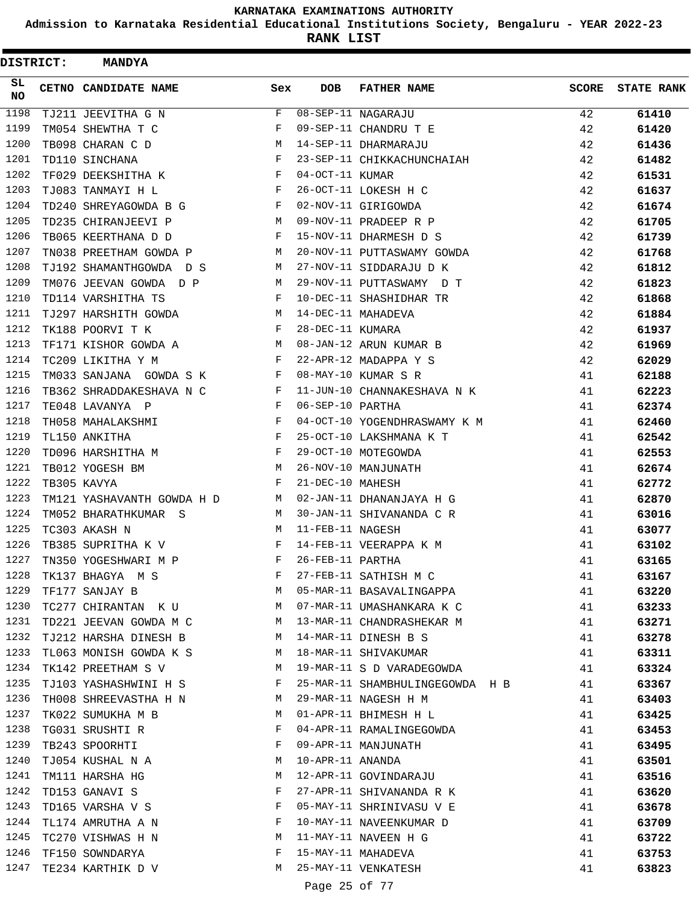**Admission to Karnataka Residential Educational Institutions Society, Bengaluru - YEAR 2022-23**

**RANK LIST**

Ė

| DISTRICT:  | <b>MANDYA</b>                 |              |                  |                                 |              |                   |
|------------|-------------------------------|--------------|------------------|---------------------------------|--------------|-------------------|
| SL.<br>NO. | CETNO CANDIDATE NAME          | Sex          | <b>DOB</b>       | <b>FATHER NAME</b>              | <b>SCORE</b> | <b>STATE RANK</b> |
| 1198       | TJ211 JEEVITHA G N            | F            |                  | 08-SEP-11 NAGARAJU              | 42           | 61410             |
| 1199       | TM054 SHEWTHA T C             | F            |                  | 09-SEP-11 CHANDRU T E           | 42           | 61420             |
| 1200       | TB098 CHARAN C D              | М            |                  | 14-SEP-11 DHARMARAJU            | 42           | 61436             |
| 1201       | TD110 SINCHANA                | F            |                  | 23-SEP-11 CHIKKACHUNCHAIAH      | 42           | 61482             |
| 1202       | TF029 DEEKSHITHA K            | F            | 04-OCT-11 KUMAR  |                                 | 42           | 61531             |
| 1203       | TJ083 TANMAYI H L             | F            |                  | 26-OCT-11 LOKESH H C            | 42           | 61637             |
| 1204       | TD240 SHREYAGOWDA B G         | F            |                  | 02-NOV-11 GIRIGOWDA             | 42           | 61674             |
| 1205       | TD235 CHIRANJEEVI P           | М            |                  | 09-NOV-11 PRADEEP R P           | 42           | 61705             |
| 1206       | TB065 KEERTHANA D D           | F            |                  | 15-NOV-11 DHARMESH D S          | 42           | 61739             |
| 1207       | TN038 PREETHAM GOWDA P        | М            |                  | 20-NOV-11 PUTTASWAMY GOWDA      | 42           | 61768             |
| 1208       | TJ192 SHAMANTHGOWDA D S       | М            |                  | 27-NOV-11 SIDDARAJU D K         | 42           | 61812             |
| 1209       | TM076 JEEVAN GOWDA D P        | М            |                  | 29-NOV-11 PUTTASWAMY D T        | 42           | 61823             |
| 1210       | TD114 VARSHITHA TS            | F            |                  | 10-DEC-11 SHASHIDHAR TR         | 42           | 61868             |
| 1211       | TJ297 HARSHITH GOWDA          | М            |                  | 14-DEC-11 MAHADEVA              | 42           | 61884             |
| 1212       | TK188 POORVI T K              | F            | 28-DEC-11 KUMARA |                                 | 42           | 61937             |
| 1213       | TF171 KISHOR GOWDA A          | М            |                  | 08-JAN-12 ARUN KUMAR B          | 42           | 61969             |
| 1214       | TC209 LIKITHA Y M             | F            |                  | 22-APR-12 MADAPPA Y S           | 42           | 62029             |
| 1215       | TM033 SANJANA GOWDA S K       | F            |                  | 08-MAY-10 KUMAR S R             | 41           | 62188             |
| 1216       | TB362 SHRADDAKESHAVA N C      | F            |                  | 11-JUN-10 CHANNAKESHAVA N K     | 41           | 62223             |
| 1217       | TE048 LAVANYA P               | F            | 06-SEP-10 PARTHA |                                 | 41           | 62374             |
| 1218       | TH058 MAHALAKSHMI             | F            |                  | 04-OCT-10 YOGENDHRASWAMY K M    | 41           | 62460             |
| 1219       | TL150 ANKITHA                 | $\mathbf{F}$ |                  | 25-OCT-10 LAKSHMANA K T         | 41           | 62542             |
| 1220       | TD096 HARSHITHA M             | F            |                  | 29-OCT-10 MOTEGOWDA             | 41           | 62553             |
| 1221       | TB012 YOGESH BM               | М            |                  | 26-NOV-10 MANJUNATH             | 41           | 62674             |
| 1222       | TB305 KAVYA                   | F            | 21-DEC-10 MAHESH |                                 | 41           | 62772             |
| 1223       | TM121 YASHAVANTH GOWDA H D    | M            |                  | 02-JAN-11 DHANANJAYA H G        | 41           | 62870             |
| 1224       | TM052 BHARATHKUMAR S          | M            |                  | 30-JAN-11 SHIVANANDA C R        | 41           | 63016             |
| 1225       | TC303 AKASH N                 | М            | 11-FEB-11 NAGESH |                                 | 41           | 63077             |
| 1226       | TB385 SUPRITHA K V            | F            |                  | 14-FEB-11 VEERAPPA K M          | 41           | 63102             |
| 1227       | TN350 YOGESHWARI M P          | F            | 26-FEB-11 PARTHA |                                 | 41           | 63165             |
| 1228       | TK137 BHAGYA M S              | F            |                  | 27-FEB-11 SATHISH M C           | 41           | 63167             |
| 1229       | TF177 SANJAY B                | M            |                  | 05-MAR-11 BASAVALINGAPPA        | 41           | 63220             |
| 1230       | TC277 CHIRANTAN K U M         |              |                  | 07-MAR-11 UMASHANKARA K C       | 41           | 63233             |
| 1231       | TD221 JEEVAN GOWDA M C M      |              |                  | 13-MAR-11 CHANDRASHEKAR M       | 41           | 63271             |
| 1232       | TJ212 HARSHA DINESH B M       |              |                  | 14-MAR-11 DINESH B S            | 41           | 63278             |
| 1233       | TL063 MONISH GOWDA K S        | M            |                  | 18-MAR-11 SHIVAKUMAR            | 41           | 63311             |
| 1234       | TK142 PREETHAM S V            | M            |                  | 19-MAR-11 S D VARADEGOWDA       | 41           | 63324             |
| 1235       | TJ103 YASHASHWINI H S         | F            |                  | 25-MAR-11 SHAMBHULINGEGOWDA H B | 41           | 63367             |
| 1236       | TH008 SHREEVASTHA H N         | M            |                  | 29-MAR-11 NAGESH H M            | 41           | 63403             |
| 1237       | TK022 SUMUKHA M B             | M            |                  | 01-APR-11 BHIMESH H L           | 41           | 63425             |
| 1238       | TG031 SRUSHTI R               | F            |                  | 04-APR-11 RAMALINGEGOWDA        | 41           | 63453             |
| 1239       | TB243 SPOORHTI                | F            |                  | 09-APR-11 MANJUNATH             | 41           | 63495             |
| 1240       | TJ054 KUSHAL N A              | M            | 10-APR-11 ANANDA |                                 | 41           | 63501             |
| 1241       | TM111 HARSHA HG               | М            |                  | 12-APR-11 GOVINDARAJU           | 41           | 63516             |
| 1242       | TD153 GANAVI S                | F            |                  | 27-APR-11 SHIVANANDA R K        | 41           | 63620             |
| 1243       | TD165 VARSHA V S              | F            |                  | 05-MAY-11 SHRINIVASU V E        | 41           | 63678             |
| 1244       | TL174 AMRUTHA A N             | $\mathbf{F}$ |                  | 10-MAY-11 NAVEENKUMAR D         | 41           | 63709             |
| 1245       | TC270 VISHWAS H N<br><b>M</b> |              |                  | 11-MAY-11 NAVEEN H G            | 41           | 63722             |
| 1246       | TF150 SOWNDARYA               | F            |                  | 15-MAY-11 MAHADEVA              | 41           | 63753             |
| 1247       | TE234 KARTHIK D V             | M            |                  | 25-MAY-11 VENKATESH             | 41           | 63823             |
|            |                               |              | Page 25 of 77    |                                 |              |                   |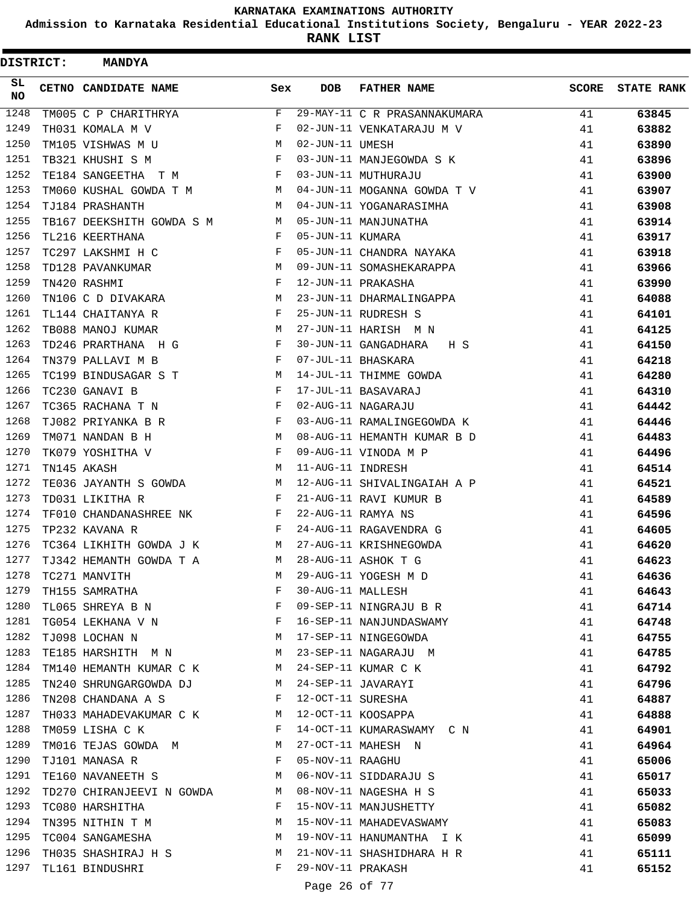**Admission to Karnataka Residential Educational Institutions Society, Bengaluru - YEAR 2022-23**

| DISTRICT: | <b>MANDYA</b>                           |              |                   |                              |              |                   |
|-----------|-----------------------------------------|--------------|-------------------|------------------------------|--------------|-------------------|
| SL<br>NO  | <b>CETNO CANDIDATE NAME</b>             | Sex          | <b>DOB</b>        | <b>FATHER NAME</b>           | <b>SCORE</b> | <b>STATE RANK</b> |
| 1248      | TM005 C P CHARITHRYA                    | F            |                   | 29-MAY-11 C R PRASANNAKUMARA | 41           | 63845             |
| 1249      | TH031 KOMALA M V                        | F            |                   | 02-JUN-11 VENKATARAJU M V    | 41           | 63882             |
| 1250      | TM105 VISHWAS M U                       | М            | 02-JUN-11 UMESH   |                              | 41           | 63890             |
| 1251      | TB321 KHUSHI S M                        | F            |                   | 03-JUN-11 MANJEGOWDA S K     | 41           | 63896             |
| 1252      | TE184 SANGEETHA T M                     | F            |                   | 03-JUN-11 MUTHURAJU          | 41           | 63900             |
| 1253      | TM060 KUSHAL GOWDA T M                  | M            |                   | 04-JUN-11 MOGANNA GOWDA T V  | 41           | 63907             |
| 1254      | TJ184 PRASHANTH                         | M            |                   | 04-JUN-11 YOGANARASIMHA      | 41           | 63908             |
| 1255      | TB167 DEEKSHITH GOWDA S M               | M            |                   | 05-JUN-11 MANJUNATHA         | 41           | 63914             |
| 1256      | TL216 KEERTHANA                         | F            | 05-JUN-11 KUMARA  |                              | 41           | 63917             |
| 1257      | TC297 LAKSHMI H C                       | F            |                   | 05-JUN-11 CHANDRA NAYAKA     | 41           | 63918             |
| 1258      | TD128 PAVANKUMAR                        | M            |                   | 09-JUN-11 SOMASHEKARAPPA     | 41           | 63966             |
| 1259      | TN420 RASHMI                            | F            |                   | 12-JUN-11 PRAKASHA           | 41           | 63990             |
| 1260      | TN106 C D DIVAKARA                      | M            |                   | 23-JUN-11 DHARMALINGAPPA     | 41           | 64088             |
| 1261      | TL144 CHAITANYA R                       | F            |                   | 25-JUN-11 RUDRESH S          | 41           | 64101             |
| 1262      | TB088 MANOJ KUMAR                       | M            |                   | 27-JUN-11 HARISH M N         | 41           | 64125             |
| 1263      | TD246 PRARTHANA H G                     | F            |                   | 30-JUN-11 GANGADHARA<br>H S  | 41           | 64150             |
| 1264      | TN379 PALLAVI M B                       | F            |                   | 07-JUL-11 BHASKARA           | 41           | 64218             |
| 1265      | TC199 BINDUSAGAR S T                    | M            |                   | 14-JUL-11 THIMME GOWDA       | 41           | 64280             |
| 1266      | TC230 GANAVI B                          | F            |                   | 17-JUL-11 BASAVARAJ          | 41           | 64310             |
| 1267      | TC365 RACHANA T N                       | F            |                   | 02-AUG-11 NAGARAJU           | 41           | 64442             |
| 1268      | TJ082 PRIYANKA B R                      | F            |                   | 03-AUG-11 RAMALINGEGOWDA K   | 41           | 64446             |
| 1269      | TM071 NANDAN B H                        | M            |                   | 08-AUG-11 HEMANTH KUMAR B D  | 41           | 64483             |
| 1270      | TK079 YOSHITHA V                        | F            |                   | 09-AUG-11 VINODA M P         | 41           | 64496             |
| 1271      | TN145 AKASH                             | М            | 11-AUG-11 INDRESH |                              | 41           | 64514             |
| 1272      | TE036 JAYANTH S GOWDA                   | M            |                   | 12-AUG-11 SHIVALINGAIAH A P  | 41           | 64521             |
| 1273      | TD031 LIKITHA R                         | F            |                   | 21-AUG-11 RAVI KUMUR B       | 41           | 64589             |
| 1274      | TF010 CHANDANASHREE NK                  | $\mathbf{F}$ |                   | 22-AUG-11 RAMYA NS           | 41           | 64596             |
| 1275      | TP232 KAVANA R                          | F            |                   | 24-AUG-11 RAGAVENDRA G       | 41           | 64605             |
| 1276      | TC364 LIKHITH GOWDA J K                 | M            |                   | 27-AUG-11 KRISHNEGOWDA       | 41           | 64620             |
| 1277      | TJ342 HEMANTH GOWDA T A                 | М            |                   | 28-AUG-11 ASHOK T G          | 41           | 64623             |
| 1278      | TC271 MANVITH                           | М            |                   | 29-AUG-11 YOGESH M D         | 41           | 64636             |
| 1279      | TH155 SAMRATHA                          | F            | 30-AUG-11 MALLESH |                              | 41           | 64643             |
| 1280      | TL065 SHREYA B N                        | F            |                   | 09-SEP-11 NINGRAJU B R       | 41           | 64714             |
| 1281      | TG054 LEKHANA V $\,$ N $\,$ $\,$ F $\,$ |              |                   | 16-SEP-11 NANJUNDASWAMY      | 41           | 64748             |
| 1282      | TJ098 LOCHAN N                          | M            |                   | 17-SEP-11 NINGEGOWDA         | 41           | 64755             |
| 1283      | TE185 HARSHITH M N                      | M            |                   | 23-SEP-11 NAGARAJU M         | 41           | 64785             |
| 1284      | TM140 HEMANTH KUMAR C K                 | M            |                   | 24-SEP-11 KUMAR C K          | 41           | 64792             |
| 1285      | TN240 SHRUNGARGOWDA DJ                  | M            |                   | 24-SEP-11 JAVARAYI           | 41           | 64796             |
| 1286      | TN208 CHANDANA A S                      | F            |                   | 12-OCT-11 SURESHA            | 41           | 64887             |
| 1287      | TH033 MAHADEVAKUMAR C K M               |              |                   | 12-OCT-11 KOOSAPPA           | 41           | 64888             |
| 1288      | TM059 LISHA C K                         | F            |                   | 14-OCT-11 KUMARASWAMY C N    | 41           | 64901             |
| 1289      | TM016 TEJAS GOWDA M M                   |              |                   | 27-OCT-11 MAHESH N           | 41           | 64964             |
| 1290      | TJ101 MANASA R                          | $\mathbf{F}$ | 05-NOV-11 RAAGHU  |                              | 41           | 65006             |
| 1291      | TE160 NAVANEETH S                       | M            |                   | 06-NOV-11 SIDDARAJU S        | 41           | 65017             |
| 1292      | TD270 CHIRANJEEVI N GOWDA               | M            |                   | 08-NOV-11 NAGESHA H S        | 41           | 65033             |
| 1293      | TC080 HARSHITHA                         | F            |                   | 15-NOV-11 MANJUSHETTY        | 41           | 65082             |
| 1294      | TN395 NITHIN T M                        | M            |                   | 15-NOV-11 MAHADEVASWAMY      | 41           | 65083             |
| 1295      | TC004 SANGAMESHA                        | M            |                   | 19-NOV-11 HANUMANTHA I K     | 41           | 65099             |
| 1296      | TH035 SHASHIRAJ H S                     | M            |                   | 21-NOV-11 SHASHIDHARA H R    | 41           | 65111             |
| 1297      | TL161 BINDUSHRI                         | F            | 29-NOV-11 PRAKASH |                              | 41           | 65152             |
|           |                                         |              |                   |                              |              |                   |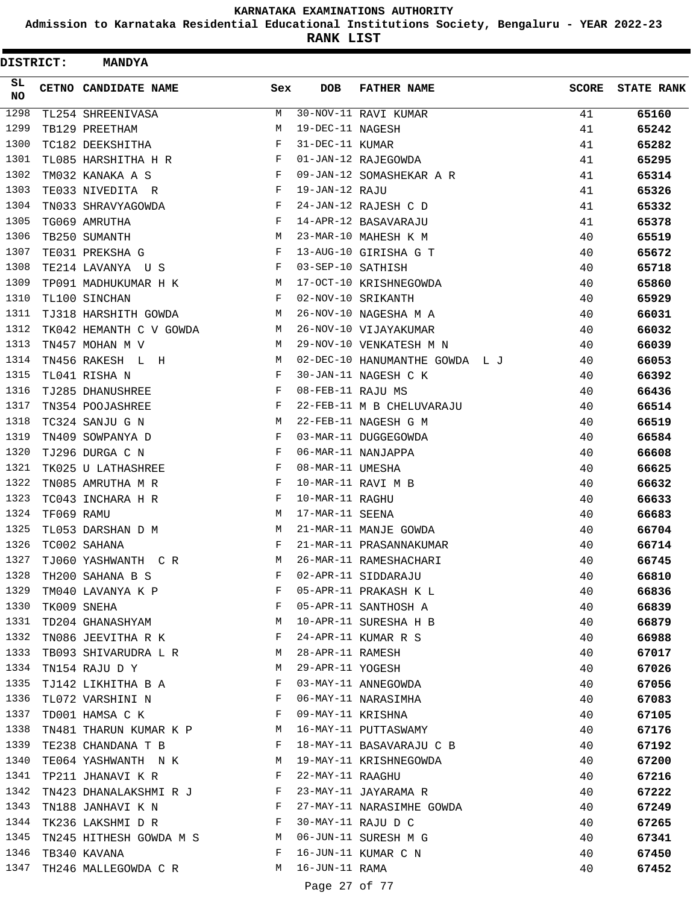**Admission to Karnataka Residential Educational Institutions Society, Bengaluru - YEAR 2022-23**

**RANK LIST**

| DISTRICT: |            | <b>MANDYA</b>            |              |                   |                                |              |                   |
|-----------|------------|--------------------------|--------------|-------------------|--------------------------------|--------------|-------------------|
| SL.<br>NO |            | CETNO CANDIDATE NAME     | Sex          | DOB               | <b>FATHER NAME</b>             | <b>SCORE</b> | <b>STATE RANK</b> |
| 1298      |            | TL254 SHREENIVASA        | М            |                   | 30-NOV-11 RAVI KUMAR           | 41           | 65160             |
| 1299      |            | TB129 PREETHAM           | M            | 19-DEC-11 NAGESH  |                                | 41           | 65242             |
| 1300      |            | TC182 DEEKSHITHA         | F            | 31-DEC-11 KUMAR   |                                | 41           | 65282             |
| 1301      |            | TL085 HARSHITHA H R      | F            |                   | 01-JAN-12 RAJEGOWDA            | 41           | 65295             |
| 1302      |            | TM032 KANAKA A S         | F            |                   | 09-JAN-12 SOMASHEKAR A R       | 41           | 65314             |
| 1303      |            | TE033 NIVEDITA R         | F            | 19-JAN-12 RAJU    |                                | 41           | 65326             |
| 1304      |            | TN033 SHRAVYAGOWDA       | F            |                   | 24-JAN-12 RAJESH C D           | 41           | 65332             |
| 1305      |            | TG069 AMRUTHA            | F            |                   | 14-APR-12 BASAVARAJU           | 41           | 65378             |
| 1306      |            | TB250 SUMANTH            | М            |                   | 23-MAR-10 MAHESH K M           | 40           | 65519             |
| 1307      |            | TE031 PREKSHA G          | F            |                   | 13-AUG-10 GIRISHA G T          | 40           | 65672             |
| 1308      |            | TE214 LAVANYA U S        | F            | 03-SEP-10 SATHISH |                                | 40           | 65718             |
| 1309      |            | TP091 MADHUKUMAR H K     | М            |                   | 17-OCT-10 KRISHNEGOWDA         | 40           | 65860             |
| 1310      |            | TL100 SINCHAN            | F            |                   | 02-NOV-10 SRIKANTH             | 40           | 65929             |
| 1311      |            | TJ318 HARSHITH GOWDA     | M            |                   | 26-NOV-10 NAGESHA M A          | 40           | 66031             |
| 1312      |            | TK042 HEMANTH C V GOWDA  | M            |                   | 26-NOV-10 VIJAYAKUMAR          | 40           | 66032             |
| 1313      |            | TN457 MOHAN M V          | M            |                   | 29-NOV-10 VENKATESH M N        | 40           | 66039             |
| 1314      |            | TN456 RAKESH L H         | M            |                   | 02-DEC-10 HANUMANTHE GOWDA L J | 40           | 66053             |
| 1315      |            | TL041 RISHA N            | F            |                   | 30-JAN-11 NAGESH C K           | 40           | 66392             |
| 1316      |            | TJ285 DHANUSHREE         | F            | 08-FEB-11 RAJU MS |                                | 40           | 66436             |
| 1317      |            | TN354 POOJASHREE         | F            |                   | 22-FEB-11 M B CHELUVARAJU      | 40           | 66514             |
| 1318      |            | TC324 SANJU G N          | M            |                   | 22-FEB-11 NAGESH G M           | 40           | 66519             |
| 1319      |            | TN409 SOWPANYA D         | F            |                   | 03-MAR-11 DUGGEGOWDA           | 40           | 66584             |
| 1320      |            | TJ296 DURGA C N          | F            |                   | 06-MAR-11 NANJAPPA             | 40           | 66608             |
| 1321      |            | TK025 U LATHASHREE       | F            | 08-MAR-11 UMESHA  |                                | 40           | 66625             |
| 1322      |            | TN085 AMRUTHA M R        | F            |                   | 10-MAR-11 RAVI M B             | 40           | 66632             |
| 1323      |            | TC043 INCHARA H R        | F            | 10-MAR-11 RAGHU   |                                | 40           | 66633             |
| 1324      | TF069 RAMU |                          | M            | 17-MAR-11 SEENA   |                                | 40           | 66683             |
| 1325      |            | TL053 DARSHAN D M        | М            |                   | 21-MAR-11 MANJE GOWDA          | 40           | 66704             |
| 1326      |            | TC002 SAHANA             | F            |                   | 21-MAR-11 PRASANNAKUMAR        | 40           | 66714             |
| 1327      |            | TJ060 YASHWANTH C R      | M            |                   | 26-MAR-11 RAMESHACHARI         | 40           | 66745             |
| 1328      |            | TH200 SAHANA B S         | F            |                   | 02-APR-11 SIDDARAJU            | 40           | 66810             |
| 1329      |            | TM040 LAVANYA K P        | F            |                   | 05-APR-11 PRAKASH K L          | 40           | 66836             |
| 1330      |            | TK009 SNEHA              | F            |                   | 05-APR-11 SANTHOSH A           | 40           | 66839             |
| 1331      |            | TD204 GHANASHYAM         | M            |                   | 10-APR-11 SURESHA H B          | 40           | 66879             |
| 1332      |            | TN086 JEEVITHA R K       | F            |                   | 24-APR-11 KUMAR R S            | 40           | 66988             |
| 1333      |            | TB093 SHIVARUDRA L R     | M            | 28-APR-11 RAMESH  |                                | 40           | 67017             |
| 1334      |            | TN154 RAJU D Y           | М            | 29-APR-11 YOGESH  |                                | 40           | 67026             |
| 1335      |            | TJ142 LIKHITHA B A       | F            |                   | 03-MAY-11 ANNEGOWDA            | 40           | 67056             |
| 1336      |            | TL072 VARSHINI N         | F            |                   | 06-MAY-11 NARASIMHA            | 40           | 67083             |
| 1337      |            | TD001 HAMSA C K          | F            | 09-MAY-11 KRISHNA |                                | 40           | 67105             |
| 1338      |            | TN481 THARUN KUMAR K P M |              |                   | 16-MAY-11 PUTTASWAMY           | 40           | 67176             |
| 1339      |            | TE238 CHANDANA T B       | $\mathbf{F}$ |                   | 18-MAY-11 BASAVARAJU C B       | 40           | 67192             |
| 1340      |            | TE064 YASHWANTH N K      | M            |                   | 19-MAY-11 KRISHNEGOWDA         | 40           | 67200             |
| 1341      |            | TP211 JHANAVI K R        | F            | 22-MAY-11 RAAGHU  |                                | 40           | 67216             |
| 1342      |            | TN423 DHANALAKSHMI R J   | F            |                   | 23-MAY-11 JAYARAMA R           | 40           | 67222             |
| 1343      |            | TN188 JANHAVI K N        | F            |                   | 27-MAY-11 NARASIMHE GOWDA      | 40           | 67249             |
| 1344      |            | TK236 LAKSHMI D R        | $\mathbf{F}$ |                   | 30-MAY-11 RAJU D C             | 40           | 67265             |
| 1345      |            | TN245 HITHESH GOWDA M S  | M            |                   | 06-JUN-11 SURESH M G           | 40           | 67341             |
| 1346      |            | TB340 KAVANA             | F            |                   | 16-JUN-11 KUMAR C N            | 40           | 67450             |
| 1347      |            | TH246 MALLEGOWDA C R     | M            | 16-JUN-11 RAMA    |                                | 40           | 67452             |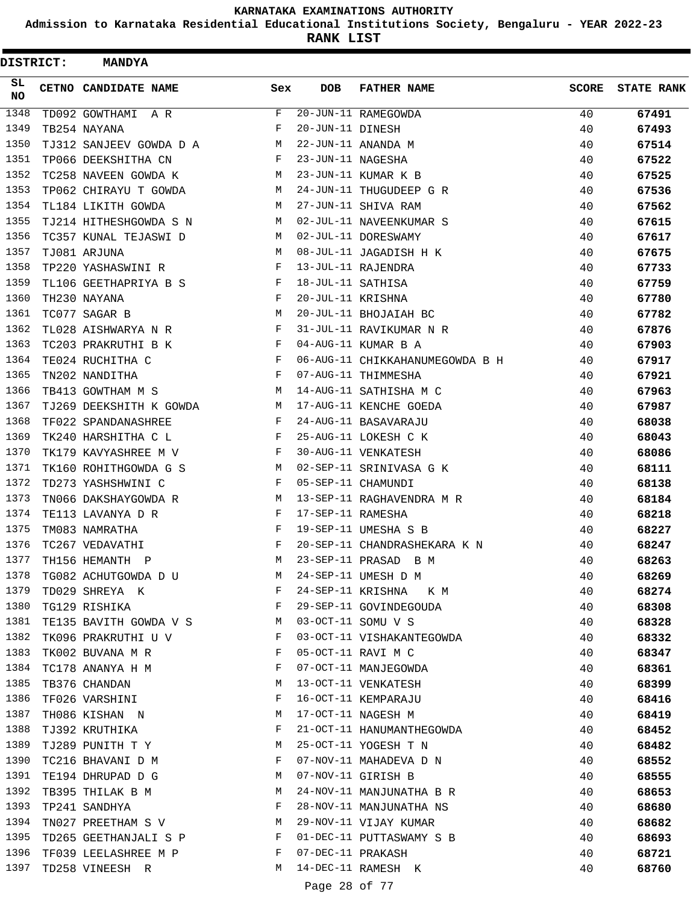**Admission to Karnataka Residential Educational Institutions Society, Bengaluru - YEAR 2022-23**

**RANK LIST**

| <b>DISTRICT:</b> | <b>MANDYA</b>                 |                                                |                   |                                 |              |                   |
|------------------|-------------------------------|------------------------------------------------|-------------------|---------------------------------|--------------|-------------------|
| SL.<br><b>NO</b> | CETNO CANDIDATE NAME          | Sex                                            | DOB               | <b>FATHER NAME</b>              | <b>SCORE</b> | <b>STATE RANK</b> |
| 1348             | TD092 GOWTHAMI A R            | F                                              |                   | 20-JUN-11 RAMEGOWDA             | 40           | 67491             |
| 1349             | TB254 NAYANA                  | F                                              | 20-JUN-11 DINESH  |                                 | 40           | 67493             |
| 1350             | TJ312 SANJEEV GOWDA D A       | M                                              |                   | 22-JUN-11 ANANDA M              | 40           | 67514             |
| 1351             | TP066 DEEKSHITHA CN           | F                                              | 23-JUN-11 NAGESHA |                                 | 40           | 67522             |
| 1352             | TC258 NAVEEN GOWDA K          | M                                              |                   | 23-JUN-11 KUMAR K B             | 40           | 67525             |
| 1353             | TP062 CHIRAYU T GOWDA         | M                                              |                   | 24-JUN-11 THUGUDEEP G R         | 40           | 67536             |
| 1354             | TL184 LIKITH GOWDA            | M                                              |                   | 27-JUN-11 SHIVA RAM             | 40           | 67562             |
| 1355             | TJ214 HITHESHGOWDA S N        | M                                              |                   | 02-JUL-11 NAVEENKUMAR S         | 40           | 67615             |
| 1356             | TC357 KUNAL TEJASWI D         | M                                              |                   | 02-JUL-11 DORESWAMY             | 40           | 67617             |
| 1357             | TJ081 ARJUNA                  | M                                              |                   | 08-JUL-11 JAGADISH H K          | 40           | 67675             |
| 1358             | TP220 YASHASWINI R            | F                                              |                   | 13-JUL-11 RAJENDRA              | 40           | 67733             |
| 1359             | TL106 GEETHAPRIYA B S         | F                                              | 18-JUL-11 SATHISA |                                 | 40           | 67759             |
| 1360             | TH230 NAYANA                  | F                                              | 20-JUL-11 KRISHNA |                                 | 40           | 67780             |
| 1361             | TC077 SAGAR B                 | M                                              |                   | 20-JUL-11 BHOJAIAH BC           | 40           | 67782             |
| 1362             | TL028 AISHWARYA N R           | F                                              |                   | 31-JUL-11 RAVIKUMAR N R         | 40           | 67876             |
| 1363             | TC203 PRAKRUTHI B K           | F                                              |                   | 04-AUG-11 KUMAR B A             | 40           | 67903             |
| 1364             | TE024 RUCHITHA C              | F                                              |                   | 06-AUG-11 CHIKKAHANUMEGOWDA B H | 40           | 67917             |
| 1365             | TN202 NANDITHA                | $_{\rm F}$                                     |                   | 07-AUG-11 THIMMESHA             | 40           | 67921             |
| 1366             | TB413 GOWTHAM M S             | M                                              |                   | 14-AUG-11 SATHISHA M C          | 40           | 67963             |
| 1367             | TJ269 DEEKSHITH K GOWDA       | M                                              |                   | 17-AUG-11 KENCHE GOEDA          | 40           | 67987             |
| 1368             | TF022 SPANDANASHREE           | F                                              |                   | 24-AUG-11 BASAVARAJU            | 40           | 68038             |
| 1369             | TK240 HARSHITHA C L           | F                                              |                   | 25-AUG-11 LOKESH C K            | 40           | 68043             |
| 1370             | TK179 KAVYASHREE M V          | F                                              |                   | 30-AUG-11 VENKATESH             | 40           | 68086             |
| 1371             | TK160 ROHITHGOWDA G S         | M                                              |                   | 02-SEP-11 SRINIVASA G K         | 40           | 68111             |
| 1372             | TD273 YASHSHWINI C            | F                                              |                   | 05-SEP-11 CHAMUNDI              | 40           | 68138             |
| 1373             | TN066 DAKSHAYGOWDA R          | M                                              |                   | 13-SEP-11 RAGHAVENDRA M R       | 40           | 68184             |
| 1374             | TE113 LAVANYA D R             | F                                              | 17-SEP-11 RAMESHA |                                 | 40           | 68218             |
| 1375             | TM083 NAMRATHA                | F                                              |                   | 19-SEP-11 UMESHA S B            | 40           | 68227             |
| 1376             | TC267 VEDAVATHI               | F                                              |                   | 20-SEP-11 CHANDRASHEKARA K N    | 40           | 68247             |
| 1377             | TH156 HEMANTH<br>$\mathbb{P}$ | M                                              |                   | 23-SEP-11 PRASAD B M            | 40           | 68263             |
| 1378             | TG082 ACHUTGOWDA D U          | M                                              |                   | 24-SEP-11 UMESH D M             | 40           | 68269             |
| 1379             | TD029 SHREYA K                | $\mathbf{F}$                                   |                   | 24-SEP-11 KRISHNA K M           | 40           | 68274             |
| 1380             | TG129 RISHIKA                 | $\mathbf{F}$ and $\mathbf{F}$ and $\mathbf{F}$ |                   | 29-SEP-11 GOVINDEGOUDA          | 40           | 68308             |
| 1381             | TE135 BAVITH GOWDA V S M      |                                                |                   | 03-OCT-11 SOMU V S              | 40           | 68328             |
| 1382             | TK096 PRAKRUTHI U V           | F                                              |                   | 03-OCT-11 VISHAKANTEGOWDA       | 40           | 68332             |
| 1383             | TK002 BUVANA M R              | F                                              |                   | 05-OCT-11 RAVI M C              | 40           | 68347             |
| 1384             | TC178 ANANYA H M              | F                                              |                   | 07-OCT-11 MANJEGOWDA            | 40           | 68361             |
| 1385             | TB376 CHANDAN                 | М                                              |                   | 13-OCT-11 VENKATESH             | 40           | 68399             |
| 1386             | TF026 VARSHINI                | F                                              |                   | 16-OCT-11 KEMPARAJU             | 40           | 68416             |
| 1387             | TH086 KISHAN N                | M                                              |                   | 17-OCT-11 NAGESH M              | 40           | 68419             |
| 1388             | TJ392 KRUTHIKA                | F                                              |                   | 21-OCT-11 HANUMANTHEGOWDA       | 40           | 68452             |
| 1389             | TJ289 PUNITH T Y              | M                                              |                   | 25-OCT-11 YOGESH T N            | 40           | 68482             |
| 1390             | TC216 BHAVANI D M             | F                                              |                   | 07-NOV-11 MAHADEVA D N          | 40           | 68552             |
| 1391             | TE194 DHRUPAD D G             | M                                              |                   | 07-NOV-11 GIRISH B              | 40           | 68555             |
| 1392             | TB395 THILAK B M              | M                                              |                   | 24-NOV-11 MANJUNATHA B R        | 40           | 68653             |
| 1393             | TP241 SANDHYA                 | F                                              |                   | 28-NOV-11 MANJUNATHA NS         | 40           | 68680             |
| 1394             | TN027 PREETHAM S V            | M                                              |                   | 29-NOV-11 VIJAY KUMAR           | 40           | 68682             |
| 1395             | TD265 GEETHANJALI S P         | F                                              |                   | 01-DEC-11 PUTTASWAMY S B        | 40           | 68693             |
| 1396             | TF039 LEELASHREE M P          | F                                              | 07-DEC-11 PRAKASH |                                 | 40           | 68721             |
| 1397             | TD258 VINEESH R               | M                                              |                   | 14-DEC-11 RAMESH K              | 40           | 68760             |
|                  |                               |                                                |                   |                                 |              |                   |
|                  |                               |                                                | Page 28 of 77     |                                 |              |                   |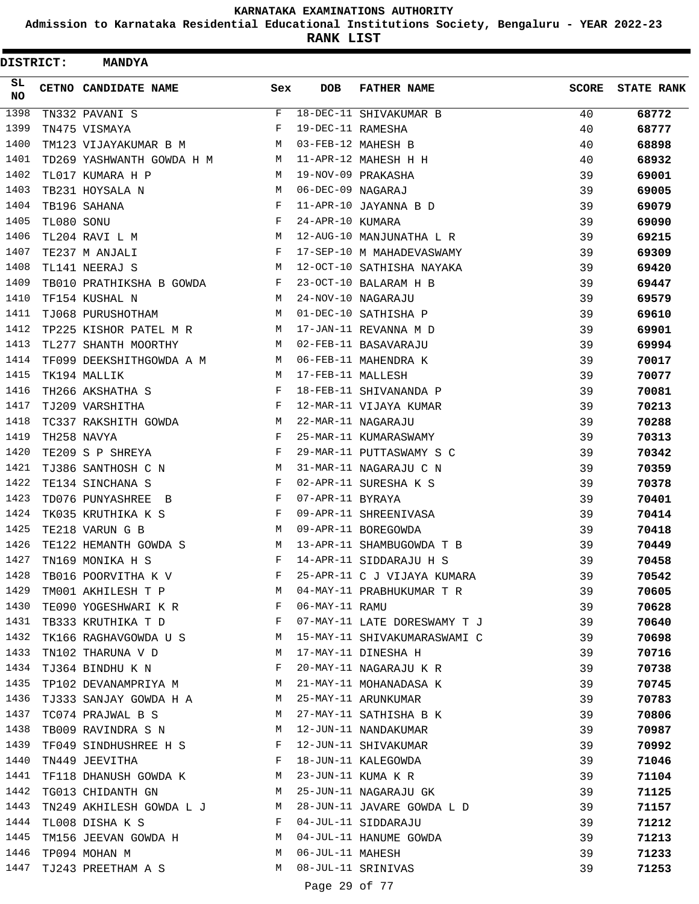**Admission to Karnataka Residential Educational Institutions Society, Bengaluru - YEAR 2022-23**

ı

**RANK LIST**

| <b>DISTRICT:</b> |            | <b>MANDYA</b>                                                     |                               |                   |                              |              |                   |
|------------------|------------|-------------------------------------------------------------------|-------------------------------|-------------------|------------------------------|--------------|-------------------|
| SL<br><b>NO</b>  |            | <b>CETNO CANDIDATE NAME</b>                                       | Sex                           | <b>DOB</b>        | <b>FATHER NAME</b>           | <b>SCORE</b> | <b>STATE RANK</b> |
| 1398             |            | TN332 PAVANI S                                                    | F                             |                   | 18-DEC-11 SHIVAKUMAR B       | 40           | 68772             |
| 1399             |            | TN475 VISMAYA                                                     | F                             | 19-DEC-11 RAMESHA |                              | 40           | 68777             |
| 1400             |            | TM123 VIJAYAKUMAR B M                                             | M                             |                   | 03-FEB-12 MAHESH B           | 40           | 68898             |
| 1401             |            | TD269 YASHWANTH GOWDA H M                                         | <b>M</b>                      |                   | 11-APR-12 MAHESH H H         | 40           | 68932             |
| 1402             |            | TL017 KUMARA H P                                                  | M                             |                   | 19-NOV-09 PRAKASHA           | 39           | 69001             |
| 1403             |            | TB231 HOYSALA N                                                   | M                             | 06-DEC-09 NAGARAJ |                              | 39           | 69005             |
| 1404             |            | TB196 SAHANA                                                      | F                             |                   | 11-APR-10 JAYANNA B D        | 39           | 69079             |
| 1405             | TL080 SONU |                                                                   | F                             | 24-APR-10 KUMARA  |                              | 39           | 69090             |
| 1406             |            | TL204 RAVI L M                                                    | М                             |                   | 12-AUG-10 MANJUNATHA L R     | 39           | 69215             |
| 1407             |            | TE237 M ANJALI                                                    | F                             |                   | 17-SEP-10 M MAHADEVASWAMY    | 39           | 69309             |
| 1408             |            | TL141 NEERAJ S                                                    | <b>M</b>                      |                   | 12-OCT-10 SATHISHA NAYAKA    | 39           | 69420             |
| 1409             |            | TB010 PRATHIKSHA B GOWDA                                          | F                             |                   | 23-OCT-10 BALARAM H B        | 39           | 69447             |
| 1410             |            | TF154 KUSHAL N                                                    | M                             |                   | 24-NOV-10 NAGARAJU           | 39           | 69579             |
| 1411             |            | TJ068 PURUSHOTHAM                                                 | M                             |                   | 01-DEC-10 SATHISHA P         | 39           | 69610             |
| 1412             |            | TP225 KISHOR PATEL M R                                            | M                             |                   | 17-JAN-11 REVANNA M D        | 39           | 69901             |
| 1413             |            | TL277 SHANTH MOORTHY                                              | M                             |                   | 02-FEB-11 BASAVARAJU         | 39           | 69994             |
| 1414             |            | TF099 DEEKSHITHGOWDA A M                                          | M                             |                   | 06-FEB-11 MAHENDRA K         | 39           | 70017             |
| 1415             |            | TK194 MALLIK                                                      | M                             | 17-FEB-11 MALLESH |                              | 39           | 70077             |
| 1416             |            | TH266 AKSHATHA S                                                  | F                             |                   | 18-FEB-11 SHIVANANDA P       | 39           | 70081             |
| 1417             |            | TJ209 VARSHITHA                                                   | $\mathbf{F}$ and $\mathbf{F}$ |                   | 12-MAR-11 VIJAYA KUMAR       | 39           | 70213             |
| 1418             |            | TC337 RAKSHITH GOWDA                                              | M                             |                   | 22-MAR-11 NAGARAJU           | 39           | 70288             |
| 1419             |            | TH258 NAVYA                                                       | F                             |                   | 25-MAR-11 KUMARASWAMY        | 39           | 70313             |
| 1420             |            | TE209 S P SHREYA                                                  | F                             |                   | 29-MAR-11 PUTTASWAMY S C     | 39           | 70342             |
| 1421             |            | TJ386 SANTHOSH C N                                                | M                             |                   | 31-MAR-11 NAGARAJU C N       | 39           | 70359             |
| 1422             |            | TE134 SINCHANA S                                                  | F                             |                   | 02-APR-11 SURESHA K S        | 39           | 70378             |
| 1423             |            | TD076 PUNYASHREE B                                                | F                             | 07-APR-11 BYRAYA  |                              | 39           | 70401             |
| 1424             |            | TK035 KRUTHIKA K S                                                | F                             |                   | 09-APR-11 SHREENIVASA        | 39           | 70414             |
| 1425             |            | TE218 VARUN G B                                                   | M                             |                   | 09-APR-11 BOREGOWDA          | 39           | 70418             |
| 1426             |            | TE122 HEMANTH GOWDA S                                             | M                             |                   | 13-APR-11 SHAMBUGOWDA T B    | 39           | 70449             |
| 1427             |            | TN169 MONIKA H S                                                  | F                             |                   | 14-APR-11 SIDDARAJU H S      | 39           | 70458             |
| 1428             |            | TB016 POORVITHA K V                                               | F                             |                   | 25-APR-11 C J VIJAYA KUMARA  | 39           | 70542             |
| 1429             |            | TM001 AKHILESH T P M                                              |                               |                   | 04-MAY-11 PRABHUKUMAR T R    | 39           | 70605             |
| 1430             |            | TE090 YOGESHWARI K R F                                            |                               | 06-MAY-11 RAMU    |                              | 39           | 70628             |
| 1431             |            | TB333 KRUTHIKA T D F                                              |                               |                   | 07-MAY-11 LATE DORESWAMY T J | 39           | 70640             |
| 1432             |            | TK166 RAGHAVGOWDA U S M                                           |                               |                   | 15-MAY-11 SHIVAKUMARASWAMI C | 39           | 70698             |
| 1433             |            | TN102 THARUNA V D M                                               |                               |                   | 17-MAY-11 DINESHA H          | 39           | 70716             |
| 1434             |            | TJ364 BINDHU K N                                                  | F                             |                   | 20-MAY-11 NAGARAJU K R       | 39           | 70738             |
| 1435             |            | TP102 DEVANAMPRIYA M                                              |                               |                   | 21-MAY-11 MOHANADASA K       | 39           | 70745             |
| 1436             |            | TJ333 SANJAY GOWDA H A M                                          |                               |                   | 25-MAY-11 ARUNKUMAR          | 39           | 70783             |
| 1437             |            | <b>M</b><br>TC074 PRAJWAL B S                                     |                               |                   | 27-MAY-11 SATHISHA B K       | 39           | 70806             |
| 1438             |            | TB009 RAVINDRA S N M 12-JUN-11 NANDAKUMAR                         |                               |                   |                              | 39           | 70987             |
| 1439             |            | TF049 SINDHUSHREE H S F 12-JUN-11 SHIVAKUMAR                      |                               |                   |                              | 39           | 70992             |
| 1440             |            | TN449 JEEVITHA<br>$\mathbf{F}$ and $\mathbf{F}$ and $\mathbf{F}$  |                               |                   | 18-JUN-11 KALEGOWDA          | 39           | 71046             |
| 1441             |            | TF118 DHANUSH GOWDA K M                                           |                               |                   | 23-JUN-11 KUMA K R           | 39           | 71104             |
| 1442             |            | M<br>TG013 CHIDANTH GN                                            |                               |                   | 25-JUN-11 NAGARAJU GK        | 39           | 71125             |
| 1443             |            | TN249 AKHILESH GOWDA L J M                                        |                               |                   | 28-JUN-11 JAVARE GOWDA L D   | 39           | 71157             |
| 1444             |            | TL008 DISHA K S<br>$\mathbf{F}$ and $\mathbf{F}$ and $\mathbf{F}$ |                               |                   | 04-JUL-11 SIDDARAJU          | 39           | 71212             |
| 1445             |            | TM156 JEEVAN GOWDA H M                                            |                               |                   | 04-JUL-11 HANUME GOWDA       | 39           | 71213             |
| 1446             |            | TP094 MOHAN M                                                     | M                             | 06-JUL-11 MAHESH  |                              | 39           | 71233             |
| 1447             |            | TJ243 PREETHAM A S                                                | M                             |                   | 08-JUL-11 SRINIVAS           | 39           | 71253             |
|                  |            |                                                                   |                               |                   |                              |              |                   |
|                  |            |                                                                   |                               | Page 29 of 77     |                              |              |                   |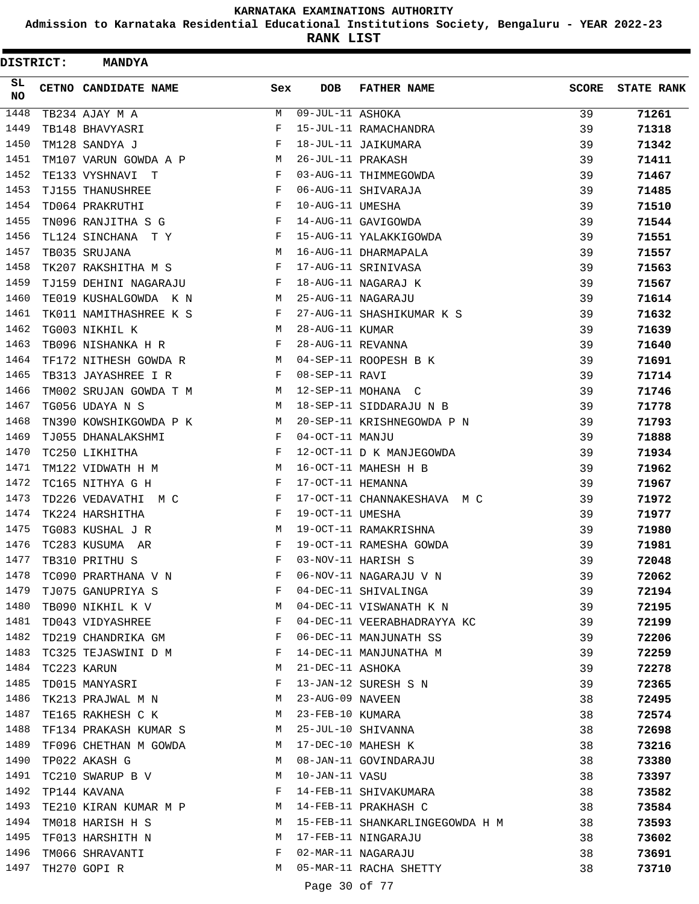**Admission to Karnataka Residential Educational Institutions Society, Bengaluru - YEAR 2022-23**

| DISTRICT:  | <b>MANDYA</b>          |     |                   |                                 |              |                   |
|------------|------------------------|-----|-------------------|---------------------------------|--------------|-------------------|
| SL.<br>NO. | CETNO CANDIDATE NAME   | Sex | <b>DOB</b>        | <b>FATHER NAME</b>              | <b>SCORE</b> | <b>STATE RANK</b> |
| 1448       | TB234 AJAY M A         | M   | 09-JUL-11 ASHOKA  |                                 | 39           | 71261             |
| 1449       | TB148 BHAVYASRI        | F   |                   | 15-JUL-11 RAMACHANDRA           | 39           | 71318             |
| 1450       | TM128 SANDYA J         | F   |                   | 18-JUL-11 JAIKUMARA             | 39           | 71342             |
| 1451       | TM107 VARUN GOWDA A P  | М   | 26-JUL-11 PRAKASH |                                 | 39           | 71411             |
| 1452       | TE133 VYSHNAVI T       | F   |                   | 03-AUG-11 THIMMEGOWDA           | 39           | 71467             |
| 1453       | TJ155 THANUSHREE       | F   |                   | 06-AUG-11 SHIVARAJA             | 39           | 71485             |
| 1454       | TD064 PRAKRUTHI        | F   | 10-AUG-11 UMESHA  |                                 | 39           | 71510             |
| 1455       | TN096 RANJITHA S G     | F   |                   | 14-AUG-11 GAVIGOWDA             | 39           | 71544             |
| 1456       | TL124 SINCHANA T Y     | F   |                   | 15-AUG-11 YALAKKIGOWDA          | 39           | 71551             |
| 1457       | TB035 SRUJANA          | M   |                   | 16-AUG-11 DHARMAPALA            | 39           | 71557             |
| 1458       | TK207 RAKSHITHA M S    | F   |                   | 17-AUG-11 SRINIVASA             | 39           | 71563             |
| 1459       | TJ159 DEHINI NAGARAJU  | F   |                   | 18-AUG-11 NAGARAJ K             | 39           | 71567             |
| 1460       | TE019 KUSHALGOWDA K N  | M   |                   | 25-AUG-11 NAGARAJU              | 39           | 71614             |
| 1461       | TK011 NAMITHASHREE K S | F   |                   | 27-AUG-11 SHASHIKUMAR K S       | 39           | 71632             |
| 1462       | TG003 NIKHIL K         | M   | 28-AUG-11 KUMAR   |                                 | 39           | 71639             |
| 1463       | TB096 NISHANKA H R     | F   | 28-AUG-11 REVANNA |                                 | 39           | 71640             |
| 1464       | TF172 NITHESH GOWDA R  | M   |                   | 04-SEP-11 ROOPESH B K           | 39           | 71691             |
| 1465       | TB313 JAYASHREE I R    | F   | 08-SEP-11 RAVI    |                                 | 39           | 71714             |
| 1466       | TM002 SRUJAN GOWDA T M | M   |                   | 12-SEP-11 MOHANA C              | 39           | 71746             |
| 1467       | TG056 UDAYA N S        | M   |                   | 18-SEP-11 SIDDARAJU N B         | 39           | 71778             |
| 1468       | TN390 KOWSHIKGOWDA P K | M   |                   | 20-SEP-11 KRISHNEGOWDA P N      | 39           | 71793             |
| 1469       | TJ055 DHANALAKSHMI     | F   | 04-OCT-11 MANJU   |                                 | 39           | 71888             |
| 1470       | TC250 LIKHITHA         | F   |                   | 12-OCT-11 D K MANJEGOWDA        | 39           | 71934             |
| 1471       | TM122 VIDWATH H M      | M   |                   | 16-OCT-11 MAHESH H B            | 39           | 71962             |
| 1472       | TC165 NITHYA G H       | F   | 17-OCT-11 HEMANNA |                                 | 39           | 71967             |
| 1473       | TD226 VEDAVATHI M C    | F   |                   | 17-OCT-11 CHANNAKESHAVA M C     | 39           | 71972             |
| 1474       | TK224 HARSHITHA        | F   | 19-OCT-11 UMESHA  |                                 | 39           | 71977             |
| 1475       | TG083 KUSHAL J R       | М   |                   | 19-OCT-11 RAMAKRISHNA           | 39           | 71980             |
| 1476       | TC283 KUSUMA AR        | F   |                   | 19-OCT-11 RAMESHA GOWDA         | 39           | 71981             |
| 1477       | TB310 PRITHU S         | F   |                   | 03-NOV-11 HARISH S              | 39           | 72048             |
| 1478       | TC090 PRARTHANA V N    | F   |                   | 06-NOV-11 NAGARAJU V N          | 39           | 72062             |
| 1479       | TJ075 GANUPRIYA S      | F   |                   | 04-DEC-11 SHIVALINGA            | 39           | 72194             |
| 1480       | TB090 NIKHIL K V       | M   |                   | 04-DEC-11 VISWANATH K N         | 39           | 72195             |
| 1481       | TD043 VIDYASHREE       | F   |                   | 04-DEC-11 VEERABHADRAYYA KC     | 39           | 72199             |
| 1482       | TD219 CHANDRIKA GM     | F   |                   | 06-DEC-11 MANJUNATH SS          | 39           | 72206             |
| 1483       | TC325 TEJASWINI D M    | F   |                   | 14-DEC-11 MANJUNATHA M          | 39           | 72259             |
| 1484       | TC223 KARUN            | М   | 21-DEC-11 ASHOKA  |                                 | 39           | 72278             |
| 1485       | TD015 MANYASRI         | F   |                   | 13-JAN-12 SURESH S N            | 39           | 72365             |
| 1486       | TK213 PRAJWAL M N      | M   | 23-AUG-09 NAVEEN  |                                 | 38           | 72495             |
| 1487       | TE165 RAKHESH C K      | М   | 23-FEB-10 KUMARA  |                                 | 38           | 72574             |
| 1488       | TF134 PRAKASH KUMAR S  | M   |                   | 25-JUL-10 SHIVANNA              | 38           | 72698             |
| 1489       | TF096 CHETHAN M GOWDA  | М   |                   | 17-DEC-10 MAHESH K              | 38           | 73216             |
| 1490       | TP022 AKASH G          | M   |                   | 08-JAN-11 GOVINDARAJU           | 38           | 73380             |
| 1491       | TC210 SWARUP B V       | M   | 10-JAN-11 VASU    |                                 | 38           | 73397             |
| 1492       | TP144 KAVANA           | F   |                   | 14-FEB-11 SHIVAKUMARA           | 38           | 73582             |
| 1493       | TE210 KIRAN KUMAR M P  | M   |                   | 14-FEB-11 PRAKHASH C            | 38           | 73584             |
| 1494       | TM018 HARISH H S       | M   |                   | 15-FEB-11 SHANKARLINGEGOWDA H M | 38           | 73593             |
| 1495       | TF013 HARSHITH N       | М   |                   | 17-FEB-11 NINGARAJU             | 38           | 73602             |
| 1496       | TM066 SHRAVANTI        | F   |                   | 02-MAR-11 NAGARAJU              | 38           | 73691             |
| 1497       | TH270 GOPI R           | M   |                   | 05-MAR-11 RACHA SHETTY          | 38           | 73710             |
|            |                        |     |                   |                                 |              |                   |
|            |                        |     | Page 30 of 77     |                                 |              |                   |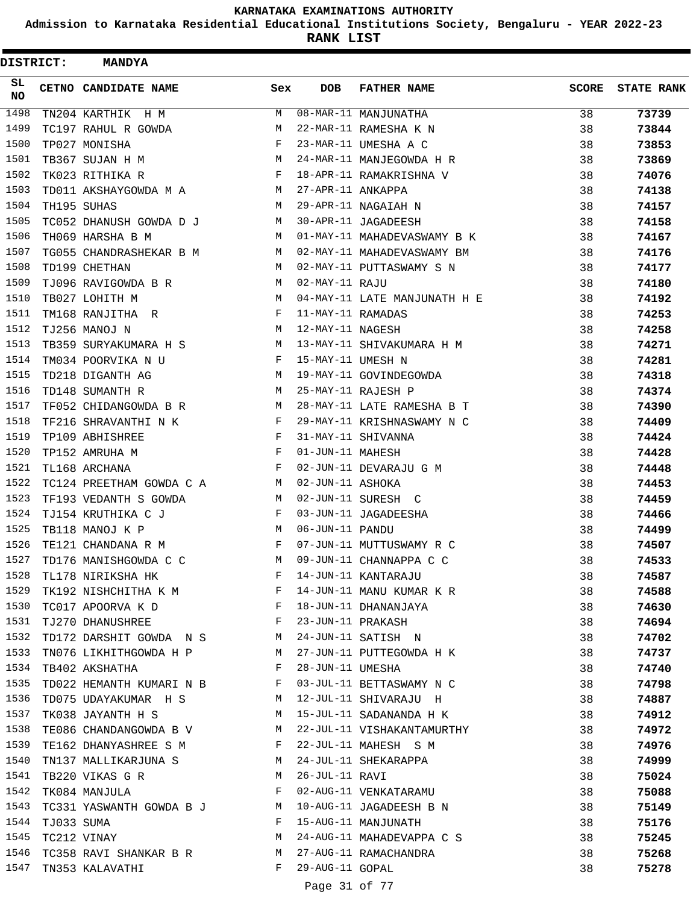**Admission to Karnataka Residential Educational Institutions Society, Bengaluru - YEAR 2022-23**

**RANK LIST**

| DISTRICT: |            | <b>MANDYA</b>                                                                   |                               |                   |                              |              |                   |
|-----------|------------|---------------------------------------------------------------------------------|-------------------------------|-------------------|------------------------------|--------------|-------------------|
| SL.<br>NO |            | <b>CETNO CANDIDATE NAME</b>                                                     | Sex                           | <b>DOB</b>        | <b>FATHER NAME</b>           | <b>SCORE</b> | <b>STATE RANK</b> |
| 1498      |            | TN204 KARTHIK H M                                                               | M                             |                   | 08-MAR-11 MANJUNATHA         | 38           | 73739             |
| 1499      |            | TC197 RAHUL R GOWDA                                                             | М                             |                   | 22-MAR-11 RAMESHA K N        | 38           | 73844             |
| 1500      |            | TP027 MONISHA                                                                   | F                             |                   | 23-MAR-11 UMESHA A C         | 38           | 73853             |
| 1501      |            | TB367 SUJAN H M                                                                 | М                             |                   | 24-MAR-11 MANJEGOWDA H R     | 38           | 73869             |
| 1502      |            | TK023 RITHIKA R                                                                 | $\mathbf{F}$                  |                   | 18-APR-11 RAMAKRISHNA V      | 38           | 74076             |
| 1503      |            | TD011 AKSHAYGOWDA M A                                                           | M                             | 27-APR-11 ANKAPPA |                              | 38           | 74138             |
| 1504      |            | TH195 SUHAS                                                                     | M                             |                   | 29-APR-11 NAGAIAH N          | 38           | 74157             |
| 1505      |            | TC052 DHANUSH GOWDA D J                                                         | M                             |                   | 30-APR-11 JAGADEESH          | 38           | 74158             |
| 1506      |            | TH069 HARSHA B M                                                                | M                             |                   | 01-MAY-11 MAHADEVASWAMY B K  | 38           | 74167             |
| 1507      |            | TG055 CHANDRASHEKAR B M                                                         | M                             |                   | 02-MAY-11 MAHADEVASWAMY BM   | 38           | 74176             |
| 1508      |            | TD199 CHETHAN                                                                   | M                             |                   | 02-MAY-11 PUTTASWAMY S N     | 38           | 74177             |
| 1509      |            | TJ096 RAVIGOWDA B R                                                             | M                             | $02-MAY-11 RAJU$  |                              | 38           | 74180             |
| 1510      |            | TB027 LOHITH M                                                                  | M                             |                   | 04-MAY-11 LATE MANJUNATH H E | 38           | 74192             |
| 1511      |            | TM168 RANJITHA R                                                                | F                             | 11-MAY-11 RAMADAS |                              | 38           | 74253             |
| 1512      |            | TJ256 MANOJ N                                                                   | М                             | 12-MAY-11 NAGESH  |                              | 38           | 74258             |
| 1513      |            | TB359 SURYAKUMARA H S                                                           | M                             |                   | 13-MAY-11 SHIVAKUMARA H M    | 38           | 74271             |
| 1514      |            | TM034 POORVIKA N U                                                              | F                             | 15-MAY-11 UMESH N |                              | 38           | 74281             |
| 1515      |            | TD218 DIGANTH AG                                                                | M                             |                   | 19-MAY-11 GOVINDEGOWDA       | 38           | 74318             |
| 1516      |            | TD148 SUMANTH R                                                                 | M                             |                   | 25-MAY-11 RAJESH P           | 38           | 74374             |
| 1517      |            | TF052 CHIDANGOWDA B R                                                           | M                             |                   | 28-MAY-11 LATE RAMESHA B T   | 38           | 74390             |
| 1518      |            | TF216 SHRAVANTHI N K                                                            | F                             |                   | 29-MAY-11 KRISHNASWAMY N C   | 38           | 74409             |
| 1519      |            | TP109 ABHISHREE                                                                 | $\mathbf{F}$                  |                   | 31-MAY-11 SHIVANNA           | 38           | 74424             |
| 1520      |            | TP152 AMRUHA M                                                                  | F                             | 01-JUN-11 MAHESH  |                              | 38           | 74428             |
| 1521      |            | TL168 ARCHANA                                                                   | F                             |                   | 02-JUN-11 DEVARAJU G M       | 38           | 74448             |
| 1522      |            | TC124 PREETHAM GOWDA C A M                                                      |                               | 02-JUN-11 ASHOKA  |                              | 38           | 74453             |
| 1523      |            | TF193 VEDANTH S GOWDA                                                           | M                             |                   | 02-JUN-11 SURESH C           | 38           | 74459             |
| 1524      |            | TJ154 KRUTHIKA C J                                                              | F                             |                   | 03-JUN-11 JAGADEESHA         | 38           | 74466             |
| 1525      |            | TB118 MANOJ K P                                                                 | M                             | 06-JUN-11 PANDU   |                              | 38           | 74499             |
| 1526      |            | TE121 CHANDANA R M                                                              | F                             |                   | 07-JUN-11 MUTTUSWAMY R C     | 38           | 74507             |
| 1527      |            | TD176 MANISHGOWDA C C                                                           | М                             |                   | 09-JUN-11 CHANNAPPA C C      | 38           | 74533             |
| 1528      |            | TL178 NIRIKSHA HK                                                               | F                             |                   | 14-JUN-11 KANTARAJU          | 38           | 74587             |
| 1529      |            | TK192 NISHCHITHA K M                                                            | F                             |                   | 14-JUN-11 MANU KUMAR K R     | 38           | 74588             |
| 1530      |            | $\mathbf{F}$ and the contract of the contract $\mathbf{F}$<br>TC017 APOORVA K D |                               |                   | 18-JUN-11 DHANANJAYA         | 38           | 74630             |
| 1531      |            | TJ270 DHANUSHREE                                                                | $\mathbf{F}$ and $\mathbf{F}$ | 23-JUN-11 PRAKASH |                              | 38           | 74694             |
| 1532      |            | TD172 DARSHIT GOWDA N S M                                                       |                               |                   | 24-JUN-11 SATISH N           | 38           | 74702             |
| 1533      |            | TN076 LIKHITHGOWDA H P                                                          | M                             |                   | 27-JUN-11 PUTTEGOWDA H K     | 38           | 74737             |
| 1534      |            | TB402 AKSHATHA                                                                  | F                             | 28-JUN-11 UMESHA  |                              | 38           | 74740             |
| 1535      |            | TD022 HEMANTH KUMARI N B                                                        | F                             |                   | 03-JUL-11 BETTASWAMY N C     | 38           | 74798             |
| 1536      |            | TD075 UDAYAKUMAR H S                                                            | M                             |                   | 12-JUL-11 SHIVARAJU H        | 38           | 74887             |
| 1537      |            | TK038 JAYANTH H S                                                               | M                             |                   | 15-JUL-11 SADANANDA H K      | 38           | 74912             |
| 1538      |            | TE086 CHANDANGOWDA B V                                                          | M                             |                   | 22-JUL-11 VISHAKANTAMURTHY   | 38           | 74972             |
| 1539      |            | TE162 DHANYASHREE S M                                                           | F                             |                   | 22-JUL-11 MAHESH S M         | 38           | 74976             |
| 1540      |            | TN137 MALLIKARJUNA S                                                            | M                             |                   | 24-JUL-11 SHEKARAPPA         | 38           | 74999             |
| 1541      |            | TB220 VIKAS G R                                                                 | М                             | 26-JUL-11 RAVI    |                              | 38           | 75024             |
| 1542      |            | TK084 MANJULA                                                                   | F                             |                   | 02-AUG-11 VENKATARAMU        | 38           | 75088             |
| 1543      |            | TC331 YASWANTH GOWDA B J                                                        | M                             |                   | 10-AUG-11 JAGADEESH B N      | 38           | 75149             |
| 1544      | TJ033 SUMA |                                                                                 | F                             |                   | 15-AUG-11 MANJUNATH          | 38           | 75176             |
| 1545      |            | TC212 VINAY                                                                     | М                             |                   | 24-AUG-11 MAHADEVAPPA C S    | 38           | 75245             |
| 1546      |            | TC358 RAVI SHANKAR B R                                                          | M                             |                   | 27-AUG-11 RAMACHANDRA        | 38           | 75268             |
| 1547      |            | TN353 KALAVATHI                                                                 | F                             | 29-AUG-11 GOPAL   |                              | 38           | 75278             |
|           |            |                                                                                 |                               |                   |                              |              |                   |

# Page 31 of 77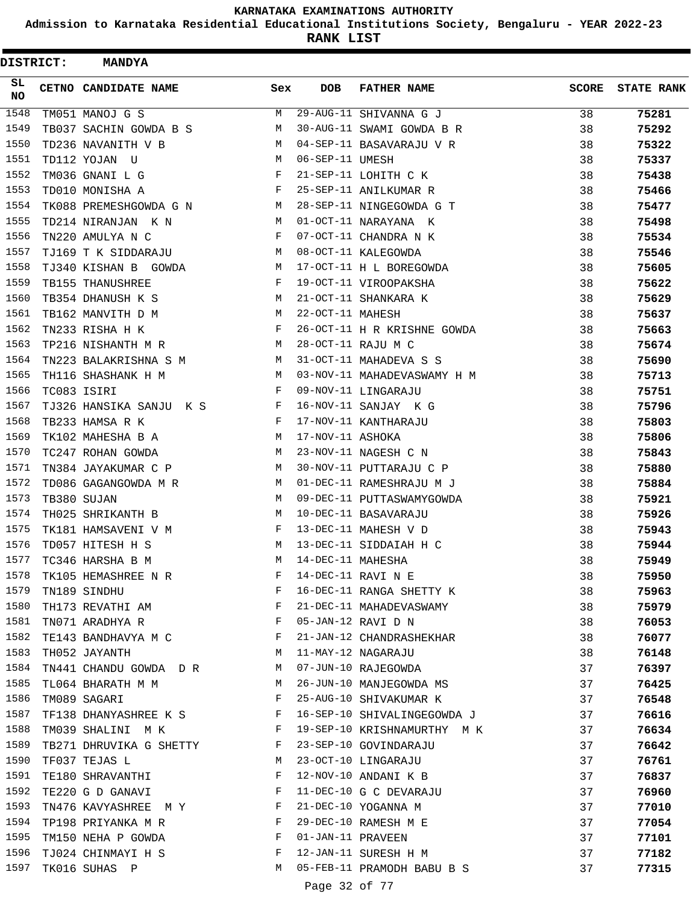**Admission to Karnataka Residential Educational Institutions Society, Bengaluru - YEAR 2022-23**

| <b>DISTRICT:</b> | <b>MANDYA</b>               |     |                   |                             |              |                   |
|------------------|-----------------------------|-----|-------------------|-----------------------------|--------------|-------------------|
| SL<br><b>NO</b>  | <b>CETNO CANDIDATE NAME</b> | Sex | <b>DOB</b>        | <b>FATHER NAME</b>          | <b>SCORE</b> | <b>STATE RANK</b> |
| 1548             | TM051 MANOJ G S             | М   |                   | 29-AUG-11 SHIVANNA G J      | 38           | 75281             |
| 1549             | TB037 SACHIN GOWDA B S      | М   |                   | 30-AUG-11 SWAMI GOWDA B R   | 38           | 75292             |
| 1550             | TD236 NAVANITH V B          | M   |                   | 04-SEP-11 BASAVARAJU V R    | 38           | 75322             |
| 1551             | TD112 YOJAN U               | M   | 06-SEP-11 UMESH   |                             | 38           | 75337             |
| 1552             | TM036 GNANI L G             | F   |                   | 21-SEP-11 LOHITH C K        | 38           | 75438             |
| 1553             | TD010 MONISHA A             | F   |                   | 25-SEP-11 ANILKUMAR R       | 38           | 75466             |
| 1554             | TK088 PREMESHGOWDA G N      | M   |                   | 28-SEP-11 NINGEGOWDA G T    | 38           | 75477             |
| 1555             | TD214 NIRANJAN K N          | М   |                   | 01-OCT-11 NARAYANA K        | 38           | 75498             |
| 1556             | TN220 AMULYA N C            | F   |                   | 07-OCT-11 CHANDRA N K       | 38           | 75534             |
| 1557             | TJ169 T K SIDDARAJU         | M   |                   | 08-OCT-11 KALEGOWDA         | 38           | 75546             |
| 1558             | TJ340 KISHAN B GOWDA        | M   |                   | 17-OCT-11 H L BOREGOWDA     | 38           | 75605             |
| 1559             | TB155 THANUSHREE            | F   |                   | 19-OCT-11 VIROOPAKSHA       | 38           | 75622             |
| 1560             | TB354 DHANUSH K S           | М   |                   | 21-OCT-11 SHANKARA K        | 38           | 75629             |
| 1561             | TB162 MANVITH D M           | M   | 22-OCT-11 MAHESH  |                             | 38           | 75637             |
| 1562             | TN233 RISHA H K             | F   |                   | 26-OCT-11 H R KRISHNE GOWDA | 38           | 75663             |
| 1563             | TP216 NISHANTH M R          | M   |                   | 28-OCT-11 RAJU M C          | 38           | 75674             |
| 1564             | TN223 BALAKRISHNA S M       | М   |                   | 31-OCT-11 MAHADEVA S S      | 38           | 75690             |
| 1565             | TH116 SHASHANK H M          | M   |                   | 03-NOV-11 MAHADEVASWAMY H M | 38           | 75713             |
| 1566             | TC083 ISIRI                 | F   |                   | 09-NOV-11 LINGARAJU         | 38           | 75751             |
| 1567             | TJ326 HANSIKA SANJU K S     | F   |                   | 16-NOV-11 SANJAY K G        | 38           | 75796             |
| 1568             | TB233 HAMSA R K             | F   |                   | 17-NOV-11 KANTHARAJU        | 38           | 75803             |
| 1569             | TK102 MAHESHA B A           | М   | 17-NOV-11 ASHOKA  |                             | 38           | 75806             |
| 1570             | TC247 ROHAN GOWDA           | M   |                   | 23-NOV-11 NAGESH C N        | 38           | 75843             |
| 1571             | TN384 JAYAKUMAR C P         | М   |                   | 30-NOV-11 PUTTARAJU C P     | 38           | 75880             |
| 1572             | TD086 GAGANGOWDA M R        | M   |                   | 01-DEC-11 RAMESHRAJU M J    | 38           | 75884             |
| 1573             | TB380 SUJAN                 | М   |                   | 09-DEC-11 PUTTASWAMYGOWDA   | 38           | 75921             |
| 1574             | TH025 SHRIKANTH B           | М   |                   | 10-DEC-11 BASAVARAJU        | 38           | 75926             |
| 1575             | TK181 HAMSAVENI V M         | F   |                   | 13-DEC-11 MAHESH V D        | 38           | 75943             |
| 1576             | TD057 HITESH H S            | M   |                   | 13-DEC-11 SIDDAIAH H C      | 38           | 75944             |
| 1577             | TC346 HARSHA B M            | M   | 14-DEC-11 MAHESHA |                             | 38           | 75949             |
| 1578             | TK105 HEMASHREE N R         | F   |                   | 14-DEC-11 RAVI N E          | 38           | 75950             |
| 1579             | TN189 SINDHU                | F   |                   | 16-DEC-11 RANGA SHETTY K    | 38           | 75963             |
| 1580             | TH173 REVATHI AM            | F   |                   | 21-DEC-11 MAHADEVASWAMY     | 38           | 75979             |
| 1581             | TN071 ARADHYA R             | F   |                   | 05-JAN-12 RAVI D N          | 38           | 76053             |
| 1582             | TE143 BANDHAVYA M C         | F   |                   | 21-JAN-12 CHANDRASHEKHAR    | 38           | 76077             |
| 1583             | TH052 JAYANTH               | M   |                   | 11-MAY-12 NAGARAJU          | 38           | 76148             |
| 1584             | TN441 CHANDU GOWDA D R      | M   |                   | 07-JUN-10 RAJEGOWDA         | 37           | 76397             |
| 1585             | TL064 BHARATH M M           | M   |                   | 26-JUN-10 MANJEGOWDA MS     | 37           | 76425             |
| 1586             | TM089 SAGARI                | F   |                   | 25-AUG-10 SHIVAKUMAR K      | 37           | 76548             |
| 1587             | TF138 DHANYASHREE K S       | F   |                   | 16-SEP-10 SHIVALINGEGOWDA J | 37           | 76616             |
| 1588             | TM039 SHALINI M K           | F   |                   | 19-SEP-10 KRISHNAMURTHY M K | 37           | 76634             |
| 1589             | TB271 DHRUVIKA G SHETTY     | F   |                   | 23-SEP-10 GOVINDARAJU       | 37           | 76642             |
| 1590             | TF037 TEJAS L               | М   |                   | 23-OCT-10 LINGARAJU         | 37           | 76761             |
| 1591             | TE180 SHRAVANTHI            | F   |                   | 12-NOV-10 ANDANI K B        | 37           | 76837             |
| 1592             | TE220 G D GANAVI            | F   |                   | 11-DEC-10 G C DEVARAJU      | 37           | 76960             |
| 1593             | TN476 KAVYASHREE MY         | F   |                   | 21-DEC-10 YOGANNA M         | 37           | 77010             |
| 1594             | TP198 PRIYANKA M R          | F   |                   | 29-DEC-10 RAMESH M E        | 37           | 77054             |
| 1595             | TM150 NEHA P GOWDA          | F   | 01-JAN-11 PRAVEEN |                             | 37           | 77101             |
| 1596             | TJ024 CHINMAYI H S          | F   |                   | 12-JAN-11 SURESH H M        | 37           | 77182             |
| 1597             | TK016 SUHAS P               | M   |                   | 05-FEB-11 PRAMODH BABU B S  | 37           | 77315             |
|                  |                             |     | Page 32 of 77     |                             |              |                   |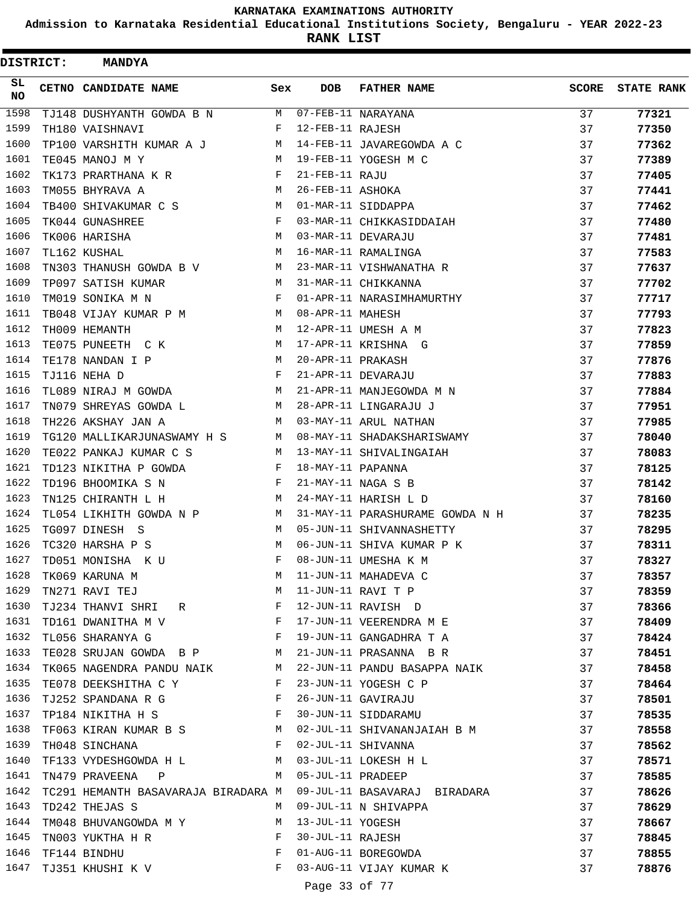**Admission to Karnataka Residential Educational Institutions Society, Bengaluru - YEAR 2022-23**

**RANK LIST**

| <b>DISTRICT:</b> | <b>MANDYA</b>                                                                 |              |                   |                                                                  |              |                   |
|------------------|-------------------------------------------------------------------------------|--------------|-------------------|------------------------------------------------------------------|--------------|-------------------|
| SL.<br>NO        | CETNO CANDIDATE NAME                                                          | Sex          | <b>DOB</b>        | <b>FATHER NAME</b>                                               | <b>SCORE</b> | <b>STATE RANK</b> |
| 1598             | TJ148 DUSHYANTH GOWDA B N M 07-FEB-11 NARAYANA                                |              |                   |                                                                  | 37           | 77321             |
| 1599             | TH180 VAISHNAVI                                                               | $\mathbf{F}$ | 12-FEB-11 RAJESH  |                                                                  | 37           | 77350             |
| 1600             | TP100 VARSHITH KUMAR A J M                                                    |              |                   | 14-FEB-11 JAVAREGOWDA A C                                        | 37           | 77362             |
| 1601             | TE045 MANOJ M Y                                                               |              |                   | M 19-FEB-11 YOGESH M C                                           | 37           | 77389             |
| 1602             | TK173 PRARTHANA K R                                                           | F            | 21-FEB-11 RAJU    |                                                                  | 37           | 77405             |
| 1603             | TM055 BHYRAVA A                                                               | M            | 26-FEB-11 ASHOKA  |                                                                  | 37           | 77441             |
| 1604             | TB400 SHIVAKUMAR C S                                                          | M            |                   | 01-MAR-11 SIDDAPPA                                               | 37           | 77462             |
| 1605             | TK044 GUNASHREE                                                               | $\mathbf{F}$ |                   | 03-MAR-11 CHIKKASIDDAIAH                                         | 37           | 77480             |
| 1606             | TK006 HARISHA                                                                 | M            |                   | 03-MAR-11 DEVARAJU                                               | 37           | 77481             |
| 1607             | TL162 KUSHAL                                                                  | М            |                   | 16-MAR-11 RAMALINGA                                              | 37           | 77583             |
| 1608             | TN303 THANUSH GOWDA B V M                                                     |              |                   | 23-MAR-11 VISHWANATHA R                                          | 37           | 77637             |
| 1609             | TP097 SATISH KUMAR                                                            | M            |                   | 31-MAR-11 CHIKKANNA                                              | 37           | 77702             |
| 1610             | TM019 SONIKA M N                                                              | $\mathbf{F}$ |                   | 01-APR-11 NARASIMHAMURTHY                                        | 37           | 77717             |
| 1611             | TB048 VIJAY KUMAR P M M                                                       |              | 08-APR-11 MAHESH  |                                                                  | 37           | 77793             |
| 1612             | TH009 HEMANTH                                                                 | М            |                   | 12-APR-11 UMESH A M                                              | 37           | 77823             |
| 1613             | TE075 PUNEETH C K                                                             | M            |                   | 17-APR-11 KRISHNA G                                              | 37           | 77859             |
| 1614             | TE178 NANDAN I P                                                              | M            | 20-APR-11 PRAKASH |                                                                  | 37           | 77876             |
| 1615             | TJ116 NEHA D                                                                  | $\mathbf{F}$ |                   | 21-APR-11 DEVARAJU                                               | 37           | 77883             |
| 1616             | TL089 NIRAJ M GOWDA M                                                         |              |                   | 21-APR-11 MANJEGOWDA M N                                         | 37           | 77884             |
| 1617             | TN079 SHREYAS GOWDA L M                                                       |              |                   | 28-APR-11 LINGARAJU J                                            | 37           | 77951             |
| 1618             | TH226 AKSHAY JAN A                                                            |              |                   | M 03-MAY-11 ARUL NATHAN                                          | 37           | 77985             |
| 1619             |                                                                               |              |                   | TG120 MALLIKARJUNASWAMY H S M 08-MAY-11 SHADAKSHARISWAMY         | 37           | 78040             |
| 1620             | TE022 PANKAJ KUMAR C S                                                        | M            |                   | 13-MAY-11 SHIVALINGAIAH                                          | 37           | 78083             |
| 1621             | TD123 NIKITHA P GOWDA                                                         | F            | 18-MAY-11 PAPANNA |                                                                  | 37           | 78125             |
| 1622             | TD196 BHOOMIKA S N                                                            | F            |                   | 21-MAY-11 NAGA S B                                               | 37           | 78142             |
| 1623             | TN125 CHIRANTH L H                                                            | M            |                   | 24-MAY-11 HARISH L D                                             | 37           | 78160             |
| 1624             | TL054 LIKHITH GOWDA N P M                                                     |              |                   | 31-MAY-11 PARASHURAME GOWDA N H                                  | 37           | 78235             |
| 1625             | TG097 DINESH S                                                                | M            |                   | 05-JUN-11 SHIVANNASHETTY                                         | 37           | 78295             |
| 1626             | TC320 HARSHA P S                                                              | M            |                   | 06-JUN-11 SHIVA KUMAR P K                                        | 37           | 78311             |
| 1627             | TD051 MONISHA K U                                                             | F            |                   | 08-JUN-11 UMESHA K M                                             | 37           | 78327             |
| 1628             | TK069 KARUNA M                                                                | M            |                   | 11-JUN-11 MAHADEVA C                                             | 37           | 78357             |
| 1629             | TN271 RAVI TEJ                                                                | M            |                   | 11-JUN-11 RAVI T P                                               | 37           | 78359             |
| 1630             | TJ234 THANVI SHRI R<br>F                                                      |              |                   | 12-JUN-11 RAVISH D                                               | 37           | 78366             |
| 1631             | TD161 DWANITHA M V                                                            |              |                   | F 17-JUN-11 VEERENDRA M E                                        | 37           | 78409             |
| 1632             | TL056 SHARANYA G                                                              |              |                   | F 19-JUN-11 GANGADHRA T A                                        | 37           | 78424             |
| 1633             | TE028 SRUJAN GOWDA B P M                                                      |              |                   | 21-JUN-11 PRASANNA B R                                           | 37           | 78451             |
| 1634             |                                                                               |              |                   | TK065 NAGENDRA PANDU NAIK M 22-JUN-11 PANDU BASAPPA NAIK         | 37           | 78458             |
| 1635             | TE078 DEEKSHITHA C Y<br>$\mathbf{F}$                                          |              |                   | 23-JUN-11 YOGESH C P                                             | 37           | 78464             |
| 1636             | TJ252 SPANDANA R G F                                                          |              |                   | 26-JUN-11 GAVIRAJU                                               | 37           | 78501             |
| 1637             | TP184 NIKITHA H S F                                                           |              |                   | 30-JUN-11 SIDDARAMU                                              | 37           | 78535             |
| 1638             |                                                                               |              |                   | TF063 KIRAN KUMAR B S M 02-JUL-11 SHIVANANJAIAH B M              | 37           | 78558             |
| 1639             | TH048 SINCHANA                                                                |              |                   | F 02-JUL-11 SHIVANNA                                             | 37           | 78562             |
| 1640             | TF133 VYDESHGOWDA H L M 03-JUL-11 LOKESH H L                                  |              |                   |                                                                  | 37           | 78571             |
| 1641             | TN479 PRAVEENA P M 05-JUL-11 PRADEEP                                          |              |                   |                                                                  | 37           | 78585             |
| 1642             |                                                                               |              |                   | TC291 HEMANTH BASAVARAJA BIRADARA M 09-JUL-11 BASAVARAJ BIRADARA | 37           | 78626             |
| 1643             | TD242 THEJAS S                                                                | M            |                   | 09-JUL-11 N SHIVAPPA                                             | 37           | 78629             |
| 1644             | TM048 BHUVANGOWDA M Y M 13-JUL-11 YOGESH                                      |              |                   |                                                                  | 37           | 78667             |
| 1645             | $\mathbf{F}$ and $\mathbf{F}$ are the set of $\mathbf{F}$<br>TN003 YUKTHA H R |              | 30-JUL-11 RAJESH  |                                                                  | 37           | 78845             |
| 1646             | $\mathbf{F}$<br>TF144 BINDHU                                                  |              |                   | 01-AUG-11 BOREGOWDA                                              | 37           | 78855             |
| 1647             | TJ351 KHUSHI K V                                                              | $\mathbf{F}$ |                   | 03-AUG-11 VIJAY KUMAR K                                          | 37           | 78876             |
|                  |                                                                               |              | Page 33 of 77     |                                                                  |              |                   |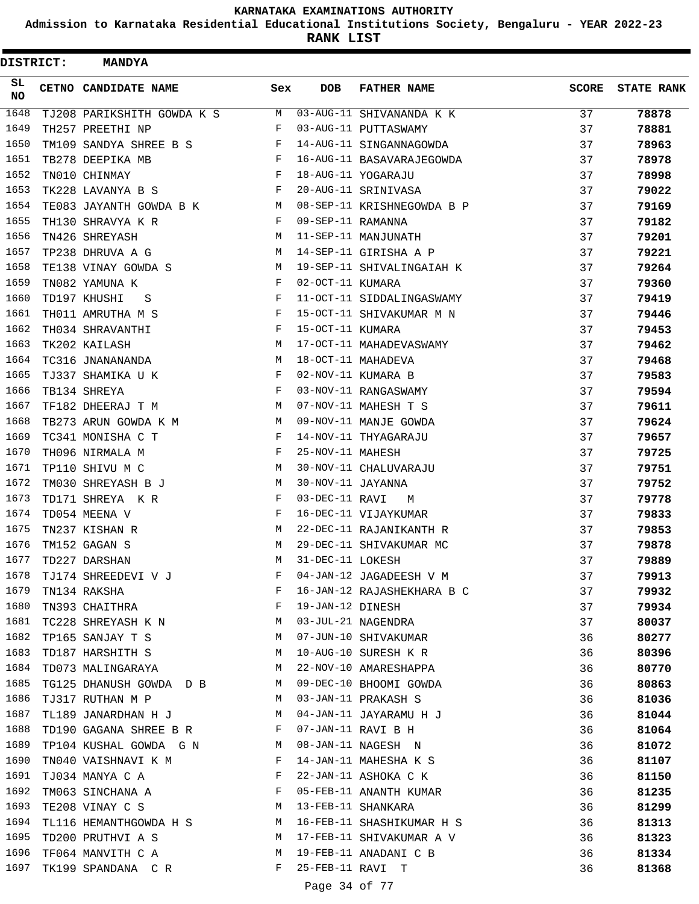**Admission to Karnataka Residential Educational Institutions Society, Bengaluru - YEAR 2022-23**

**RANK LIST**

| <b>DISTRICT:</b> | <b>MANDYA</b>              |     |                   |                            |              |                   |
|------------------|----------------------------|-----|-------------------|----------------------------|--------------|-------------------|
| SL<br>NO.        | CETNO CANDIDATE NAME       | Sex | <b>DOB</b>        | <b>FATHER NAME</b>         | <b>SCORE</b> | <b>STATE RANK</b> |
| 1648             | TJ208 PARIKSHITH GOWDA K S | M   |                   | 03-AUG-11 SHIVANANDA K K   | 37           | 78878             |
| 1649             | TH257 PREETHI NP           | F   |                   | 03-AUG-11 PUTTASWAMY       | 37           | 78881             |
| 1650             | TM109 SANDYA SHREE B S     | F   |                   | 14-AUG-11 SINGANNAGOWDA    | 37           | 78963             |
| 1651             | TB278 DEEPIKA MB           | F   |                   | 16-AUG-11 BASAVARAJEGOWDA  | 37           | 78978             |
| 1652             | TN010 CHINMAY              | F   |                   | 18-AUG-11 YOGARAJU         | 37           | 78998             |
| 1653             | TK228 LAVANYA B S          | F   |                   | 20-AUG-11 SRINIVASA        | 37           | 79022             |
| 1654             | TE083 JAYANTH GOWDA B K    | M   |                   | 08-SEP-11 KRISHNEGOWDA B P | 37           | 79169             |
| 1655             | TH130 SHRAVYA K R          | F   | 09-SEP-11 RAMANNA |                            | 37           | 79182             |
| 1656             | TN426 SHREYASH             | М   |                   | 11-SEP-11 MANJUNATH        | 37           | 79201             |
| 1657             | TP238 DHRUVA A G           | М   |                   | 14-SEP-11 GIRISHA A P      | 37           | 79221             |
| 1658             | TE138 VINAY GOWDA S        | M   |                   | 19-SEP-11 SHIVALINGAIAH K  | 37           | 79264             |
| 1659             | TN082 YAMUNA K             | F   | 02-OCT-11 KUMARA  |                            | 37           | 79360             |
| 1660             | TD197 KHUSHI<br>S          | F   |                   | 11-OCT-11 SIDDALINGASWAMY  | 37           | 79419             |
| 1661             | TH011 AMRUTHA M S          | F   |                   | 15-OCT-11 SHIVAKUMAR M N   | 37           | 79446             |
| 1662             | TH034 SHRAVANTHI           | F   | 15-OCT-11 KUMARA  |                            | 37           | 79453             |
| 1663             | TK202 KAILASH              | М   |                   | 17-OCT-11 MAHADEVASWAMY    | 37           | 79462             |
| 1664             | TC316 JNANANANDA           | М   |                   | 18-OCT-11 MAHADEVA         | 37           | 79468             |
| 1665             | TJ337 SHAMIKA U K          | F   |                   | 02-NOV-11 KUMARA B         | 37           | 79583             |
| 1666             | TB134 SHREYA               | F   |                   | 03-NOV-11 RANGASWAMY       | 37           | 79594             |
| 1667             | TF182 DHEERAJ T M          | М   |                   | 07-NOV-11 MAHESH T S       | 37           | 79611             |
| 1668             | TB273 ARUN GOWDA K M       | M   |                   | 09-NOV-11 MANJE GOWDA      | 37           | 79624             |
| 1669             | TC341 MONISHA C T          | F   |                   | 14-NOV-11 THYAGARAJU       | 37           | 79657             |
| 1670             | TH096 NIRMALA M            | F   | 25-NOV-11 MAHESH  |                            | 37           | 79725             |
| 1671             | TP110 SHIVU M C            | М   |                   | 30-NOV-11 CHALUVARAJU      | 37           | 79751             |
| 1672             | TM030 SHREYASH B J         | М   | 30-NOV-11 JAYANNA |                            | 37           | 79752             |
| 1673             | TD171 SHREYA K R           | F   | 03-DEC-11 RAVI    | M                          | 37           | 79778             |
| 1674             | TD054 MEENA V              | F   |                   | 16-DEC-11 VIJAYKUMAR       | 37           | 79833             |
| 1675             | TN237 KISHAN R             | М   |                   | 22-DEC-11 RAJANIKANTH R    | 37           | 79853             |
| 1676             | TM152 GAGAN S              | M   |                   | 29-DEC-11 SHIVAKUMAR MC    | 37           | 79878             |
| 1677             | TD227 DARSHAN              | М   | 31-DEC-11 LOKESH  |                            | 37           | 79889             |
| 1678             | TJ174 SHREEDEVI V J        | F   |                   | 04-JAN-12 JAGADEESH V M    | 37           | 79913             |
| 1679             | TN134 RAKSHA               | F   |                   | 16-JAN-12 RAJASHEKHARA B C | 37           | 79932             |
| 1680             | TN393 CHAITHRA             | F   | 19-JAN-12 DINESH  |                            | 37           | 79934             |
| 1681             | TC228 SHREYASH K N         | M   |                   | 03-JUL-21 NAGENDRA         | 37           | 80037             |
| 1682             | TP165 SANJAY T S           | M   |                   | 07-JUN-10 SHIVAKUMAR       | 36           | 80277             |
| 1683             | TD187 HARSHITH S           | M   |                   | 10-AUG-10 SURESH K R       | 36           | 80396             |
| 1684             | TD073 MALINGARAYA          | M   |                   | 22-NOV-10 AMARESHAPPA      | 36           | 80770             |
| 1685             | TG125 DHANUSH GOWDA D B    | M   |                   | 09-DEC-10 BHOOMI GOWDA     | 36           | 80863             |
| 1686             | TJ317 RUTHAN M P           | M   |                   | 03-JAN-11 PRAKASH S        | 36           | 81036             |
| 1687             | TL189 JANARDHAN H J        | M   |                   | 04-JAN-11 JAYARAMU H J     | 36           | 81044             |
| 1688             | TD190 GAGANA SHREE B R     | F   |                   | 07-JAN-11 RAVI B H         | 36           | 81064             |
| 1689             | TP104 KUSHAL GOWDA G N M   |     |                   | 08-JAN-11 NAGESH N         | 36           | 81072             |
| 1690             | TN040 VAISHNAVI K M        | F   |                   | 14-JAN-11 MAHESHA K S      | 36           | 81107             |
| 1691             | TJ034 MANYA C A            | F   |                   | 22-JAN-11 ASHOKA C K       | 36           | 81150             |
| 1692             | TM063 SINCHANA A           | F   |                   | 05-FEB-11 ANANTH KUMAR     | 36           | 81235             |
| 1693             | TE208 VINAY C S            | M   |                   | 13-FEB-11 SHANKARA         | 36           | 81299             |
| 1694             | TL116 HEMANTHGOWDA H S M   |     |                   | 16-FEB-11 SHASHIKUMAR H S  | 36           | 81313             |
| 1695             | TD200 PRUTHVI A S          | M   |                   | 17-FEB-11 SHIVAKUMAR A V   | 36           | 81323             |
| 1696             | TF064 MANVITH C A          | M   |                   | 19-FEB-11 ANADANI C B      | 36           | 81334             |
| 1697             | TK199 SPANDANA CR          | F   | 25-FEB-11 RAVI T  |                            | 36           | 81368             |
|                  |                            |     |                   |                            |              |                   |

### Page 34 of 77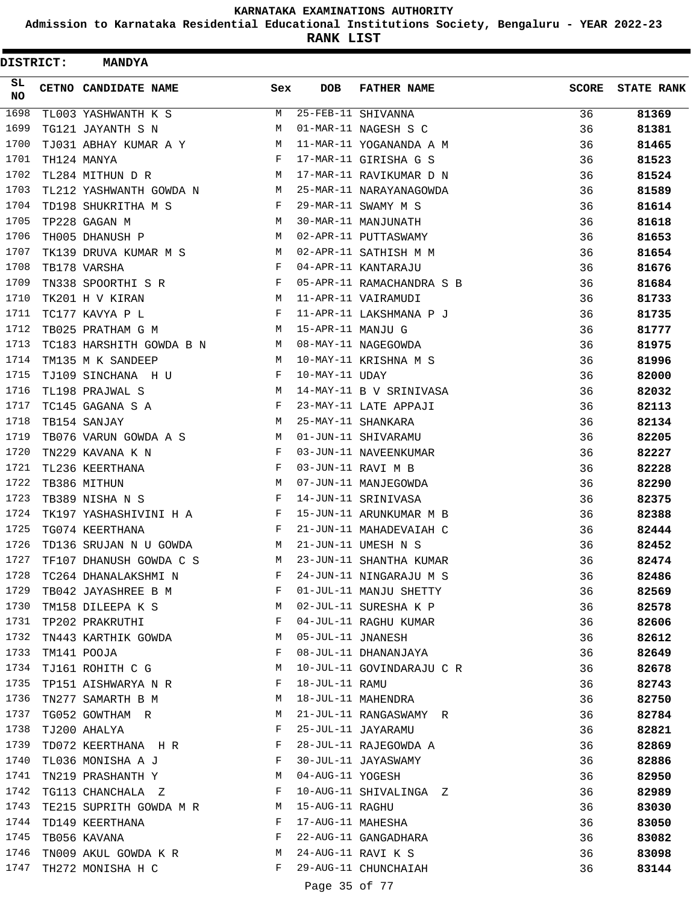**Admission to Karnataka Residential Educational Institutions Society, Bengaluru - YEAR 2022-23**

| DISTRICT: | <b>MANDYA</b>             |            |                   |                           |              |                   |
|-----------|---------------------------|------------|-------------------|---------------------------|--------------|-------------------|
| SL.<br>NO | CETNO CANDIDATE NAME      | Sex        | <b>DOB</b>        | <b>FATHER NAME</b>        | <b>SCORE</b> | <b>STATE RANK</b> |
| 1698      | TL003 YASHWANTH K S       | M          |                   | 25-FEB-11 SHIVANNA        | 36           | 81369             |
| 1699      | TG121 JAYANTH S N         | M          |                   | 01-MAR-11 NAGESH S C      | 36           | 81381             |
| 1700      | TJ031 ABHAY KUMAR A Y     | M          |                   | 11-MAR-11 YOGANANDA A M   | 36           | 81465             |
| 1701      | TH124 MANYA               | F          |                   | 17-MAR-11 GIRISHA G S     | 36           | 81523             |
| 1702      | TL284 MITHUN D R          | M          |                   | 17-MAR-11 RAVIKUMAR D N   | 36           | 81524             |
| 1703      | TL212 YASHWANTH GOWDA N M |            |                   | 25-MAR-11 NARAYANAGOWDA   | 36           | 81589             |
| 1704      | TD198 SHUKRITHA M S       | F          |                   | 29-MAR-11 SWAMY M S       | 36           | 81614             |
| 1705      | TP228 GAGAN M             | M          |                   | 30-MAR-11 MANJUNATH       | 36           | 81618             |
| 1706      | TH005 DHANUSH P           | M          |                   | 02-APR-11 PUTTASWAMY      | 36           | 81653             |
| 1707      | TK139 DRUVA KUMAR M S     | M          |                   | 02-APR-11 SATHISH M M     | 36           | 81654             |
| 1708      | TB178 VARSHA              | F          |                   | 04-APR-11 KANTARAJU       | 36           | 81676             |
| 1709      | TN338 SPOORTHI S R        | F          |                   | 05-APR-11 RAMACHANDRA S B | 36           | 81684             |
| 1710      | TK201 H V KIRAN           | M          |                   | 11-APR-11 VAIRAMUDI       | 36           | 81733             |
| 1711      | TC177 KAVYA P L           | F          |                   | 11-APR-11 LAKSHMANA P J   | 36           | 81735             |
| 1712      | TB025 PRATHAM G M         | M          | 15-APR-11 MANJU G |                           | 36           | 81777             |
| 1713      | TC183 HARSHITH GOWDA B N  | M          |                   | 08-MAY-11 NAGEGOWDA       | 36           | 81975             |
| 1714      | TM135 M K SANDEEP         | M          |                   | 10-MAY-11 KRISHNA M S     | 36           | 81996             |
| 1715      | TJ109 SINCHANA H U        | F          | 10-MAY-11 UDAY    |                           | 36           | 82000             |
| 1716      | TL198 PRAJWAL S           | M          |                   | 14-MAY-11 B V SRINIVASA   | 36           | 82032             |
| 1717      | TC145 GAGANA S A          | F          |                   | 23-MAY-11 LATE APPAJI     | 36           | 82113             |
| 1718      | TB154 SANJAY              | M          |                   | 25-MAY-11 SHANKARA        | 36           | 82134             |
| 1719      | TB076 VARUN GOWDA A S M   |            |                   | 01-JUN-11 SHIVARAMU       | 36           | 82205             |
| 1720      | TN229 KAVANA K N          | F          |                   | 03-JUN-11 NAVEENKUMAR     | 36           | 82227             |
| 1721      | TL236 KEERTHANA           | F          |                   | 03-JUN-11 RAVI M B        | 36           | 82228             |
| 1722      | TB386 MITHUN              | M          |                   | 07-JUN-11 MANJEGOWDA      | 36           | 82290             |
| 1723      | TB389 NISHA N S           | F          |                   | 14-JUN-11 SRINIVASA       | 36           | 82375             |
| 1724      | TK197 YASHASHIVINI H A    | $_{\rm F}$ |                   | 15-JUN-11 ARUNKUMAR M B   | 36           | 82388             |
| 1725      | TG074 KEERTHANA           | F          |                   | 21-JUN-11 MAHADEVAIAH C   | 36           | 82444             |
| 1726      | TD136 SRUJAN N U GOWDA    | M          |                   | 21-JUN-11 UMESH N S       | 36           | 82452             |
| 1727      | TF107 DHANUSH GOWDA C S   | M          |                   | 23-JUN-11 SHANTHA KUMAR   | 36           | 82474             |
| 1728      | TC264 DHANALAKSHMI N      | F          |                   | 24-JUN-11 NINGARAJU M S   | 36           | 82486             |
| 1729      | TB042 JAYASHREE B M       | F          |                   | 01-JUL-11 MANJU SHETTY    | 36           | 82569             |
| 1730      | TM158 DILEEPA K S         | М          |                   | 02-JUL-11 SURESHA K P     | 36           | 82578             |
| 1731      | TP202 PRAKRUTHI           | F          |                   | 04-JUL-11 RAGHU KUMAR     | 36           | 82606             |
| 1732      | TN443 KARTHIK GOWDA       | M          | 05-JUL-11 JNANESH |                           | 36           | 82612             |
| 1733      | TM141 POOJA               | F          |                   | 08-JUL-11 DHANANJAYA      | 36           | 82649             |
| 1734      | TJ161 ROHITH C G          | М          |                   | 10-JUL-11 GOVINDARAJU C R | 36           | 82678             |
| 1735      | TP151 AISHWARYA N R       | F          | 18-JUL-11 RAMU    |                           | 36           | 82743             |
| 1736      | TN277 SAMARTH B M         | М          |                   | 18-JUL-11 MAHENDRA        | 36           | 82750             |
| 1737      | TG052 GOWTHAM R           | М          |                   | 21-JUL-11 RANGASWAMY R    | 36           | 82784             |
| 1738      | TJ200 AHALYA              | F          |                   | 25-JUL-11 JAYARAMU        | 36           | 82821             |
| 1739      | TD072 KEERTHANA H R       | F          |                   | 28-JUL-11 RAJEGOWDA A     | 36           | 82869             |
| 1740      | TL036 MONISHA A J         | F          |                   | 30-JUL-11 JAYASWAMY       | 36           | 82886             |
| 1741      | TN219 PRASHANTH Y         | М          | 04-AUG-11 YOGESH  |                           | 36           | 82950             |
| 1742      | TG113 CHANCHALA Z         | F          |                   | 10-AUG-11 SHIVALINGA Z    | 36           | 82989             |
| 1743      | TE215 SUPRITH GOWDA M R   | M          | 15-AUG-11 RAGHU   |                           | 36           | 83030             |
| 1744      | TD149 KEERTHANA           | F          | 17-AUG-11 MAHESHA |                           | 36           | 83050             |
| 1745      | TB056 KAVANA              | F          |                   | 22-AUG-11 GANGADHARA      | 36           | 83082             |
| 1746      | TN009 AKUL GOWDA K R      | М          |                   | 24-AUG-11 RAVI K S        | 36           | 83098             |
| 1747      | TH272 MONISHA H C         | F          |                   | 29-AUG-11 CHUNCHAIAH      | 36           | 83144             |
|           |                           |            | Page 35 of 77     |                           |              |                   |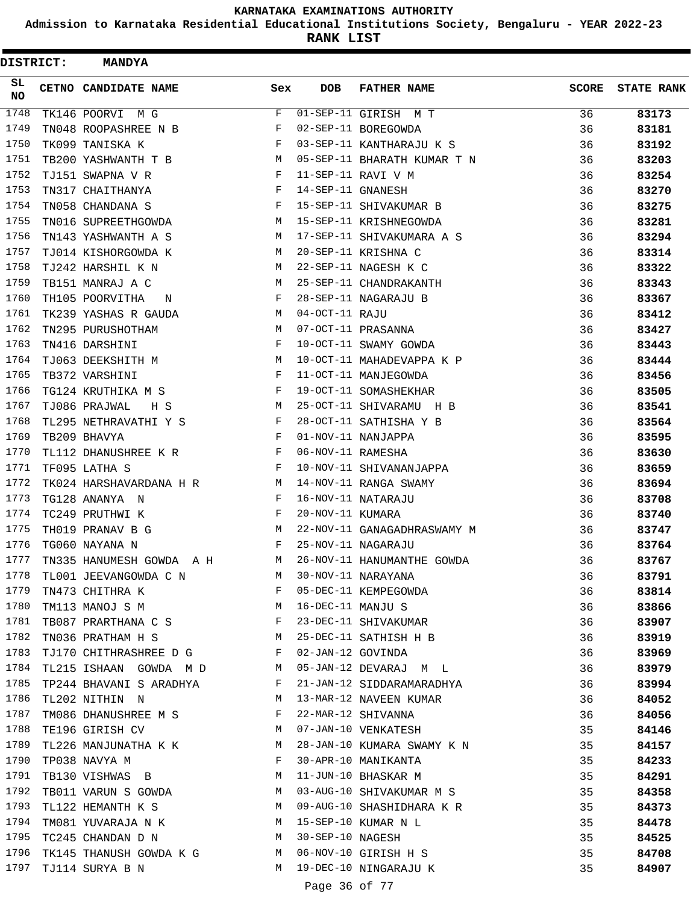**Admission to Karnataka Residential Educational Institutions Society, Bengaluru - YEAR 2022-23**

**RANK LIST**

| DISTRICT: | <b>MANDYA</b>                               |                   |                   |                             |              |                   |
|-----------|---------------------------------------------|-------------------|-------------------|-----------------------------|--------------|-------------------|
| SL<br>NO. | CETNO CANDIDATE NAME                        | Sex               | <b>DOB</b>        | <b>FATHER NAME</b>          | <b>SCORE</b> | <b>STATE RANK</b> |
| 1748      | TK146 POORVI M G                            | F                 |                   | 01-SEP-11 GIRISH M T        | 36           | 83173             |
| 1749      | TN048 ROOPASHREE N B                        | F                 |                   | 02-SEP-11 BOREGOWDA         | 36           | 83181             |
| 1750      | TK099 TANISKA K                             | F                 |                   | 03-SEP-11 KANTHARAJU K S    | 36           | 83192             |
| 1751      | TB200 YASHWANTH T B                         | М                 |                   | 05-SEP-11 BHARATH KUMAR T N | 36           | 83203             |
| 1752      | TJ151 SWAPNA V R                            | F                 |                   | 11-SEP-11 RAVI V M          | 36           | 83254             |
| 1753      | TN317 CHAITHANYA                            | F                 | 14-SEP-11 GNANESH |                             | 36           | 83270             |
| 1754      | TN058 CHANDANA S                            | F                 |                   | 15-SEP-11 SHIVAKUMAR B      | 36           | 83275             |
| 1755      | TN016 SUPREETHGOWDA                         | M                 |                   | 15-SEP-11 KRISHNEGOWDA      | 36           | 83281             |
| 1756      | TN143 YASHWANTH A S                         | M                 |                   | 17-SEP-11 SHIVAKUMARA A S   | 36           | 83294             |
| 1757      | TJ014 KISHORGOWDA K                         | М                 |                   | 20-SEP-11 KRISHNA C         | 36           | 83314             |
| 1758      | TJ242 HARSHIL K N                           | M                 |                   | 22-SEP-11 NAGESH K C        | 36           | 83322             |
| 1759      | TB151 MANRAJ A C                            | М                 |                   | 25-SEP-11 CHANDRAKANTH      | 36           | 83343             |
| 1760      | TH105 POORVITHA<br>N                        | F                 |                   | 28-SEP-11 NAGARAJU B        | 36           | 83367             |
| 1761      | TK239 YASHAS R GAUDA                        | M                 | 04-OCT-11 RAJU    |                             | 36           | 83412             |
| 1762      | TN295 PURUSHOTHAM                           | M                 |                   | 07-OCT-11 PRASANNA          | 36           | 83427             |
| 1763      | TN416 DARSHINI                              | F                 |                   | 10-OCT-11 SWAMY GOWDA       | 36           | 83443             |
| 1764      | TJ063 DEEKSHITH M                           | M                 |                   | 10-OCT-11 MAHADEVAPPA K P   | 36           | 83444             |
| 1765      | TB372 VARSHINI                              | F                 |                   | 11-OCT-11 MANJEGOWDA        | 36           | 83456             |
| 1766      | TG124 KRUTHIKA M S                          | F                 |                   | 19-OCT-11 SOMASHEKHAR       | 36           | 83505             |
| 1767      | TJ086 PRAJWAL<br>H S                        | М                 |                   | 25-OCT-11 SHIVARAMU H B     | 36           | 83541             |
| 1768      | TL295 NETHRAVATHI Y S                       | F                 |                   | 28-OCT-11 SATHISHA Y B      | 36           | 83564             |
| 1769      | TB209 BHAVYA                                | F                 |                   | 01-NOV-11 NANJAPPA          | 36           | 83595             |
| 1770      | TL112 DHANUSHREE K R                        | F                 | 06-NOV-11 RAMESHA |                             | 36           | 83630             |
| 1771      | TF095 LATHA S                               | F                 |                   | 10-NOV-11 SHIVANANJAPPA     | 36           | 83659             |
| 1772      | TK024 HARSHAVARDANA H R                     | M                 |                   | 14-NOV-11 RANGA SWAMY       | 36           | 83694             |
| 1773      | TG128 ANANYA N                              | $_{\rm F}$        |                   | 16-NOV-11 NATARAJU          | 36           | 83708             |
| 1774      | TC249 PRUTHWI K                             | F                 | 20-NOV-11 KUMARA  |                             | 36           | 83740             |
| 1775      | TH019 PRANAV B G                            | М                 |                   | 22-NOV-11 GANAGADHRASWAMY M | 36           | 83747             |
| 1776      | TG060 NAYANA N                              | F                 |                   | 25-NOV-11 NAGARAJU          | 36           | 83764             |
| 1777      | TN335 HANUMESH GOWDA A H                    | М                 |                   | 26-NOV-11 HANUMANTHE GOWDA  | 36           | 83767             |
| 1778      | TL001 JEEVANGOWDA C N                       | M                 |                   | 30-NOV-11 NARAYANA          | 36           | 83791             |
| 1779      | TN473 CHITHRA K                             | $\mathbf{F}$      |                   | 05-DEC-11 KEMPEGOWDA        | 36           | 83814             |
| 1780      | TM113 MANOJ S M                             | <b>Example 19</b> | 16-DEC-11 MANJU S |                             | 36           | 83866             |
| 1781      | TB087 PRARTHANA C S F                       |                   |                   | 23-DEC-11 SHIVAKUMAR        | 36           | 83907             |
| 1782      |                                             | M                 |                   | 25-DEC-11 SATHISH H B       | 36           |                   |
| 1783      | TN036 PRATHAM H S<br>TJ170 CHITHRASHREE D G | F                 | 02-JAN-12 GOVINDA |                             | 36           | 83919             |
| 1784      |                                             | M                 |                   | 05-JAN-12 DEVARAJ M L       | 36           | 83969             |
| 1785      | TL215 ISHAAN GOWDA M D                      | F                 |                   |                             |              | 83979             |
| 1786      | TP244 BHAVANI S ARADHYA                     |                   |                   | 21-JAN-12 SIDDARAMARADHYA   | 36           | 83994             |
|           | TL202 NITHIN N                              | M                 |                   | 13-MAR-12 NAVEEN KUMAR      | 36           | 84052             |
| 1787      | TM086 DHANUSHREE M S                        | F                 |                   | 22-MAR-12 SHIVANNA          | 36           | 84056             |
| 1788      | TE196 GIRISH CV                             | M                 |                   | 07-JAN-10 VENKATESH         | 35           | 84146             |
| 1789      | TL226 MANJUNATHA K K                        | M                 |                   | 28-JAN-10 KUMARA SWAMY K N  | 35           | 84157             |
| 1790      | TP038 NAVYA M                               | F                 |                   | 30-APR-10 MANIKANTA         | 35           | 84233             |
| 1791      | TB130 VISHWAS B                             | М                 |                   | 11-JUN-10 BHASKAR M         | 35           | 84291             |
| 1792      | TB011 VARUN S GOWDA                         | M                 |                   | 03-AUG-10 SHIVAKUMAR M S    | 35           | 84358             |
| 1793      | TL122 HEMANTH K S                           | М                 |                   | 09-AUG-10 SHASHIDHARA K R   | 35           | 84373             |
| 1794      | TM081 YUVARAJA N K                          | М                 |                   | 15-SEP-10 KUMAR N L         | 35           | 84478             |
| 1795      | TC245 CHANDAN D N                           | M                 | 30-SEP-10 NAGESH  |                             | 35           | 84525             |
| 1796      | TK145 THANUSH GOWDA K G                     | M                 |                   | 06-NOV-10 GIRISH H S        | 35           | 84708             |
| 1797      | TJ114 SURYA B N                             | М                 |                   | 19-DEC-10 NINGARAJU K       | 35           | 84907             |
|           |                                             |                   | Page 36 of 77     |                             |              |                   |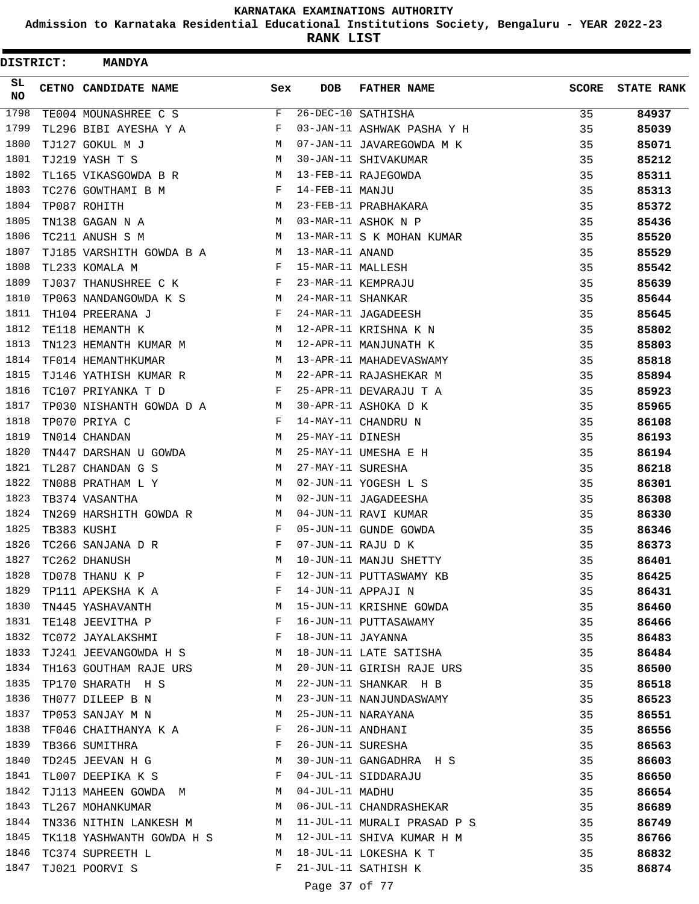**Admission to Karnataka Residential Educational Institutions Society, Bengaluru - YEAR 2022-23**

| DISTRICT: |  | <b>MANDYA</b>             |              |                   |                             |              |                   |
|-----------|--|---------------------------|--------------|-------------------|-----------------------------|--------------|-------------------|
| SL<br>NO  |  | CETNO CANDIDATE NAME      | Sex          | <b>DOB</b>        | <b>FATHER NAME</b>          | <b>SCORE</b> | <b>STATE RANK</b> |
| 1798      |  | TE004 MOUNASHREE C S      | F            |                   | 26-DEC-10 SATHISHA          | 35           | 84937             |
| 1799      |  | TL296 BIBI AYESHA Y A     | F            |                   | 03-JAN-11 ASHWAK PASHA Y H  | 35           | 85039             |
| 1800      |  | TJ127 GOKUL M J           | М            |                   | 07-JAN-11 JAVAREGOWDA M K   | 35           | 85071             |
| 1801      |  | TJ219 YASH T S            | М            |                   | 30-JAN-11 SHIVAKUMAR        | 35           | 85212             |
| 1802      |  | TL165 VIKASGOWDA B R      | M            |                   | 13-FEB-11 RAJEGOWDA         | 35           | 85311             |
| 1803      |  | TC276 GOWTHAMI B M        | F            | 14-FEB-11 MANJU   |                             | 35           | 85313             |
| 1804      |  | TP087 ROHITH              | М            |                   | 23-FEB-11 PRABHAKARA        | 35           | 85372             |
| 1805      |  | TN138 GAGAN N A           | M            |                   | 03-MAR-11 ASHOK N P         | 35           | 85436             |
| 1806      |  | TC211 ANUSH S M           | М            |                   | 13-MAR-11 S K MOHAN KUMAR   | 35           | 85520             |
| 1807      |  | TJ185 VARSHITH GOWDA B A  | M            | 13-MAR-11 ANAND   |                             | 35           | 85529             |
| 1808      |  | TL233 KOMALA M            | F            | 15-MAR-11 MALLESH |                             | 35           | 85542             |
| 1809      |  | TJ037 THANUSHREE C K      | F            |                   | 23-MAR-11 KEMPRAJU          | 35           | 85639             |
| 1810      |  | TP063 NANDANGOWDA K S     | M            | 24-MAR-11 SHANKAR |                             | 35           | 85644             |
| 1811      |  | TH104 PREERANA J          | F            |                   | 24-MAR-11 JAGADEESH         | 35           | 85645             |
| 1812      |  | TE118 HEMANTH K           | M            |                   | 12-APR-11 KRISHNA K N       | 35           | 85802             |
| 1813      |  | TN123 HEMANTH KUMAR M     | М            |                   | 12-APR-11 MANJUNATH K       | 35           | 85803             |
| 1814      |  | TF014 HEMANTHKUMAR        | М            |                   | 13-APR-11 MAHADEVASWAMY     | 35           | 85818             |
| 1815      |  | TJ146 YATHISH KUMAR R     | М            |                   | 22-APR-11 RAJASHEKAR M      | 35           | 85894             |
| 1816      |  | TC107 PRIYANKA T D        | F            |                   | 25-APR-11 DEVARAJU T A      | 35           | 85923             |
| 1817      |  | TP030 NISHANTH GOWDA D A  | M            |                   | 30-APR-11 ASHOKA D K        | 35           | 85965             |
| 1818      |  | TP070 PRIYA C             | F            |                   | 14-MAY-11 CHANDRU N         | 35           | 86108             |
| 1819      |  | TN014 CHANDAN             | M            | 25-MAY-11 DINESH  |                             | 35           | 86193             |
| 1820      |  | TN447 DARSHAN U GOWDA     | М            |                   | 25-MAY-11 UMESHA E H        | 35           | 86194             |
| 1821      |  | TL287 CHANDAN G S         | М            | 27-MAY-11 SURESHA |                             | 35           | 86218             |
| 1822      |  | TN088 PRATHAM L Y         | М            |                   | 02-JUN-11 YOGESH L S        | 35           | 86301             |
| 1823      |  | TB374 VASANTHA            | M            |                   | 02-JUN-11 JAGADEESHA        | 35           | 86308             |
| 1824      |  | TN269 HARSHITH GOWDA R    | M            |                   | 04-JUN-11 RAVI KUMAR        | 35           | 86330             |
| 1825      |  | TB383 KUSHI               | F            |                   | 05-JUN-11 GUNDE GOWDA       | 35           | 86346             |
| 1826      |  | TC266 SANJANA D R         | F            |                   | 07-JUN-11 RAJU D K          | 35           | 86373             |
| 1827      |  | TC262 DHANUSH             | M            |                   | 10-JUN-11 MANJU SHETTY      | 35           | 86401             |
| 1828      |  | TD078 THANU K P           | F            |                   | 12-JUN-11 PUTTASWAMY KB     | 35           | 86425             |
| 1829      |  | TP111 APEKSHA K A         | F            |                   | 14-JUN-11 APPAJI N          | 35           | 86431             |
| 1830      |  | TN445 YASHAVANTH          | M            |                   | 15-JUN-11 KRISHNE GOWDA     | 35           | 86460             |
| 1831      |  | TE148 JEEVITHA P          | $\mathbf{F}$ |                   | 16-JUN-11 PUTTASAWAMY       | 35           | 86466             |
| 1832      |  | TC072 JAYALAKSHMI         | $\mathbf{F}$ | 18-JUN-11 JAYANNA |                             | 35           | 86483             |
| 1833      |  | TJ241 JEEVANGOWDA H S     | M            |                   | 18-JUN-11 LATE SATISHA      | 35           | 86484             |
| 1834      |  | TH163 GOUTHAM RAJE URS    | M            |                   | 20-JUN-11 GIRISH RAJE URS   | 35           | 86500             |
| 1835      |  | TP170 SHARATH H S         | M            |                   | 22-JUN-11 SHANKAR H B       | 35           | 86518             |
| 1836      |  | TH077 DILEEP B N          | M            |                   | 23-JUN-11 NANJUNDASWAMY     | 35           | 86523             |
| 1837      |  | TP053 SANJAY M N          | М            |                   | 25-JUN-11 NARAYANA          | 35           |                   |
| 1838      |  |                           | F            | 26-JUN-11 ANDHANI |                             | 35           | 86551             |
| 1839      |  | TF046 CHAITHANYA K A      | F            |                   |                             |              | 86556             |
|           |  | TB366 SUMITHRA            |              |                   | 26-JUN-11 SURESHA           | 35           | 86563             |
| 1840      |  | TD245 JEEVAN H G          | М            |                   | 30-JUN-11 GANGADHRA H S     | 35           | 86603             |
| 1841      |  | TL007 DEEPIKA K S         | F            |                   | 04-JUL-11 SIDDARAJU         | 35           | 86650             |
| 1842      |  | TJ113 MAHEEN GOWDA M      | M            | 04-JUL-11 MADHU   |                             | 35           | 86654             |
| 1843      |  | TL267 MOHANKUMAR          | M            |                   | 06-JUL-11 CHANDRASHEKAR     | 35           | 86689             |
| 1844      |  | TN336 NITHIN LANKESH M    | М            |                   | 11-JUL-11 MURALI PRASAD P S | 35           | 86749             |
| 1845      |  | TK118 YASHWANTH GOWDA H S | M            |                   | 12-JUL-11 SHIVA KUMAR H M   | 35           | 86766             |
| 1846      |  | TC374 SUPREETH L          | M            |                   | 18-JUL-11 LOKESHA K T       | 35           | 86832             |
| 1847      |  | TJ021 POORVI S            | F            |                   | 21-JUL-11 SATHISH K         | 35           | 86874             |
|           |  |                           |              | Page 37 of 77     |                             |              |                   |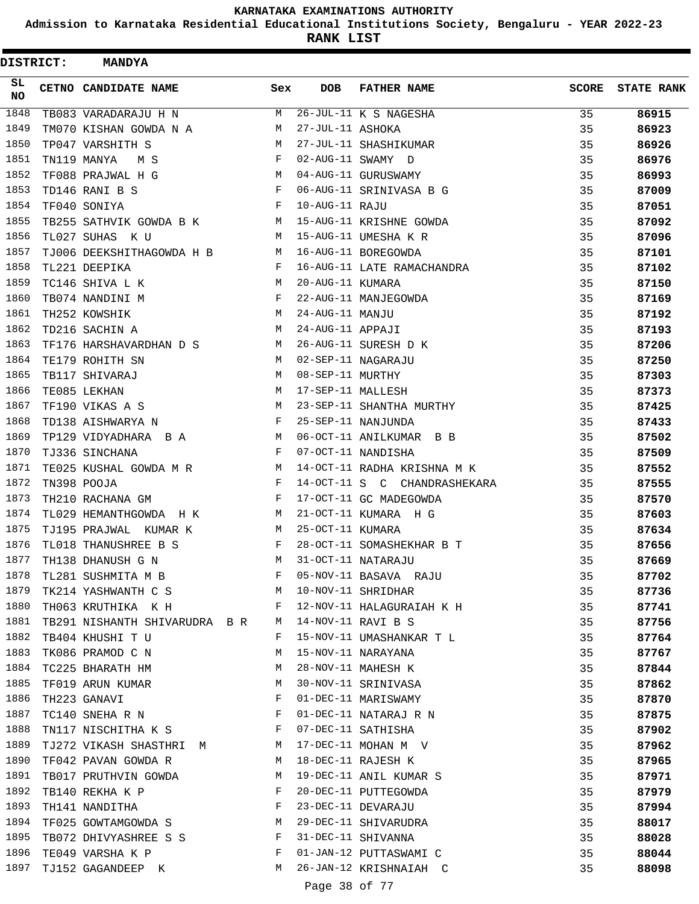**Admission to Karnataka Residential Educational Institutions Society, Bengaluru - YEAR 2022-23**

| <b>DISTRICT:</b> | <b>MANDYA</b>                  |            |                   |                              |              |                   |
|------------------|--------------------------------|------------|-------------------|------------------------------|--------------|-------------------|
| SL.<br>NO        | <b>CETNO CANDIDATE NAME</b>    | Sex        | <b>DOB</b>        | <b>FATHER NAME</b>           | <b>SCORE</b> | <b>STATE RANK</b> |
| 1848             | TB083 VARADARAJU H N           | M          |                   | 26-JUL-11 K S NAGESHA        | 35           | 86915             |
| 1849             | TM070 KISHAN GOWDA N A         | М          | 27-JUL-11 ASHOKA  |                              | 35           | 86923             |
| 1850             | TP047 VARSHITH S               | M          |                   | 27-JUL-11 SHASHIKUMAR        | 35           | 86926             |
| 1851             | TN119 MANYA<br>M S             | F          |                   | 02-AUG-11 SWAMY D            | 35           | 86976             |
| 1852             | TF088 PRAJWAL H G              | M          |                   | 04-AUG-11 GURUSWAMY          | 35           | 86993             |
| 1853             | $\mathbf{F}$<br>TD146 RANI B S |            |                   | 06-AUG-11 SRINIVASA B G      | 35           | 87009             |
| 1854             | TF040 SONIYA                   | $_{\rm F}$ | 10-AUG-11 RAJU    |                              | 35           | 87051             |
| 1855             | TB255 SATHVIK GOWDA B K M      |            |                   | 15-AUG-11 KRISHNE GOWDA      | 35           | 87092             |
| 1856             | TL027 SUHAS K U                | M          |                   | 15-AUG-11 UMESHA K R         | 35           | 87096             |
| 1857             | TJ006 DEEKSHITHAGOWDA H B      | M          |                   | 16-AUG-11 BOREGOWDA          | 35           | 87101             |
| 1858             | TL221 DEEPIKA                  | F          |                   | 16-AUG-11 LATE RAMACHANDRA   | 35           | 87102             |
| 1859             | TC146 SHIVA L K<br><b>M</b>    |            | 20-AUG-11 KUMARA  |                              | 35           | 87150             |
| 1860             | TB074 NANDINI M                | F          |                   | 22-AUG-11 MANJEGOWDA         | 35           | 87169             |
| 1861             | M<br>TH252 KOWSHIK             |            | 24-AUG-11 MANJU   |                              | 35           | 87192             |
| 1862             | TD216 SACHIN A                 | M          | 24-AUG-11 APPAJI  |                              | 35           | 87193             |
| 1863             | TF176 HARSHAVARDHAN D S M      |            |                   | 26-AUG-11 SURESH D K         | 35           | 87206             |
| 1864             | TE179 ROHITH SN                | M          |                   | 02-SEP-11 NAGARAJU           | 35           | 87250             |
| 1865             | TB117 SHIVARAJ                 | M          | 08-SEP-11 MURTHY  |                              | 35           | 87303             |
| 1866             | TE085 LEKHAN                   | М          | 17-SEP-11 MALLESH |                              | 35           | 87373             |
| 1867             | TF190 VIKAS A S                | M          |                   | 23-SEP-11 SHANTHA MURTHY     | 35           | 87425             |
| 1868             | TD138 AISHWARYA N              | F          |                   | 25-SEP-11 NANJUNDA           | 35           | 87433             |
| 1869             | TP129 VIDYADHARA B A           | M          |                   | 06-OCT-11 ANILKUMAR B B      | 35           | 87502             |
| 1870             | TJ336 SINCHANA                 | F          |                   | 07-OCT-11 NANDISHA           | 35           | 87509             |
| 1871             | TE025 KUSHAL GOWDA M R         | M          |                   | 14-OCT-11 RADHA KRISHNA M K  | 35           | 87552             |
| 1872             | TN398 POOJA                    | F          |                   | 14-OCT-11 S C CHANDRASHEKARA | 35           | 87555             |
| 1873             | TH210 RACHANA GM               | F          |                   | 17-OCT-11 GC MADEGOWDA       | 35           | 87570             |
| 1874             | TL029 HEMANTHGOWDA H K         | M          |                   | 21-OCT-11 KUMARA H G         | 35           | 87603             |
| 1875             | TJ195 PRAJWAL KUMAR K          | M          | 25-OCT-11 KUMARA  |                              | 35           | 87634             |
| 1876             | TL018 THANUSHREE B S           | F          |                   | 28-OCT-11 SOMASHEKHAR B T    | 35           | 87656             |
| 1877             | TH138 DHANUSH G N              | M          |                   | 31-OCT-11 NATARAJU           | 35           | 87669             |
| 1878             | TL281 SUSHMITA M B             | F          |                   | 05-NOV-11 BASAVA RAJU        | 35           | 87702             |
| 1879             | TK214 YASHWANTH C S            | M          |                   | 10-NOV-11 SHRIDHAR           | 35           | 87736             |
| 1880             | TH063 KRUTHIKA K H             | F          |                   | 12-NOV-11 HALAGURAIAH K H    | 35           | 87741             |
| 1881             | TB291 NISHANTH SHIVARUDRA B R  | М          |                   | 14-NOV-11 RAVI B S           | 35           | 87756             |
| 1882             | TB404 KHUSHI T U               | F          |                   | 15-NOV-11 UMASHANKAR T L     | 35           | 87764             |
| 1883             | TK086 PRAMOD C N               | М          |                   | 15-NOV-11 NARAYANA           | 35           | 87767             |
| 1884             | TC225 BHARATH HM               | М          |                   | 28-NOV-11 MAHESH K           | 35           | 87844             |
| 1885             | TF019 ARUN KUMAR               | М          |                   | 30-NOV-11 SRINIVASA          | 35           | 87862             |
| 1886             | TH223 GANAVI                   | F          |                   | 01-DEC-11 MARISWAMY          | 35           | 87870             |
| 1887             | TC140 SNEHA R N                | F          |                   | 01-DEC-11 NATARAJ R N        | 35           | 87875             |
| 1888             | TN117 NISCHITHA K S            | F          |                   | 07-DEC-11 SATHISHA           | 35           | 87902             |
| 1889             | TJ272 VIKASH SHASTHRI M        | M          |                   | 17-DEC-11 MOHAN M V          | 35           | 87962             |
| 1890             | TF042 PAVAN GOWDA R            | М          |                   | 18-DEC-11 RAJESH K           | 35           | 87965             |
| 1891             | TB017 PRUTHVIN GOWDA           | M          |                   | 19-DEC-11 ANIL KUMAR S       | 35           | 87971             |
| 1892             | TB140 REKHA K P                | F          |                   | 20-DEC-11 PUTTEGOWDA         | 35           | 87979             |
| 1893             | TH141 NANDITHA                 | F          |                   | 23-DEC-11 DEVARAJU           | 35           | 87994             |
| 1894             | TF025 GOWTAMGOWDA S            | М          |                   | 29-DEC-11 SHIVARUDRA         | 35           | 88017             |
| 1895             | TB072 DHIVYASHREE S S          | F          |                   | 31-DEC-11 SHIVANNA           | 35           | 88028             |
| 1896             | TE049 VARSHA K P               | F          |                   | 01-JAN-12 PUTTASWAMI C       | 35           | 88044             |
| 1897             | TJ152 GAGANDEEP K              | M          |                   | 26-JAN-12 KRISHNAIAH C       | 35           | 88098             |
|                  |                                |            | Page 38 of 77     |                              |              |                   |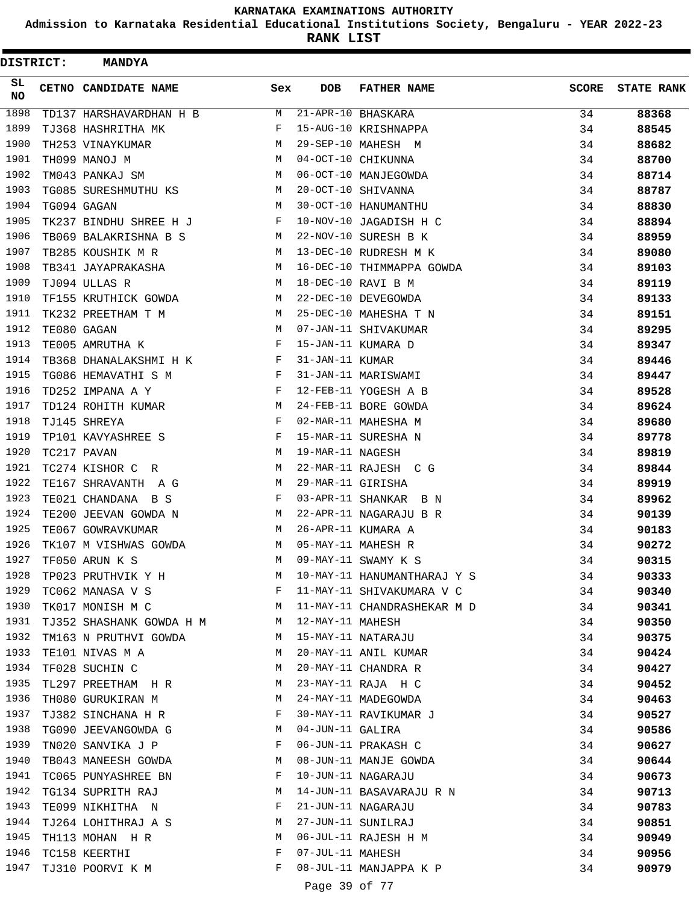**Admission to Karnataka Residential Educational Institutions Society, Bengaluru - YEAR 2022-23**

| <b>DISTRICT:</b> | <b>MANDYA</b>                                                                                                                              |     |                   |                             |              |                   |
|------------------|--------------------------------------------------------------------------------------------------------------------------------------------|-----|-------------------|-----------------------------|--------------|-------------------|
| SL<br><b>NO</b>  | CETNO CANDIDATE NAME                                                                                                                       | Sex | <b>DOB</b>        | <b>FATHER NAME</b>          | <b>SCORE</b> | <b>STATE RANK</b> |
| 1898             | TD137 HARSHAVARDHAN H B                                                                                                                    | M   |                   | 21-APR-10 BHASKARA          | 34           | 88368             |
| 1899             | TJ368 HASHRITHA MK                                                                                                                         | F   |                   | 15-AUG-10 KRISHNAPPA        | 34           | 88545             |
| 1900             | TH253 VINAYKUMAR                                                                                                                           | M   |                   | 29-SEP-10 MAHESH M          | 34           | 88682             |
| 1901             | TH099 MANOJ M                                                                                                                              | M   |                   | 04-OCT-10 CHIKUNNA          | 34           | 88700             |
| 1902             | TM043 PANKAJ SM                                                                                                                            | M   |                   | 06-OCT-10 MANJEGOWDA        | 34           | 88714             |
| 1903             | TG085 SURESHMUTHU KS                                                                                                                       | M   |                   | 20-OCT-10 SHIVANNA          | 34           | 88787             |
| 1904             | TG094 GAGAN                                                                                                                                | M   |                   | 30-OCT-10 HANUMANTHU        | 34           | 88830             |
| 1905             | TK237 BINDHU SHREE H J                                                                                                                     | F   |                   | 10-NOV-10 JAGADISH H C      | 34           | 88894             |
| 1906             | TB069 BALAKRISHNA B S                                                                                                                      | M   |                   | 22-NOV-10 SURESH B K        | 34           | 88959             |
| 1907             | TB285 KOUSHIK M R                                                                                                                          | М   |                   | 13-DEC-10 RUDRESH M K       | 34           | 89080             |
| 1908             | TB341 JAYAPRAKASHA                                                                                                                         | M   |                   | 16-DEC-10 THIMMAPPA GOWDA   | 34           | 89103             |
| 1909             | TJ094 ULLAS R                                                                                                                              | M   |                   | 18-DEC-10 RAVI B M          | 34           | 89119             |
| 1910             | TF155 KRUTHICK GOWDA                                                                                                                       | M   |                   | 22-DEC-10 DEVEGOWDA         | 34           | 89133             |
| 1911             | TK232 PREETHAM T M                                                                                                                         | M   |                   | 25-DEC-10 MAHESHA T N       | 34           | 89151             |
| 1912             | TE080 GAGAN                                                                                                                                | M   |                   | 07-JAN-11 SHIVAKUMAR        | 34           | 89295             |
| 1913             | TE005 AMRUTHA K                                                                                                                            | F   |                   | 15-JAN-11 KUMARA D          | 34           | 89347             |
| 1914             | TB368 DHANALAKSHMI H K                                                                                                                     | F   | 31-JAN-11 KUMAR   |                             | 34           | 89446             |
| 1915             | TG086 HEMAVATHI S M                                                                                                                        | F   |                   | 31-JAN-11 MARISWAMI         | 34           | 89447             |
| 1916             | TD252 IMPANA A Y                                                                                                                           | F   |                   | 12-FEB-11 YOGESH A B        | 34           | 89528             |
| 1917             | TD124 ROHITH KUMAR                                                                                                                         | М   |                   | 24-FEB-11 BORE GOWDA        | 34           | 89624             |
| 1918             | TJ145 SHREYA                                                                                                                               | F   |                   | 02-MAR-11 MAHESHA M         | 34           | 89680             |
| 1919             | TP101 KAVYASHREE S                                                                                                                         | F   |                   | 15-MAR-11 SURESHA N         | 34           | 89778             |
| 1920             | TC217 PAVAN                                                                                                                                | M   | 19-MAR-11 NAGESH  |                             | 34           | 89819             |
| 1921             | TC274 KISHOR C<br>R.                                                                                                                       | М   |                   | 22-MAR-11 RAJESH C G        | 34           | 89844             |
| 1922             | TE167 SHRAVANTH A G                                                                                                                        | M   | 29-MAR-11 GIRISHA |                             | 34           | 89919             |
| 1923             | TE021 CHANDANA B S                                                                                                                         | F   |                   | 03-APR-11 SHANKAR B N       | 34           | 89962             |
| 1924             | TE200 JEEVAN GOWDA N                                                                                                                       | М   |                   | 22-APR-11 NAGARAJU B R      | 34           | 90139             |
| 1925             | TE067 GOWRAVKUMAR                                                                                                                          | М   |                   | 26-APR-11 KUMARA A          | 34           | 90183             |
| 1926             | TK107 M VISHWAS GOWDA                                                                                                                      | М   |                   | 05-MAY-11 MAHESH R          | 34           | 90272             |
| 1927             | TF050 ARUN K S                                                                                                                             | М   |                   | 09-MAY-11 SWAMY K S         | 34           | 90315             |
| 1928             | TP023 PRUTHVIK Y H                                                                                                                         | M   |                   | 10-MAY-11 HANUMANTHARAJ Y S | 34           | 90333             |
| 1929             | TC062 MANASA V S                                                                                                                           | F   |                   | 11-MAY-11 SHIVAKUMARA V C   | 34           | 90340             |
| 1930             | <b>Example 20</b> Manual Manual Manual Manual Manual Manual Manual Manual Manual Manual Manual Manual Manual Manual Ma<br>TK017 MONISH M C |     |                   | 11-MAY-11 CHANDRASHEKAR M D | 34           | 90341             |
| 1931             | TJ352 SHASHANK GOWDA H M M                                                                                                                 |     | 12-MAY-11 MAHESH  |                             | 34           | 90350             |
| 1932             | TM163 N PRUTHVI GOWDA                                                                                                                      | M   |                   | 15-MAY-11 NATARAJU          | 34           | 90375             |
| 1933             | TE101 NIVAS M A                                                                                                                            | M   |                   | 20-MAY-11 ANIL KUMAR        | 34           | 90424             |
| 1934             | TF028 SUCHIN C                                                                                                                             | M   |                   | 20-MAY-11 CHANDRA R         | 34           | 90427             |
| 1935             | TL297 PREETHAM H R                                                                                                                         | М   |                   | 23-MAY-11 RAJA H C          | 34           | 90452             |
| 1936             |                                                                                                                                            | М   |                   | 24-MAY-11 MADEGOWDA         | 34           |                   |
| 1937             | TH080 GURUKIRAN M                                                                                                                          | F   |                   | 30-MAY-11 RAVIKUMAR J       | 34           | 90463             |
| 1938             | TJ382 SINCHANA H R                                                                                                                         | M   | 04-JUN-11 GALIRA  |                             |              | 90527             |
| 1939             | TG090 JEEVANGOWDA G                                                                                                                        | F   |                   | 06-JUN-11 PRAKASH C         | 34           | 90586             |
| 1940             | TN020 SANVIKA J P                                                                                                                          |     |                   |                             | 34           | 90627             |
|                  | TB043 MANEESH GOWDA                                                                                                                        | M   |                   | 08-JUN-11 MANJE GOWDA       | 34           | 90644             |
| 1941             | TC065 PUNYASHREE BN                                                                                                                        | F   |                   | 10-JUN-11 NAGARAJU          | 34           | 90673             |
| 1942             | TG134 SUPRITH RAJ                                                                                                                          | М   |                   | 14-JUN-11 BASAVARAJU R N    | 34           | 90713             |
| 1943             | TE099 NIKHITHA N                                                                                                                           | F   |                   | 21-JUN-11 NAGARAJU          | 34           | 90783             |
| 1944             | TJ264 LOHITHRAJ A S                                                                                                                        | М   |                   | 27-JUN-11 SUNILRAJ          | 34           | 90851             |
| 1945             | TH113 MOHAN H R                                                                                                                            | M   |                   | 06-JUL-11 RAJESH H M        | 34           | 90949             |
| 1946             | TC158 KEERTHI                                                                                                                              | F   | 07-JUL-11 MAHESH  |                             | 34           | 90956             |
| 1947             | TJ310 POORVI K M                                                                                                                           | F   |                   | 08-JUL-11 MANJAPPA K P      | 34           | 90979             |
|                  |                                                                                                                                            |     | Page 39 of 77     |                             |              |                   |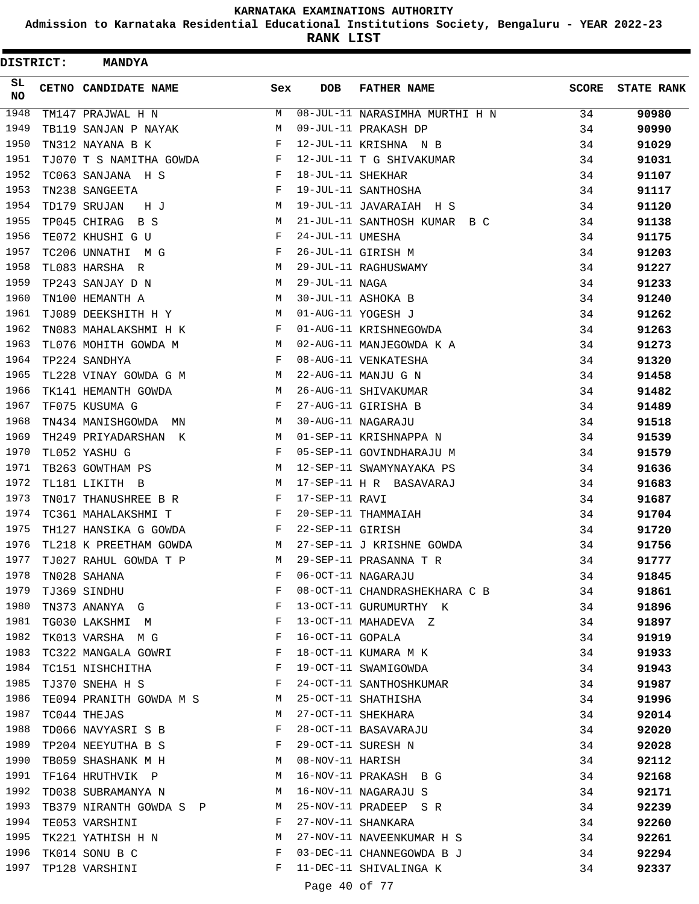**Admission to Karnataka Residential Educational Institutions Society, Bengaluru - YEAR 2022-23**

**RANK LIST**

 $\blacksquare$ 

| DISTRICT: | <b>MANDYA</b>           |              |                   |                                |       |                   |
|-----------|-------------------------|--------------|-------------------|--------------------------------|-------|-------------------|
| SL.<br>NO | CETNO CANDIDATE NAME    | Sex          | <b>DOB</b>        | <b>FATHER NAME</b>             | SCORE | <b>STATE RANK</b> |
| 1948      | TM147 PRAJWAL H N       | М            |                   | 08-JUL-11 NARASIMHA MURTHI H N | 34    | 90980             |
| 1949      | TB119 SANJAN P NAYAK    | М            |                   | 09-JUL-11 PRAKASH DP           | 34    | 90990             |
| 1950      | TN312 NAYANA B K        | F            |                   | 12-JUL-11 KRISHNA N B          | 34    | 91029             |
| 1951      | TJ070 T S NAMITHA GOWDA | F            |                   | 12-JUL-11 T G SHIVAKUMAR       | 34    | 91031             |
| 1952      | TC063 SANJANA H S       | F            | 18-JUL-11 SHEKHAR |                                | 34    | 91107             |
| 1953      | TN238 SANGEETA          | F            |                   | 19-JUL-11 SANTHOSHA            | 34    | 91117             |
| 1954      | TD179 SRUJAN<br>НJ      | М            |                   | 19-JUL-11 JAVARAIAH H S        | 34    | 91120             |
| 1955      | TP045 CHIRAG<br>B S     | М            |                   | 21-JUL-11 SANTHOSH KUMAR B C   | 34    | 91138             |
| 1956      | TE072 KHUSHI G U        | F            | 24-JUL-11 UMESHA  |                                | 34    | 91175             |
| 1957      | TC206 UNNATHI M G       | F            |                   | 26-JUL-11 GIRISH M             | 34    | 91203             |
| 1958      | TL083 HARSHA R          | М            |                   | 29-JUL-11 RAGHUSWAMY           | 34    | 91227             |
| 1959      | TP243 SANJAY D N        | М            | 29-JUL-11 NAGA    |                                | 34    | 91233             |
| 1960      | TN100 HEMANTH A         | М            |                   | 30-JUL-11 ASHOKA B             | 34    | 91240             |
| 1961      | TJ089 DEEKSHITH H Y     | М            |                   | 01-AUG-11 YOGESH J             | 34    | 91262             |
| 1962      | TN083 MAHALAKSHMI H K   | F            |                   | 01-AUG-11 KRISHNEGOWDA         | 34    | 91263             |
| 1963      | TL076 MOHITH GOWDA M    | М            |                   | 02-AUG-11 MANJEGOWDA K A       | 34    | 91273             |
| 1964      | TP224 SANDHYA           | F            |                   | 08-AUG-11 VENKATESHA           | 34    | 91320             |
| 1965      | TL228 VINAY GOWDA G M   | М            |                   | 22-AUG-11 MANJU G N            | 34    | 91458             |
| 1966      | TK141 HEMANTH GOWDA     | М            |                   | 26-AUG-11 SHIVAKUMAR           | 34    | 91482             |
| 1967      | TF075 KUSUMA G          | F            |                   | 27-AUG-11 GIRISHA B            | 34    | 91489             |
| 1968      | TN434 MANISHGOWDA MN    | М            |                   | 30-AUG-11 NAGARAJU             | 34    | 91518             |
| 1969      | TH249 PRIYADARSHAN K    | М            |                   | 01-SEP-11 KRISHNAPPA N         | 34    | 91539             |
| 1970      | TL052 YASHU G           | F            |                   | 05-SEP-11 GOVINDHARAJU M       | 34    | 91579             |
| 1971      | TB263 GOWTHAM PS        | М            |                   | 12-SEP-11 SWAMYNAYAKA PS       | 34    | 91636             |
| 1972      | TL181 LIKITH B          | М            |                   | 17-SEP-11 H R BASAVARAJ        | 34    | 91683             |
| 1973      | TN017 THANUSHREE B R    | F            | 17-SEP-11 RAVI    |                                | 34    | 91687             |
| 1974      | TC361 MAHALAKSHMI T     | F            |                   | 20-SEP-11 THAMMAIAH            | 34    | 91704             |
| 1975      | TH127 HANSIKA G GOWDA   | F            | 22-SEP-11 GIRISH  |                                | 34    | 91720             |
| 1976      | TL218 K PREETHAM GOWDA  | М            |                   | 27-SEP-11 J KRISHNE GOWDA      | 34    | 91756             |
| 1977      | TJ027 RAHUL GOWDA T P   | M            |                   | 29-SEP-11 PRASANNA T R         | 34    | 91777             |
| 1978      | TN028 SAHANA            | F            |                   | 06-OCT-11 NAGARAJU             | 34    | 91845             |
| 1979      | TJ369 SINDHU            | F            |                   | 08-OCT-11 CHANDRASHEKHARA C B  | 34    | 91861             |
| 1980      | TN373 ANANYA G          | F            |                   | 13-OCT-11 GURUMURTHY K         | 34    | 91896             |
| 1981      | TG030 LAKSHMI M         | $\mathbf{F}$ |                   | 13-OCT-11 MAHADEVA Z           | 34    | 91897             |
| 1982      | TK013 VARSHA M G        | $\mathbb{F}$ | 16-OCT-11 GOPALA  |                                | 34    | 91919             |
| 1983      | TC322 MANGALA GOWRI     | F            |                   | 18-OCT-11 KUMARA M K           | 34    | 91933             |
| 1984      | TC151 NISHCHITHA        | F            |                   | 19-OCT-11 SWAMIGOWDA           | 34    | 91943             |
| 1985      | TJ370 SNEHA H S         | $_{\rm F}$   |                   | 24-OCT-11 SANTHOSHKUMAR        | 34    | 91987             |
| 1986      | TE094 PRANITH GOWDA M S | M            |                   | 25-OCT-11 SHATHISHA            | 34    | 91996             |
| 1987      | TC044 THEJAS            | М            |                   | 27-OCT-11 SHEKHARA             | 34    | 92014             |
| 1988      | TD066 NAVYASRI S B      | $\mathbf{F}$ |                   | 28-OCT-11 BASAVARAJU           | 34    | 92020             |
| 1989      | TP204 NEEYUTHA B S      | F            |                   | 29-OCT-11 SURESH N             | 34    | 92028             |
| 1990      | TB059 SHASHANK M H      | М            | 08-NOV-11 HARISH  |                                | 34    | 92112             |
| 1991      | TF164 HRUTHVIK P        | М            |                   | 16-NOV-11 PRAKASH B G          | 34    | 92168             |
| 1992      | TD038 SUBRAMANYA N      | М            |                   | 16-NOV-11 NAGARAJU S           | 34    | 92171             |
| 1993      | TB379 NIRANTH GOWDA S P | M            |                   | 25-NOV-11 PRADEEP SR           | 34    | 92239             |
| 1994      | TE053 VARSHINI          | F            |                   | 27-NOV-11 SHANKARA             | 34    | 92260             |
| 1995      | TK221 YATHISH H N       | М            |                   | 27-NOV-11 NAVEENKUMAR H S      | 34    | 92261             |
| 1996      | TK014 SONU B C          | F            |                   | 03-DEC-11 CHANNEGOWDA B J      | 34    | 92294             |
| 1997      | TP128 VARSHINI          | F            |                   | 11-DEC-11 SHIVALINGA K         | 34    | 92337             |
|           |                         |              | Page 40 of 77     |                                |       |                   |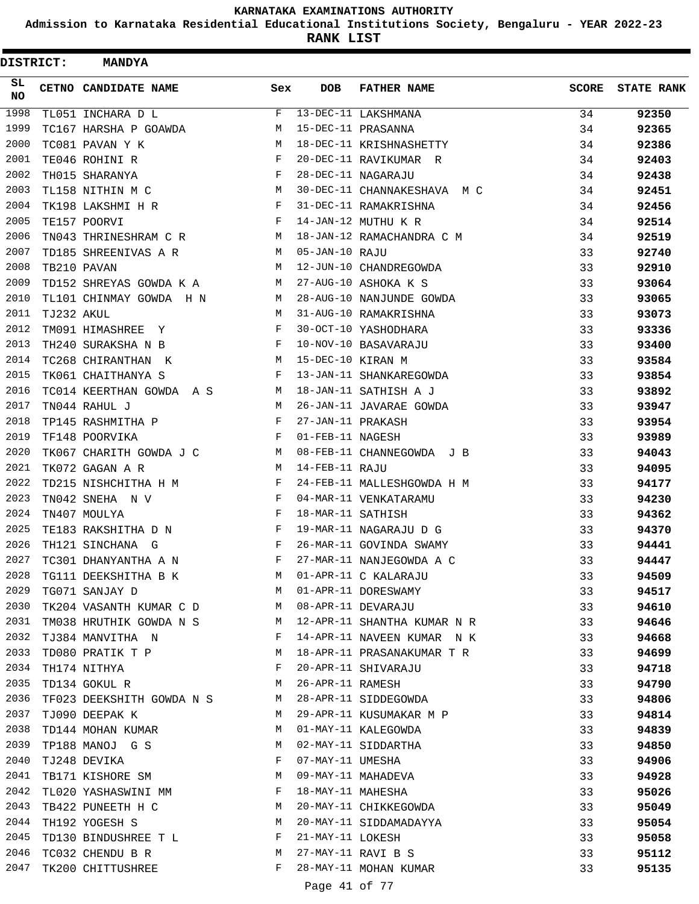**Admission to Karnataka Residential Educational Institutions Society, Bengaluru - YEAR 2022-23**

**RANK LIST**

 $\blacksquare$ 

| <b>DISTRICT:</b> |            | <b>MANDYA</b>                               |              |                   |                             |              |                   |
|------------------|------------|---------------------------------------------|--------------|-------------------|-----------------------------|--------------|-------------------|
| SL.<br>NO.       |            | CETNO CANDIDATE NAME                        | Sex          | <b>DOB</b>        | <b>FATHER NAME</b>          | <b>SCORE</b> | <b>STATE RANK</b> |
| 1998             |            | TL051 INCHARA D L                           | F            |                   | 13-DEC-11 LAKSHMANA         | 34           | 92350             |
| 1999             |            | TC167 HARSHA P GOAWDA                       | М            |                   | 15-DEC-11 PRASANNA          | 34           | 92365             |
| 2000             |            | TC081 PAVAN Y K                             | M            |                   | 18-DEC-11 KRISHNASHETTY     | 34           | 92386             |
| 2001             |            | TE046 ROHINI R                              | F            |                   | 20-DEC-11 RAVIKUMAR R       | 34           | 92403             |
| 2002             |            | TH015 SHARANYA                              | F            |                   | 28-DEC-11 NAGARAJU          | 34           | 92438             |
| 2003             |            | TL158 NITHIN M C                            | М            |                   | 30-DEC-11 CHANNAKESHAVA M C | 34           | 92451             |
| 2004             |            | TK198 LAKSHMI H R                           | F            |                   | 31-DEC-11 RAMAKRISHNA       | 34           | 92456             |
| 2005             |            | TE157 POORVI                                | F            |                   | 14-JAN-12 MUTHU K R         | 34           | 92514             |
| 2006             |            | TN043 THRINESHRAM C R                       | M            |                   | 18-JAN-12 RAMACHANDRA C M   | 34           | 92519             |
| 2007             |            | TD185 SHREENIVAS A R                        | M            | 05-JAN-10 RAJU    |                             | 33           | 92740             |
| 2008             |            | TB210 PAVAN                                 | M            |                   | 12-JUN-10 CHANDREGOWDA      | 33           | 92910             |
| 2009             |            | TD152 SHREYAS GOWDA K A                     | M            |                   | 27-AUG-10 ASHOKA K S        | 33           | 93064             |
| 2010             |            | TL101 CHINMAY GOWDA H N                     | M            |                   | 28-AUG-10 NANJUNDE GOWDA    | 33           | 93065             |
| 2011             | TJ232 AKUL |                                             | М            |                   | 31-AUG-10 RAMAKRISHNA       | 33           | 93073             |
| 2012             |            | TM091 HIMASHREE Y                           | F            |                   | 30-OCT-10 YASHODHARA        | 33           | 93336             |
| 2013             |            | TH240 SURAKSHA N B                          | F            |                   | 10-NOV-10 BASAVARAJU        | 33           | 93400             |
| 2014             |            | TC268 CHIRANTHAN K                          | М            | 15-DEC-10 KIRAN M |                             | 33           | 93584             |
| 2015             |            | TK061 CHAITHANYA S                          | F            |                   | 13-JAN-11 SHANKAREGOWDA     | 33           | 93854             |
| 2016             |            | TC014 KEERTHAN GOWDA A S                    | M            |                   | 18-JAN-11 SATHISH A J       | 33           | 93892             |
| 2017             |            | TN044 RAHUL J                               | M            |                   | 26-JAN-11 JAVARAE GOWDA     | 33           | 93947             |
| 2018             |            | TP145 RASHMITHA P                           | F            | 27-JAN-11 PRAKASH |                             | 33           | 93954             |
| 2019             |            | TF148 POORVIKA                              | F            | 01-FEB-11 NAGESH  |                             | 33           | 93989             |
| 2020             |            | TK067 CHARITH GOWDA J C                     | M            |                   | 08-FEB-11 CHANNEGOWDA J B   | 33           | 94043             |
| 2021             |            | TK072 GAGAN A R                             | М            | 14-FEB-11 RAJU    |                             | 33           | 94095             |
| 2022             |            | TD215 NISHCHITHA H M                        | F            |                   | 24-FEB-11 MALLESHGOWDA H M  | 33           | 94177             |
| 2023             |            | TN042 SNEHA N V                             | F            |                   | 04-MAR-11 VENKATARAMU       | 33           | 94230             |
| 2024             |            | TN407 MOULYA                                | F            | 18-MAR-11 SATHISH |                             | 33           | 94362             |
| 2025             |            | TE183 RAKSHITHA D N                         | F            |                   | 19-MAR-11 NAGARAJU D G      | 33           | 94370             |
| 2026             |            | TH121 SINCHANA G                            | F            |                   | 26-MAR-11 GOVINDA SWAMY     | 33           | 94441             |
| 2027             |            | TC301 DHANYANTHA A N                        | F            |                   | 27-MAR-11 NANJEGOWDA A C    | 33           | 94447             |
| 2028             |            | TG111 DEEKSHITHA B K                        |              |                   | M 01-APR-11 C KALARAJU      | 33           | 94509             |
| 2029             |            | TG071 SANJAY D                              | M            |                   | 01-APR-11 DORESWAMY         | 33           | 94517             |
| 2030             |            | TK204 VASANTH KUMAR C D M                   |              |                   | 08-APR-11 DEVARAJU          | 33           | 94610             |
| 2031             |            | TM038 HRUTHIK GOWDA N S M                   |              |                   | 12-APR-11 SHANTHA KUMAR N R | 33           | 94646             |
| 2032             |            | TJ384 MANVITHA N                            | $\mathbf{F}$ |                   | 14-APR-11 NAVEEN KUMAR N K  | 33           | 94668             |
| 2033             |            | TD080 PRATIK T P M                          |              |                   | 18-APR-11 PRASANAKUMAR T R  | 33           | 94699             |
| 2034             |            | TH174 NITHYA                                | F            |                   | 20-APR-11 SHIVARAJU         | 33           | 94718             |
| 2035             |            | TD134 GOKUL R                               | M            | 26-APR-11 RAMESH  |                             | 33           | 94790             |
| 2036             |            |                                             | M            |                   | 28-APR-11 SIDDEGOWDA        | 33           | 94806             |
| 2037             |            | TF023 DEEKSHITH GOWDA N S<br>TJ090 DEEPAK K | M            |                   | 29-APR-11 KUSUMAKAR M P     | 33           |                   |
| 2038             |            | TD144 MOHAN KUMAR                           | М            |                   | 01-MAY-11 KALEGOWDA         | 33           | 94814             |
| 2039             |            | TP188 MANOJ G S                             | M            |                   | 02-MAY-11 SIDDARTHA         | 33           | 94839             |
| 2040             |            |                                             | $\mathbf{F}$ |                   |                             |              | 94850             |
| 2041             |            | TJ248 DEVIKA<br>TB171 KISHORE SM            | М            | 07-MAY-11 UMESHA  |                             | 33           | 94906             |
| 2042             |            |                                             |              |                   | 09-MAY-11 MAHADEVA          | 33           | 94928             |
|                  |            | TL020 YASHASWINI MM                         | F            |                   | 18-MAY-11 MAHESHA           | 33           | 95026             |
| 2043             |            | TB422 PUNEETH H C                           | M            |                   | 20-MAY-11 CHIKKEGOWDA       | 33           | 95049             |
| 2044             |            | TH192 YOGESH S                              | М            |                   | 20-MAY-11 SIDDAMADAYYA      | 33           | 95054             |
| 2045             |            | TD130 BINDUSHREE T L F                      |              | 21-MAY-11 LOKESH  |                             | 33           | 95058             |
| 2046             |            | M <sub>1</sub><br>TC032 CHENDU B R          |              |                   | 27-MAY-11 RAVI B S          | 33           | 95112             |
| 2047             |            | TK200 CHITTUSHREE                           | F            |                   | 28-MAY-11 MOHAN KUMAR       | 33           | 95135             |
|                  |            |                                             |              | Page 41 of 77     |                             |              |                   |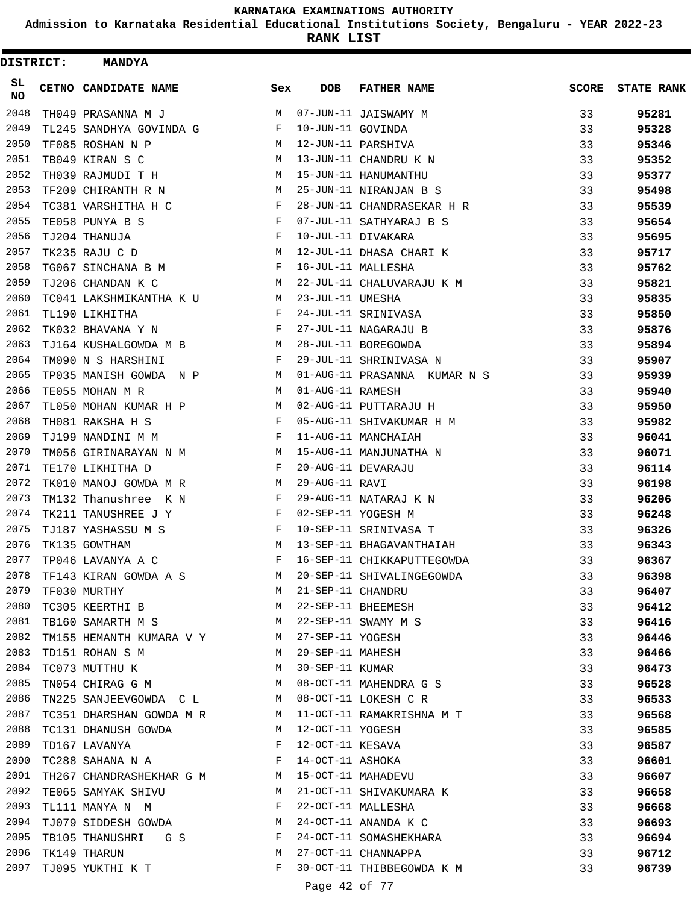**Admission to Karnataka Residential Educational Institutions Society, Bengaluru - YEAR 2022-23**

**RANK LIST**

Ė

| DISTRICT: | <b>MANDYA</b>                                                  |              |                   |                              |              |                   |
|-----------|----------------------------------------------------------------|--------------|-------------------|------------------------------|--------------|-------------------|
| SL<br>NO. | CETNO CANDIDATE NAME                                           | Sex          | <b>DOB</b>        | <b>FATHER NAME</b>           | <b>SCORE</b> | <b>STATE RANK</b> |
| 2048      | TH049 PRASANNA M J                                             | M            |                   | 07-JUN-11 JAISWAMY M         | 33           | 95281             |
| 2049      | TL245 SANDHYA GOVINDA G                                        | F            | 10-JUN-11 GOVINDA |                              | 33           | 95328             |
| 2050      | TF085 ROSHAN N P                                               | M            |                   | 12-JUN-11 PARSHIVA           | 33           | 95346             |
| 2051      | TB049 KIRAN S C                                                | М            |                   | 13-JUN-11 CHANDRU K N        | 33           | 95352             |
| 2052      | TH039 RAJMUDI T H                                              | М            |                   | 15-JUN-11 HANUMANTHU         | 33           | 95377             |
| 2053      | TF209 CHIRANTH R N                                             | М            |                   | 25-JUN-11 NIRANJAN B S       | 33           | 95498             |
| 2054      | TC381 VARSHITHA H C                                            | F            |                   | 28-JUN-11 CHANDRASEKAR H R   | 33           | 95539             |
| 2055      | TE058 PUNYA B S                                                | F            |                   | 07-JUL-11 SATHYARAJ B S      | 33           | 95654             |
| 2056      | TJ204 THANUJA                                                  | F            |                   | 10-JUL-11 DIVAKARA           | 33           | 95695             |
| 2057      | TK235 RAJU C D                                                 | М            |                   | 12-JUL-11 DHASA CHARI K      | 33           | 95717             |
| 2058      | TG067 SINCHANA B M                                             | F            |                   | 16-JUL-11 MALLESHA           | 33           | 95762             |
| 2059      | TJ206 CHANDAN K C                                              | М            |                   | 22-JUL-11 CHALUVARAJU K M    | 33           | 95821             |
| 2060      | TC041 LAKSHMIKANTHA K U                                        | M            | 23-JUL-11 UMESHA  |                              | 33           | 95835             |
| 2061      | TL190 LIKHITHA                                                 | F            |                   | 24-JUL-11 SRINIVASA          | 33           | 95850             |
| 2062      | TK032 BHAVANA Y N                                              | F            |                   | 27-JUL-11 NAGARAJU B         | 33           | 95876             |
| 2063      | TJ164 KUSHALGOWDA M B                                          | М            |                   | 28-JUL-11 BOREGOWDA          | 33           | 95894             |
| 2064      | TM090 N S HARSHINI                                             | F            |                   | 29-JUL-11 SHRINIVASA N       | 33           | 95907             |
| 2065      | TP035 MANISH GOWDA N P                                         | М            |                   | 01-AUG-11 PRASANNA KUMAR N S | 33           | 95939             |
| 2066      | TE055 MOHAN M R                                                | M            | 01-AUG-11 RAMESH  |                              | 33           | 95940             |
| 2067      | TL050 MOHAN KUMAR H P                                          | М            |                   | 02-AUG-11 PUTTARAJU H        | 33           | 95950             |
| 2068      | TH081 RAKSHA H S                                               | F            |                   | 05-AUG-11 SHIVAKUMAR H M     | 33           | 95982             |
| 2069      | TJ199 NANDINI M M                                              | F            |                   | 11-AUG-11 MANCHAIAH          | 33           | 96041             |
| 2070      | TM056 GIRINARAYAN N M                                          | М            |                   | 15-AUG-11 MANJUNATHA N       | 33           | 96071             |
| 2071      | TE170 LIKHITHA D                                               | F            |                   | 20-AUG-11 DEVARAJU           | 33           | 96114             |
| 2072      | TK010 MANOJ GOWDA M R                                          | М            | 29-AUG-11 RAVI    |                              | 33           | 96198             |
| 2073      | TM132 Thanushree K N                                           | F            |                   | 29-AUG-11 NATARAJ K N        | 33           | 96206             |
| 2074      | TK211 TANUSHREE J Y                                            | F            |                   | 02-SEP-11 YOGESH M           | 33           | 96248             |
| 2075      | TJ187 YASHASSU M S                                             | F            |                   | 10-SEP-11 SRINIVASA T        | 33           | 96326             |
| 2076      | TK135 GOWTHAM                                                  | M            |                   | 13-SEP-11 BHAGAVANTHAIAH     | 33           | 96343             |
| 2077      | TP046 LAVANYA A C                                              | F            |                   | 16-SEP-11 CHIKKAPUTTEGOWDA   | 33           | 96367             |
| 2078      |                                                                | M            |                   |                              | 33           | 96398             |
| 2079      | TF143 KIRAN GOWDA A S<br>M<br>TF030 MURTHY                     |              | 21-SEP-11 CHANDRU | 20-SEP-11 SHIVALINGEGOWDA    | 33           | 96407             |
| 2080      | TC305 KEERTHI B M                                              |              |                   | 22-SEP-11 BHEEMESH           | 33           |                   |
| 2081      | TB160 SAMARTH M S M 22-SEP-11 SWAMY M S                        |              |                   |                              | 33           | 96412<br>96416    |
| 2082      |                                                                |              |                   |                              |              |                   |
| 2083      | TM155 HEMANTH KUMARA V Y M 27-SEP-11 YOGESH<br>TD151 ROHAN S M |              | 29-SEP-11 MAHESH  |                              | 33           | 96446             |
| 2084      | M <sub>1</sub><br>TC073 MUTTHU K M                             |              | 30-SEP-11 KUMAR   |                              | 33           | 96466             |
| 2085      | TN054 CHIRAG G M                                               |              |                   |                              | 33           | 96473             |
|           |                                                                |              |                   | 08-OCT-11 MAHENDRA G S       | 33           | 96528             |
| 2086      | TN225 SANJEEVGOWDA C L M                                       |              |                   | 08-OCT-11 LOKESH C R         | 33           | 96533             |
| 2087      | TC351 DHARSHAN GOWDA M R M                                     |              |                   | 11-OCT-11 RAMAKRISHNA M T    | 33           | 96568             |
| 2088      | M<br>TC131 DHANUSH GOWDA                                       | $\mathbf{F}$ | 12-OCT-11 YOGESH  |                              | 33           | 96585             |
| 2089      | TD167 LAVANYA                                                  |              | 12-OCT-11 KESAVA  |                              | 33           | 96587             |
| 2090      | $TC288$ SAHANA N $\,$ A $\,$ $\qquad$ F $\,$                   |              | 14-OCT-11 ASHOKA  |                              | 33           | 96601             |
| 2091      | TH267 CHANDRASHEKHAR G M M                                     |              |                   | 15-OCT-11 MAHADEVU           | 33           | 96607             |
| 2092      | TE065 SAMYAK SHIVU M                                           |              |                   | 21-OCT-11 SHIVAKUMARA K      | 33           | 96658             |
| 2093      | TL111 MANYA N  M                                               | $\mathbf{F}$ |                   | 22-OCT-11 MALLESHA           | 33           | 96668             |
| 2094      | TJ079 SIDDESH GOWDA M                                          |              |                   | 24-OCT-11 ANANDA K C         | 33           | 96693             |
| 2095      | TB105 THANUSHRI G S F                                          |              |                   | 24-OCT-11 SOMASHEKHARA       | 33           | 96694             |
| 2096      | TK149 THARUN                                                   | M            |                   | 27-OCT-11 CHANNAPPA          | 33           | 96712             |
| 2097      | TJ095 YUKTHI K T                                               | F            |                   | 30-OCT-11 THIBBEGOWDA K M    | 33           | 96739             |
|           |                                                                |              | Page 42 of 77     |                              |              |                   |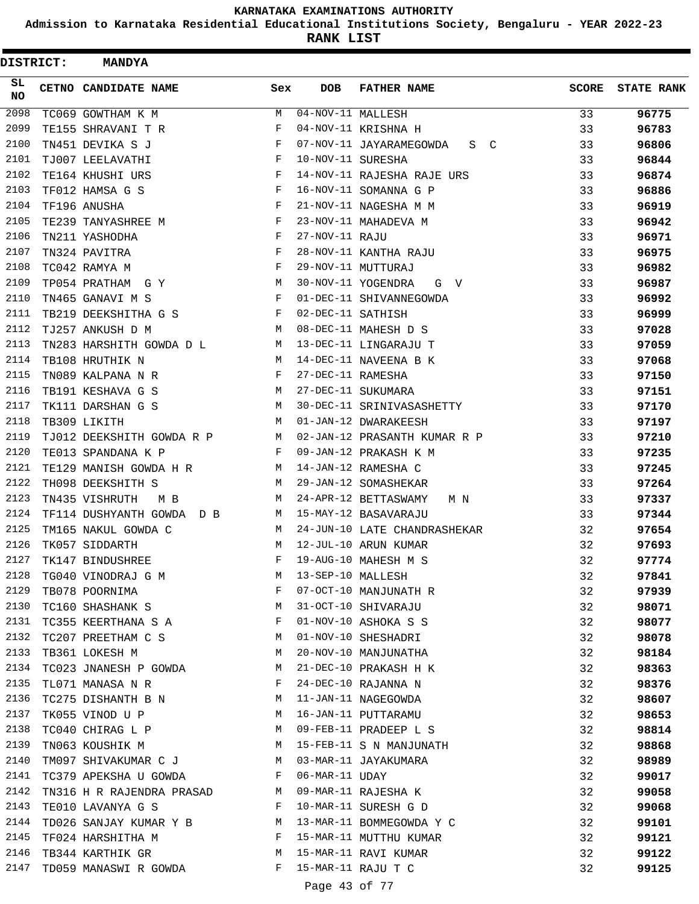**Admission to Karnataka Residential Educational Institutions Society, Bengaluru - YEAR 2022-23**

**RANK LIST**

 $\blacksquare$ 

| <b>DISTRICT:</b> | <b>MANDYA</b>                              |                               |                                |                              |              |                   |
|------------------|--------------------------------------------|-------------------------------|--------------------------------|------------------------------|--------------|-------------------|
| SL.<br>NO        | CETNO CANDIDATE NAME                       | Sex                           | <b>DOB</b>                     | <b>FATHER NAME</b>           | <b>SCORE</b> | <b>STATE RANK</b> |
| 2098             | TC069 GOWTHAM K M                          | M                             | $\overline{04-NOV-}11$ MALLESH |                              | 33           | 96775             |
| 2099             | TE155 SHRAVANI T R                         | F                             |                                | 04-NOV-11 KRISHNA H          | 33           | 96783             |
| 2100             | TN451 DEVIKA S J                           | F                             |                                | 07-NOV-11 JAYARAMEGOWDA S C  | 33           | 96806             |
| 2101             | TJ007 LEELAVATHI                           | F                             | 10-NOV-11 SURESHA              |                              | 33           | 96844             |
| 2102             | TE164 KHUSHI URS                           | $-F$                          |                                | 14-NOV-11 RAJESHA RAJE URS   | 33           | 96874             |
| 2103             | TF012 HAMSA G S                            | F                             |                                | 16-NOV-11 SOMANNA G P        | 33           | 96886             |
| 2104             | TF196 ANUSHA                               | F                             |                                | 21-NOV-11 NAGESHA M M        | 33           | 96919             |
| 2105             | TE239 TANYASHREE M                         | F                             |                                | 23-NOV-11 MAHADEVA M         | 33           | 96942             |
| 2106             | TN211 YASHODHA                             | F                             | 27-NOV-11 RAJU                 |                              | 33           | 96971             |
| 2107             | TN324 PAVITRA                              | $_{\rm F}$                    |                                | 28-NOV-11 KANTHA RAJU        | 33           | 96975             |
| 2108             | TC042 RAMYA M                              | F                             |                                | 29-NOV-11 MUTTURAJ           | 33           | 96982             |
| 2109             | TP054 PRATHAM G Y                          | M                             |                                | 30-NOV-11 YOGENDRA<br>G V    | 33           | 96987             |
| 2110             | TN465 GANAVI M S                           | $\mathbf{F}$                  |                                | 01-DEC-11 SHIVANNEGOWDA      | 33           | 96992             |
| 2111             | TB219 DEEKSHITHA G S                       | F                             | 02-DEC-11 SATHISH              |                              | 33           | 96999             |
| 2112             | TJ257 ANKUSH D M                           | M                             |                                | 08-DEC-11 MAHESH D S         | 33           | 97028             |
| 2113             | TN283 HARSHITH GOWDA D L<br>M <sub>1</sub> |                               |                                | 13-DEC-11 LINGARAJU T        | 33           | 97059             |
| 2114             | TB108 HRUTHIK N                            | M                             |                                | 14-DEC-11 NAVEENA B K        | 33           | 97068             |
| 2115             | TN089 KALPANA N R                          | $\mathbf{F}$                  | 27-DEC-11 RAMESHA              |                              | 33           | 97150             |
| 2116             | TB191 KESHAVA G S                          | M                             |                                | 27-DEC-11 SUKUMARA           | 33           | 97151             |
| 2117             | TK111 DARSHAN G S                          | M                             |                                | 30-DEC-11 SRINIVASASHETTY    | 33           | 97170             |
| 2118             | TB309 LIKITH                               | M                             |                                | 01-JAN-12 DWARAKEESH         | 33           | 97197             |
| 2119             | TJ012 DEEKSHITH GOWDA R P                  | M                             |                                | 02-JAN-12 PRASANTH KUMAR R P | 33           | 97210             |
| 2120             | TE013 SPANDANA K P                         | F                             |                                | 09-JAN-12 PRAKASH K M        | 33           | 97235             |
| 2121             | TE129 MANISH GOWDA H R                     | M                             |                                | 14-JAN-12 RAMESHA C          | 33           | 97245             |
| 2122             | TH098 DEEKSHITH S                          | M                             |                                | 29-JAN-12 SOMASHEKAR         | 33           | 97264             |
| 2123             | TN435 VISHRUTH<br>M B                      | M                             |                                | 24-APR-12 BETTASWAMY<br>M N  | 33           | 97337             |
| 2124             | TF114 DUSHYANTH GOWDA D B                  |                               |                                | M 15-MAY-12 BASAVARAJU       | 33           | 97344             |
| 2125             | TM165 NAKUL GOWDA C                        | M                             |                                | 24-JUN-10 LATE CHANDRASHEKAR | 32           | 97654             |
| 2126             | TK057 SIDDARTH                             | M                             |                                | 12-JUL-10 ARUN KUMAR         | 32           | 97693             |
| 2127             | TK147 BINDUSHREE                           | F                             |                                | 19-AUG-10 MAHESH M S         | 32           | 97774             |
| 2128             | TG040 VINODRAJ G M                         | М                             | 13-SEP-10 MALLESH              |                              | 32           | 97841             |
| 2129             | TB078 POORNIMA                             | $\mathbf{F}$                  |                                | 07-OCT-10 MANJUNATH R        | 32           | 97939             |
| 2130             | M<br>TC160 SHASHANK S                      |                               |                                | 31-OCT-10 SHIVARAJU          | 32           | 98071             |
| 2131             | TC355 KEERTHANA S A                        | $\mathbf{F}$                  |                                | 01-NOV-10 ASHOKA S S         | 32           | 98077             |
| 2132             | TC207 PREETHAM C S M                       |                               |                                | 01-NOV-10 SHESHADRI          | 32           | 98078             |
| 2133             | TB361 LOKESH M                             | М                             |                                | 20-NOV-10 MANJUNATHA         | 32           | 98184             |
| 2134             | TC023 JNANESH P GOWDA                      | M                             |                                | 21-DEC-10 PRAKASH H K        | 32           | 98363             |
| 2135             | TL071 MANASA N R                           | $\mathbb F$                   |                                | 24-DEC-10 RAJANNA N          | 32           | 98376             |
| 2136             | TC275 DISHANTH B N M                       |                               |                                | 11-JAN-11 NAGEGOWDA          | 32           | 98607             |
| 2137             | <b>M</b><br>TK055 VINOD U P                |                               |                                | 16-JAN-11 PUTTARAMU          | 32           | 98653             |
| 2138             | TC040 CHIRAG L P M                         |                               |                                | 09-FEB-11 PRADEEP L S        | 32           | 98814             |
| 2139             | TN063 KOUSHIK M                            | M                             |                                | 15-FEB-11 S N MANJUNATH      | 32           | 98868             |
| 2140             | TM097 SHIVAKUMAR C J M                     |                               |                                | 03-MAR-11 JAYAKUMARA         | 32           | 98989             |
| 2141             | TC379 APEKSHA U GOWDA F                    |                               | 06-MAR-11 UDAY                 |                              | 32           | 99017             |
| 2142             | TN316 H R RAJENDRA PRASAD M                |                               |                                | 09-MAR-11 RAJESHA K          | 32           | 99058             |
| 2143             | TE010 LAVANYA G S                          | $\mathbf{F}$                  |                                | 10-MAR-11 SURESH G D         | 32           | 99068             |
| 2144             | TD026 SANJAY KUMAR Y B M                   |                               |                                | 13-MAR-11 BOMMEGOWDA Y C     | 32           | 99101             |
| 2145             | TF024 HARSHITHA M F                        |                               |                                | 15-MAR-11 MUTTHU KUMAR       | 32           | 99121             |
| 2146             | TB344 KARTHIK GR                           | M                             |                                | 15-MAR-11 RAVI KUMAR         | 32           | 99122             |
| 2147             | TD059 MANASWI R GOWDA                      | $\mathbf{F}$ and $\mathbf{F}$ |                                | 15-MAR-11 RAJU T C           | 32           | 99125             |
|                  |                                            |                               | Page 43 of 77                  |                              |              |                   |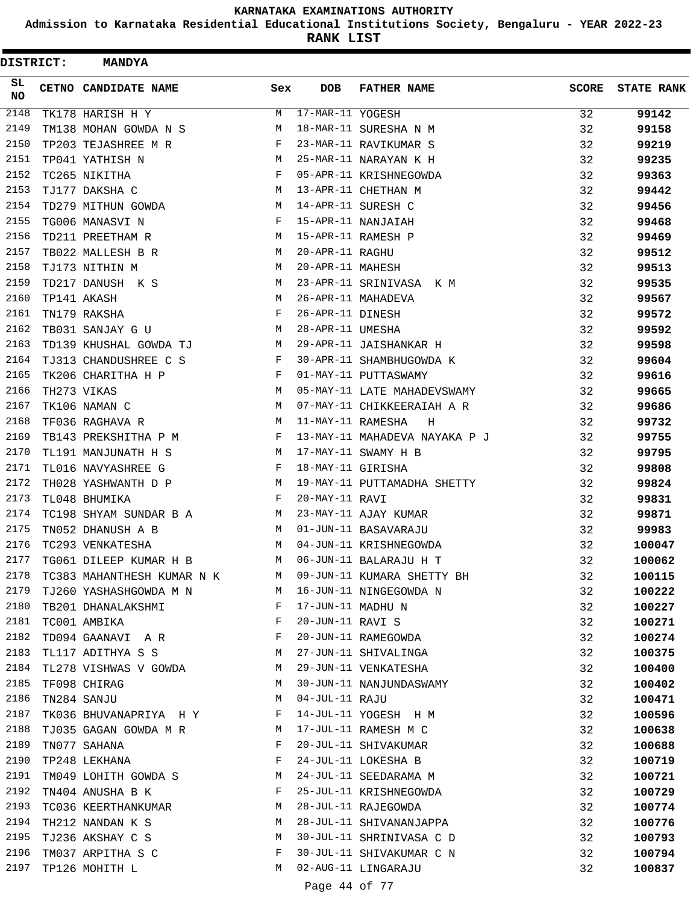**Admission to Karnataka Residential Educational Institutions Society, Bengaluru - YEAR 2022-23**

| <b>DISTRICT:</b> | <b>MANDYA</b>               |     |                   |                               |              |                   |
|------------------|-----------------------------|-----|-------------------|-------------------------------|--------------|-------------------|
| SL.<br><b>NO</b> | <b>CETNO CANDIDATE NAME</b> | Sex | <b>DOB</b>        | <b>FATHER NAME</b>            | <b>SCORE</b> | <b>STATE RANK</b> |
| 2148             | TK178 HARISH H Y            | М   | 17-MAR-11 YOGESH  |                               | 32           | 99142             |
| 2149             | TM138 MOHAN GOWDA N S       | М   |                   | 18-MAR-11 SURESHA N M         | 32           | 99158             |
| 2150             | TP203 TEJASHREE M R         | F   |                   | 23-MAR-11 RAVIKUMAR S         | 32           | 99219             |
| 2151             | TP041 YATHISH N             | M   |                   | 25-MAR-11 NARAYAN K H         | 32           | 99235             |
| 2152             | TC265 NIKITHA               | F   |                   | 05-APR-11 KRISHNEGOWDA        | 32           | 99363             |
| 2153             | TJ177 DAKSHA C              | М   |                   | 13-APR-11 CHETHAN M           | 32           | 99442             |
| 2154             | TD279 MITHUN GOWDA          | М   |                   | 14-APR-11 SURESH C            | 32           | 99456             |
| 2155             | TG006 MANASVI N             | F   |                   | 15-APR-11 NANJAIAH            | 32           | 99468             |
| 2156             | TD211 PREETHAM R            | М   |                   | 15-APR-11 RAMESH P            | 32           | 99469             |
| 2157             | TB022 MALLESH B R           | M   | 20-APR-11 RAGHU   |                               | 32           | 99512             |
| 2158             | TJ173 NITHIN M              | М   | 20-APR-11 MAHESH  |                               | 32           | 99513             |
| 2159             | TD217 DANUSH K S            | М   |                   | 23-APR-11 SRINIVASA K M       | 32           | 99535             |
| 2160             | TP141 AKASH                 | M   |                   | 26-APR-11 MAHADEVA            | 32           | 99567             |
| 2161             | TN179 RAKSHA                | F   | 26-APR-11 DINESH  |                               | 32           | 99572             |
| 2162             | TB031 SANJAY G U            | M   | 28-APR-11 UMESHA  |                               | 32           | 99592             |
| 2163             | TD139 KHUSHAL GOWDA TJ      | М   |                   | 29-APR-11 JAISHANKAR H        | 32           | 99598             |
| 2164             | TJ313 CHANDUSHREE C S       | F   |                   | 30-APR-11 SHAMBHUGOWDA K      | 32           | 99604             |
| 2165             | TK206 CHARITHA H P          | F   |                   | 01-MAY-11 PUTTASWAMY          | 32           | 99616             |
| 2166             | TH273 VIKAS                 | M   |                   | 05-MAY-11 LATE MAHADEVSWAMY   | 32           | 99665             |
| 2167             | TK106 NAMAN C               | М   |                   | 07-MAY-11 CHIKKEERAIAH A R    | 32           | 99686             |
| 2168             | TF036 RAGHAVA R             | M   | 11-MAY-11 RAMESHA | Η                             | 32           | 99732             |
| 2169             | TB143 PREKSHITHA P M        | F   |                   | 13-MAY-11 MAHADEVA NAYAKA P J | 32           | 99755             |
| 2170             | TL191 MANJUNATH H S         | M   |                   | 17-MAY-11 SWAMY H B           | 32           | 99795             |
| 2171             | TL016 NAVYASHREE G          | F   | 18-MAY-11 GIRISHA |                               | 32           | 99808             |
| 2172             | TH028 YASHWANTH D P         | M   |                   | 19-MAY-11 PUTTAMADHA SHETTY   | 32           | 99824             |
| 2173             | TL048 BHUMIKA               | F   | 20-MAY-11 RAVI    |                               | 32           | 99831             |
| 2174             | TC198 SHYAM SUNDAR B A      | М   |                   | 23-MAY-11 AJAY KUMAR          | 32           | 99871             |
| 2175             | TN052 DHANUSH A B           | M   |                   | 01-JUN-11 BASAVARAJU          | 32           | 99983             |
| 2176             | TC293 VENKATESHA            | M   |                   | 04-JUN-11 KRISHNEGOWDA        | 32           | 100047            |
| 2177             | TG061 DILEEP KUMAR H B      | M   |                   | 06-JUN-11 BALARAJU H T        | 32           | 100062            |
| 2178             | TC383 MAHANTHESH KUMAR N K  | M   |                   | 09-JUN-11 KUMARA SHETTY BH    | 32           | 100115            |
| 2179             | TJ260 YASHASHGOWDA M N      | M   |                   | 16-JUN-11 NINGEGOWDA N        | 32           | 100222            |
| 2180             | TB201 DHANALAKSHMI          | F   | 17-JUN-11 MADHU N |                               | 32           | 100227            |
| 2181             | TC001 AMBIKA                | F   | 20-JUN-11 RAVI S  |                               | 32           | 100271            |
| 2182             | TD094 GAANAVI A R           | F   |                   | 20-JUN-11 RAMEGOWDA           | 32           | 100274            |
| 2183             | TL117 ADITHYA S S           | M   |                   | 27-JUN-11 SHIVALINGA          | 32           | 100375            |
| 2184             | TL278 VISHWAS V GOWDA       | M   |                   | 29-JUN-11 VENKATESHA          | 32           | 100400            |
| 2185             | TF098 CHIRAG                | М   |                   | 30-JUN-11 NANJUNDASWAMY       | 32           | 100402            |
| 2186             | TN284 SANJU                 | М   | 04-JUL-11 RAJU    |                               | 32           | 100471            |
| 2187             | TK036 BHUVANAPRIYA H Y      | F   |                   | 14-JUL-11 YOGESH H M          | 32           | 100596            |
| 2188             | TJ035 GAGAN GOWDA M R       | M   |                   | 17-JUL-11 RAMESH M C          | 32           | 100638            |
| 2189             | TN077 SAHANA                | F   |                   | 20-JUL-11 SHIVAKUMAR          | 32           | 100688            |
| 2190             | TP248 LEKHANA               | F   |                   | 24-JUL-11 LOKESHA B           | 32           | 100719            |
| 2191             | TM049 LOHITH GOWDA S        | M   |                   | 24-JUL-11 SEEDARAMA M         | 32           | 100721            |
| 2192             | TN404 ANUSHA B K            | F   |                   | 25-JUL-11 KRISHNEGOWDA        | 32           | 100729            |
| 2193             | TC036 KEERTHANKUMAR         | М   |                   | 28-JUL-11 RAJEGOWDA           | 32           | 100774            |
| 2194             | TH212 NANDAN K S            | М   |                   | 28-JUL-11 SHIVANANJAPPA       | 32           | 100776            |
| 2195             | TJ236 AKSHAY C S            | М   |                   | 30-JUL-11 SHRINIVASA C D      | 32           | 100793            |
| 2196             | TM037 ARPITHA S C           | F   |                   | 30-JUL-11 SHIVAKUMAR C N      | 32           | 100794            |
| 2197             | TP126 MOHITH L              | M   |                   | 02-AUG-11 LINGARAJU           | 32           | 100837            |
|                  |                             |     | Page 44 of 77     |                               |              |                   |
|                  |                             |     |                   |                               |              |                   |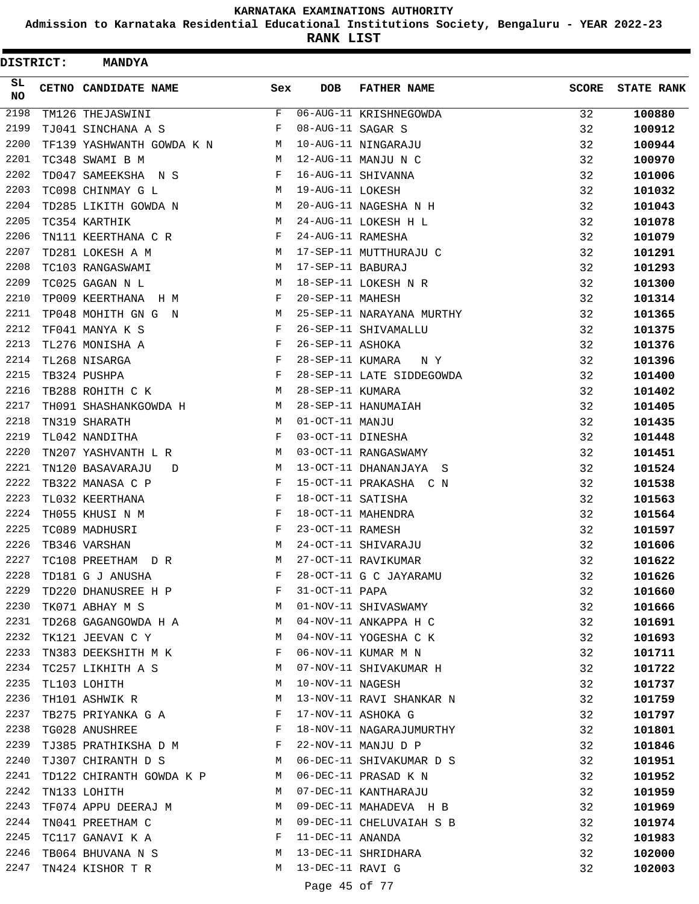**Admission to Karnataka Residential Educational Institutions Society, Bengaluru - YEAR 2022-23**

**RANK LIST**

ı

 $\blacksquare$ 

| <b>DISTRICT:</b> | <b>MANDYA</b>                                                                       |     |                   |                                                |              |                   |
|------------------|-------------------------------------------------------------------------------------|-----|-------------------|------------------------------------------------|--------------|-------------------|
| SL<br>NO.        | CETNO CANDIDATE NAME                                                                | Sex | <b>DOB</b>        | <b>FATHER NAME</b>                             | <b>SCORE</b> | <b>STATE RANK</b> |
| 2198             | TM126 THEJASWINI                                                                    | F   |                   | 06-AUG-11 KRISHNEGOWDA                         | 32           | 100880            |
| 2199             | TJ041 SINCHANA A S                                                                  | F   | 08-AUG-11 SAGAR S |                                                | 32           | 100912            |
| 2200             | TF139 YASHWANTH GOWDA K N                                                           | M   |                   | 10-AUG-11 NINGARAJU                            | 32           | 100944            |
| 2201             | TC348 SWAMI B M                                                                     | M   |                   | 12-AUG-11 MANJU N C                            | 32           | 100970            |
| 2202             | TD047 SAMEEKSHA N S                                                                 | F   |                   | 16-AUG-11 SHIVANNA                             | 32           | 101006            |
| 2203             | TC098 CHINMAY G L                                                                   | М   | 19-AUG-11 LOKESH  |                                                | 32           | 101032            |
| 2204             | TD285 LIKITH GOWDA N                                                                | M   |                   | 20-AUG-11 NAGESHA N H                          | 32           | 101043            |
| 2205             | TC354 KARTHIK                                                                       | М   |                   | 24-AUG-11 LOKESH H L                           | 32           | 101078            |
| 2206             | TN111 KEERTHANA C R                                                                 | F   | 24-AUG-11 RAMESHA |                                                | 32           | 101079            |
| 2207             | TD281 LOKESH A M                                                                    | М   |                   | 17-SEP-11 MUTTHURAJU C                         | 32           | 101291            |
| 2208             | TC103 RANGASWAMI                                                                    | М   | 17-SEP-11 BABURAJ |                                                | 32           | 101293            |
| 2209             | TC025 GAGAN N L                                                                     | M   |                   | 18-SEP-11 LOKESH N R                           | 32           | 101300            |
| 2210             | TP009 KEERTHANA H M                                                                 | F   | 20-SEP-11 MAHESH  |                                                | 32           | 101314            |
| 2211             | TP048 MOHITH GN G N                                                                 | M   |                   | 25-SEP-11 NARAYANA MURTHY                      | 32           | 101365            |
| 2212             | TF041 MANYA K S                                                                     | F   |                   | 26-SEP-11 SHIVAMALLU                           | 32           | 101375            |
| 2213             | TL276 MONISHA A                                                                     | F   | 26-SEP-11 ASHOKA  |                                                | 32           | 101376            |
| 2214             | TL268 NISARGA                                                                       | F   | 28-SEP-11 KUMARA  | N Y                                            | 32           | 101396            |
| 2215             | TB324 PUSHPA                                                                        | F   |                   | 28-SEP-11 LATE SIDDEGOWDA                      | 32           | 101400            |
| 2216             | TB288 ROHITH C K                                                                    | M   | 28-SEP-11 KUMARA  |                                                | 32           | 101402            |
| 2217             | TH091 SHASHANKGOWDA H                                                               | M   |                   | 28-SEP-11 HANUMAIAH                            | 32           | 101405            |
| 2218             | TN319 SHARATH                                                                       | M   | 01-OCT-11 MANJU   |                                                | 32           | 101435            |
| 2219             | TL042 NANDITHA                                                                      | F   | 03-OCT-11 DINESHA |                                                | 32           | 101448            |
| 2220             | TN207 YASHVANTH L R                                                                 | М   |                   | 03-OCT-11 RANGASWAMY                           | 32           | 101451            |
| 2221             | TN120 BASAVARAJU<br>D                                                               | М   |                   | 13-OCT-11 DHANANJAYA S                         | 32           | 101524            |
| 2222             | TB322 MANASA C P                                                                    | F   |                   | 15-OCT-11 PRAKASHA C N                         | 32           | 101538            |
| 2223             | TL032 KEERTHANA                                                                     | F   | 18-OCT-11 SATISHA |                                                | 32           | 101563            |
| 2224             | TH055 KHUSI N M                                                                     | F   |                   | 18-OCT-11 MAHENDRA                             | 32           | 101564            |
| 2225             | TC089 MADHUSRI                                                                      | F   | 23-OCT-11 RAMESH  |                                                | 32           | 101597            |
| 2226             | TB346 VARSHAN                                                                       | М   |                   | 24-OCT-11 SHIVARAJU                            | 32           | 101606            |
| 2227             | TC108 PREETHAM<br>D R                                                               | М   |                   | 27-OCT-11 RAVIKUMAR                            | 32           | 101622            |
| 2228             | TD181 G J ANUSHA                                                                    | F   |                   | 28-OCT-11 G C JAYARAMU                         | 32           | 101626            |
| 2229             | TD220 DHANUSREE H P                                                                 | F   | 31-OCT-11 PAPA    |                                                | 32           | 101660            |
| 2230             | <b>M</b><br>TK071 ABHAY M S                                                         |     |                   | 01-NOV-11 SHIVASWAMY                           | 32           | 101666            |
| 2231             | TD268 GAGANGOWDA H A M                                                              |     |                   | 04-NOV-11 ANKAPPA H C                          | 32           | 101691            |
| 2232             | TK121 JEEVAN C Y                                                                    | M   |                   | 04-NOV-11 YOGESHA C K                          | 32           |                   |
| 2233             |                                                                                     | F   |                   | 06-NOV-11 KUMAR M N                            | 32           | 101693            |
| 2234             | TN383 DEEKSHITH M K<br>TC257 LIKHITH A S                                            | M   |                   | 07-NOV-11 SHIVAKUMAR H                         | 32           | 101711<br>101722  |
| 2235             |                                                                                     | М   | 10-NOV-11 NAGESH  |                                                |              |                   |
| 2236             | TL103 LOHITH                                                                        | М   |                   |                                                | 32           | 101737            |
| 2237             | TH101 ASHWIK R                                                                      | F   |                   | 13-NOV-11 RAVI SHANKAR N<br>17-NOV-11 ASHOKA G | 32           | 101759            |
| 2238             | TB275 PRIYANKA G A                                                                  |     |                   |                                                | 32           | 101797            |
| 2239             | TG028 ANUSHREE<br>and the state of the state of the Party<br>TJ385 PRATHIKSHA D M F |     |                   | 18-NOV-11 NAGARAJUMURTHY                       | 32           | 101801            |
|                  |                                                                                     |     |                   | 22-NOV-11 MANJU D P                            | 32           | 101846            |
| 2240             | TJ307 CHIRANTH D S                                                                  | M   |                   | 06-DEC-11 SHIVAKUMAR D S                       | 32           | 101951            |
| 2241             | TD122 CHIRANTH GOWDA K P M                                                          |     |                   | 06-DEC-11 PRASAD K N                           | 32           | 101952            |
| 2242             | TN133 LOHITH                                                                        | M   |                   | 07-DEC-11 KANTHARAJU                           | 32           | 101959            |
| 2243             | TF074 APPU DEERAJ M                                                                 | M   |                   | 09-DEC-11 MAHADEVA H B                         | 32           | 101969            |
| 2244             | TN041 PREETHAM C                                                                    | M   |                   | 09-DEC-11 CHELUVAIAH S B                       | 32           | 101974            |
| 2245             | TC117 GANAVI K A<br>$\mathbf{F}$ . The contract of the contract of $\mathbf{F}$ ,   |     | 11-DEC-11 ANANDA  |                                                | 32           | 101983            |
| 2246             | TB064 BHUVANA N S M                                                                 |     |                   | 13-DEC-11 SHRIDHARA                            | 32           | 102000            |
| 2247             | TN424 KISHOR T R                                                                    | M   | 13-DEC-11 RAVI G  |                                                | 32           | 102003            |
|                  |                                                                                     |     | Page 45 of 77     |                                                |              |                   |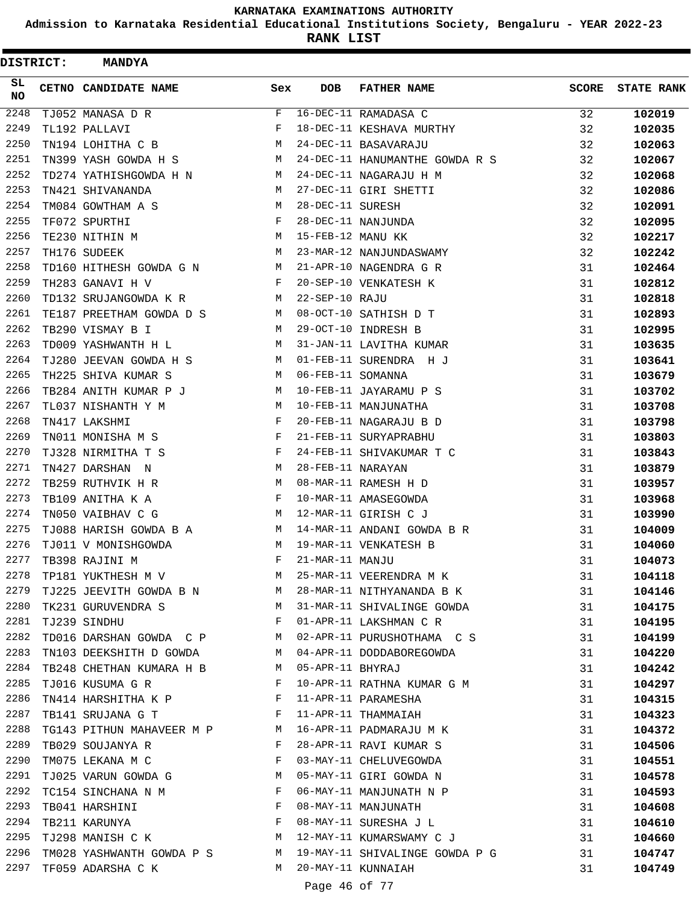**Admission to Karnataka Residential Educational Institutions Society, Bengaluru - YEAR 2022-23**

| <b>DISTRICT:</b> | <b>MANDYA</b>                  |                                                |                      |                                                     |              |                   |
|------------------|--------------------------------|------------------------------------------------|----------------------|-----------------------------------------------------|--------------|-------------------|
| SL<br>NO         | CETNO CANDIDATE NAME           | Sex                                            | <b>DOB</b>           | <b>FATHER NAME</b>                                  | <b>SCORE</b> | <b>STATE RANK</b> |
| 2248             | TJ052 MANASA D R               | F                                              |                      | 16-DEC-11 RAMADASA C                                | 32           | 102019            |
| 2249             | TL192 PALLAVI                  | F                                              |                      | 18-DEC-11 KESHAVA MURTHY                            | 32           | 102035            |
| 2250             | TN194 LOHITHA C B              | М                                              |                      | 24-DEC-11 BASAVARAJU                                | 32           | 102063            |
| 2251             | TN399 YASH GOWDA H S           | М                                              |                      | 24-DEC-11 HANUMANTHE GOWDA R S                      | 32           | 102067            |
| 2252             | TD274 YATHISHGOWDA H N         | М                                              |                      | 24-DEC-11 NAGARAJU H M                              | 32           | 102068            |
| 2253             | TN421 SHIVANANDA               | М                                              |                      | 27-DEC-11 GIRI SHETTI                               | 32           | 102086            |
| 2254             | TM084 GOWTHAM A S              | М                                              | 28-DEC-11 SURESH     |                                                     | 32           | 102091            |
| 2255             | TF072 SPURTHI                  | F                                              |                      | 28-DEC-11 NANJUNDA                                  | 32           | 102095            |
| 2256             | TE230 NITHIN M                 | М                                              | 15-FEB-12 MANU KK    |                                                     | 32           | 102217            |
| 2257             | TH176 SUDEEK                   | М                                              |                      | 23-MAR-12 NANJUNDASWAMY                             | 32           | 102242            |
| 2258             | TD160 HITHESH GOWDA G N        | M                                              |                      | 21-APR-10 NAGENDRA G R                              | 31           | 102464            |
| 2259             | TH283 GANAVI H V               | F                                              |                      | 20-SEP-10 VENKATESH K                               | 31           | 102812            |
| 2260             | TD132 SRUJANGOWDA K R          | М                                              | $22 - SEP - 10$ RAJU |                                                     | 31           | 102818            |
| 2261             | TE187 PREETHAM GOWDA D S       | М                                              |                      | 08-OCT-10 SATHISH D T                               | 31           | 102893            |
| 2262             | TB290 VISMAY B I               | М                                              |                      | 29-OCT-10 INDRESH B                                 | 31           | 102995            |
| 2263             | TD009 YASHWANTH H L            | М                                              |                      | 31-JAN-11 LAVITHA KUMAR                             | 31           | 103635            |
| 2264             | TJ280 JEEVAN GOWDA H S         | М                                              |                      | 01-FEB-11 SURENDRA H J                              | 31           | 103641            |
| 2265             | TH225 SHIVA KUMAR S            | М                                              | 06-FEB-11 SOMANNA    |                                                     | 31           | 103679            |
| 2266             | TB284 ANITH KUMAR P J          | М                                              |                      | 10-FEB-11 JAYARAMU P S                              | 31           | 103702            |
| 2267             | TL037 NISHANTH Y M             | М                                              |                      | 10-FEB-11 MANJUNATHA                                | 31           | 103708            |
| 2268             | TN417 LAKSHMI                  | F                                              |                      | 20-FEB-11 NAGARAJU B D                              | 31           | 103798            |
| 2269             | TN011 MONISHA M S              | F                                              |                      | 21-FEB-11 SURYAPRABHU                               | 31           | 103803            |
| 2270             | TJ328 NIRMITHA T S             | F                                              |                      | 24-FEB-11 SHIVAKUMAR T C                            | 31           | 103843            |
| 2271             | TN427 DARSHAN N                | М                                              | 28-FEB-11 NARAYAN    |                                                     | 31           | 103879            |
| 2272             | TB259 RUTHVIK H R              | М                                              |                      | 08-MAR-11 RAMESH H D                                | 31           | 103957            |
| 2273             | TB109 ANITHA K A               | F                                              |                      | 10-MAR-11 AMASEGOWDA                                | 31           | 103968            |
| 2274             | TN050 VAIBHAV C G              | M                                              |                      | 12-MAR-11 GIRISH C J                                | 31           | 103990            |
| 2275             | TJ088 HARISH GOWDA B A         | M                                              |                      | 14-MAR-11 ANDANI GOWDA B R                          | 31           | 104009            |
| 2276             | TJ011 V MONISHGOWDA            | М                                              |                      | 19-MAR-11 VENKATESH B                               | 31           | 104060            |
| 2277             | TB398 RAJINI M                 | F                                              | 21-MAR-11 MANJU      |                                                     | 31           | 104073            |
| 2278             | TP181 YUKTHESH M V             | M                                              |                      | 25-MAR-11 VEERENDRA M K                             | 31           | 104118            |
| 2279             |                                |                                                |                      | TJ225 JEEVITH GOWDA B N M 28-MAR-11 NITHYANANDA B K | 31           | 104146            |
| 2280             | TK231 GURUVENDRA S<br><b>M</b> |                                                |                      | 31-MAR-11 SHIVALINGE GOWDA                          | 31           | 104175            |
| 2281             | TJ239 SINDHU                   | in the state of the Fig.                       |                      | 01-APR-11 LAKSHMAN C R                              | 31           | 104195            |
| 2282             | TD016 DARSHAN GOWDA C P M      |                                                |                      | 02-APR-11 PURUSHOTHAMA C S                          | 31           | 104199            |
| 2283             | TN103 DEEKSHITH D GOWDA M      |                                                |                      | 04-APR-11 DODDABOREGOWDA                            | 31           | 104220            |
| 2284             | TB248 CHETHAN KUMARA H B       | M                                              | 05-APR-11 BHYRAJ     |                                                     | 31           | 104242            |
| 2285             | TJ016 KUSUMA G R               | F                                              |                      | 10-APR-11 RATHNA KUMAR G M                          | 31           | 104297            |
| 2286             | TN414 HARSHITHA K P F          |                                                |                      | 11-APR-11 PARAMESHA                                 | 31           | 104315            |
| 2287             | TB141 SRUJANA G T              | $\mathbb F$                                    |                      | 11-APR-11 THAMMAIAH                                 | 31           | 104323            |
| 2288             | TG143 PITHUN MAHAVEER M P M    |                                                |                      | 16-APR-11 PADMARAJU M K                             | 31           | 104372            |
| 2289             | TB029 SOUJANYA R               | $\mathbf{F}$ and $\mathbf{F}$ and $\mathbf{F}$ |                      | 28-APR-11 RAVI KUMAR S                              | 31           | 104506            |
| 2290             | TM075 LEKANA M C               | $\mathbf{F}$                                   |                      | 03-MAY-11 CHELUVEGOWDA                              | 31           | 104551            |
| 2291             | TJ025 VARUN GOWDA G            | M                                              |                      | 05-MAY-11 GIRI GOWDA N                              | 31           | 104578            |
| 2292             | TC154 SINCHANA N M             | F                                              |                      | 06-MAY-11 MANJUNATH N P                             | 31           | 104593            |
| 2293             | TB041 HARSHINI                 | $\mathbf{F}$                                   |                      | 08-MAY-11 MANJUNATH                                 | 31           | 104608            |
| 2294             | TB211 KARUNYA                  | F                                              |                      | 08-MAY-11 SURESHA J L                               | 31           | 104610            |
| 2295             | TJ298 MANISH C K M             |                                                |                      | 12-MAY-11 KUMARSWAMY C J                            | 31           | 104660            |
| 2296             | TM028 YASHWANTH GOWDA P S M    |                                                |                      | 19-MAY-11 SHIVALINGE GOWDA P G                      | 31           | 104747            |
| 2297             | TF059 ADARSHA C K              | M                                              |                      | 20-MAY-11 KUNNAIAH                                  | 31           | 104749            |
|                  |                                |                                                | Page 46 of 77        |                                                     |              |                   |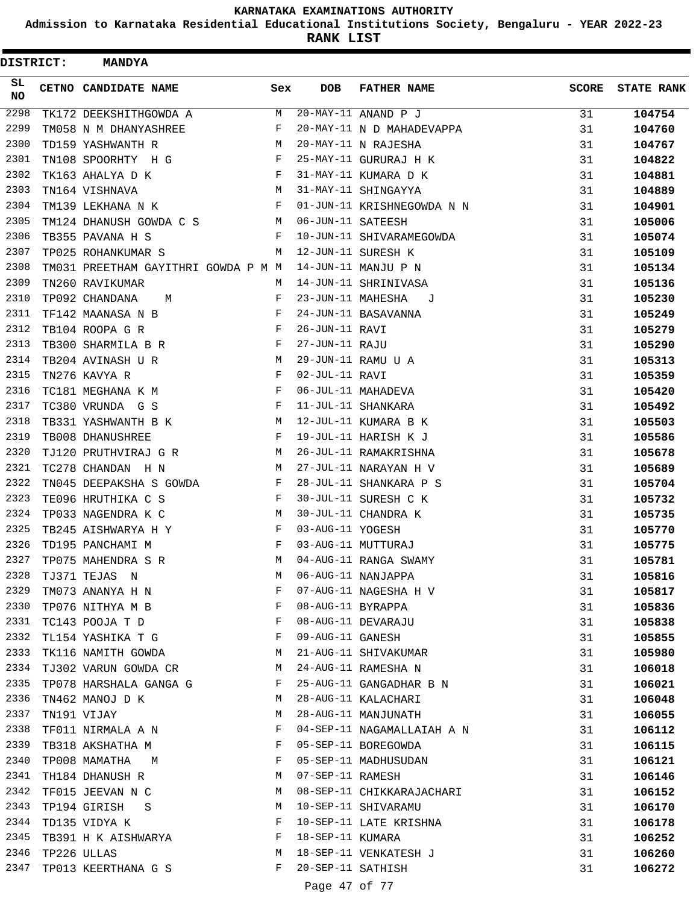**Admission to Karnataka Residential Educational Institutions Society, Bengaluru - YEAR 2022-23**

| <b>DISTRICT:</b> |  | <b>MANDYA</b>                       |            |                   |                            |              |                   |
|------------------|--|-------------------------------------|------------|-------------------|----------------------------|--------------|-------------------|
| SL<br><b>NO</b>  |  | <b>CETNO CANDIDATE NAME</b>         | Sex        | <b>DOB</b>        | <b>FATHER NAME</b>         | <b>SCORE</b> | <b>STATE RANK</b> |
| 2298             |  | TK172 DEEKSHITHGOWDA A              | M          |                   | 20-MAY-11 ANAND P J        | 31           | 104754            |
| 2299             |  | TM058 N M DHANYASHREE               | F          |                   | 20-MAY-11 N D MAHADEVAPPA  | 31           | 104760            |
| 2300             |  | TD159 YASHWANTH R                   | M          |                   | 20-MAY-11 N RAJESHA        | 31           | 104767            |
| 2301             |  | TN108 SPOORHTY H G                  | F          |                   | 25-MAY-11 GURURAJ H K      | 31           | 104822            |
| 2302             |  | TK163 AHALYA D K                    | F          |                   | 31-MAY-11 KUMARA D K       | 31           | 104881            |
| 2303             |  | TN164 VISHNAVA                      | М          |                   | 31-MAY-11 SHINGAYYA        | 31           | 104889            |
| 2304             |  | TM139 LEKHANA N K                   | F          |                   | 01-JUN-11 KRISHNEGOWDA N N | 31           | 104901            |
| 2305             |  | TM124 DHANUSH GOWDA C S             | M          | 06-JUN-11 SATEESH |                            | 31           | 105006            |
| 2306             |  | TB355 PAVANA H S                    | F          |                   | 10-JUN-11 SHIVARAMEGOWDA   | 31           | 105074            |
| 2307             |  | TP025 ROHANKUMAR S                  | M          |                   | 12-JUN-11 SURESH K         | 31           | 105109            |
| 2308             |  | TM031 PREETHAM GAYITHRI GOWDA P M M |            |                   | 14-JUN-11 MANJU P N        | 31           | 105134            |
| 2309             |  | TN260 RAVIKUMAR                     | М          |                   | 14-JUN-11 SHRINIVASA       | 31           | 105136            |
| 2310             |  | TP092 CHANDANA<br>M                 | F          | 23-JUN-11 MAHESHA | J                          | 31           | 105230            |
| 2311             |  | TF142 MAANASA N B                   | F          |                   | 24-JUN-11 BASAVANNA        | 31           | 105249            |
| 2312             |  | TB104 ROOPA G R                     | $_{\rm F}$ | 26-JUN-11 RAVI    |                            | 31           | 105279            |
| 2313             |  | TB300 SHARMILA B R                  | F          | 27-JUN-11 RAJU    |                            | 31           | 105290            |
| 2314             |  | TB204 AVINASH U R                   | М          |                   | 29-JUN-11 RAMU U A         | 31           | 105313            |
| 2315             |  | TN276 KAVYA R                       | F          | 02-JUL-11 RAVI    |                            | 31           | 105359            |
| 2316             |  | TC181 MEGHANA K M                   | $_{\rm F}$ |                   | 06-JUL-11 MAHADEVA         | 31           | 105420            |
| 2317             |  | TC380 VRUNDA G S                    | F          |                   | 11-JUL-11 SHANKARA         | 31           | 105492            |
| 2318             |  | TB331 YASHWANTH B K                 | M          |                   | 12-JUL-11 KUMARA B K       | 31           | 105503            |
| 2319             |  | TB008 DHANUSHREE                    | F          |                   | 19-JUL-11 HARISH K J       | 31           | 105586            |
| 2320             |  | TJ120 PRUTHVIRAJ G R                | M          |                   | 26-JUL-11 RAMAKRISHNA      | 31           | 105678            |
| 2321             |  | TC278 CHANDAN H N                   | М          |                   | 27-JUL-11 NARAYAN H V      | 31           | 105689            |
| 2322             |  | TN045 DEEPAKSHA S GOWDA             | F          |                   | 28-JUL-11 SHANKARA P S     | 31           | 105704            |
| 2323             |  | TE096 HRUTHIKA C S                  | F          |                   | 30-JUL-11 SURESH C K       | 31           | 105732            |
| 2324             |  | TP033 NAGENDRA K C                  | М          |                   | 30-JUL-11 CHANDRA K        | 31           | 105735            |
| 2325             |  | TB245 AISHWARYA H Y                 | F          | 03-AUG-11 YOGESH  |                            | 31           | 105770            |
| 2326             |  | TD195 PANCHAMI M                    | F          |                   | 03-AUG-11 MUTTURAJ         | 31           | 105775            |
| 2327             |  | TP075 MAHENDRA S R                  | M          |                   | 04-AUG-11 RANGA SWAMY      | 31           | 105781            |
| 2328             |  | TJ371 TEJAS N                       | М          |                   | 06-AUG-11 NANJAPPA         | 31           | 105816            |
| 2329             |  | TM073 ANANYA H N                    | F          |                   | 07-AUG-11 NAGESHA H V      | 31           | 105817            |
| 2330             |  | TP076 NITHYA M B                    | F          | 08-AUG-11 BYRAPPA |                            | 31           | 105836            |
| 2331             |  | TC143 POOJA T D                     | F          |                   | 08-AUG-11 DEVARAJU         | 31           | 105838            |
| 2332             |  | TL154 YASHIKA T G                   | F          | 09-AUG-11 GANESH  |                            | 31           | 105855            |
| 2333             |  | TK116 NAMITH GOWDA                  | М          |                   | 21-AUG-11 SHIVAKUMAR       | 31           | 105980            |
| 2334             |  | TJ302 VARUN GOWDA CR                | M          |                   | 24-AUG-11 RAMESHA N        | 31           | 106018            |
| 2335             |  | TP078 HARSHALA GANGA G              | F          |                   | 25-AUG-11 GANGADHAR B N    | 31           | 106021            |
| 2336             |  | TN462 MANOJ D K                     | М          |                   | 28-AUG-11 KALACHARI        | 31           | 106048            |
| 2337             |  | TN191 VIJAY                         | М          |                   | 28-AUG-11 MANJUNATH        | 31           | 106055            |
| 2338             |  | TF011 NIRMALA A N                   | F          |                   | 04-SEP-11 NAGAMALLAIAH A N | 31           | 106112            |
| 2339             |  | TB318 AKSHATHA M                    | F          |                   | 05-SEP-11 BOREGOWDA        | 31           | 106115            |
| 2340             |  | TP008 MAMATHA M                     | F          |                   | 05-SEP-11 MADHUSUDAN       | 31           | 106121            |
| 2341             |  | TH184 DHANUSH R                     | М          | 07-SEP-11 RAMESH  |                            | 31           | 106146            |
| 2342             |  | TF015 JEEVAN N C                    | М          |                   | 08-SEP-11 CHIKKARAJACHARI  | 31           | 106152            |
| 2343             |  | TP194 GIRISH S                      | М          |                   | 10-SEP-11 SHIVARAMU        | 31           | 106170            |
| 2344             |  | TD135 VIDYA K                       | F          |                   | 10-SEP-11 LATE KRISHNA     | 31           | 106178            |
| 2345             |  | TB391 H K AISHWARYA                 | F          | 18-SEP-11 KUMARA  |                            | 31           | 106252            |
| 2346             |  | TP226 ULLAS                         | М          |                   | 18-SEP-11 VENKATESH J      | 31           | 106260            |
| 2347             |  | TP013 KEERTHANA G S                 | F          | 20-SEP-11 SATHISH |                            | 31           | 106272            |
|                  |  |                                     |            | Page 47 of 77     |                            |              |                   |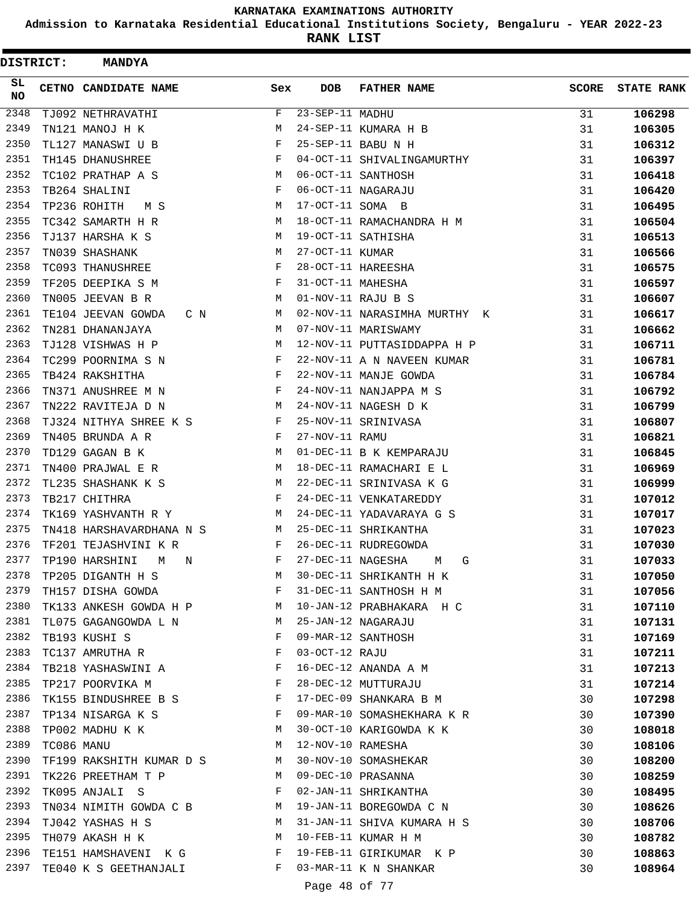**Admission to Karnataka Residential Educational Institutions Society, Bengaluru - YEAR 2022-23**

**RANK LIST**

| <b>DISTRICT:</b> |            | <b>MANDYA</b>                                                                   |                                                |                   |                              |              |                   |
|------------------|------------|---------------------------------------------------------------------------------|------------------------------------------------|-------------------|------------------------------|--------------|-------------------|
| SL<br>NO         |            | CETNO CANDIDATE NAME                                                            | Sex                                            | DOB               | <b>FATHER NAME</b>           | <b>SCORE</b> | <b>STATE RANK</b> |
| 2348             |            | TJ092 NETHRAVATHI                                                               | F                                              | 23-SEP-11 MADHU   |                              | 31           | 106298            |
| 2349             |            | TN121 MANOJ H K                                                                 | М                                              |                   | 24-SEP-11 KUMARA H B         | 31           | 106305            |
| 2350             |            | TL127 MANASWI U B                                                               | F                                              |                   | 25-SEP-11 BABU N H           | 31           | 106312            |
| 2351             |            | TH145 DHANUSHREE                                                                | F                                              |                   | 04-OCT-11 SHIVALINGAMURTHY   | 31           | 106397            |
| 2352             |            | TC102 PRATHAP A S                                                               | М                                              |                   | 06-OCT-11 SANTHOSH           | 31           | 106418            |
| 2353             |            | TB264 SHALINI                                                                   | F                                              |                   | 06-OCT-11 NAGARAJU           | 31           | 106420            |
| 2354             |            | TP236 ROHITH<br>M S                                                             | М                                              | 17-OCT-11 SOMA B  |                              | 31           | 106495            |
| 2355             |            | TC342 SAMARTH H R                                                               | M                                              |                   | 18-OCT-11 RAMACHANDRA H M    | 31           | 106504            |
| 2356             |            | TJ137 HARSHA K S                                                                | M                                              |                   | 19-OCT-11 SATHISHA           | 31           | 106513            |
| 2357             |            | TN039 SHASHANK                                                                  | М                                              | 27-OCT-11 KUMAR   |                              | 31           | 106566            |
| 2358             |            | TC093 THANUSHREE                                                                | F                                              |                   | 28-OCT-11 HAREESHA           | 31           | 106575            |
| 2359             |            | TF205 DEEPIKA S M                                                               | F                                              | 31-OCT-11 MAHESHA |                              | 31           | 106597            |
| 2360             |            | TN005 JEEVAN B R                                                                | М                                              |                   | 01-NOV-11 RAJU B S           | 31           | 106607            |
| 2361             |            | TE104 JEEVAN GOWDA<br>C N                                                       | M                                              |                   | 02-NOV-11 NARASIMHA MURTHY K | 31           | 106617            |
| 2362             |            | TN281 DHANANJAYA                                                                | M                                              |                   | 07-NOV-11 MARISWAMY          | 31           | 106662            |
| 2363             |            | TJ128 VISHWAS H P                                                               | М                                              |                   | 12-NOV-11 PUTTASIDDAPPA H P  | 31           | 106711            |
| 2364             |            | TC299 POORNIMA S N                                                              | F                                              |                   | 22-NOV-11 A N NAVEEN KUMAR   | 31           | 106781            |
| 2365             |            | TB424 RAKSHITHA                                                                 | F                                              |                   | 22-NOV-11 MANJE GOWDA        | 31           | 106784            |
| 2366             |            | TN371 ANUSHREE M N                                                              | F                                              |                   | 24-NOV-11 NANJAPPA M S       | 31           | 106792            |
| 2367             |            | TN222 RAVITEJA D N                                                              | M                                              |                   | 24-NOV-11 NAGESH D K         | 31           | 106799            |
| 2368             |            | TJ324 NITHYA SHREE K S                                                          | F                                              |                   | 25-NOV-11 SRINIVASA          | 31           | 106807            |
| 2369             |            | TN405 BRUNDA A R                                                                | F                                              | 27-NOV-11 RAMU    |                              | 31           | 106821            |
| 2370             |            | TD129 GAGAN B K                                                                 | M                                              |                   | 01-DEC-11 B K KEMPARAJU      | 31           | 106845            |
| 2371             |            | TN400 PRAJWAL E R                                                               | M                                              |                   | 18-DEC-11 RAMACHARI E L      | 31           | 106969            |
| 2372             |            | TL235 SHASHANK K S                                                              | М                                              |                   | 22-DEC-11 SRINIVASA K G      | 31           | 106999            |
| 2373             |            | TB217 CHITHRA                                                                   | F                                              |                   | 24-DEC-11 VENKATAREDDY       | 31           | 107012            |
| 2374             |            | TK169 YASHVANTH R Y                                                             | M                                              |                   | 24-DEC-11 YADAVARAYA G S     | 31           | 107017            |
| 2375             |            | TN418 HARSHAVARDHANA N S                                                        | М                                              |                   | 25-DEC-11 SHRIKANTHA         | 31           | 107023            |
| 2376             |            | TF201 TEJASHVINI K R                                                            | F                                              |                   | 26-DEC-11 RUDREGOWDA         | 31           | 107030            |
| 2377             |            | TP190 HARSHINI<br>М<br>N                                                        | F                                              | 27-DEC-11 NAGESHA | М<br>G                       | 31           | 107033            |
|                  |            | 2378 TP205 DIGANTH H S                                                          | M                                              |                   | 30-DEC-11 SHRIKANTH H K      | 31           | 107050            |
| 2379             |            | TH157 DISHA GOWDA                                                               | F                                              |                   | 31-DEC-11 SANTHOSH H M       | 31           | 107056            |
| 2380             |            | TK133 ANKESH GOWDA H P M                                                        |                                                |                   | 10-JAN-12 PRABHAKARA H C     | 31           | 107110            |
| 2381             |            | TL075 GAGANGOWDA L N M                                                          |                                                |                   | 25-JAN-12 NAGARAJU           | 31           | 107131            |
| 2382             |            | TB193 KUSHI S                                                                   | $\mathbf{F}$                                   |                   | 09-MAR-12 SANTHOSH           | 31           | 107169            |
| 2383             |            | TC137 AMRUTHA R                                                                 | $\mathbf{F}$                                   | 03-OCT-12 RAJU    |                              | 31           | 107211            |
| 2384             |            | TB218 YASHASWINI A F                                                            |                                                |                   | 16-DEC-12 ANANDA A M         | 31           | 107213            |
| 2385             |            | $\mathbf{F}$<br>TP217 POORVIKA M                                                |                                                |                   | 28-DEC-12 MUTTURAJU          | 31           | 107214            |
| 2386             |            | TK155 BINDUSHREE B S F                                                          |                                                |                   | 17-DEC-09 SHANKARA B M       | 30           | 107298            |
| 2387             |            | TP134 NISARGA K S<br>$\mathbf{F}$ and the contract of the contract $\mathbf{F}$ |                                                |                   | 09-MAR-10 SOMASHEKHARA K R   | 30           | 107390            |
| 2388             |            | $M_{\odot}$<br>TP002 MADHU K K                                                  |                                                |                   | 30-OCT-10 KARIGOWDA K K      | 30           | 108018            |
| 2389             | TC086 MANU |                                                                                 | M                                              |                   | 12-NOV-10 RAMESHA            | 30           | 108106            |
| 2390             |            | TF199 RAKSHITH KUMAR D S M                                                      |                                                |                   | 30-NOV-10 SOMASHEKAR         | 30           | 108200            |
| 2391             |            | TK226 PREETHAM T P                                                              | M                                              |                   | 09-DEC-10 PRASANNA           | 30           | 108259            |
| 2392             |            | TK095 ANJALI S                                                                  | $\mathbf{F}$ and $\mathbf{F}$ and $\mathbf{F}$ |                   | 02-JAN-11 SHRIKANTHA         | 30           | 108495            |
| 2393             |            | TN034 NIMITH GOWDA C B M                                                        |                                                |                   | 19-JAN-11 BOREGOWDA C N      | 30           | 108626            |
| 2394             |            | TJ042 YASHAS H S                                                                | M                                              |                   | 31-JAN-11 SHIVA KUMARA H S   | 30           | 108706            |
| 2395             |            | TH079 AKASH H K<br><b>M</b>                                                     |                                                |                   | 10-FEB-11 KUMAR H M          | 30           | 108782            |
| 2396             |            | TE151 HAMSHAVENI K G F                                                          |                                                |                   | 19-FEB-11 GIRIKUMAR K P      | 30           | 108863            |
| 2397             |            | TE040 K S GEETHANJALI                                                           | F                                              |                   | 03-MAR-11 K N SHANKAR        | 30           | 108964            |
|                  |            |                                                                                 |                                                |                   |                              |              |                   |

Page 48 of 77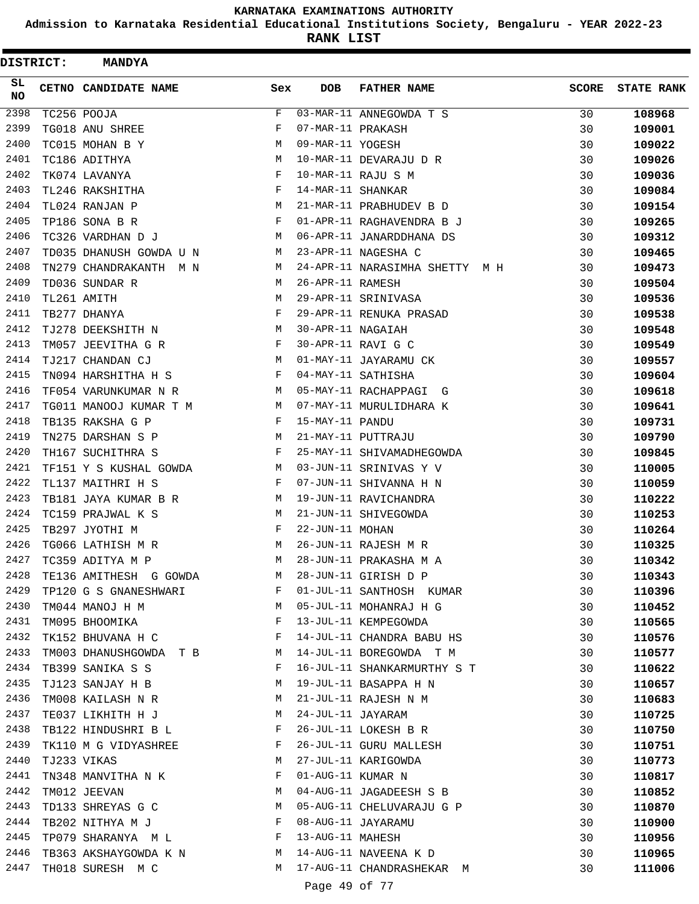**Admission to Karnataka Residential Educational Institutions Society, Bengaluru - YEAR 2022-23**

| <b>DISTRICT:</b> | <b>MANDYA</b>               |              |                   |                                |              |                   |
|------------------|-----------------------------|--------------|-------------------|--------------------------------|--------------|-------------------|
| SL<br><b>NO</b>  | CETNO CANDIDATE NAME        | Sex          | <b>DOB</b>        | <b>FATHER NAME</b>             | <b>SCORE</b> | <b>STATE RANK</b> |
| 2398             | TC256 POOJA                 | F            |                   | 03-MAR-11 ANNEGOWDA T S        | 30           | 108968            |
| 2399             | TG018 ANU SHREE             | F            | 07-MAR-11 PRAKASH |                                | 30           | 109001            |
| 2400             | TC015 MOHAN B Y             | М            | 09-MAR-11 YOGESH  |                                | 30           | 109022            |
| 2401             | TC186 ADITHYA               | М            |                   | 10-MAR-11 DEVARAJU D R         | 30           | 109026            |
| 2402             | TK074 LAVANYA               | F            |                   | 10-MAR-11 RAJU S M             | 30           | 109036            |
| 2403             | TL246 RAKSHITHA             | F            | 14-MAR-11 SHANKAR |                                | 30           | 109084            |
| 2404             | TL024 RANJAN P              | М            |                   | 21-MAR-11 PRABHUDEV B D        | 30           | 109154            |
| 2405             | TP186 SONA B R              | F            |                   | 01-APR-11 RAGHAVENDRA B J      | 30           | 109265            |
| 2406             | TC326 VARDHAN D J           | М            |                   | 06-APR-11 JANARDDHANA DS       | 30           | 109312            |
| 2407             | TD035 DHANUSH GOWDA U N     | M            |                   | 23-APR-11 NAGESHA C            | 30           | 109465            |
| 2408             | TN279 CHANDRAKANTH M N      | M            |                   | 24-APR-11 NARASIMHA SHETTY M H | 30           | 109473            |
| 2409             | TD036 SUNDAR R              | M            | 26-APR-11 RAMESH  |                                | 30           | 109504            |
| 2410             | TL261 AMITH                 | М            |                   | 29-APR-11 SRINIVASA            | 30           | 109536            |
| 2411             | TB277 DHANYA                | F            |                   | 29-APR-11 RENUKA PRASAD        | 30           | 109538            |
| 2412             | TJ278 DEEKSHITH N           | М            | 30-APR-11 NAGAIAH |                                | 30           | 109548            |
| 2413             | TM057 JEEVITHA G R          | F            |                   | 30-APR-11 RAVI G C             | 30           | 109549            |
| 2414             | TJ217 CHANDAN CJ            | M            |                   | 01-MAY-11 JAYARAMU CK          | 30           | 109557            |
| 2415             | TN094 HARSHITHA H S         | F            |                   | 04-MAY-11 SATHISHA             | 30           | 109604            |
| 2416             | TF054 VARUNKUMAR N R        | M            |                   | 05-MAY-11 RACHAPPAGI G         | 30           | 109618            |
| 2417             | TG011 MANOOJ KUMAR T M      | М            |                   | 07-MAY-11 MURULIDHARA K        | 30           | 109641            |
| 2418             | TB135 RAKSHA G P            | F            | 15-MAY-11 PANDU   |                                | 30           | 109731            |
| 2419             | TN275 DARSHAN S P           | M            |                   | 21-MAY-11 PUTTRAJU             | 30           | 109790            |
| 2420             | TH167 SUCHITHRA S           | F            |                   | 25-MAY-11 SHIVAMADHEGOWDA      | 30           | 109845            |
| 2421             | TF151 Y S KUSHAL GOWDA      | M            |                   | 03-JUN-11 SRINIVAS Y V         | 30           | 110005            |
| 2422             | TL137 MAITHRI H S           | F            |                   | 07-JUN-11 SHIVANNA H N         | 30           | 110059            |
| 2423             | TB181 JAYA KUMAR B R        | M            |                   | 19-JUN-11 RAVICHANDRA          | 30           | 110222            |
| 2424             | TC159 PRAJWAL K S           | M            |                   | 21-JUN-11 SHIVEGOWDA           | 30           | 110253            |
| 2425             | TB297 JYOTHI M              | F            | 22-JUN-11 MOHAN   |                                | 30           | 110264            |
| 2426             | TG066 LATHISH M R           | М            |                   | 26-JUN-11 RAJESH M R           | 30           | 110325            |
| 2427             | TC359 ADITYA M P            | M            |                   | 28-JUN-11 PRAKASHA M A         | 30           | 110342            |
| 2428             | TE136 AMITHESH G GOWDA      | M            |                   | 28-JUN-11 GIRISH D P           | 30           | 110343            |
| 2429             | TP120 G S GNANESHWARI       | F            |                   | 01-JUL-11 SANTHOSH KUMAR       | 30           | 110396            |
| 2430             | <b>M</b><br>TM044 MANOJ H M |              |                   | 05-JUL-11 MOHANRAJ H G         | 30           | 110452            |
| 2431             | TM095 BHOOMIKA              | $\mathbf{F}$ |                   | 13-JUL-11 KEMPEGOWDA           | 30           | 110565            |
| 2432             | TK152 BHUVANA H C           | $\mathbb{F}$ |                   | 14-JUL-11 CHANDRA BABU HS      | 30           | 110576            |
| 2433             | TM003 DHANUSHGOWDA T B M    |              |                   | 14-JUL-11 BOREGOWDA T M        | 30           | 110577            |
| 2434             | TB399 SANIKA S S            | F            |                   | 16-JUL-11 SHANKARMURTHY S T    | 30           | 110622            |
| 2435             | TJ123 SANJAY H B            | M            |                   | 19-JUL-11 BASAPPA H N          | 30           | 110657            |
| 2436             | TM008 KAILASH N R           | M            |                   | 21-JUL-11 RAJESH N M           | 30           | 110683            |
| 2437             | TE037 LIKHITH H J           | M            | 24-JUL-11 JAYARAM |                                | 30           | 110725            |
| 2438             | TB122 HINDUSHRI B L         | F            |                   | 26-JUL-11 LOKESH B R           | 30           | 110750            |
| 2439             | TK110 M G VIDYASHREE        | F            |                   | 26-JUL-11 GURU MALLESH         | 30           | 110751            |
| 2440             | TJ233 VIKAS                 | М            |                   | 27-JUL-11 KARIGOWDA            | 30           | 110773            |
| 2441             | TN348 MANVITHA N K          | F            | 01-AUG-11 KUMAR N |                                | 30           | 110817            |
| 2442             | TM012 JEEVAN                | М            |                   | 04-AUG-11 JAGADEESH S B        | 30           | 110852            |
| 2443             | TD133 SHREYAS G C           | М            |                   | 05-AUG-11 CHELUVARAJU G P      | 30           | 110870            |
| 2444             | TB202 NITHYA M J            | F            |                   | 08-AUG-11 JAYARAMU             | 30           | 110900            |
| 2445             | TP079 SHARANYA M L F        |              | 13-AUG-11 MAHESH  |                                | 30           | 110956            |
| 2446             | TB363 AKSHAYGOWDA K N M     |              |                   | 14-AUG-11 NAVEENA K D          | 30           | 110965            |
| 2447             | TH018 SURESH M C            | M            |                   | 17-AUG-11 CHANDRASHEKAR M      | 30           | 111006            |
|                  |                             |              |                   |                                |              |                   |
|                  |                             |              | Page 49 of 77     |                                |              |                   |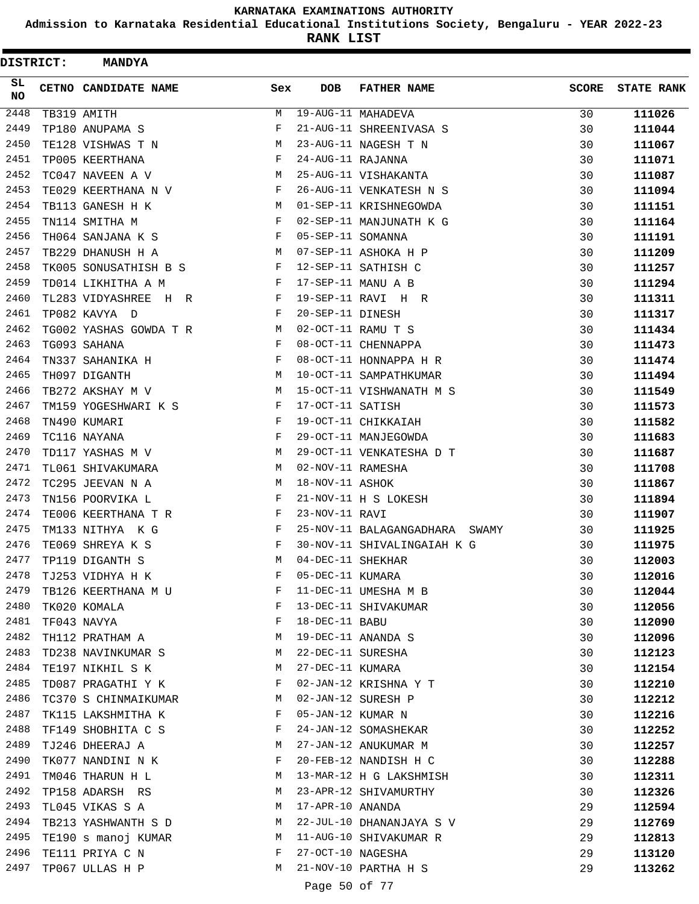**Admission to Karnataka Residential Educational Institutions Society, Bengaluru - YEAR 2022-23**

**RANK LIST**

| DISTRICT: | <b>MANDYA</b>          |     |                   |                                |              |                   |
|-----------|------------------------|-----|-------------------|--------------------------------|--------------|-------------------|
| SL<br>NO. | CETNO CANDIDATE NAME   | Sex | <b>DOB</b>        | <b>FATHER NAME</b>             | <b>SCORE</b> | <b>STATE RANK</b> |
| 2448      | TB319 AMITH            | М   |                   | 19-AUG-11 MAHADEVA             | 30           | 111026            |
| 2449      | TP180 ANUPAMA S        | F   |                   | 21-AUG-11 SHREENIVASA S        | 30           | 111044            |
| 2450      | TE128 VISHWAS T N      | М   |                   | 23-AUG-11 NAGESH T N           | 30           | 111067            |
| 2451      | TP005 KEERTHANA        | F   | 24-AUG-11 RAJANNA |                                | 30           | 111071            |
| 2452      | TC047 NAVEEN A V       | М   |                   | 25-AUG-11 VISHAKANTA           | 30           | 111087            |
| 2453      | TE029 KEERTHANA N V    | F   |                   | 26-AUG-11 VENKATESH N S        | 30           | 111094            |
| 2454      | TB113 GANESH H K       | M   |                   | 01-SEP-11 KRISHNEGOWDA         | 30           | 111151            |
| 2455      | TN114 SMITHA M         | F   |                   | 02-SEP-11 MANJUNATH K G        | 30           | 111164            |
| 2456      | TH064 SANJANA K S      | F   | 05-SEP-11 SOMANNA |                                | 30           | 111191            |
| 2457      | TB229 DHANUSH H A      | М   |                   | 07-SEP-11 ASHOKA H P           | 30           | 111209            |
| 2458      | TK005 SONUSATHISH B S  | F   |                   | 12-SEP-11 SATHISH C            | 30           | 111257            |
| 2459      | TD014 LIKHITHA A M     | F   |                   | 17-SEP-11 MANU A B             | 30           | 111294            |
| 2460      | TL283 VIDYASHREE H R   | F   |                   | 19-SEP-11 RAVI H R             | 30           | 111311            |
| 2461      | TP082 KAVYA D          | F   | 20-SEP-11 DINESH  |                                | 30           | 111317            |
| 2462      | TG002 YASHAS GOWDA T R | М   |                   | 02-OCT-11 RAMU T S             | 30           | 111434            |
| 2463      | TG093 SAHANA           | F   |                   | 08-OCT-11 CHENNAPPA            | 30           | 111473            |
| 2464      | TN337 SAHANIKA H       | F   |                   | 08-OCT-11 HONNAPPA H R         | 30           | 111474            |
| 2465      | TH097 DIGANTH          | М   |                   | 10-OCT-11 SAMPATHKUMAR         | 30           | 111494            |
| 2466      | TB272 AKSHAY M V       | M   |                   | 15-OCT-11 VISHWANATH M S       | 30           | 111549            |
| 2467      | TM159 YOGESHWARI K S   | F   | 17-OCT-11 SATISH  |                                | 30           | 111573            |
| 2468      | TN490 KUMARI           | F   |                   | 19-OCT-11 CHIKKAIAH            | 30           | 111582            |
| 2469      | TC116 NAYANA           | F   |                   | 29-OCT-11 MANJEGOWDA           | 30           | 111683            |
| 2470      | TD117 YASHAS M V       | M   |                   | 29-OCT-11 VENKATESHA D T       | 30           | 111687            |
| 2471      | TL061 SHIVAKUMARA      | М   | 02-NOV-11 RAMESHA |                                | 30           | 111708            |
| 2472      | TC295 JEEVAN N A       | М   | 18-NOV-11 ASHOK   |                                | 30           | 111867            |
| 2473      | TN156 POORVIKA L       | F   |                   | 21-NOV-11 H S LOKESH           | 30           | 111894            |
| 2474      | TE006 KEERTHANA T R    | F   | 23-NOV-11 RAVI    |                                | 30           | 111907            |
| 2475      | TM133 NITHYA K G       | F   |                   | 25-NOV-11 BALAGANGADHARA SWAMY | 30           | 111925            |
| 2476      | TE069 SHREYA K S       | F   |                   | 30-NOV-11 SHIVALINGAIAH K G    | 30           | 111975            |
| 2477      | TP119 DIGANTH S        | M   | 04-DEC-11 SHEKHAR |                                | 30           | 112003            |
| 2478      | TJ253 VIDHYA H K       | F   | 05-DEC-11 KUMARA  |                                | 30           | 112016            |
| 2479      | TB126 KEERTHANA M U    | F   |                   | 11-DEC-11 UMESHA M B           | 30           | 112044            |
| 2480      | TK020 KOMALA           | F   |                   | 13-DEC-11 SHIVAKUMAR           | 30           | 112056            |
| 2481      | TF043 NAVYA            | F   | 18-DEC-11 BABU    |                                | 30           | 112090            |
| 2482      | TH112 PRATHAM A        | М   |                   | 19-DEC-11 ANANDA S             | 30           | 112096            |
| 2483      | TD238 NAVINKUMAR S     | М   |                   | 22-DEC-11 SURESHA              | 30           | 112123            |
| 2484      | TE197 NIKHIL S K       | М   | 27-DEC-11 KUMARA  |                                | 30           | 112154            |
| 2485      | TD087 PRAGATHI Y K     | F   |                   | 02-JAN-12 KRISHNA Y T          | 30           | 112210            |
| 2486      | TC370 S CHINMAIKUMAR   | М   |                   | 02-JAN-12 SURESH P             | 30           | 112212            |
| 2487      | TK115 LAKSHMITHA K     | F   | 05-JAN-12 KUMAR N |                                | 30           | 112216            |
| 2488      | TF149 SHOBHITA C S     | F   |                   | 24-JAN-12 SOMASHEKAR           | 30           | 112252            |
| 2489      | TJ246 DHEERAJ A        | М   |                   | 27-JAN-12 ANUKUMAR M           | 30           | 112257            |
| 2490      | TK077 NANDINI N K      | F   |                   | 20-FEB-12 NANDISH H C          | 30           | 112288            |
| 2491      | TM046 THARUN H L       | M   |                   | 13-MAR-12 H G LAKSHMISH        | 30           | 112311            |
| 2492      | TP158 ADARSH RS        | М   |                   | 23-APR-12 SHIVAMURTHY          | 30           | 112326            |
| 2493      | TL045 VIKAS S A        | М   | 17-APR-10 ANANDA  |                                | 29           | 112594            |
| 2494      | TB213 YASHWANTH S D    | М   |                   | 22-JUL-10 DHANANJAYA S V       | 29           | 112769            |
| 2495      | TE190 s manoj KUMAR    | M   |                   | 11-AUG-10 SHIVAKUMAR R         | 29           | 112813            |
| 2496      | TE111 PRIYA C N        | F   | 27-OCT-10 NAGESHA |                                | 29           | 113120            |
| 2497      | TP067 ULLAS H P        | М   |                   | 21-NOV-10 PARTHA H S           | 29           | 113262            |
|           |                        |     |                   |                                |              |                   |

Page 50 of 77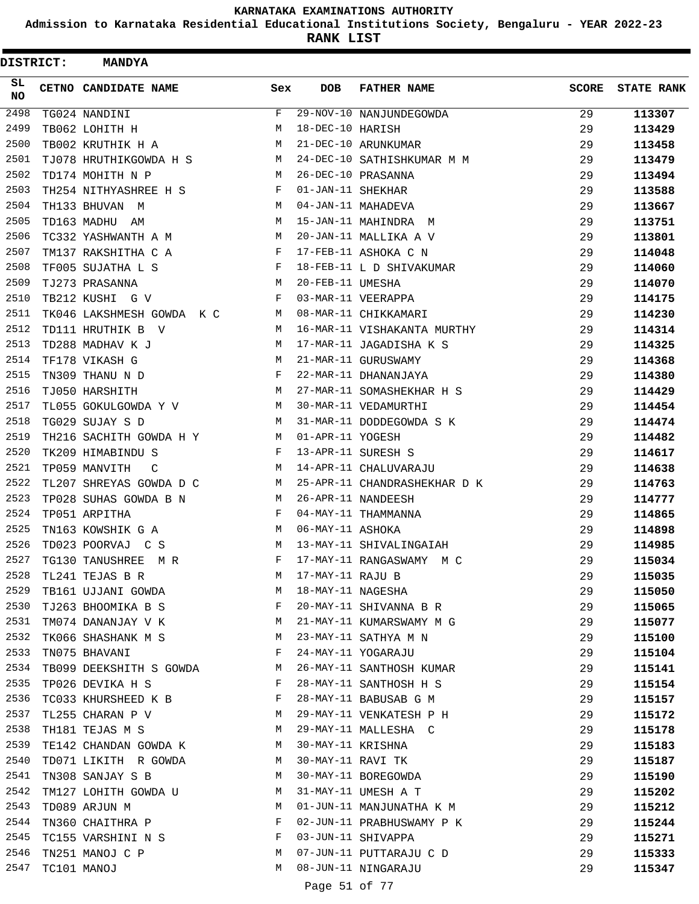**Admission to Karnataka Residential Educational Institutions Society, Bengaluru - YEAR 2022-23**

| <b>DISTRICT:</b> | <b>MANDYA</b>             |              |                   |                              |              |                   |
|------------------|---------------------------|--------------|-------------------|------------------------------|--------------|-------------------|
| SL.<br><b>NO</b> | CETNO CANDIDATE NAME      | Sex          | <b>DOB</b>        | <b>FATHER NAME</b>           | <b>SCORE</b> | <b>STATE RANK</b> |
| 2498             | TG024 NANDINI             | F            |                   | 29-NOV-10 NANJUNDEGOWDA      | 29           | 113307            |
| 2499             | TB062 LOHITH H            | M            | 18-DEC-10 HARISH  |                              | 29           | 113429            |
| 2500             | TB002 KRUTHIK H A         | M            |                   | 21-DEC-10 ARUNKUMAR          | 29           | 113458            |
| 2501             | TJ078 HRUTHIKGOWDA H S    | М            |                   | 24-DEC-10 SATHISHKUMAR M M   | 29           | 113479            |
| 2502             | TD174 MOHITH N P          | M            |                   | 26-DEC-10 PRASANNA           | 29           | 113494            |
| 2503             | TH254 NITHYASHREE H S     | F            | 01-JAN-11 SHEKHAR |                              | 29           | 113588            |
| 2504             | TH133 BHUVAN M            | M            |                   | 04-JAN-11 MAHADEVA           | 29           | 113667            |
| 2505             | TD163 MADHU AM            | M            |                   | 15-JAN-11 MAHINDRA M         | 29           | 113751            |
| 2506             | TC332 YASHWANTH A M       | M            |                   | 20-JAN-11 MALLIKA A V        | 29           | 113801            |
| 2507             | TM137 RAKSHITHA C A       | $\mathbf{F}$ |                   | 17-FEB-11 ASHOKA C N         | 29           | 114048            |
| 2508             | TF005 SUJATHA L S         | F            |                   | 18-FEB-11 L D SHIVAKUMAR     | 29           | 114060            |
| 2509             | TJ273 PRASANNA            | M            | 20-FEB-11 UMESHA  |                              | 29           | 114070            |
| 2510             | TB212 KUSHI G V           | F            |                   | 03-MAR-11 VEERAPPA           | 29           | 114175            |
| 2511             | TK046 LAKSHMESH GOWDA K C | M            |                   | 08-MAR-11 CHIKKAMARI         | 29           | 114230            |
| 2512             | TD111 HRUTHIK B V         | M            |                   | 16-MAR-11 VISHAKANTA MURTHY  | 29           | 114314            |
| 2513             | TD288 MADHAV K J          | М            |                   | 17-MAR-11 JAGADISHA K S      | 29           | 114325            |
| 2514             | TF178 VIKASH G            | M            |                   | 21-MAR-11 GURUSWAMY          | 29           | 114368            |
| 2515             | TN309 THANU N D           | F            |                   | 22-MAR-11 DHANANJAYA         | 29           | 114380            |
| 2516             | TJ050 HARSHITH            | M            |                   | 27-MAR-11 SOMASHEKHAR H S    | 29           | 114429            |
| 2517             | TL055 GOKULGOWDA Y V      | M            |                   | 30-MAR-11 VEDAMURTHI         | 29           | 114454            |
| 2518             | TG029 SUJAY S D           | M            |                   | 31-MAR-11 DODDEGOWDA S K     | 29           | 114474            |
| 2519             | TH216 SACHITH GOWDA H Y   | M            | 01-APR-11 YOGESH  |                              | 29           | 114482            |
| 2520             | TK209 HIMABINDU S         | F            |                   | 13-APR-11 SURESH S           | 29           | 114617            |
| 2521             | TP059 MANVITH<br>C        | M            |                   | 14-APR-11 CHALUVARAJU        | 29           | 114638            |
| 2522             | TL207 SHREYAS GOWDA D C   | М            |                   | 25-APR-11 CHANDRASHEKHAR D K | 29           | 114763            |
| 2523             | TP028 SUHAS GOWDA B N     | M            |                   | 26-APR-11 NANDEESH           | 29           | 114777            |
| 2524             | TP051 ARPITHA             | F            |                   | 04-MAY-11 THAMMANNA          | 29           | 114865            |
| 2525             | TN163 KOWSHIK G A         | М            | 06-MAY-11 ASHOKA  |                              | 29           | 114898            |
| 2526             | TD023 POORVAJ C S         | M            |                   | 13-MAY-11 SHIVALINGAIAH      | 29           | 114985            |
| 2527             | TG130 TANUSHREE<br>M R    | F            |                   | 17-MAY-11 RANGASWAMY M C     | 29           | 115034            |
| 2528             | TL241 TEJAS B R           | M            | 17-MAY-11 RAJU B  |                              | 29           | 115035            |
| 2529             | TB161 UJJANI GOWDA        | M            | 18-MAY-11 NAGESHA |                              | 29           | 115050            |
| 2530             | TJ263 BHOOMIKA B S        | F            |                   | 20-MAY-11 SHIVANNA B R       | 29           | 115065            |
| 2531             | TM074 DANANJAY V K        | M            |                   | 21-MAY-11 KUMARSWAMY M G     | 29           | 115077            |
| 2532             | TK066 SHASHANK M S        | М            |                   | 23-MAY-11 SATHYA M N         | 29           | 115100            |
| 2533             | TN075 BHAVANI             | $\mathbf{F}$ |                   | 24-MAY-11 YOGARAJU           | 29           | 115104            |
| 2534             | TB099 DEEKSHITH S GOWDA   | M            |                   | 26-MAY-11 SANTHOSH KUMAR     | 29           | 115141            |
| 2535             | TP026 DEVIKA H S          | F            |                   | 28-MAY-11 SANTHOSH H S       | 29           | 115154            |
| 2536             | TC033 KHURSHEED K B       | F            |                   | 28-MAY-11 BABUSAB G M        | 29           | 115157            |
| 2537             | TL255 CHARAN P V          | M            |                   | 29-MAY-11 VENKATESH P H      | 29           | 115172            |
| 2538             | TH181 TEJAS M S           | M            |                   | 29-MAY-11 MALLESHA C         | 29           | 115178            |
| 2539             | TE142 CHANDAN GOWDA K     | M            | 30-MAY-11 KRISHNA |                              | 29           | 115183            |
| 2540             | TD071 LIKITH R GOWDA      | M            | 30-MAY-11 RAVI TK |                              | 29           | 115187            |
| 2541             | TN308 SANJAY S B          | М            |                   | 30-MAY-11 BOREGOWDA          | 29           | 115190            |
| 2542             | TM127 LOHITH GOWDA U      | М            |                   | 31-MAY-11 UMESH A T          | 29           | 115202            |
| 2543             | TD089 ARJUN M             | M            |                   | 01-JUN-11 MANJUNATHA K M     | 29           | 115212            |
| 2544             | TN360 CHAITHRA P          | F            |                   | 02-JUN-11 PRABHUSWAMY P K    | 29           | 115244            |
| 2545             | TC155 VARSHINI N S        | F            |                   | 03-JUN-11 SHIVAPPA           | 29           | 115271            |
| 2546             | TN251 MANOJ C P           | М            |                   | 07-JUN-11 PUTTARAJU C D      | 29           | 115333            |
| 2547             | TC101 MANOJ               | М            |                   | 08-JUN-11 NINGARAJU          | 29           | 115347            |
|                  |                           |              | Page 51 of 77     |                              |              |                   |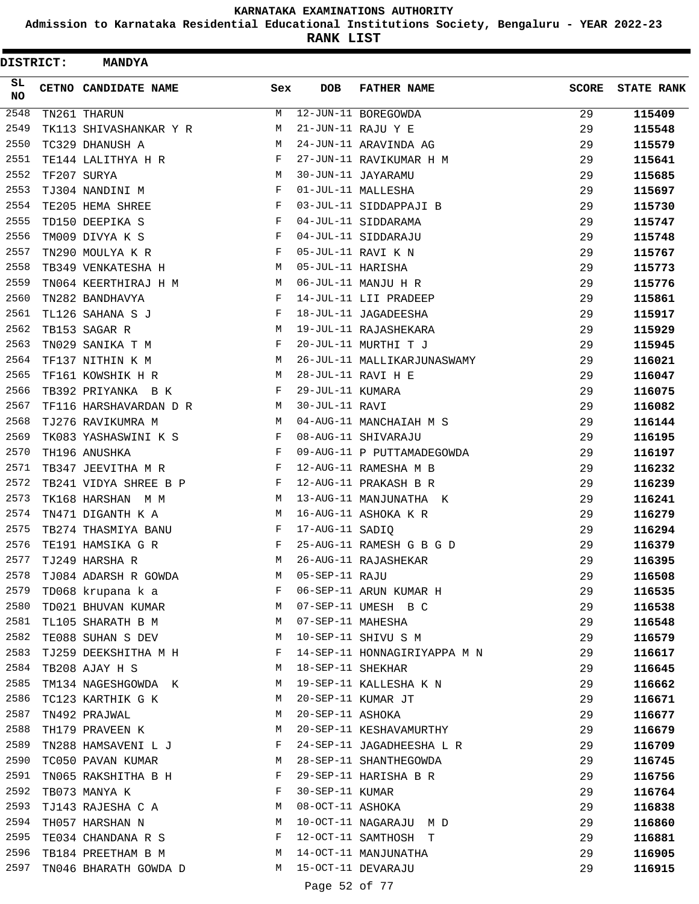**Admission to Karnataka Residential Educational Institutions Society, Bengaluru - YEAR 2022-23**

| SL<br><b>CETNO CANDIDATE NAME</b><br>Sex<br><b>DOB</b><br><b>FATHER NAME</b><br><b>SCORE</b><br><b>STATE RANK</b><br><b>NO</b><br>2548<br>12-JUN-11 BOREGOWDA<br>29<br>115409<br>TN261 THARUN<br>М<br>2549<br>21-JUN-11 RAJU Y E<br>29<br>TK113 SHIVASHANKAR Y R<br>М<br>115548<br>2550<br>TC329 DHANUSH A<br>М<br>24-JUN-11 ARAVINDA AG<br>29<br>115579<br>2551<br>TE144 LALITHYA H R<br>F<br>27-JUN-11 RAVIKUMAR H M<br>29<br>115641<br>2552<br>TF207 SURYA<br>М<br>30-JUN-11 JAYARAMU<br>29<br>115685<br>2553<br>$_{\rm F}$<br>01-JUL-11 MALLESHA<br>TJ304 NANDINI M<br>29<br>115697<br>2554<br>03-JUL-11 SIDDAPPAJI B<br>TE205 HEMA SHREE<br>F<br>29<br>115730<br>2555<br>04-JUL-11 SIDDARAMA<br>TD150 DEEPIKA S<br>F<br>29<br>115747<br>2556<br>TM009 DIVYA K S<br>04-JUL-11 SIDDARAJU<br>F<br>29<br>115748<br>2557<br>05-JUL-11 RAVI K N<br>TN290 MOULYA K R<br>F<br>29<br>115767<br>2558<br>05-JUL-11 HARISHA<br>М<br>29<br>TB349 VENKATESHA H<br>115773<br>2559<br>06-JUL-11 MANJU H R<br>29<br>TN064 KEERTHIRAJ H M<br>M<br>115776<br>2560<br>TN282 BANDHAVYA<br>F<br>14-JUL-11 LII PRADEEP<br>29<br>115861<br>2561<br>18-JUL-11 JAGADEESHA<br>TL126 SAHANA S J<br>F<br>29<br>115917<br>2562<br>TB153 SAGAR R<br>М<br>19-JUL-11 RAJASHEKARA<br>29<br>115929<br>2563<br>20-JUL-11 MURTHI T J<br>TN029 SANIKA T M<br>F<br>29<br>115945<br>2564<br>26-JUL-11 MALLIKARJUNASWAMY<br>TF137 NITHIN K M<br>М<br>29<br>116021<br>2565<br>28-JUL-11 RAVI H E<br>TF161 KOWSHIK H R<br>М<br>29<br>116047<br>2566<br>F<br>29-JUL-11 KUMARA<br>29<br>TB392 PRIYANKA B K<br>116075<br>2567<br>TF116 HARSHAVARDAN D R<br>30-JUL-11 RAVI<br>29<br>M<br>116082<br>2568<br>TJ276 RAVIKUMRA M<br>04-AUG-11 MANCHAIAH M S<br>29<br>116144<br>M<br>2569<br>08-AUG-11 SHIVARAJU<br>TK083 YASHASWINI K S<br>F<br>29<br>116195<br>2570<br>TH196 ANUSHKA<br>F<br>09-AUG-11 P PUTTAMADEGOWDA<br>29<br>116197<br>2571<br>TB347 JEEVITHA M R<br>F<br>12-AUG-11 RAMESHA M B<br>29<br>116232<br>2572<br>TB241 VIDYA SHREE B P<br>12-AUG-11 PRAKASH B R<br>29<br>116239<br>F<br>2573<br>TK168 HARSHAN M M<br>М<br>13-AUG-11 MANJUNATHA K<br>29<br>116241<br>2574<br>TN471 DIGANTH K A<br>М<br>16-AUG-11 ASHOKA K R<br>29<br>116279<br>2575<br>TB274 THASMIYA BANU<br>F<br>17-AUG-11 SADIQ<br>29<br>116294<br>2576<br>25-AUG-11 RAMESH G B G D<br>TE191 HAMSIKA G R<br>F<br>29<br>116379<br>2577<br>26-AUG-11 RAJASHEKAR<br>29<br>TJ249 HARSHA R<br>M<br>116395<br>2578<br>TJ084 ADARSH R GOWDA<br>05-SEP-11 RAJU<br>29<br>116508<br>M<br>2579<br>06-SEP-11 ARUN KUMAR H<br>TD068 krupana k a<br>F<br>29<br>116535<br>2580<br>TD021 BHUVAN KUMAR M<br>07-SEP-11 UMESH B C<br>29<br>116538<br>M<br>2581<br>07-SEP-11 MAHESHA<br>TL105 SHARATH B M<br>29<br>116548<br>2582<br>29<br>TE088 SUHAN S DEV<br>М<br>10-SEP-11 SHIVU S M<br>116579<br>2583<br>14-SEP-11 HONNAGIRIYAPPA M N<br>29<br>TJ259 DEEKSHITHA M H<br>F<br>116617<br>2584<br>18-SEP-11 SHEKHAR<br>TB208 AJAY H S<br>М<br>29<br>116645<br>2585<br>19-SEP-11 KALLESHA K N<br>TM134 NAGESHGOWDA K<br>M<br>29<br>116662<br>2586<br>TC123 KARTHIK G K<br>20-SEP-11 KUMAR JT<br>29<br>M<br>116671<br>2587<br>20-SEP-11 ASHOKA<br>TN492 PRAJWAL<br>M<br>29<br>116677<br>2588<br>TH179 PRAVEEN K<br>20-SEP-11 KESHAVAMURTHY<br>M<br>29<br>116679<br>TN288 HAMSAVENI L J<br>2589<br>24-SEP-11 JAGADHEESHA L R<br>F<br>29<br>116709<br>2590<br>TC050 PAVAN KUMAR<br>М<br>28-SEP-11 SHANTHEGOWDA<br>29<br>116745<br>2591<br>29-SEP-11 HARISHA B R<br>TN065 RAKSHITHA B H<br>F<br>29<br>116756<br>2592<br>30-SEP-11 KUMAR<br>TB073 MANYA K<br>F<br>29<br>116764<br>2593<br>08-OCT-11 ASHOKA<br>TJ143 RAJESHA C A<br>M<br>29<br>116838<br>2594<br>10-OCT-11 NAGARAJU M D<br>TH057 HARSHAN N<br>М<br>29<br>116860<br>2595<br>12-OCT-11 SAMTHOSH T<br>TE034 CHANDANA R S<br>F<br>29<br>116881<br>2596<br>TB184 PREETHAM B M<br>14-OCT-11 MANJUNATHA<br>29<br>M<br>116905<br>2597<br>15-OCT-11 DEVARAJU<br>TN046 BHARATH GOWDA D<br>М<br>29<br>116915<br>Page 52 of 77 | DISTRICT: | <b>MANDYA</b> |  |  |  |
|---------------------------------------------------------------------------------------------------------------------------------------------------------------------------------------------------------------------------------------------------------------------------------------------------------------------------------------------------------------------------------------------------------------------------------------------------------------------------------------------------------------------------------------------------------------------------------------------------------------------------------------------------------------------------------------------------------------------------------------------------------------------------------------------------------------------------------------------------------------------------------------------------------------------------------------------------------------------------------------------------------------------------------------------------------------------------------------------------------------------------------------------------------------------------------------------------------------------------------------------------------------------------------------------------------------------------------------------------------------------------------------------------------------------------------------------------------------------------------------------------------------------------------------------------------------------------------------------------------------------------------------------------------------------------------------------------------------------------------------------------------------------------------------------------------------------------------------------------------------------------------------------------------------------------------------------------------------------------------------------------------------------------------------------------------------------------------------------------------------------------------------------------------------------------------------------------------------------------------------------------------------------------------------------------------------------------------------------------------------------------------------------------------------------------------------------------------------------------------------------------------------------------------------------------------------------------------------------------------------------------------------------------------------------------------------------------------------------------------------------------------------------------------------------------------------------------------------------------------------------------------------------------------------------------------------------------------------------------------------------------------------------------------------------------------------------------------------------------------------------------------------------------------------------------------------------------------------------------------------------------------------------------------------------------------------------------------------------------------------------------------------------------------------------------------------------------------------------------------------------------------------------------------------------------------------------------------------------------------------------------------------------------------------------------------------------------------------------------------------------------------------------------------------------------------------------------------------------------------------------------------------------------------------------------------------------------------------------------------------------|-----------|---------------|--|--|--|
|                                                                                                                                                                                                                                                                                                                                                                                                                                                                                                                                                                                                                                                                                                                                                                                                                                                                                                                                                                                                                                                                                                                                                                                                                                                                                                                                                                                                                                                                                                                                                                                                                                                                                                                                                                                                                                                                                                                                                                                                                                                                                                                                                                                                                                                                                                                                                                                                                                                                                                                                                                                                                                                                                                                                                                                                                                                                                                                                                                                                                                                                                                                                                                                                                                                                                                                                                                                                                                                                                                                                                                                                                                                                                                                                                                                                                                                                                                                                                                                             |           |               |  |  |  |
|                                                                                                                                                                                                                                                                                                                                                                                                                                                                                                                                                                                                                                                                                                                                                                                                                                                                                                                                                                                                                                                                                                                                                                                                                                                                                                                                                                                                                                                                                                                                                                                                                                                                                                                                                                                                                                                                                                                                                                                                                                                                                                                                                                                                                                                                                                                                                                                                                                                                                                                                                                                                                                                                                                                                                                                                                                                                                                                                                                                                                                                                                                                                                                                                                                                                                                                                                                                                                                                                                                                                                                                                                                                                                                                                                                                                                                                                                                                                                                                             |           |               |  |  |  |
|                                                                                                                                                                                                                                                                                                                                                                                                                                                                                                                                                                                                                                                                                                                                                                                                                                                                                                                                                                                                                                                                                                                                                                                                                                                                                                                                                                                                                                                                                                                                                                                                                                                                                                                                                                                                                                                                                                                                                                                                                                                                                                                                                                                                                                                                                                                                                                                                                                                                                                                                                                                                                                                                                                                                                                                                                                                                                                                                                                                                                                                                                                                                                                                                                                                                                                                                                                                                                                                                                                                                                                                                                                                                                                                                                                                                                                                                                                                                                                                             |           |               |  |  |  |
|                                                                                                                                                                                                                                                                                                                                                                                                                                                                                                                                                                                                                                                                                                                                                                                                                                                                                                                                                                                                                                                                                                                                                                                                                                                                                                                                                                                                                                                                                                                                                                                                                                                                                                                                                                                                                                                                                                                                                                                                                                                                                                                                                                                                                                                                                                                                                                                                                                                                                                                                                                                                                                                                                                                                                                                                                                                                                                                                                                                                                                                                                                                                                                                                                                                                                                                                                                                                                                                                                                                                                                                                                                                                                                                                                                                                                                                                                                                                                                                             |           |               |  |  |  |
|                                                                                                                                                                                                                                                                                                                                                                                                                                                                                                                                                                                                                                                                                                                                                                                                                                                                                                                                                                                                                                                                                                                                                                                                                                                                                                                                                                                                                                                                                                                                                                                                                                                                                                                                                                                                                                                                                                                                                                                                                                                                                                                                                                                                                                                                                                                                                                                                                                                                                                                                                                                                                                                                                                                                                                                                                                                                                                                                                                                                                                                                                                                                                                                                                                                                                                                                                                                                                                                                                                                                                                                                                                                                                                                                                                                                                                                                                                                                                                                             |           |               |  |  |  |
|                                                                                                                                                                                                                                                                                                                                                                                                                                                                                                                                                                                                                                                                                                                                                                                                                                                                                                                                                                                                                                                                                                                                                                                                                                                                                                                                                                                                                                                                                                                                                                                                                                                                                                                                                                                                                                                                                                                                                                                                                                                                                                                                                                                                                                                                                                                                                                                                                                                                                                                                                                                                                                                                                                                                                                                                                                                                                                                                                                                                                                                                                                                                                                                                                                                                                                                                                                                                                                                                                                                                                                                                                                                                                                                                                                                                                                                                                                                                                                                             |           |               |  |  |  |
|                                                                                                                                                                                                                                                                                                                                                                                                                                                                                                                                                                                                                                                                                                                                                                                                                                                                                                                                                                                                                                                                                                                                                                                                                                                                                                                                                                                                                                                                                                                                                                                                                                                                                                                                                                                                                                                                                                                                                                                                                                                                                                                                                                                                                                                                                                                                                                                                                                                                                                                                                                                                                                                                                                                                                                                                                                                                                                                                                                                                                                                                                                                                                                                                                                                                                                                                                                                                                                                                                                                                                                                                                                                                                                                                                                                                                                                                                                                                                                                             |           |               |  |  |  |
|                                                                                                                                                                                                                                                                                                                                                                                                                                                                                                                                                                                                                                                                                                                                                                                                                                                                                                                                                                                                                                                                                                                                                                                                                                                                                                                                                                                                                                                                                                                                                                                                                                                                                                                                                                                                                                                                                                                                                                                                                                                                                                                                                                                                                                                                                                                                                                                                                                                                                                                                                                                                                                                                                                                                                                                                                                                                                                                                                                                                                                                                                                                                                                                                                                                                                                                                                                                                                                                                                                                                                                                                                                                                                                                                                                                                                                                                                                                                                                                             |           |               |  |  |  |
|                                                                                                                                                                                                                                                                                                                                                                                                                                                                                                                                                                                                                                                                                                                                                                                                                                                                                                                                                                                                                                                                                                                                                                                                                                                                                                                                                                                                                                                                                                                                                                                                                                                                                                                                                                                                                                                                                                                                                                                                                                                                                                                                                                                                                                                                                                                                                                                                                                                                                                                                                                                                                                                                                                                                                                                                                                                                                                                                                                                                                                                                                                                                                                                                                                                                                                                                                                                                                                                                                                                                                                                                                                                                                                                                                                                                                                                                                                                                                                                             |           |               |  |  |  |
|                                                                                                                                                                                                                                                                                                                                                                                                                                                                                                                                                                                                                                                                                                                                                                                                                                                                                                                                                                                                                                                                                                                                                                                                                                                                                                                                                                                                                                                                                                                                                                                                                                                                                                                                                                                                                                                                                                                                                                                                                                                                                                                                                                                                                                                                                                                                                                                                                                                                                                                                                                                                                                                                                                                                                                                                                                                                                                                                                                                                                                                                                                                                                                                                                                                                                                                                                                                                                                                                                                                                                                                                                                                                                                                                                                                                                                                                                                                                                                                             |           |               |  |  |  |
|                                                                                                                                                                                                                                                                                                                                                                                                                                                                                                                                                                                                                                                                                                                                                                                                                                                                                                                                                                                                                                                                                                                                                                                                                                                                                                                                                                                                                                                                                                                                                                                                                                                                                                                                                                                                                                                                                                                                                                                                                                                                                                                                                                                                                                                                                                                                                                                                                                                                                                                                                                                                                                                                                                                                                                                                                                                                                                                                                                                                                                                                                                                                                                                                                                                                                                                                                                                                                                                                                                                                                                                                                                                                                                                                                                                                                                                                                                                                                                                             |           |               |  |  |  |
|                                                                                                                                                                                                                                                                                                                                                                                                                                                                                                                                                                                                                                                                                                                                                                                                                                                                                                                                                                                                                                                                                                                                                                                                                                                                                                                                                                                                                                                                                                                                                                                                                                                                                                                                                                                                                                                                                                                                                                                                                                                                                                                                                                                                                                                                                                                                                                                                                                                                                                                                                                                                                                                                                                                                                                                                                                                                                                                                                                                                                                                                                                                                                                                                                                                                                                                                                                                                                                                                                                                                                                                                                                                                                                                                                                                                                                                                                                                                                                                             |           |               |  |  |  |
|                                                                                                                                                                                                                                                                                                                                                                                                                                                                                                                                                                                                                                                                                                                                                                                                                                                                                                                                                                                                                                                                                                                                                                                                                                                                                                                                                                                                                                                                                                                                                                                                                                                                                                                                                                                                                                                                                                                                                                                                                                                                                                                                                                                                                                                                                                                                                                                                                                                                                                                                                                                                                                                                                                                                                                                                                                                                                                                                                                                                                                                                                                                                                                                                                                                                                                                                                                                                                                                                                                                                                                                                                                                                                                                                                                                                                                                                                                                                                                                             |           |               |  |  |  |
|                                                                                                                                                                                                                                                                                                                                                                                                                                                                                                                                                                                                                                                                                                                                                                                                                                                                                                                                                                                                                                                                                                                                                                                                                                                                                                                                                                                                                                                                                                                                                                                                                                                                                                                                                                                                                                                                                                                                                                                                                                                                                                                                                                                                                                                                                                                                                                                                                                                                                                                                                                                                                                                                                                                                                                                                                                                                                                                                                                                                                                                                                                                                                                                                                                                                                                                                                                                                                                                                                                                                                                                                                                                                                                                                                                                                                                                                                                                                                                                             |           |               |  |  |  |
|                                                                                                                                                                                                                                                                                                                                                                                                                                                                                                                                                                                                                                                                                                                                                                                                                                                                                                                                                                                                                                                                                                                                                                                                                                                                                                                                                                                                                                                                                                                                                                                                                                                                                                                                                                                                                                                                                                                                                                                                                                                                                                                                                                                                                                                                                                                                                                                                                                                                                                                                                                                                                                                                                                                                                                                                                                                                                                                                                                                                                                                                                                                                                                                                                                                                                                                                                                                                                                                                                                                                                                                                                                                                                                                                                                                                                                                                                                                                                                                             |           |               |  |  |  |
|                                                                                                                                                                                                                                                                                                                                                                                                                                                                                                                                                                                                                                                                                                                                                                                                                                                                                                                                                                                                                                                                                                                                                                                                                                                                                                                                                                                                                                                                                                                                                                                                                                                                                                                                                                                                                                                                                                                                                                                                                                                                                                                                                                                                                                                                                                                                                                                                                                                                                                                                                                                                                                                                                                                                                                                                                                                                                                                                                                                                                                                                                                                                                                                                                                                                                                                                                                                                                                                                                                                                                                                                                                                                                                                                                                                                                                                                                                                                                                                             |           |               |  |  |  |
|                                                                                                                                                                                                                                                                                                                                                                                                                                                                                                                                                                                                                                                                                                                                                                                                                                                                                                                                                                                                                                                                                                                                                                                                                                                                                                                                                                                                                                                                                                                                                                                                                                                                                                                                                                                                                                                                                                                                                                                                                                                                                                                                                                                                                                                                                                                                                                                                                                                                                                                                                                                                                                                                                                                                                                                                                                                                                                                                                                                                                                                                                                                                                                                                                                                                                                                                                                                                                                                                                                                                                                                                                                                                                                                                                                                                                                                                                                                                                                                             |           |               |  |  |  |
|                                                                                                                                                                                                                                                                                                                                                                                                                                                                                                                                                                                                                                                                                                                                                                                                                                                                                                                                                                                                                                                                                                                                                                                                                                                                                                                                                                                                                                                                                                                                                                                                                                                                                                                                                                                                                                                                                                                                                                                                                                                                                                                                                                                                                                                                                                                                                                                                                                                                                                                                                                                                                                                                                                                                                                                                                                                                                                                                                                                                                                                                                                                                                                                                                                                                                                                                                                                                                                                                                                                                                                                                                                                                                                                                                                                                                                                                                                                                                                                             |           |               |  |  |  |
|                                                                                                                                                                                                                                                                                                                                                                                                                                                                                                                                                                                                                                                                                                                                                                                                                                                                                                                                                                                                                                                                                                                                                                                                                                                                                                                                                                                                                                                                                                                                                                                                                                                                                                                                                                                                                                                                                                                                                                                                                                                                                                                                                                                                                                                                                                                                                                                                                                                                                                                                                                                                                                                                                                                                                                                                                                                                                                                                                                                                                                                                                                                                                                                                                                                                                                                                                                                                                                                                                                                                                                                                                                                                                                                                                                                                                                                                                                                                                                                             |           |               |  |  |  |
|                                                                                                                                                                                                                                                                                                                                                                                                                                                                                                                                                                                                                                                                                                                                                                                                                                                                                                                                                                                                                                                                                                                                                                                                                                                                                                                                                                                                                                                                                                                                                                                                                                                                                                                                                                                                                                                                                                                                                                                                                                                                                                                                                                                                                                                                                                                                                                                                                                                                                                                                                                                                                                                                                                                                                                                                                                                                                                                                                                                                                                                                                                                                                                                                                                                                                                                                                                                                                                                                                                                                                                                                                                                                                                                                                                                                                                                                                                                                                                                             |           |               |  |  |  |
|                                                                                                                                                                                                                                                                                                                                                                                                                                                                                                                                                                                                                                                                                                                                                                                                                                                                                                                                                                                                                                                                                                                                                                                                                                                                                                                                                                                                                                                                                                                                                                                                                                                                                                                                                                                                                                                                                                                                                                                                                                                                                                                                                                                                                                                                                                                                                                                                                                                                                                                                                                                                                                                                                                                                                                                                                                                                                                                                                                                                                                                                                                                                                                                                                                                                                                                                                                                                                                                                                                                                                                                                                                                                                                                                                                                                                                                                                                                                                                                             |           |               |  |  |  |
|                                                                                                                                                                                                                                                                                                                                                                                                                                                                                                                                                                                                                                                                                                                                                                                                                                                                                                                                                                                                                                                                                                                                                                                                                                                                                                                                                                                                                                                                                                                                                                                                                                                                                                                                                                                                                                                                                                                                                                                                                                                                                                                                                                                                                                                                                                                                                                                                                                                                                                                                                                                                                                                                                                                                                                                                                                                                                                                                                                                                                                                                                                                                                                                                                                                                                                                                                                                                                                                                                                                                                                                                                                                                                                                                                                                                                                                                                                                                                                                             |           |               |  |  |  |
|                                                                                                                                                                                                                                                                                                                                                                                                                                                                                                                                                                                                                                                                                                                                                                                                                                                                                                                                                                                                                                                                                                                                                                                                                                                                                                                                                                                                                                                                                                                                                                                                                                                                                                                                                                                                                                                                                                                                                                                                                                                                                                                                                                                                                                                                                                                                                                                                                                                                                                                                                                                                                                                                                                                                                                                                                                                                                                                                                                                                                                                                                                                                                                                                                                                                                                                                                                                                                                                                                                                                                                                                                                                                                                                                                                                                                                                                                                                                                                                             |           |               |  |  |  |
|                                                                                                                                                                                                                                                                                                                                                                                                                                                                                                                                                                                                                                                                                                                                                                                                                                                                                                                                                                                                                                                                                                                                                                                                                                                                                                                                                                                                                                                                                                                                                                                                                                                                                                                                                                                                                                                                                                                                                                                                                                                                                                                                                                                                                                                                                                                                                                                                                                                                                                                                                                                                                                                                                                                                                                                                                                                                                                                                                                                                                                                                                                                                                                                                                                                                                                                                                                                                                                                                                                                                                                                                                                                                                                                                                                                                                                                                                                                                                                                             |           |               |  |  |  |
|                                                                                                                                                                                                                                                                                                                                                                                                                                                                                                                                                                                                                                                                                                                                                                                                                                                                                                                                                                                                                                                                                                                                                                                                                                                                                                                                                                                                                                                                                                                                                                                                                                                                                                                                                                                                                                                                                                                                                                                                                                                                                                                                                                                                                                                                                                                                                                                                                                                                                                                                                                                                                                                                                                                                                                                                                                                                                                                                                                                                                                                                                                                                                                                                                                                                                                                                                                                                                                                                                                                                                                                                                                                                                                                                                                                                                                                                                                                                                                                             |           |               |  |  |  |
|                                                                                                                                                                                                                                                                                                                                                                                                                                                                                                                                                                                                                                                                                                                                                                                                                                                                                                                                                                                                                                                                                                                                                                                                                                                                                                                                                                                                                                                                                                                                                                                                                                                                                                                                                                                                                                                                                                                                                                                                                                                                                                                                                                                                                                                                                                                                                                                                                                                                                                                                                                                                                                                                                                                                                                                                                                                                                                                                                                                                                                                                                                                                                                                                                                                                                                                                                                                                                                                                                                                                                                                                                                                                                                                                                                                                                                                                                                                                                                                             |           |               |  |  |  |
|                                                                                                                                                                                                                                                                                                                                                                                                                                                                                                                                                                                                                                                                                                                                                                                                                                                                                                                                                                                                                                                                                                                                                                                                                                                                                                                                                                                                                                                                                                                                                                                                                                                                                                                                                                                                                                                                                                                                                                                                                                                                                                                                                                                                                                                                                                                                                                                                                                                                                                                                                                                                                                                                                                                                                                                                                                                                                                                                                                                                                                                                                                                                                                                                                                                                                                                                                                                                                                                                                                                                                                                                                                                                                                                                                                                                                                                                                                                                                                                             |           |               |  |  |  |
|                                                                                                                                                                                                                                                                                                                                                                                                                                                                                                                                                                                                                                                                                                                                                                                                                                                                                                                                                                                                                                                                                                                                                                                                                                                                                                                                                                                                                                                                                                                                                                                                                                                                                                                                                                                                                                                                                                                                                                                                                                                                                                                                                                                                                                                                                                                                                                                                                                                                                                                                                                                                                                                                                                                                                                                                                                                                                                                                                                                                                                                                                                                                                                                                                                                                                                                                                                                                                                                                                                                                                                                                                                                                                                                                                                                                                                                                                                                                                                                             |           |               |  |  |  |
|                                                                                                                                                                                                                                                                                                                                                                                                                                                                                                                                                                                                                                                                                                                                                                                                                                                                                                                                                                                                                                                                                                                                                                                                                                                                                                                                                                                                                                                                                                                                                                                                                                                                                                                                                                                                                                                                                                                                                                                                                                                                                                                                                                                                                                                                                                                                                                                                                                                                                                                                                                                                                                                                                                                                                                                                                                                                                                                                                                                                                                                                                                                                                                                                                                                                                                                                                                                                                                                                                                                                                                                                                                                                                                                                                                                                                                                                                                                                                                                             |           |               |  |  |  |
|                                                                                                                                                                                                                                                                                                                                                                                                                                                                                                                                                                                                                                                                                                                                                                                                                                                                                                                                                                                                                                                                                                                                                                                                                                                                                                                                                                                                                                                                                                                                                                                                                                                                                                                                                                                                                                                                                                                                                                                                                                                                                                                                                                                                                                                                                                                                                                                                                                                                                                                                                                                                                                                                                                                                                                                                                                                                                                                                                                                                                                                                                                                                                                                                                                                                                                                                                                                                                                                                                                                                                                                                                                                                                                                                                                                                                                                                                                                                                                                             |           |               |  |  |  |
|                                                                                                                                                                                                                                                                                                                                                                                                                                                                                                                                                                                                                                                                                                                                                                                                                                                                                                                                                                                                                                                                                                                                                                                                                                                                                                                                                                                                                                                                                                                                                                                                                                                                                                                                                                                                                                                                                                                                                                                                                                                                                                                                                                                                                                                                                                                                                                                                                                                                                                                                                                                                                                                                                                                                                                                                                                                                                                                                                                                                                                                                                                                                                                                                                                                                                                                                                                                                                                                                                                                                                                                                                                                                                                                                                                                                                                                                                                                                                                                             |           |               |  |  |  |
|                                                                                                                                                                                                                                                                                                                                                                                                                                                                                                                                                                                                                                                                                                                                                                                                                                                                                                                                                                                                                                                                                                                                                                                                                                                                                                                                                                                                                                                                                                                                                                                                                                                                                                                                                                                                                                                                                                                                                                                                                                                                                                                                                                                                                                                                                                                                                                                                                                                                                                                                                                                                                                                                                                                                                                                                                                                                                                                                                                                                                                                                                                                                                                                                                                                                                                                                                                                                                                                                                                                                                                                                                                                                                                                                                                                                                                                                                                                                                                                             |           |               |  |  |  |
|                                                                                                                                                                                                                                                                                                                                                                                                                                                                                                                                                                                                                                                                                                                                                                                                                                                                                                                                                                                                                                                                                                                                                                                                                                                                                                                                                                                                                                                                                                                                                                                                                                                                                                                                                                                                                                                                                                                                                                                                                                                                                                                                                                                                                                                                                                                                                                                                                                                                                                                                                                                                                                                                                                                                                                                                                                                                                                                                                                                                                                                                                                                                                                                                                                                                                                                                                                                                                                                                                                                                                                                                                                                                                                                                                                                                                                                                                                                                                                                             |           |               |  |  |  |
|                                                                                                                                                                                                                                                                                                                                                                                                                                                                                                                                                                                                                                                                                                                                                                                                                                                                                                                                                                                                                                                                                                                                                                                                                                                                                                                                                                                                                                                                                                                                                                                                                                                                                                                                                                                                                                                                                                                                                                                                                                                                                                                                                                                                                                                                                                                                                                                                                                                                                                                                                                                                                                                                                                                                                                                                                                                                                                                                                                                                                                                                                                                                                                                                                                                                                                                                                                                                                                                                                                                                                                                                                                                                                                                                                                                                                                                                                                                                                                                             |           |               |  |  |  |
|                                                                                                                                                                                                                                                                                                                                                                                                                                                                                                                                                                                                                                                                                                                                                                                                                                                                                                                                                                                                                                                                                                                                                                                                                                                                                                                                                                                                                                                                                                                                                                                                                                                                                                                                                                                                                                                                                                                                                                                                                                                                                                                                                                                                                                                                                                                                                                                                                                                                                                                                                                                                                                                                                                                                                                                                                                                                                                                                                                                                                                                                                                                                                                                                                                                                                                                                                                                                                                                                                                                                                                                                                                                                                                                                                                                                                                                                                                                                                                                             |           |               |  |  |  |
|                                                                                                                                                                                                                                                                                                                                                                                                                                                                                                                                                                                                                                                                                                                                                                                                                                                                                                                                                                                                                                                                                                                                                                                                                                                                                                                                                                                                                                                                                                                                                                                                                                                                                                                                                                                                                                                                                                                                                                                                                                                                                                                                                                                                                                                                                                                                                                                                                                                                                                                                                                                                                                                                                                                                                                                                                                                                                                                                                                                                                                                                                                                                                                                                                                                                                                                                                                                                                                                                                                                                                                                                                                                                                                                                                                                                                                                                                                                                                                                             |           |               |  |  |  |
|                                                                                                                                                                                                                                                                                                                                                                                                                                                                                                                                                                                                                                                                                                                                                                                                                                                                                                                                                                                                                                                                                                                                                                                                                                                                                                                                                                                                                                                                                                                                                                                                                                                                                                                                                                                                                                                                                                                                                                                                                                                                                                                                                                                                                                                                                                                                                                                                                                                                                                                                                                                                                                                                                                                                                                                                                                                                                                                                                                                                                                                                                                                                                                                                                                                                                                                                                                                                                                                                                                                                                                                                                                                                                                                                                                                                                                                                                                                                                                                             |           |               |  |  |  |
|                                                                                                                                                                                                                                                                                                                                                                                                                                                                                                                                                                                                                                                                                                                                                                                                                                                                                                                                                                                                                                                                                                                                                                                                                                                                                                                                                                                                                                                                                                                                                                                                                                                                                                                                                                                                                                                                                                                                                                                                                                                                                                                                                                                                                                                                                                                                                                                                                                                                                                                                                                                                                                                                                                                                                                                                                                                                                                                                                                                                                                                                                                                                                                                                                                                                                                                                                                                                                                                                                                                                                                                                                                                                                                                                                                                                                                                                                                                                                                                             |           |               |  |  |  |
|                                                                                                                                                                                                                                                                                                                                                                                                                                                                                                                                                                                                                                                                                                                                                                                                                                                                                                                                                                                                                                                                                                                                                                                                                                                                                                                                                                                                                                                                                                                                                                                                                                                                                                                                                                                                                                                                                                                                                                                                                                                                                                                                                                                                                                                                                                                                                                                                                                                                                                                                                                                                                                                                                                                                                                                                                                                                                                                                                                                                                                                                                                                                                                                                                                                                                                                                                                                                                                                                                                                                                                                                                                                                                                                                                                                                                                                                                                                                                                                             |           |               |  |  |  |
|                                                                                                                                                                                                                                                                                                                                                                                                                                                                                                                                                                                                                                                                                                                                                                                                                                                                                                                                                                                                                                                                                                                                                                                                                                                                                                                                                                                                                                                                                                                                                                                                                                                                                                                                                                                                                                                                                                                                                                                                                                                                                                                                                                                                                                                                                                                                                                                                                                                                                                                                                                                                                                                                                                                                                                                                                                                                                                                                                                                                                                                                                                                                                                                                                                                                                                                                                                                                                                                                                                                                                                                                                                                                                                                                                                                                                                                                                                                                                                                             |           |               |  |  |  |
|                                                                                                                                                                                                                                                                                                                                                                                                                                                                                                                                                                                                                                                                                                                                                                                                                                                                                                                                                                                                                                                                                                                                                                                                                                                                                                                                                                                                                                                                                                                                                                                                                                                                                                                                                                                                                                                                                                                                                                                                                                                                                                                                                                                                                                                                                                                                                                                                                                                                                                                                                                                                                                                                                                                                                                                                                                                                                                                                                                                                                                                                                                                                                                                                                                                                                                                                                                                                                                                                                                                                                                                                                                                                                                                                                                                                                                                                                                                                                                                             |           |               |  |  |  |
|                                                                                                                                                                                                                                                                                                                                                                                                                                                                                                                                                                                                                                                                                                                                                                                                                                                                                                                                                                                                                                                                                                                                                                                                                                                                                                                                                                                                                                                                                                                                                                                                                                                                                                                                                                                                                                                                                                                                                                                                                                                                                                                                                                                                                                                                                                                                                                                                                                                                                                                                                                                                                                                                                                                                                                                                                                                                                                                                                                                                                                                                                                                                                                                                                                                                                                                                                                                                                                                                                                                                                                                                                                                                                                                                                                                                                                                                                                                                                                                             |           |               |  |  |  |
|                                                                                                                                                                                                                                                                                                                                                                                                                                                                                                                                                                                                                                                                                                                                                                                                                                                                                                                                                                                                                                                                                                                                                                                                                                                                                                                                                                                                                                                                                                                                                                                                                                                                                                                                                                                                                                                                                                                                                                                                                                                                                                                                                                                                                                                                                                                                                                                                                                                                                                                                                                                                                                                                                                                                                                                                                                                                                                                                                                                                                                                                                                                                                                                                                                                                                                                                                                                                                                                                                                                                                                                                                                                                                                                                                                                                                                                                                                                                                                                             |           |               |  |  |  |
|                                                                                                                                                                                                                                                                                                                                                                                                                                                                                                                                                                                                                                                                                                                                                                                                                                                                                                                                                                                                                                                                                                                                                                                                                                                                                                                                                                                                                                                                                                                                                                                                                                                                                                                                                                                                                                                                                                                                                                                                                                                                                                                                                                                                                                                                                                                                                                                                                                                                                                                                                                                                                                                                                                                                                                                                                                                                                                                                                                                                                                                                                                                                                                                                                                                                                                                                                                                                                                                                                                                                                                                                                                                                                                                                                                                                                                                                                                                                                                                             |           |               |  |  |  |
|                                                                                                                                                                                                                                                                                                                                                                                                                                                                                                                                                                                                                                                                                                                                                                                                                                                                                                                                                                                                                                                                                                                                                                                                                                                                                                                                                                                                                                                                                                                                                                                                                                                                                                                                                                                                                                                                                                                                                                                                                                                                                                                                                                                                                                                                                                                                                                                                                                                                                                                                                                                                                                                                                                                                                                                                                                                                                                                                                                                                                                                                                                                                                                                                                                                                                                                                                                                                                                                                                                                                                                                                                                                                                                                                                                                                                                                                                                                                                                                             |           |               |  |  |  |
|                                                                                                                                                                                                                                                                                                                                                                                                                                                                                                                                                                                                                                                                                                                                                                                                                                                                                                                                                                                                                                                                                                                                                                                                                                                                                                                                                                                                                                                                                                                                                                                                                                                                                                                                                                                                                                                                                                                                                                                                                                                                                                                                                                                                                                                                                                                                                                                                                                                                                                                                                                                                                                                                                                                                                                                                                                                                                                                                                                                                                                                                                                                                                                                                                                                                                                                                                                                                                                                                                                                                                                                                                                                                                                                                                                                                                                                                                                                                                                                             |           |               |  |  |  |
|                                                                                                                                                                                                                                                                                                                                                                                                                                                                                                                                                                                                                                                                                                                                                                                                                                                                                                                                                                                                                                                                                                                                                                                                                                                                                                                                                                                                                                                                                                                                                                                                                                                                                                                                                                                                                                                                                                                                                                                                                                                                                                                                                                                                                                                                                                                                                                                                                                                                                                                                                                                                                                                                                                                                                                                                                                                                                                                                                                                                                                                                                                                                                                                                                                                                                                                                                                                                                                                                                                                                                                                                                                                                                                                                                                                                                                                                                                                                                                                             |           |               |  |  |  |
|                                                                                                                                                                                                                                                                                                                                                                                                                                                                                                                                                                                                                                                                                                                                                                                                                                                                                                                                                                                                                                                                                                                                                                                                                                                                                                                                                                                                                                                                                                                                                                                                                                                                                                                                                                                                                                                                                                                                                                                                                                                                                                                                                                                                                                                                                                                                                                                                                                                                                                                                                                                                                                                                                                                                                                                                                                                                                                                                                                                                                                                                                                                                                                                                                                                                                                                                                                                                                                                                                                                                                                                                                                                                                                                                                                                                                                                                                                                                                                                             |           |               |  |  |  |
|                                                                                                                                                                                                                                                                                                                                                                                                                                                                                                                                                                                                                                                                                                                                                                                                                                                                                                                                                                                                                                                                                                                                                                                                                                                                                                                                                                                                                                                                                                                                                                                                                                                                                                                                                                                                                                                                                                                                                                                                                                                                                                                                                                                                                                                                                                                                                                                                                                                                                                                                                                                                                                                                                                                                                                                                                                                                                                                                                                                                                                                                                                                                                                                                                                                                                                                                                                                                                                                                                                                                                                                                                                                                                                                                                                                                                                                                                                                                                                                             |           |               |  |  |  |
|                                                                                                                                                                                                                                                                                                                                                                                                                                                                                                                                                                                                                                                                                                                                                                                                                                                                                                                                                                                                                                                                                                                                                                                                                                                                                                                                                                                                                                                                                                                                                                                                                                                                                                                                                                                                                                                                                                                                                                                                                                                                                                                                                                                                                                                                                                                                                                                                                                                                                                                                                                                                                                                                                                                                                                                                                                                                                                                                                                                                                                                                                                                                                                                                                                                                                                                                                                                                                                                                                                                                                                                                                                                                                                                                                                                                                                                                                                                                                                                             |           |               |  |  |  |
|                                                                                                                                                                                                                                                                                                                                                                                                                                                                                                                                                                                                                                                                                                                                                                                                                                                                                                                                                                                                                                                                                                                                                                                                                                                                                                                                                                                                                                                                                                                                                                                                                                                                                                                                                                                                                                                                                                                                                                                                                                                                                                                                                                                                                                                                                                                                                                                                                                                                                                                                                                                                                                                                                                                                                                                                                                                                                                                                                                                                                                                                                                                                                                                                                                                                                                                                                                                                                                                                                                                                                                                                                                                                                                                                                                                                                                                                                                                                                                                             |           |               |  |  |  |
|                                                                                                                                                                                                                                                                                                                                                                                                                                                                                                                                                                                                                                                                                                                                                                                                                                                                                                                                                                                                                                                                                                                                                                                                                                                                                                                                                                                                                                                                                                                                                                                                                                                                                                                                                                                                                                                                                                                                                                                                                                                                                                                                                                                                                                                                                                                                                                                                                                                                                                                                                                                                                                                                                                                                                                                                                                                                                                                                                                                                                                                                                                                                                                                                                                                                                                                                                                                                                                                                                                                                                                                                                                                                                                                                                                                                                                                                                                                                                                                             |           |               |  |  |  |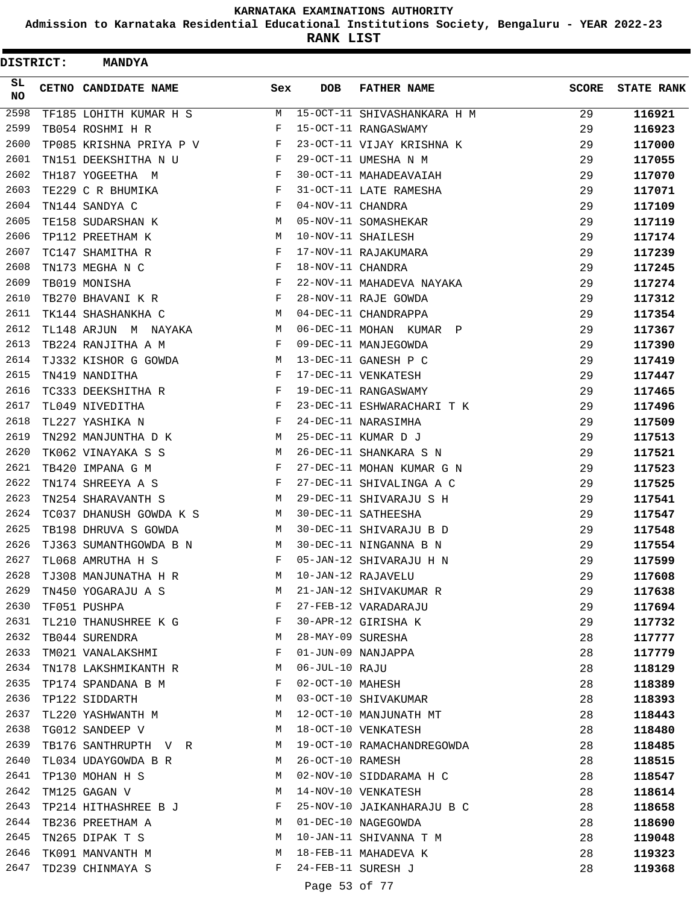**Admission to Karnataka Residential Educational Institutions Society, Bengaluru - YEAR 2022-23**

**RANK LIST**

 $\blacksquare$ 

| <b>DISTRICT:</b> | <b>MANDYA</b>           |                    |                   |                             |              |                   |
|------------------|-------------------------|--------------------|-------------------|-----------------------------|--------------|-------------------|
| SL.<br><b>NO</b> | CETNO CANDIDATE NAME    | Sex                | <b>DOB</b>        | <b>FATHER NAME</b>          | <b>SCORE</b> | <b>STATE RANK</b> |
| 2598             | TF185 LOHITH KUMAR H S  | М                  |                   | 15-OCT-11 SHIVASHANKARA H M | 29           | 116921            |
| 2599             | TB054 ROSHMI H R        | F                  |                   | 15-OCT-11 RANGASWAMY        | 29           | 116923            |
| 2600             | TP085 KRISHNA PRIYA P V | F                  |                   | 23-OCT-11 VIJAY KRISHNA K   | 29           | 117000            |
| 2601             | TN151 DEEKSHITHA N U    | F                  |                   | 29-OCT-11 UMESHA N M        | 29           | 117055            |
| 2602             | TH187 YOGEETHA M        | F                  |                   | 30-OCT-11 MAHADEAVAIAH      | 29           | 117070            |
| 2603             | TE229 C R BHUMIKA       | F                  |                   | 31-OCT-11 LATE RAMESHA      | 29           | 117071            |
| 2604             | TN144 SANDYA C          | F                  | 04-NOV-11 CHANDRA |                             | 29           | 117109            |
| 2605             | TE158 SUDARSHAN K       | М                  |                   | 05-NOV-11 SOMASHEKAR        | 29           | 117119            |
| 2606             | TP112 PREETHAM K        | М                  |                   | 10-NOV-11 SHAILESH          | 29           | 117174            |
| 2607             | TC147 SHAMITHA R        | F                  |                   | 17-NOV-11 RAJAKUMARA        | 29           | 117239            |
| 2608             | TN173 MEGHA N C         | F                  | 18-NOV-11 CHANDRA |                             | 29           | 117245            |
| 2609             | TB019 MONISHA           | $_{\rm F}$         |                   | 22-NOV-11 MAHADEVA NAYAKA   | 29           | 117274            |
| 2610             | TB270 BHAVANI K R       | F                  |                   | 28-NOV-11 RAJE GOWDA        | 29           | 117312            |
| 2611             | TK144 SHASHANKHA C      | M                  |                   | 04-DEC-11 CHANDRAPPA        | 29           | 117354            |
| 2612             | TL148 ARJUN M NAYAKA    | M                  |                   | 06-DEC-11 MOHAN KUMAR P     | 29           | 117367            |
| 2613             | TB224 RANJITHA A M      | F                  |                   | 09-DEC-11 MANJEGOWDA        | 29           | 117390            |
| 2614             | TJ332 KISHOR G GOWDA    | М                  |                   | 13-DEC-11 GANESH P C        | 29           | 117419            |
| 2615             | TN419 NANDITHA          | F                  |                   | 17-DEC-11 VENKATESH         | 29           | 117447            |
| 2616             | TC333 DEEKSHITHA R      | F                  |                   | 19-DEC-11 RANGASWAMY        | 29           | 117465            |
| 2617             | TL049 NIVEDITHA         | F                  |                   | 23-DEC-11 ESHWARACHARI T K  | 29           | 117496            |
| 2618             | TL227 YASHIKA N         | F                  |                   | 24-DEC-11 NARASIMHA         | 29           | 117509            |
| 2619             | TN292 MANJUNTHA D K     | М                  |                   | 25-DEC-11 KUMAR D J         | 29           | 117513            |
| 2620             | TK062 VINAYAKA S S      | М                  |                   | 26-DEC-11 SHANKARA S N      | 29           | 117521            |
| 2621             | TB420 IMPANA G M        | F                  |                   | 27-DEC-11 MOHAN KUMAR G N   | 29           | 117523            |
| 2622             | TN174 SHREEYA A S       | F                  |                   | 27-DEC-11 SHIVALINGA A C    | 29           | 117525            |
| 2623             | TN254 SHARAVANTH S      | М                  |                   | 29-DEC-11 SHIVARAJU S H     | 29           | 117541            |
| 2624             | TC037 DHANUSH GOWDA K S | M                  |                   | 30-DEC-11 SATHEESHA         | 29           | 117547            |
| 2625             | TB198 DHRUVA S GOWDA    | M                  |                   | 30-DEC-11 SHIVARAJU B D     | 29           | 117548            |
| 2626             | TJ363 SUMANTHGOWDA B N  | М                  |                   | 30-DEC-11 NINGANNA B N      | 29           | 117554            |
| 2627             | TL068 AMRUTHA H S       | F                  |                   | 05-JAN-12 SHIVARAJU H N     | 29           | 117599            |
| 2628             | TJ308 MANJUNATHA H R    | M                  |                   | 10-JAN-12 RAJAVELU          | 29           | 117608            |
| 2629             | TN450 YOGARAJU A S      | M                  |                   | 21-JAN-12 SHIVAKUMAR R      | 29           | 117638            |
| 2630             | TF051 PUSHPA            | <b>Example 2</b> F |                   | 27-FEB-12 VARADARAJU        | 29           | 117694            |
| 2631             | TL210 THANUSHREE K G F  |                    |                   | 30-APR-12 GIRISHA K         | 29           | 117732            |
| 2632             | TB044 SURENDRA          | M                  | 28-MAY-09 SURESHA |                             | 28           | 117777            |
| 2633             | TM021 VANALAKSHMI       | F                  |                   | 01-JUN-09 NANJAPPA          | 28           | 117779            |
| 2634             | TN178 LAKSHMIKANTH R    | M                  | 06-JUL-10 RAJU    |                             | 28           | 118129            |
| 2635             | TP174 SPANDANA B M      | $\mathbf{F}$       |                   | 02-OCT-10 MAHESH            | 28           | 118389            |
| 2636             | TP122 SIDDARTH          | М                  |                   | 03-OCT-10 SHIVAKUMAR        | 28           | 118393            |
| 2637             | TL220 YASHWANTH M       | M                  |                   | 12-OCT-10 MANJUNATH MT      | 28           | 118443            |
| 2638             | TG012 SANDEEP V         | $M_{\rm H}$        |                   | 18-OCT-10 VENKATESH         | 28           | 118480            |
| 2639             | TB176 SANTHRUPTH V R M  |                    |                   | 19-OCT-10 RAMACHANDREGOWDA  | 28           | 118485            |
| 2640             | TL034 UDAYGOWDA B R     | M                  | 26-OCT-10 RAMESH  |                             | 28           | 118515            |
| 2641             | TP130 MOHAN H S         | M                  |                   | 02-NOV-10 SIDDARAMA H C     | 28           | 118547            |
| 2642             | TM125 GAGAN V           | М                  |                   | 14-NOV-10 VENKATESH         | 28           | 118614            |
| 2643             | TP214 HITHASHREE B J    | F                  |                   | 25-NOV-10 JAIKANHARAJU B C  | 28           | 118658            |
| 2644             | TB236 PREETHAM A        | M                  |                   | 01-DEC-10 NAGEGOWDA         | 28           | 118690            |
| 2645             | TN265 DIPAK T S         | M                  |                   | 10-JAN-11 SHIVANNA T M      | 28           | 119048            |
| 2646             | TK091 MANVANTH M        | M                  |                   | 18-FEB-11 MAHADEVA K        | 28           | 119323            |
| 2647             | TD239 CHINMAYA S        | F                  |                   | 24-FEB-11 SURESH J          | 28           | 119368            |
|                  |                         |                    | Page 53 of 77     |                             |              |                   |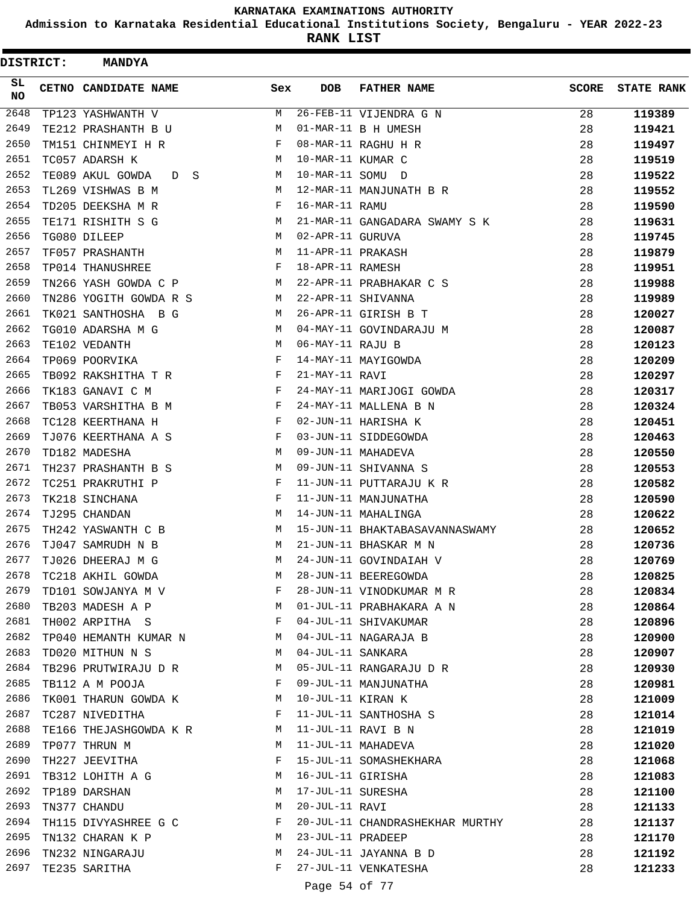**Admission to Karnataka Residential Educational Institutions Society, Bengaluru - YEAR 2022-23**

| <b>DISTRICT:</b> | <b>MANDYA</b>           |              |                   |                                 |              |                   |
|------------------|-------------------------|--------------|-------------------|---------------------------------|--------------|-------------------|
| SL.<br><b>NO</b> | CETNO CANDIDATE NAME    | Sex          | DOB               | <b>FATHER NAME</b>              | <b>SCORE</b> | <b>STATE RANK</b> |
| 2648             | TP123 YASHWANTH V       | М            |                   | 26-FEB-11 VIJENDRA G N          | 28           | 119389            |
| 2649             | TE212 PRASHANTH B U     | M            |                   | 01-MAR-11 B H UMESH             | 28           | 119421            |
| 2650             | TM151 CHINMEYI H R      | F            |                   | 08-MAR-11 RAGHU H R             | 28           | 119497            |
| 2651             | TC057 ADARSH K          | М            | 10-MAR-11 KUMAR C |                                 | 28           | 119519            |
| 2652             | TE089 AKUL GOWDA<br>D S | М            | 10-MAR-11 SOMU D  |                                 | 28           | 119522            |
| 2653             | TL269 VISHWAS B M       | M            |                   | 12-MAR-11 MANJUNATH B R         | 28           | 119552            |
| 2654             | TD205 DEEKSHA M R       | F            | 16-MAR-11 RAMU    |                                 | 28           | 119590            |
| 2655             | TE171 RISHITH S G       | М            |                   | 21-MAR-11 GANGADARA SWAMY S K   | 28           | 119631            |
| 2656             | TG080 DILEEP            | M            | 02-APR-11 GURUVA  |                                 | 28           | 119745            |
| 2657             | TF057 PRASHANTH         | М            | 11-APR-11 PRAKASH |                                 | 28           | 119879            |
| 2658             | TP014 THANUSHREE        | F            | 18-APR-11 RAMESH  |                                 | 28           | 119951            |
| 2659             | TN266 YASH GOWDA C P    | M            |                   | 22-APR-11 PRABHAKAR C S         | 28           | 119988            |
| 2660             | TN286 YOGITH GOWDA R S  | М            |                   | 22-APR-11 SHIVANNA              | 28           | 119989            |
| 2661             | TK021 SANTHOSHA B G     | М            |                   | 26-APR-11 GIRISH B T            | 28           | 120027            |
| 2662             | TG010 ADARSHA M G       | M            |                   | 04-MAY-11 GOVINDARAJU M         | 28           | 120087            |
| 2663             | TE102 VEDANTH           | M            | 06-MAY-11 RAJU B  |                                 | 28           | 120123            |
| 2664             | TP069 POORVIKA          | F            |                   | 14-MAY-11 MAYIGOWDA             | 28           | 120209            |
| 2665             | TB092 RAKSHITHA T R     | F            | 21-MAY-11 RAVI    |                                 | 28           | 120297            |
| 2666             | TK183 GANAVI C M        | F            |                   | 24-MAY-11 MARIJOGI GOWDA        | 28           | 120317            |
| 2667             | TB053 VARSHITHA B M     | F            |                   | 24-MAY-11 MALLENA B N           | 28           | 120324            |
| 2668             | TC128 KEERTHANA H       | F            |                   | 02-JUN-11 HARISHA K             | 28           | 120451            |
| 2669             | TJ076 KEERTHANA A S     | F            |                   | 03-JUN-11 SIDDEGOWDA            | 28           | 120463            |
| 2670             | TD182 MADESHA           | M            |                   | 09-JUN-11 MAHADEVA              | 28           | 120550            |
| 2671             | TH237 PRASHANTH B S     | М            |                   | 09-JUN-11 SHIVANNA S            | 28           | 120553            |
| 2672             | TC251 PRAKRUTHI P       | F            |                   | 11-JUN-11 PUTTARAJU K R         | 28           | 120582            |
| 2673             | TK218 SINCHANA          | F            |                   | 11-JUN-11 MANJUNATHA            | 28           | 120590            |
| 2674             | TJ295 CHANDAN           | M            |                   | 14-JUN-11 MAHALINGA             | 28           | 120622            |
| 2675             | TH242 YASWANTH C B      | М            |                   | 15-JUN-11 BHAKTABASAVANNASWAMY  | 28           | 120652            |
| 2676             | TJ047 SAMRUDH N B       | M            |                   | 21-JUN-11 BHASKAR M N           | 28           | 120736            |
| 2677             | TJ026 DHEERAJ M G       | M            |                   | 24-JUN-11 GOVINDAIAH V          | 28           | 120769            |
| 2678             | TC218 AKHIL GOWDA       | M            |                   | 28-JUN-11 BEEREGOWDA            | 28           | 120825            |
| 2679             | TD101 SOWJANYA M V      | F            |                   | 28-JUN-11 VINODKUMAR M R        | 28           | 120834            |
| 2680             | TB203 MADESH A P        | М            |                   | 01-JUL-11 PRABHAKARA A N        | 28           | 120864            |
| 2681             | TH002 ARPITHA S         | F            |                   | 04-JUL-11 SHIVAKUMAR            | 28           | 120896            |
| 2682             | TP040 HEMANTH KUMAR N   | M            |                   | 04-JUL-11 NAGARAJA B            | 28           | 120900            |
| 2683             | TD020 MITHUN N S        | М            | 04-JUL-11 SANKARA |                                 | 28           | 120907            |
| 2684             | TB296 PRUTWIRAJU D R    | М            |                   | 05-JUL-11 RANGARAJU D R         | 28           | 120930            |
| 2685             | TB112 A M POOJA         | F            |                   | 09-JUL-11 MANJUNATHA            | 28           | 120981            |
| 2686             | TK001 THARUN GOWDA K    | М            | 10-JUL-11 KIRAN K |                                 | 28           | 121009            |
| 2687             | TC287 NIVEDITHA         | $\mathbf{F}$ |                   | 11-JUL-11 SANTHOSHA S           | 28           | 121014            |
| 2688             | TE166 THEJASHGOWDA K R  | М            |                   | 11-JUL-11 RAVI B N              | 28           | 121019            |
| 2689             | TP077 THRUN M           | М            |                   | 11-JUL-11 MAHADEVA              | 28           | 121020            |
| 2690             | TH227 JEEVITHA          | F            |                   | 15-JUL-11 SOMASHEKHARA          | 28           | 121068            |
| 2691             | TB312 LOHITH A G        | М            | 16-JUL-11 GIRISHA |                                 | 28           | 121083            |
| 2692             | TP189 DARSHAN           | М            | 17-JUL-11 SURESHA |                                 | 28           | 121100            |
| 2693             | TN377 CHANDU            | М            | 20-JUL-11 RAVI    |                                 | 28           | 121133            |
| 2694             | TH115 DIVYASHREE G C    | F            |                   | 20-JUL-11 CHANDRASHEKHAR MURTHY | 28           | 121137            |
| 2695             | TN132 CHARAN K P        | М            | 23-JUL-11 PRADEEP |                                 | 28           | 121170            |
| 2696             | TN232 NINGARAJU         | М            |                   | 24-JUL-11 JAYANNA B D           | 28           | 121192            |
| 2697             | TE235 SARITHA           | F            |                   | 27-JUL-11 VENKATESHA            | 28           | 121233            |
|                  |                         |              | Page 54 of 77     |                                 |              |                   |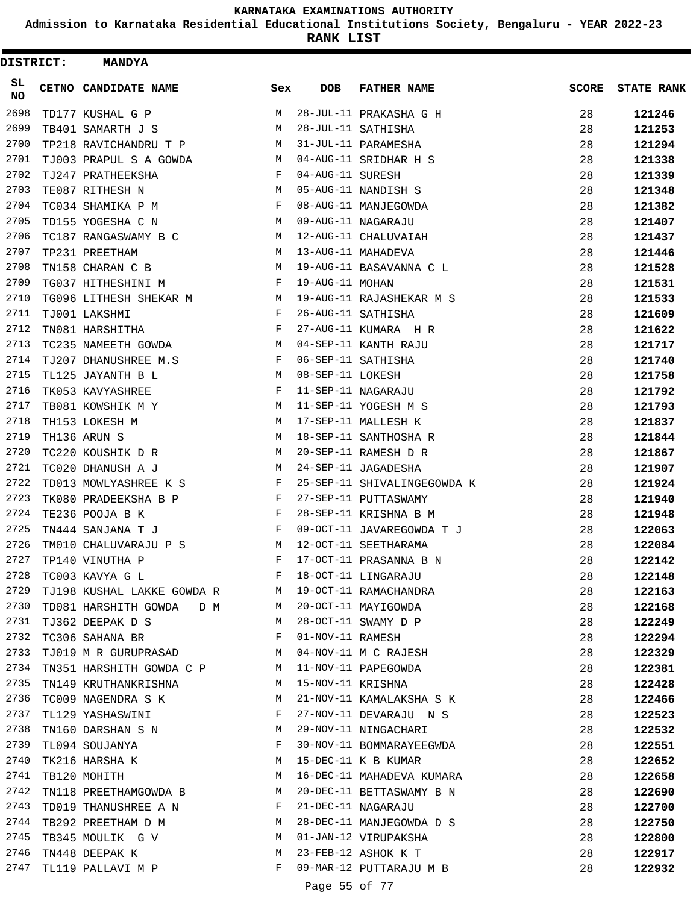**Admission to Karnataka Residential Educational Institutions Society, Bengaluru - YEAR 2022-23**

ı

**RANK LIST**

 $\blacksquare$ 

| DISTRICT:       | <b>MANDYA</b>                |              |                   |                             |              |                   |
|-----------------|------------------------------|--------------|-------------------|-----------------------------|--------------|-------------------|
| SL<br><b>NO</b> | CETNO CANDIDATE NAME         | Sex          | <b>DOB</b>        | <b>FATHER NAME</b>          | <b>SCORE</b> | <b>STATE RANK</b> |
| 2698            | TD177 KUSHAL G P             | М            |                   | 28-JUL-11 PRAKASHA G H      | 28           | 121246            |
| 2699            | TB401 SAMARTH J S            | М            |                   | 28-JUL-11 SATHISHA          | 28           | 121253            |
| 2700            | TP218 RAVICHANDRU T P        | М            |                   | 31-JUL-11 PARAMESHA         | 28           | 121294            |
| 2701            | TJ003 PRAPUL S A GOWDA       | M            |                   | 04-AUG-11 SRIDHAR H S       | 28           | 121338            |
| 2702            | TJ247 PRATHEEKSHA            | F            | 04-AUG-11 SURESH  |                             | 28           | 121339            |
| 2703            | TE087 RITHESH N              | M            |                   | 05-AUG-11 NANDISH S         | 28           | 121348            |
| 2704            | TC034 SHAMIKA P M            | F            |                   | 08-AUG-11 MANJEGOWDA        | 28           | 121382            |
| 2705            | TD155 YOGESHA C N            | M            |                   | 09-AUG-11 NAGARAJU          | 28           | 121407            |
| 2706            | TC187 RANGASWAMY B C         | M            |                   | 12-AUG-11 CHALUVAIAH        | 28           | 121437            |
| 2707            | TP231 PREETHAM               | М            |                   | 13-AUG-11 MAHADEVA          | 28           | 121446            |
| 2708            | TN158 CHARAN C B             | М            |                   | 19-AUG-11 BASAVANNA C L     | 28           | 121528            |
| 2709            | TG037 HITHESHINI M           | F            | 19-AUG-11 MOHAN   |                             | 28           | 121531            |
| 2710            | TG096 LITHESH SHEKAR M       | M            |                   | 19-AUG-11 RAJASHEKAR M S    | 28           | 121533            |
| 2711            | TJ001 LAKSHMI                | F            |                   | 26-AUG-11 SATHISHA          | 28           | 121609            |
| 2712            | TN081 HARSHITHA              | F            |                   | 27-AUG-11 KUMARA H R        | 28           | 121622            |
| 2713            | TC235 NAMEETH GOWDA          | М            |                   | 04-SEP-11 KANTH RAJU        | 28           | 121717            |
| 2714            | TJ207 DHANUSHREE M.S         | F            |                   | 06-SEP-11 SATHISHA          | 28           | 121740            |
| 2715            | TL125 JAYANTH B L            | M            | 08-SEP-11 LOKESH  |                             | 28           | 121758            |
| 2716            | TK053 KAVYASHREE             | F            |                   | 11-SEP-11 NAGARAJU          | 28           | 121792            |
| 2717            | TB081 KOWSHIK M Y            | M            |                   | 11-SEP-11 YOGESH M S        | 28           | 121793            |
| 2718            | TH153 LOKESH M               | M            |                   | 17-SEP-11 MALLESH K         | 28           | 121837            |
| 2719            | TH136 ARUN S                 | M            |                   | 18-SEP-11 SANTHOSHA R       | 28           | 121844            |
| 2720            | TC220 KOUSHIK D R            | М            |                   | 20-SEP-11 RAMESH D R        | 28           | 121867            |
| 2721            | TC020 DHANUSH A J            | M            |                   | 24-SEP-11 JAGADESHA         | 28           | 121907            |
| 2722            | TD013 MOWLYASHREE K S        | $\mathbf{F}$ |                   | 25-SEP-11 SHIVALINGEGOWDA K | 28           | 121924            |
| 2723            | TK080 PRADEEKSHA B P         | $\mathbf{F}$ |                   | 27-SEP-11 PUTTASWAMY        | 28           | 121940            |
| 2724            | TE236 POOJA B K              | F            |                   | 28-SEP-11 KRISHNA B M       | 28           | 121948            |
| 2725            | TN444 SANJANA T J            | $\mathbf{F}$ |                   | 09-OCT-11 JAVAREGOWDA T J   | 28           | 122063            |
| 2726            | TM010 CHALUVARAJU P S        | М            |                   | 12-OCT-11 SEETHARAMA        | 28           | 122084            |
| 2727            | TP140 VINUTHA P              | F            |                   | 17-OCT-11 PRASANNA B N      | 28           | 122142            |
| 2728            | TC003 KAVYA G L              | F            |                   | 18-OCT-11 LINGARAJU         | 28           | 122148            |
| 2729            | TJ198 KUSHAL LAKKE GOWDA R M |              |                   | 19-OCT-11 RAMACHANDRA       | 28           | 122163            |
| 2730            | TD081 HARSHITH GOWDA D M     | M            |                   | 20-OCT-11 MAYIGOWDA         | 28           | 122168            |
| 2731            | TJ362 DEEPAK D S             | M            |                   | 28-OCT-11 SWAMY D P         | 28           | 122249            |
| 2732            | TC306 SAHANA BR              | $\mathbf{F}$ | 01-NOV-11 RAMESH  |                             | 28           | 122294            |
| 2733            | TJ019 M R GURUPRASAD         | M            |                   | 04-NOV-11 M C RAJESH        | 28           | 122329            |
| 2734            | TN351 HARSHITH GOWDA C P     | M            |                   | 11-NOV-11 PAPEGOWDA         | 28           | 122381            |
| 2735            | TN149 KRUTHANKRISHNA         | M            | 15-NOV-11 KRISHNA |                             | 28           | 122428            |
| 2736            | TC009 NAGENDRA S K           | М            |                   | 21-NOV-11 KAMALAKSHA S K    | 28           | 122466            |
| 2737            | TL129 YASHASWINI             | F            |                   | 27-NOV-11 DEVARAJU N S      | 28           | 122523            |
| 2738            | TN160 DARSHAN S N            | M            |                   | 29-NOV-11 NINGACHARI        | 28           | 122532            |
| 2739            | TL094 SOUJANYA               | F            |                   | 30-NOV-11 BOMMARAYEEGWDA    | 28           | 122551            |
| 2740            | TK216 HARSHA K               | М            |                   | 15-DEC-11 K B KUMAR         | 28           | 122652            |
| 2741            | TB120 MOHITH                 | М            |                   | 16-DEC-11 MAHADEVA KUMARA   | 28           | 122658            |
| 2742            | TN118 PREETHAMGOWDA B        | М            |                   | 20-DEC-11 BETTASWAMY B N    | 28           | 122690            |
| 2743            | TD019 THANUSHREE A N         | F            |                   | 21-DEC-11 NAGARAJU          | 28           | 122700            |
| 2744            | TB292 PREETHAM D M           | M            |                   | 28-DEC-11 MANJEGOWDA D S    | 28           | 122750            |
| 2745            | TB345 MOULIK G V             | M            |                   | 01-JAN-12 VIRUPAKSHA        | 28           | 122800            |
| 2746            | TN448 DEEPAK K               | M            |                   | 23-FEB-12 ASHOK K T         | 28           | 122917            |
| 2747            | TL119 PALLAVI M P            | F            |                   | 09-MAR-12 PUTTARAJU M B     | 28           | 122932            |
|                 |                              |              |                   |                             |              |                   |

Page 55 of 77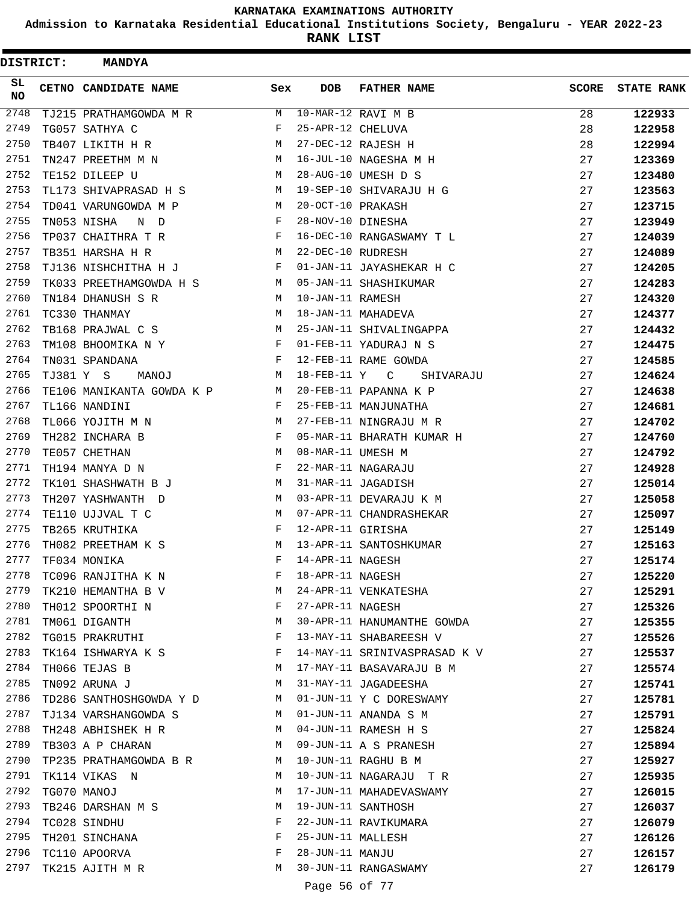**Admission to Karnataka Residential Educational Institutions Society, Bengaluru - YEAR 2022-23**

| DISTRICT:       |           | <b>MANDYA</b>             |              |                   |                              |              |                   |
|-----------------|-----------|---------------------------|--------------|-------------------|------------------------------|--------------|-------------------|
| SL<br><b>NO</b> |           | CETNO CANDIDATE NAME      | Sex          | <b>DOB</b>        | <b>FATHER NAME</b>           | <b>SCORE</b> | <b>STATE RANK</b> |
| 2748            |           | TJ215 PRATHAMGOWDA M R    | M            |                   | 10-MAR-12 RAVI M B           | 28           | 122933            |
| 2749            |           | TG057 SATHYA C            | F            | 25-APR-12 CHELUVA |                              | 28           | 122958            |
| 2750            |           | TB407 LIKITH H R          | М            |                   | 27-DEC-12 RAJESH H           | 28           | 122994            |
| 2751            |           | TN247 PREETHM M N         | M            |                   | 16-JUL-10 NAGESHA M H        | 27           | 123369            |
| 2752            |           | TE152 DILEEP U            | М            |                   | 28-AUG-10 UMESH D S          | 27           | 123480            |
| 2753            |           | TL173 SHIVAPRASAD H S     | М            |                   | 19-SEP-10 SHIVARAJU H G      | 27           | 123563            |
| 2754            |           | TD041 VARUNGOWDA M P      | М            | 20-OCT-10 PRAKASH |                              | 27           | 123715            |
| 2755            |           | TN053 NISHA<br>N D        | F            | 28-NOV-10 DINESHA |                              | 27           | 123949            |
| 2756            |           | TP037 CHAITHRA T R        | F            |                   | 16-DEC-10 RANGASWAMY T L     | 27           | 124039            |
| 2757            |           | TB351 HARSHA H R          | M            | 22-DEC-10 RUDRESH |                              | 27           | 124089            |
| 2758            |           | TJ136 NISHCHITHA H J      | F            |                   | 01-JAN-11 JAYASHEKAR H C     | 27           | 124205            |
| 2759            |           | TK033 PREETHAMGOWDA H S   | M            |                   | 05-JAN-11 SHASHIKUMAR        | 27           | 124283            |
| 2760            |           | TN184 DHANUSH S R         | M            | 10-JAN-11 RAMESH  |                              | 27           | 124320            |
| 2761            |           | TC330 THANMAY             | M            |                   | 18-JAN-11 MAHADEVA           | 27           | 124377            |
| 2762            |           | TB168 PRAJWAL C S         | M            |                   | 25-JAN-11 SHIVALINGAPPA      | 27           | 124432            |
| 2763            |           | TM108 BHOOMIKA N Y        | F            |                   | 01-FEB-11 YADURAJ N S        | 27           | 124475            |
| 2764            |           | TN031 SPANDANA            | F            |                   | 12-FEB-11 RAME GOWDA         | 27           | 124585            |
| 2765            | TJ381 Y S | <b>MANOJ</b>              | М            | $18$ -FEB-11 $Y$  | C<br>SHIVARAJU               | 27           | 124624            |
| 2766            |           | TE106 MANIKANTA GOWDA K P | M            |                   | 20-FEB-11 PAPANNA K P        | 27           | 124638            |
| 2767            |           | TL166 NANDINI             | F            |                   | 25-FEB-11 MANJUNATHA         | 27           | 124681            |
| 2768            |           | TL066 YOJITH M N          | М            |                   | 27-FEB-11 NINGRAJU M R       | 27           | 124702            |
| 2769            |           | TH282 INCHARA B           | F            |                   | 05-MAR-11 BHARATH KUMAR H    | 27           | 124760            |
| 2770            |           | TE057 CHETHAN             | M            | 08-MAR-11 UMESH M |                              | 27           | 124792            |
| 2771            |           | TH194 MANYA D N           | F            |                   | 22-MAR-11 NAGARAJU           | 27           | 124928            |
| 2772            |           | TK101 SHASHWATH B J       | M            |                   | 31-MAR-11 JAGADISH           | 27           | 125014            |
| 2773            |           | TH207 YASHWANTH D         | M            |                   | 03-APR-11 DEVARAJU K M       | 27           | 125058            |
| 2774            |           | TE110 UJJVAL T C          | М            |                   | 07-APR-11 CHANDRASHEKAR      | 27           | 125097            |
| 2775            |           | TB265 KRUTHIKA            | F            | 12-APR-11 GIRISHA |                              | 27           | 125149            |
| 2776            |           | TH082 PREETHAM K S        | М            |                   | 13-APR-11 SANTOSHKUMAR       | 27           | 125163            |
| 2777            |           | TF034 MONIKA              | F            | 14-APR-11 NAGESH  |                              | 27           | 125174            |
| 2778            |           | TC096 RANJITHA K N        | F            | 18-APR-11 NAGESH  |                              | 27           | 125220            |
| 2779            |           | TK210 HEMANTHA B V        | М            |                   | 24-APR-11 VENKATESHA         | 27           | 125291            |
| 2780            |           | TH012 SPOORTHI N          | F            | 27-APR-11 NAGESH  |                              | 27           | 125326            |
| 2781            |           | TM061 DIGANTH             | M            |                   | 30-APR-11 HANUMANTHE GOWDA   | 27           | 125355            |
| 2782            |           | TG015 PRAKRUTHI           | F            |                   | 13-MAY-11 SHABAREESH V       | 27           | 125526            |
| 2783            |           | TK164 ISHWARYA K S        | $\mathbf{F}$ |                   | 14-MAY-11 SRINIVASPRASAD K V | 27           | 125537            |
| 2784            |           | TH066 TEJAS B             | М            |                   | 17-MAY-11 BASAVARAJU B M     | 27           | 125574            |
| 2785            |           | TN092 ARUNA J             | М            |                   | 31-MAY-11 JAGADEESHA         | 27           | 125741            |
| 2786            |           | TD286 SANTHOSHGOWDA Y D   | M            |                   | 01-JUN-11 Y C DORESWAMY      | 27           | 125781            |
| 2787            |           | TJ134 VARSHANGOWDA S      | M            |                   | 01-JUN-11 ANANDA S M         | 27           | 125791            |
| 2788            |           | TH248 ABHISHEK H R        | M            |                   | 04-JUN-11 RAMESH H S         | 27           | 125824            |
| 2789            |           | TB303 A P CHARAN          | M            |                   | 09-JUN-11 A S PRANESH        | 27           | 125894            |
| 2790            |           | TP235 PRATHAMGOWDA B R    | M            |                   | 10-JUN-11 RAGHU B M          | 27           | 125927            |
| 2791            |           | TK114 VIKAS N             | М            |                   | 10-JUN-11 NAGARAJU TR        | 27           | 125935            |
| 2792            |           | TG070 MANOJ               | М            |                   | 17-JUN-11 MAHADEVASWAMY      | 27           | 126015            |
| 2793            |           | TB246 DARSHAN M S         | M            |                   | 19-JUN-11 SANTHOSH           | 27           | 126037            |
| 2794            |           | TC028 SINDHU              | F            |                   | 22-JUN-11 RAVIKUMARA         | 27           | 126079            |
| 2795            |           | TH201 SINCHANA            | F            | 25-JUN-11 MALLESH |                              | 27           | 126126            |
| 2796            |           | TC110 APOORVA             | F            | 28-JUN-11 MANJU   |                              | 27           | 126157            |
| 2797            |           | TK215 AJITH M R           | M            |                   | 30-JUN-11 RANGASWAMY         | 27           | 126179            |
|                 |           |                           |              | Page 56 of 77     |                              |              |                   |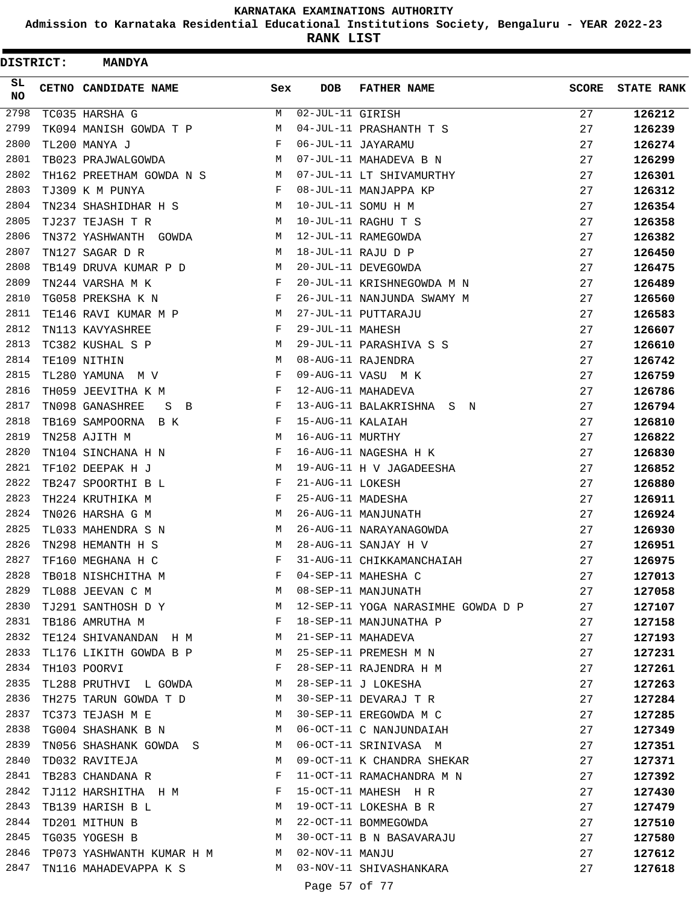**Admission to Karnataka Residential Educational Institutions Society, Bengaluru - YEAR 2022-23**

| <b>DISTRICT:</b> | <b>MANDYA</b>                                                     |     |                   |                                    |              |                   |
|------------------|-------------------------------------------------------------------|-----|-------------------|------------------------------------|--------------|-------------------|
| SL<br><b>NO</b>  | CETNO CANDIDATE NAME                                              | Sex | <b>DOB</b>        | <b>FATHER NAME</b>                 | <b>SCORE</b> | <b>STATE RANK</b> |
| 2798             | TC035 HARSHA G                                                    | М   | 02-JUL-11 GIRISH  |                                    | 27           | 126212            |
| 2799             | TK094 MANISH GOWDA T P                                            | М   |                   | 04-JUL-11 PRASHANTH T S            | 27           | 126239            |
| 2800             | TL200 MANYA J                                                     | F   |                   | 06-JUL-11 JAYARAMU                 | 27           | 126274            |
| 2801             | TB023 PRAJWALGOWDA                                                | М   |                   | 07-JUL-11 MAHADEVA B N             | 27           | 126299            |
| 2802             | TH162 PREETHAM GOWDA N S                                          | М   |                   | 07-JUL-11 LT SHIVAMURTHY           | 27           | 126301            |
| 2803             | TJ309 K M PUNYA                                                   | F   |                   | 08-JUL-11 MANJAPPA KP              | 27           | 126312            |
| 2804             | TN234 SHASHIDHAR H S                                              | М   |                   | 10-JUL-11 SOMU H M                 | 27           | 126354            |
| 2805             | TJ237 TEJASH T R                                                  | М   |                   | 10-JUL-11 RAGHU T S                | 27           | 126358            |
| 2806             | TN372 YASHWANTH GOWDA                                             | М   |                   | 12-JUL-11 RAMEGOWDA                | 27           | 126382            |
| 2807             | TN127 SAGAR D R                                                   | М   |                   | 18-JUL-11 RAJU D P                 | 27           | 126450            |
| 2808             | TB149 DRUVA KUMAR P D                                             | М   |                   | 20-JUL-11 DEVEGOWDA                | 27           | 126475            |
| 2809             | TN244 VARSHA M K                                                  | F   |                   | 20-JUL-11 KRISHNEGOWDA M N         | 27           | 126489            |
| 2810             | TG058 PREKSHA K N                                                 | F   |                   | 26-JUL-11 NANJUNDA SWAMY M         | 27           | 126560            |
| 2811             | TE146 RAVI KUMAR M P                                              | M   |                   | 27-JUL-11 PUTTARAJU                | 27           | 126583            |
| 2812             | TN113 KAVYASHREE                                                  | F   | 29-JUL-11 MAHESH  |                                    | 27           | 126607            |
| 2813             | TC382 KUSHAL S P                                                  | М   |                   | 29-JUL-11 PARASHIVA S S            | 27           | 126610            |
| 2814             | TE109 NITHIN                                                      | М   |                   | 08-AUG-11 RAJENDRA                 | 27           | 126742            |
| 2815             | TL280 YAMUNA M V                                                  | F   |                   | 09-AUG-11 VASU MK                  | 27           | 126759            |
| 2816             | TH059 JEEVITHA K M                                                | F   |                   | 12-AUG-11 MAHADEVA                 | 27           | 126786            |
| 2817             | TN098 GANASHREE<br>S B                                            | F   |                   | 13-AUG-11 BALAKRISHNA S N          | 27           | 126794            |
| 2818             | TB169 SAMPOORNA B K                                               | F   | 15-AUG-11 KALAIAH |                                    | 27           | 126810            |
| 2819             | TN258 AJITH M                                                     | М   | 16-AUG-11 MURTHY  |                                    | 27           | 126822            |
| 2820             | TN104 SINCHANA H N                                                | F   |                   | 16-AUG-11 NAGESHA H K              | 27           | 126830            |
| 2821             | TF102 DEEPAK H J                                                  | M   |                   | 19-AUG-11 H V JAGADEESHA           | 27           | 126852            |
| 2822             | TB247 SPOORTHI B L                                                | F   | 21-AUG-11 LOKESH  |                                    | 27           | 126880            |
| 2823             | TH224 KRUTHIKA M                                                  | F   | 25-AUG-11 MADESHA |                                    | 27           | 126911            |
| 2824             | TN026 HARSHA G M                                                  | М   |                   | 26-AUG-11 MANJUNATH                | 27           | 126924            |
| 2825             | TL033 MAHENDRA S N                                                | М   |                   | 26-AUG-11 NARAYANAGOWDA            | 27           | 126930            |
| 2826             | TN298 HEMANTH H S                                                 | М   |                   | 28-AUG-11 SANJAY H V               | 27           | 126951            |
| 2827             | TF160 MEGHANA H C                                                 | F   |                   | 31-AUG-11 CHIKKAMANCHAIAH          | 27           | 126975            |
| 2828             | TB018 NISHCHITHA M                                                | F   |                   | 04-SEP-11 MAHESHA C                | 27           | 127013            |
| 2829             | TL088 JEEVAN C M                                                  | М   |                   | 08-SEP-11 MANJUNATH                | 27           | 127058            |
| 2830             | TJ291 SANTHOSH D Y                                                | M   |                   | 12-SEP-11 YOGA NARASIMHE GOWDA D P | 27           | 127107            |
| 2831             | $\mathbf{F}$ and $\mathbf{F}$ and $\mathbf{F}$<br>TB186 AMRUTHA M |     |                   | 18-SEP-11 MANJUNATHA P             | 27           | 127158            |
| 2832             | TE124 SHIVANANDAN H M M                                           |     |                   | 21-SEP-11 MAHADEVA                 | 27           | 127193            |
| 2833             | TL176 LIKITH GOWDA B P M                                          |     |                   | 25-SEP-11 PREMESH M N              | 27           | 127231            |
| 2834             | TH103 POORVI                                                      | F   |                   | 28-SEP-11 RAJENDRA H M             | 27           | 127261            |
| 2835             | TL288 PRUTHVI L GOWDA                                             | M   |                   | 28-SEP-11 J LOKESHA                | 27           | 127263            |
| 2836             | TH275 TARUN GOWDA T D M                                           |     |                   | 30-SEP-11 DEVARAJ T R              | 27           | 127284            |
| 2837             | TC373 TEJASH M E                                                  | M   |                   | 30-SEP-11 EREGOWDA M C             | 27           | 127285            |
| 2838             | TG004 SHASHANK B N                                                | M   |                   | 06-OCT-11 C NANJUNDAIAH            | 27           | 127349            |
| 2839             | TN056 SHASHANK GOWDA S M                                          |     |                   | 06-OCT-11 SRINIVASA M              | 27           | 127351            |
| 2840             | TD032 RAVITEJA                                                    | М   |                   | 09-OCT-11 K CHANDRA SHEKAR         | 27           | 127371            |
| 2841             | TB283 CHANDANA R                                                  | F   |                   | 11-OCT-11 RAMACHANDRA M N          | 27           | 127392            |
| 2842             | TJ112 HARSHITHA H M F                                             |     |                   | 15-OCT-11 MAHESH H R               | 27           | 127430            |
| 2843             | TB139 HARISH B L                                                  | M   |                   | 19-OCT-11 LOKESHA B R              | 27           | 127479            |
| 2844             | TD201 MITHUN B                                                    | М   |                   | 22-OCT-11 BOMMEGOWDA               | 27           | 127510            |
| 2845             | TG035 YOGESH B                                                    | М   |                   | 30-OCT-11 B N BASAVARAJU           | 27           | 127580            |
| 2846             | TP073 YASHWANTH KUMAR H M M                                       |     | 02-NOV-11 MANJU   |                                    | 27           | 127612            |
| 2847             | TN116 MAHADEVAPPA K S M                                           |     |                   | 03-NOV-11 SHIVASHANKARA            | 27           | 127618            |
|                  |                                                                   |     | Page 57 of 77     |                                    |              |                   |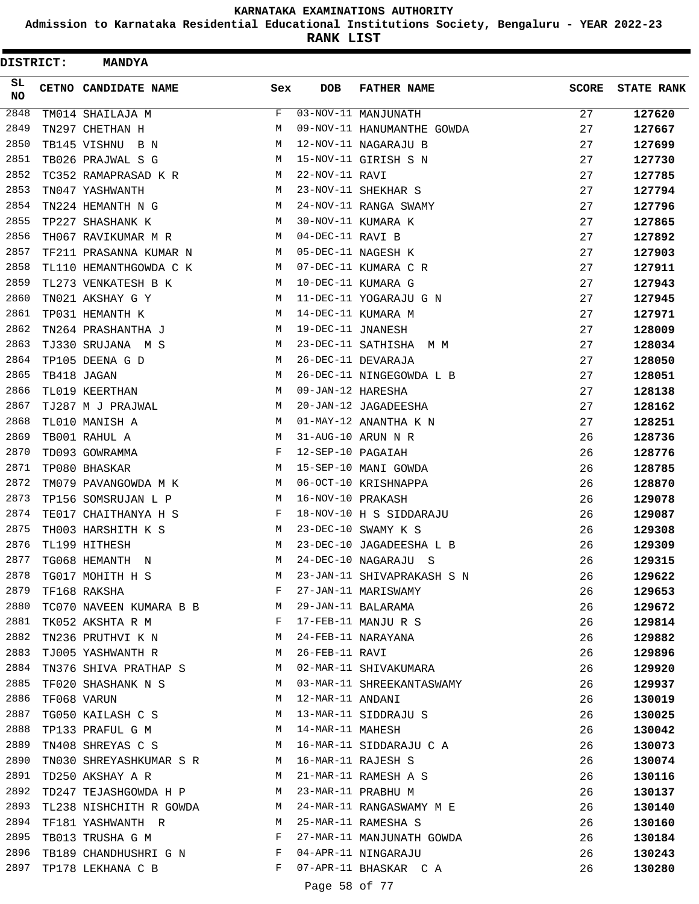**Admission to Karnataka Residential Educational Institutions Society, Bengaluru - YEAR 2022-23**

| <b>DISTRICT:</b> | <b>MANDYA</b>             |             |                   |                            |              |                   |
|------------------|---------------------------|-------------|-------------------|----------------------------|--------------|-------------------|
| SL<br>NO         | CETNO CANDIDATE NAME      | Sex         | <b>DOB</b>        | <b>FATHER NAME</b>         | <b>SCORE</b> | <b>STATE RANK</b> |
| 2848             | TM014 SHAILAJA M          | F           |                   | 03-NOV-11 MANJUNATH        | 27           | 127620            |
| 2849             | TN297 CHETHAN H           | М           |                   | 09-NOV-11 HANUMANTHE GOWDA | 27           | 127667            |
| 2850             | TB145 VISHNU B N          | М           |                   | 12-NOV-11 NAGARAJU B       | 27           | 127699            |
| 2851             | TB026 PRAJWAL S G         | М           |                   | 15-NOV-11 GIRISH S N       | 27           | 127730            |
| 2852             | TC352 RAMAPRASAD K R      | М           | 22-NOV-11 RAVI    |                            | 27           | 127785            |
| 2853             | TN047 YASHWANTH           | М           |                   | 23-NOV-11 SHEKHAR S        | 27           | 127794            |
| 2854             | TN224 HEMANTH N G         | М           |                   | 24-NOV-11 RANGA SWAMY      | 27           | 127796            |
| 2855             | TP227 SHASHANK K          | М           |                   | 30-NOV-11 KUMARA K         | 27           | 127865            |
| 2856             | TH067 RAVIKUMAR M R       | М           | 04-DEC-11 RAVI B  |                            | 27           | 127892            |
| 2857             | TF211 PRASANNA KUMAR N    | М           |                   | 05-DEC-11 NAGESH K         | 27           | 127903            |
| 2858             | TL110 HEMANTHGOWDA C K    | М           |                   | 07-DEC-11 KUMARA C R       | 27           | 127911            |
| 2859             | TL273 VENKATESH B K       | М           |                   | 10-DEC-11 KUMARA G         | 27           | 127943            |
| 2860             | TN021 AKSHAY G Y          | М           |                   | 11-DEC-11 YOGARAJU G N     | 27           | 127945            |
| 2861             | TP031 HEMANTH K           | М           |                   | 14-DEC-11 KUMARA M         | 27           | 127971            |
| 2862             | TN264 PRASHANTHA J        | M           | 19-DEC-11 JNANESH |                            | 27           | 128009            |
| 2863             | TJ330 SRUJANA M S         | М           |                   | 23-DEC-11 SATHISHA<br>М М  | 27           | 128034            |
| 2864             | TP105 DEENA G D           | М           |                   | 26-DEC-11 DEVARAJA         | 27           | 128050            |
| 2865             | TB418 JAGAN               | М           |                   | 26-DEC-11 NINGEGOWDA L B   | 27           | 128051            |
| 2866             | TL019 KEERTHAN            | М           | 09-JAN-12 HARESHA |                            | 27           | 128138            |
| 2867             | TJ287 M J PRAJWAL         | М           |                   | 20-JAN-12 JAGADEESHA       | 27           | 128162            |
| 2868             | TL010 MANISH A            | М           |                   | 01-MAY-12 ANANTHA K N      | 27           | 128251            |
| 2869             | TB001 RAHUL A             | М           |                   | 31-AUG-10 ARUN N R         | 26           | 128736            |
| 2870             | TD093 GOWRAMMA            | F           | 12-SEP-10 PAGAIAH |                            | 26           | 128776            |
| 2871             | TP080 BHASKAR             | М           |                   | 15-SEP-10 MANI GOWDA       | 26           | 128785            |
| 2872             | TM079 PAVANGOWDA M K      | М           |                   | 06-OCT-10 KRISHNAPPA       | 26           | 128870            |
| 2873             | TP156 SOMSRUJAN L P       | М           | 16-NOV-10 PRAKASH |                            | 26           | 129078            |
| 2874             | TE017 CHAITHANYA H S      | F           |                   | 18-NOV-10 H S SIDDARAJU    | 26           | 129087            |
| 2875             | TH003 HARSHITH K S        | M           |                   | 23-DEC-10 SWAMY K S        | 26           | 129308            |
| 2876             | TL199 HITHESH             | М           |                   | 23-DEC-10 JAGADEESHA L B   | 26           | 129309            |
| 2877             | TG068 HEMANTH<br>N        | М           |                   | 24-DEC-10 NAGARAJU S       | 26           | 129315            |
| 2878             | TG017 MOHITH H S          | М           |                   | 23-JAN-11 SHIVAPRAKASH S N | 26           | 129622            |
| 2879             | TF168 RAKSHA              | F           |                   | 27-JAN-11 MARISWAMY        | 26           | 129653            |
| 2880             | TC070 NAVEEN KUMARA B B   | M           |                   | 29-JAN-11 BALARAMA         | 26           | 129672            |
| 2881             | TK052 AKSHTA R M          | F           |                   | 17-FEB-11 MANJU R S        | 26           | 129814            |
| 2882             | TN236 PRUTHVI K N         | $M_{\rm H}$ |                   | 24-FEB-11 NARAYANA         | 26           | 129882            |
| 2883             | TJ005 YASHWANTH R         | M           | 26-FEB-11 RAVI    |                            | 26           | 129896            |
| 2884             | TN376 SHIVA PRATHAP S     | M           |                   | 02-MAR-11 SHIVAKUMARA      | 26           | 129920            |
| 2885             | TF020 SHASHANK N S        | M           |                   | 03-MAR-11 SHREEKANTASWAMY  | 26           | 129937            |
| 2886             | TF068 VARUN               | М           | 12-MAR-11 ANDANI  |                            | 26           | 130019            |
| 2887             | TG050 KAILASH C S         | M           |                   | 13-MAR-11 SIDDRAJU S       | 26           | 130025            |
| 2888             | TP133 PRAFUL G M          | M           | 14-MAR-11 MAHESH  |                            | 26           | 130042            |
| 2889             | TN408 SHREYAS C S         | M           |                   | 16-MAR-11 SIDDARAJU C A    | 26           | 130073            |
| 2890             | TN030 SHREYASHKUMAR S R M |             |                   | 16-MAR-11 RAJESH S         | 26           | 130074            |
| 2891             | TD250 AKSHAY A R          | M           |                   | 21-MAR-11 RAMESH A S       | 26           | 130116            |
| 2892             | TD247 TEJASHGOWDA H P     | M           |                   | 23-MAR-11 PRABHU M         | 26           | 130137            |
| 2893             | TL238 NISHCHITH R GOWDA   | M           |                   | 24-MAR-11 RANGASWAMY M E   | 26           | 130140            |
| 2894             | TF181 YASHWANTH R         | M           |                   | 25-MAR-11 RAMESHA S        | 26           | 130160            |
| 2895             | TB013 TRUSHA G M          | F           |                   | 27-MAR-11 MANJUNATH GOWDA  | 26           | 130184            |
| 2896             | TB189 CHANDHUSHRI G N     | F           |                   | 04-APR-11 NINGARAJU        | 26           | 130243            |
| 2897             | TP178 LEKHANA C B         | F           |                   | 07-APR-11 BHASKAR CA       | 26           | 130280            |
|                  |                           |             | Page 58 of 77     |                            |              |                   |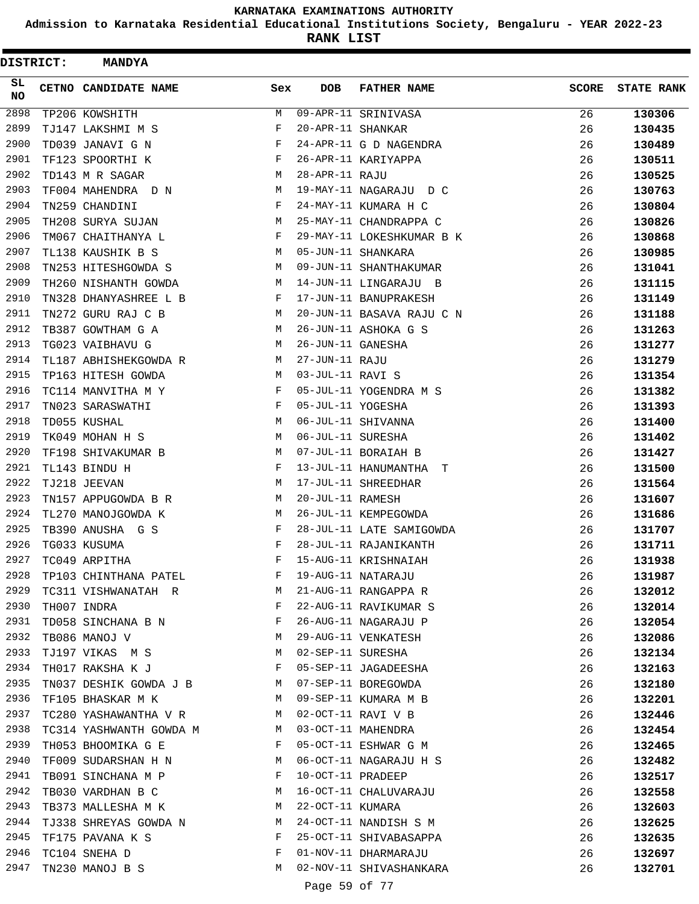**Admission to Karnataka Residential Educational Institutions Society, Bengaluru - YEAR 2022-23**

**RANK LIST**

| <b>DISTRICT:</b> | <b>MANDYA</b>            |              |                   |                           |              |                   |
|------------------|--------------------------|--------------|-------------------|---------------------------|--------------|-------------------|
| SL<br><b>NO</b>  | CETNO CANDIDATE NAME     | Sex          | <b>DOB</b>        | <b>FATHER NAME</b>        | <b>SCORE</b> | <b>STATE RANK</b> |
| 2898             | TP206 KOWSHITH           | М            |                   | 09-APR-11 SRINIVASA       | 26           | 130306            |
| 2899             | TJ147 LAKSHMI M S        | F            | 20-APR-11 SHANKAR |                           | 26           | 130435            |
| 2900             | TD039 JANAVI G N         | F            |                   | 24-APR-11 G D NAGENDRA    | 26           | 130489            |
| 2901             | TF123 SPOORTHI K         | F            |                   | 26-APR-11 KARIYAPPA       | 26           | 130511            |
| 2902             | TD143 M R SAGAR          | M            | 28-APR-11 RAJU    |                           | 26           | 130525            |
| 2903             | TF004 MAHENDRA D N       | М            |                   | 19-MAY-11 NAGARAJU D C    | 26           | 130763            |
| 2904             | TN259 CHANDINI           | F            |                   | 24-MAY-11 KUMARA H C      | 26           | 130804            |
| 2905             | TH208 SURYA SUJAN        | М            |                   | 25-MAY-11 CHANDRAPPA C    | 26           | 130826            |
| 2906             | TM067 CHAITHANYA L       | F            |                   | 29-MAY-11 LOKESHKUMAR B K | 26           | 130868            |
| 2907             | TL138 KAUSHIK B S        | М            |                   | 05-JUN-11 SHANKARA        | 26           | 130985            |
| 2908             | TN253 HITESHGOWDA S      | M            |                   | 09-JUN-11 SHANTHAKUMAR    | 26           | 131041            |
| 2909             | TH260 NISHANTH GOWDA     | М            |                   | 14-JUN-11 LINGARAJU B     | 26           | 131115            |
| 2910             | TN328 DHANYASHREE L B    | F            |                   | 17-JUN-11 BANUPRAKESH     | 26           | 131149            |
| 2911             | TN272 GURU RAJ C B       | М            |                   | 20-JUN-11 BASAVA RAJU C N | 26           | 131188            |
| 2912             | TB387 GOWTHAM G A        | М            |                   | 26-JUN-11 ASHOKA G S      | 26           | 131263            |
| 2913             | TG023 VAIBHAVU G         | М            | 26-JUN-11 GANESHA |                           | 26           | 131277            |
| 2914             | TL187 ABHISHEKGOWDA R    | М            | 27-JUN-11 RAJU    |                           | 26           | 131279            |
| 2915             | TP163 HITESH GOWDA       | М            | 03-JUL-11 RAVI S  |                           | 26           | 131354            |
| 2916             | TC114 MANVITHA M Y       | F            |                   | 05-JUL-11 YOGENDRA M S    | 26           | 131382            |
| 2917             | TN023 SARASWATHI         | F            | 05-JUL-11 YOGESHA |                           | 26           | 131393            |
| 2918             | TD055 KUSHAL             | М            |                   | 06-JUL-11 SHIVANNA        | 26           | 131400            |
| 2919             | TK049 MOHAN H S          | М            | 06-JUL-11 SURESHA |                           | 26           | 131402            |
| 2920             | TF198 SHIVAKUMAR B       | М            |                   | 07-JUL-11 BORAIAH B       | 26           | 131427            |
| 2921             | TL143 BINDU H            | F            |                   | 13-JUL-11 HANUMANTHA<br>T | 26           | 131500            |
| 2922             | TJ218 JEEVAN             | М            |                   | 17-JUL-11 SHREEDHAR       | 26           | 131564            |
| 2923             | TN157 APPUGOWDA B R      | М            | 20-JUL-11 RAMESH  |                           | 26           | 131607            |
| 2924             | TL270 MANOJGOWDA K       | М            |                   | 26-JUL-11 KEMPEGOWDA      | 26           | 131686            |
| 2925             | TB390 ANUSHA G S         | F            |                   | 28-JUL-11 LATE SAMIGOWDA  | 26           | 131707            |
| 2926             | TG033 KUSUMA             | F            |                   | 28-JUL-11 RAJANIKANTH     | 26           | 131711            |
| 2927             | TC049 ARPITHA            | F            |                   | 15-AUG-11 KRISHNAIAH      | 26           | 131938            |
| 2928             | TP103 CHINTHANA PATEL    | F            |                   | 19-AUG-11 NATARAJU        | 26           | 131987            |
| 2929             | TC311 VISHWANATAH R      | M            |                   | 21-AUG-11 RANGAPPA R      | 26           | 132012            |
| 2930             | TH007 INDRA              | F            |                   | 22-AUG-11 RAVIKUMAR S     | 26           | 132014            |
| 2931             | TD058 SINCHANA B N       | $\mathbf{F}$ |                   | 26-AUG-11 NAGARAJU P      | 26           | 132054            |
| 2932             | TB086 MANOJ V            | M            |                   | 29-AUG-11 VENKATESH       | 26           | 132086            |
| 2933             | TJ197 VIKAS M S          | М            | 02-SEP-11 SURESHA |                           | 26           | 132134            |
| 2934             | TH017 RAKSHA K J         | F            |                   | 05-SEP-11 JAGADEESHA      | 26           | 132163            |
| 2935             | TN037 DESHIK GOWDA J B M |              |                   | 07-SEP-11 BOREGOWDA       | 26           | 132180            |
| 2936             | TF105 BHASKAR M K        | M            |                   | 09-SEP-11 KUMARA M B      | 26           | 132201            |
| 2937             | TC280 YASHAWANTHA V R    | M            |                   | 02-OCT-11 RAVI V B        | 26           | 132446            |
| 2938             | TC314 YASHWANTH GOWDA M  | M            |                   | 03-OCT-11 MAHENDRA        | 26           | 132454            |
| 2939             | TH053 BHOOMIKA G E       | F            |                   | 05-OCT-11 ESHWAR G M      | 26           | 132465            |
| 2940             | TF009 SUDARSHAN H N      | M            |                   | 06-OCT-11 NAGARAJU H S    | 26           | 132482            |
| 2941             | TB091 SINCHANA M P       | F            | 10-OCT-11 PRADEEP |                           | 26           | 132517            |
| 2942             | TB030 VARDHAN B C        | M            |                   | 16-OCT-11 CHALUVARAJU     | 26           | 132558            |
| 2943             | TB373 MALLESHA M K       | M            | 22-OCT-11 KUMARA  |                           | 26           | 132603            |
| 2944             | TJ338 SHREYAS GOWDA N    | M            |                   | 24-OCT-11 NANDISH S M     | 26           | 132625            |
| 2945             | TF175 PAVANA K S         | F            |                   | 25-OCT-11 SHIVABASAPPA    | 26           | 132635            |
| 2946             | TC104 SNEHA D            | F            |                   | 01-NOV-11 DHARMARAJU      | 26           | 132697            |
| 2947             | TN230 MANOJ B S          | М            |                   | 02-NOV-11 SHIVASHANKARA   | 26           | 132701            |
|                  |                          |              |                   |                           |              |                   |

Page 59 of 77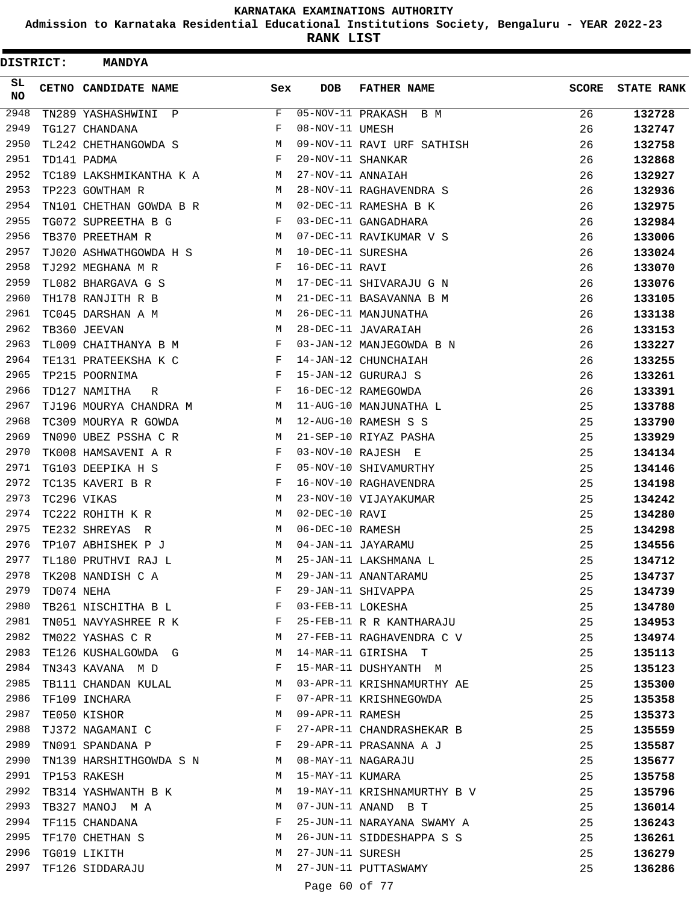**Admission to Karnataka Residential Educational Institutions Society, Bengaluru - YEAR 2022-23**

**RANK LIST**

Ė

| DISTRICT:       |            | <b>MANDYA</b>                                                                 |     |                   |                             |              |                   |
|-----------------|------------|-------------------------------------------------------------------------------|-----|-------------------|-----------------------------|--------------|-------------------|
| SL<br><b>NO</b> |            | CETNO CANDIDATE NAME                                                          | Sex | <b>DOB</b>        | <b>FATHER NAME</b>          | <b>SCORE</b> | <b>STATE RANK</b> |
| 2948            |            | TN289 YASHASHWINI P                                                           | F   |                   | 05-NOV-11 PRAKASH B M       | 26           | 132728            |
| 2949            |            | TG127 CHANDANA                                                                | F   | 08-NOV-11 UMESH   |                             | 26           | 132747            |
| 2950            |            | TL242 CHETHANGOWDA S                                                          | М   |                   | 09-NOV-11 RAVI URF SATHISH  | 26           | 132758            |
| 2951            |            | TD141 PADMA                                                                   | F   | 20-NOV-11 SHANKAR |                             | 26           | 132868            |
| 2952            |            | TC189 LAKSHMIKANTHA K A                                                       | M   | 27-NOV-11 ANNAIAH |                             | 26           | 132927            |
| 2953            |            | TP223 GOWTHAM R                                                               | М   |                   | 28-NOV-11 RAGHAVENDRA S     | 26           | 132936            |
| 2954            |            | TN101 CHETHAN GOWDA B R                                                       | M   |                   | 02-DEC-11 RAMESHA B K       | 26           | 132975            |
| 2955            |            | TG072 SUPREETHA B G                                                           | F   |                   | 03-DEC-11 GANGADHARA        | 26           | 132984            |
| 2956            |            | TB370 PREETHAM R                                                              | М   |                   | 07-DEC-11 RAVIKUMAR V S     | 26           | 133006            |
| 2957            |            | TJ020 ASHWATHGOWDA H S                                                        | М   | 10-DEC-11 SURESHA |                             | 26           | 133024            |
| 2958            |            | TJ292 MEGHANA M R                                                             | F   | 16-DEC-11 RAVI    |                             | 26           | 133070            |
| 2959            |            | TL082 BHARGAVA G S                                                            | M   |                   | 17-DEC-11 SHIVARAJU G N     | 26           | 133076            |
| 2960            |            | TH178 RANJITH R B                                                             | М   |                   | 21-DEC-11 BASAVANNA B M     | 26           | 133105            |
| 2961            |            | TC045 DARSHAN A M                                                             | М   |                   | 26-DEC-11 MANJUNATHA        | 26           | 133138            |
| 2962            |            | TB360 JEEVAN                                                                  | M   |                   | 28-DEC-11 JAVARAIAH         | 26           | 133153            |
| 2963            |            | TL009 CHAITHANYA B M                                                          | F   |                   | 03-JAN-12 MANJEGOWDA B N    | 26           | 133227            |
| 2964            |            | TE131 PRATEEKSHA K C                                                          | F   |                   | 14-JAN-12 CHUNCHAIAH        | 26           | 133255            |
| 2965            |            | TP215 POORNIMA                                                                | F   |                   | 15-JAN-12 GURURAJ S         | 26           | 133261            |
| 2966            |            | TD127 NAMITHA<br>R                                                            | F   |                   | 16-DEC-12 RAMEGOWDA         | 26           | 133391            |
| 2967            |            | TJ196 MOURYA CHANDRA M                                                        | M   |                   | 11-AUG-10 MANJUNATHA L      | 25           | 133788            |
| 2968            |            | TC309 MOURYA R GOWDA                                                          | М   |                   | 12-AUG-10 RAMESH S S        | 25           | 133790            |
| 2969            |            | TN090 UBEZ PSSHA C R                                                          | М   |                   | 21-SEP-10 RIYAZ PASHA       | 25           | 133929            |
| 2970            |            | TK008 HAMSAVENI A R                                                           | F   |                   | 03-NOV-10 RAJESH E          | 25           | 134134            |
| 2971            |            | TG103 DEEPIKA H S                                                             | F   |                   | 05-NOV-10 SHIVAMURTHY       | 25           | 134146            |
| 2972            |            | TC135 KAVERI B R                                                              | F   |                   | 16-NOV-10 RAGHAVENDRA       | 25           | 134198            |
| 2973            |            | TC296 VIKAS                                                                   | М   |                   | 23-NOV-10 VIJAYAKUMAR       | 25           | 134242            |
| 2974            |            | TC222 ROHITH K R                                                              | M   | 02-DEC-10 RAVI    |                             | 25           | 134280            |
| 2975            |            | TE232 SHREYAS<br>R                                                            | М   | 06-DEC-10 RAMESH  |                             | 25           | 134298            |
| 2976            |            | TP107 ABHISHEK P J                                                            | М   |                   | 04-JAN-11 JAYARAMU          | 25           | 134556            |
| 2977            |            | TL180 PRUTHVI RAJ L                                                           | М   |                   | 25-JAN-11 LAKSHMANA L       | 25           | 134712            |
| 2978            |            | TK208 NANDISH C A                                                             | M   |                   | 29-JAN-11 ANANTARAMU        | 25           | 134737            |
| 2979            | TD074 NEHA |                                                                               | F   |                   | 29-JAN-11 SHIVAPPA          | 25           | 134739            |
| 2980            |            | TB261 NISCHITHA B L F                                                         |     | 03-FEB-11 LOKESHA |                             | 25           | 134780            |
| 2981            |            | TN051 NAVYASHREE R K $$\rm F$$                                                |     |                   | 25-FEB-11 R R KANTHARAJU    | 25           | 134953            |
| 2982            |            | TM022 YASHAS C R                                                              | M   |                   | 27-FEB-11 RAGHAVENDRA C V   | 25           | 134974            |
| 2983            |            | TE126 KUSHALGOWDA G                                                           | M   |                   | 14-MAR-11 GIRISHA T         | 25           | 135113            |
| 2984            |            | TN343 KAVANA MD                                                               | F   |                   | 15-MAR-11 DUSHYANTH M       | 25           | 135123            |
| 2985            |            | TB111 CHANDAN KULAL                                                           | М   |                   | 03-APR-11 KRISHNAMURTHY AE  | 25           | 135300            |
| 2986            |            | TF109 INCHARA                                                                 | F   |                   | 07-APR-11 KRISHNEGOWDA      | 25           | 135358            |
| 2987            |            | TE050 KISHOR                                                                  | M   | 09-APR-11 RAMESH  |                             | 25           | 135373            |
| 2988            |            | TJ372 NAGAMANI C<br>$$\rm F$$                                                 |     |                   | 27-APR-11 CHANDRASHEKAR B   | 25           | 135559            |
| 2989            |            | $\mathbb{R}^n$ . The contract of the state $\mathbb{R}^n$<br>TN091 SPANDANA P |     |                   | 29-APR-11 PRASANNA A J      | 25           | 135587            |
| 2990            |            | TN139 HARSHITHGOWDA S N M                                                     |     |                   | 08-MAY-11 NAGARAJU          | 25           | 135677            |
| 2991            |            | TP153 RAKESH                                                                  | М   | 15-MAY-11 KUMARA  |                             | 25           | 135758            |
| 2992            |            | TB314 YASHWANTH B K                                                           | М   |                   | 19-MAY-11 KRISHNAMURTHY B V | 25           | 135796            |
| 2993            |            | TB327 MANOJ MA                                                                | М   |                   | 07-JUN-11 ANAND B T         | 25           | 136014            |
| 2994            |            | TF115 CHANDANA                                                                | F   |                   | 25-JUN-11 NARAYANA SWAMY A  | 25           | 136243            |
| 2995            |            | TF170 CHETHAN S                                                               | М   |                   | 26-JUN-11 SIDDESHAPPA S S   | 25           | 136261            |
| 2996            |            | TG019 LIKITH                                                                  | М   | 27-JUN-11 SURESH  |                             | 25           | 136279            |
| 2997            |            | TF126 SIDDARAJU                                                               | M   |                   | 27-JUN-11 PUTTASWAMY        | 25           | 136286            |
|                 |            |                                                                               |     | Page 60 of 77     |                             |              |                   |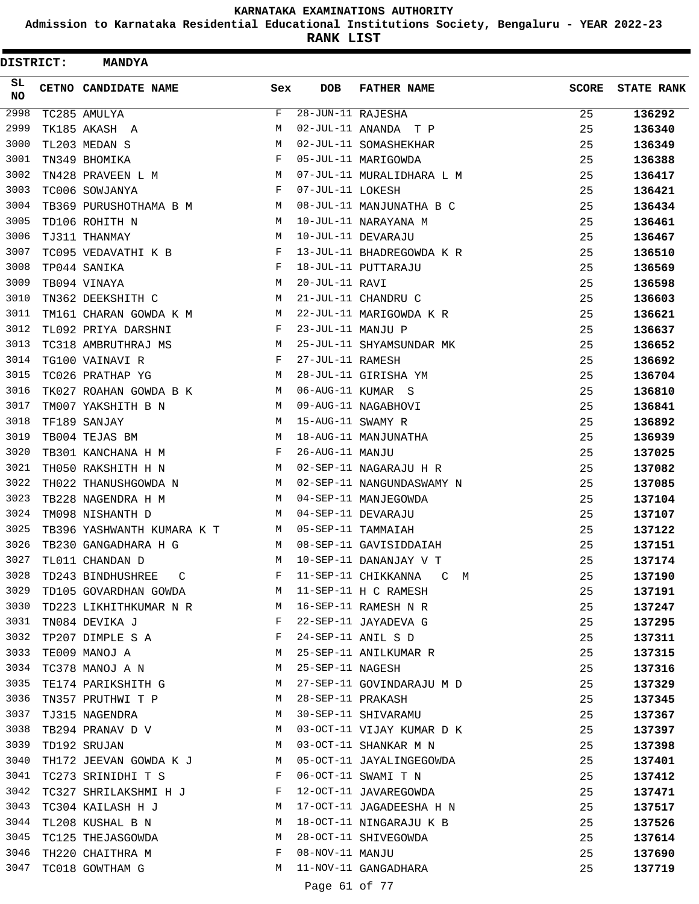**Admission to Karnataka Residential Educational Institutions Society, Bengaluru - YEAR 2022-23**

| DISTRICT:       | <b>MANDYA</b>              |      |                   |                            |              |                   |
|-----------------|----------------------------|------|-------------------|----------------------------|--------------|-------------------|
| SL<br><b>NO</b> | CETNO CANDIDATE NAME       | Sex  | <b>DOB</b>        | <b>FATHER NAME</b>         | <b>SCORE</b> | <b>STATE RANK</b> |
| 2998            | TC285 AMULYA               | F    | 28-JUN-11 RAJESHA |                            | 25           | 136292            |
| 2999            | TK185 AKASH A              | М    |                   | 02-JUL-11 ANANDA T P       | 25           | 136340            |
| 3000            | TL203 MEDAN S              | М    |                   | 02-JUL-11 SOMASHEKHAR      | 25           | 136349            |
| 3001            | TN349 BHOMIKA              | F    |                   | 05-JUL-11 MARIGOWDA        | 25           | 136388            |
| 3002            | TN428 PRAVEEN L M          | M    |                   | 07-JUL-11 MURALIDHARA L M  | 25           | 136417            |
| 3003            | TC006 SOWJANYA             | F    | 07-JUL-11 LOKESH  |                            | 25           | 136421            |
| 3004            | TB369 PURUSHOTHAMA B M     | M    |                   | 08-JUL-11 MANJUNATHA B C   | 25           | 136434            |
| 3005            | TD106 ROHITH N             | М    |                   | 10-JUL-11 NARAYANA M       | 25           | 136461            |
| 3006            | TJ311 THANMAY              | М    |                   | 10-JUL-11 DEVARAJU         | 25           | 136467            |
| 3007            | TC095 VEDAVATHI K B        | F    |                   | 13-JUL-11 BHADREGOWDA K R  | 25           | 136510            |
| 3008            | TP044 SANIKA               | F    |                   | 18-JUL-11 PUTTARAJU        | 25           | 136569            |
| 3009            | TB094 VINAYA               | М    | 20-JUL-11 RAVI    |                            | 25           | 136598            |
| 3010            | TN362 DEEKSHITH C          | М    |                   | 21-JUL-11 CHANDRU C        | 25           | 136603            |
| 3011            | TM161 CHARAN GOWDA K M     | М    |                   | 22-JUL-11 MARIGOWDA K R    | 25           | 136621            |
| 3012            | TL092 PRIYA DARSHNI        | F    | 23-JUL-11 MANJU P |                            | 25           | 136637            |
| 3013            | TC318 AMBRUTHRAJ MS        | M    |                   | 25-JUL-11 SHYAMSUNDAR MK   | 25           | 136652            |
| 3014            | TG100 VAINAVI R            | F    | 27-JUL-11 RAMESH  |                            | 25           | 136692            |
| 3015            | TC026 PRATHAP YG           | M    |                   | 28-JUL-11 GIRISHA YM       | 25           | 136704            |
| 3016            | TK027 ROAHAN GOWDA B K     | M    |                   | 06-AUG-11 KUMAR S          | 25           | 136810            |
| 3017            | TM007 YAKSHITH B N         | M    |                   | 09-AUG-11 NAGABHOVI        | 25           | 136841            |
| 3018            | TF189 SANJAY               | М    | 15-AUG-11 SWAMY R |                            | 25           | 136892            |
| 3019            | TB004 TEJAS BM             | М    |                   | 18-AUG-11 MANJUNATHA       | 25           | 136939            |
| 3020            | TB301 KANCHANA H M         | F    | 26-AUG-11 MANJU   |                            | 25           | 137025            |
| 3021            | TH050 RAKSHITH H N         | M    |                   | 02-SEP-11 NAGARAJU H R     | 25           | 137082            |
| 3022            | TH022 THANUSHGOWDA N       | M    |                   | 02-SEP-11 NANGUNDASWAMY N  | 25           | 137085            |
| 3023            | TB228 NAGENDRA H M         | M    |                   | 04-SEP-11 MANJEGOWDA       | 25           | 137104            |
| 3024            | TM098 NISHANTH D           | M    |                   | 04-SEP-11 DEVARAJU         | 25           | 137107            |
| 3025            | TB396 YASHWANTH KUMARA K T | M    |                   | 05-SEP-11 TAMMAIAH         | 25           | 137122            |
| 3026            | TB230 GANGADHARA H G       | M    |                   | 08-SEP-11 GAVISIDDAIAH     | 25           | 137151            |
| 3027            | TL011 CHANDAN D            | M    |                   | 10-SEP-11 DANANJAY V T     | 25           | 137174            |
| 3028            | TD243 BINDHUSHREE C        | F    |                   | 11-SEP-11 CHIKKANNA<br>C M | 25           | 137190            |
| 3029            | TD105 GOVARDHAN GOWDA      | M    |                   | 11-SEP-11 H C RAMESH       | 25           | 137191            |
| 3030            | TD223 LIKHITHKUMAR N R M   |      |                   | 16-SEP-11 RAMESH N R       | 25           | 137247            |
| 3031            | TN084 DEVIKA J             | $-F$ |                   | 22-SEP-11 JAYADEVA G       | 25           | 137295            |
| 3032            | TP207 DIMPLE S A           | F    |                   | 24-SEP-11 ANIL S D         | 25           | 137311            |
| 3033            | TE009 MANOJ A              | M    |                   | 25-SEP-11 ANILKUMAR R      | 25           | 137315            |
| 3034            | TC378 MANOJ A N            | M    | 25-SEP-11 NAGESH  |                            | 25           | 137316            |
| 3035            | TE174 PARIKSHITH G         | M    |                   | 27-SEP-11 GOVINDARAJU M D  | 25           | 137329            |
| 3036            | TN357 PRUTHWI T P          | M    | 28-SEP-11 PRAKASH |                            | 25           | 137345            |
| 3037            | TJ315 NAGENDRA             | M    |                   | 30-SEP-11 SHIVARAMU        | 25           | 137367            |
| 3038            | TB294 PRANAV D V           | M    |                   | 03-OCT-11 VIJAY KUMAR D K  | 25           | 137397            |
| 3039            | TD192 SRUJAN               | M    |                   | 03-OCT-11 SHANKAR M N      | 25           | 137398            |
| 3040            | TH172 JEEVAN GOWDA K J M   |      |                   | 05-OCT-11 JAYALINGEGOWDA   | 25           | 137401            |
| 3041            | TC273 SRINIDHI T S         | F    |                   | 06-OCT-11 SWAMI T N        | 25           | 137412            |
| 3042            | TC327 SHRILAKSHMI H J      | F    |                   | 12-OCT-11 JAVAREGOWDA      | 25           | 137471            |
| 3043            | TC304 KAILASH H J          | M    |                   | 17-OCT-11 JAGADEESHA H N   | 25           | 137517            |
| 3044            | TL208 KUSHAL B N           | М    |                   | 18-OCT-11 NINGARAJU K B    | 25           | 137526            |
| 3045            | TC125 THEJASGOWDA          | M    |                   | 28-OCT-11 SHIVEGOWDA       | 25           | 137614            |
| 3046            | TH220 CHAITHRA M           | F    | 08-NOV-11 MANJU   |                            | 25           | 137690            |
| 3047            | TC018 GOWTHAM G            | М    |                   | 11-NOV-11 GANGADHARA       | 25           | 137719            |
|                 |                            |      | Page 61 of 77     |                            |              |                   |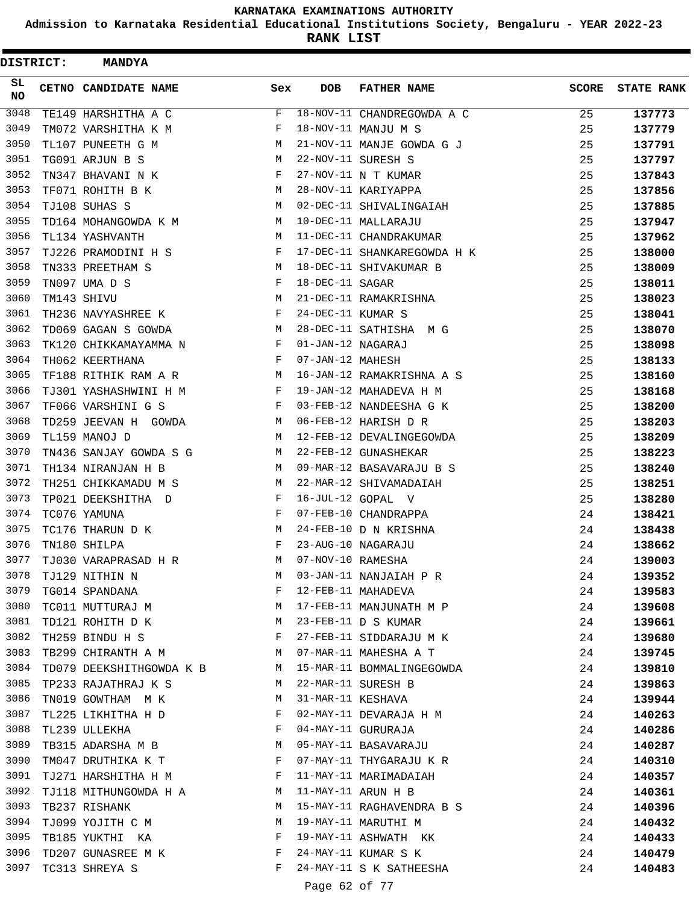**Admission to Karnataka Residential Educational Institutions Society, Bengaluru - YEAR 2022-23**

| <b>DISTRICT:</b> | <b>MANDYA</b>            |              |                   |                             |              |                   |
|------------------|--------------------------|--------------|-------------------|-----------------------------|--------------|-------------------|
| SL<br><b>NO</b>  | CETNO CANDIDATE NAME     | Sex          | <b>DOB</b>        | <b>FATHER NAME</b>          | <b>SCORE</b> | <b>STATE RANK</b> |
| 3048             | TE149 HARSHITHA A C      | F            |                   | 18-NOV-11 CHANDREGOWDA A C  | 25           | 137773            |
| 3049             | TM072 VARSHITHA K M      | F            |                   | 18-NOV-11 MANJU M S         | 25           | 137779            |
| 3050             | TL107 PUNEETH G M        | M            |                   | 21-NOV-11 MANJE GOWDA G J   | 25           | 137791            |
| 3051             | TG091 ARJUN B S          | М            |                   | 22-NOV-11 SURESH S          | 25           | 137797            |
| 3052             | TN347 BHAVANI N K        | F            |                   | 27-NOV-11 N T KUMAR         | 25           | 137843            |
| 3053             | TF071 ROHITH B K         | М            |                   | 28-NOV-11 KARIYAPPA         | 25           | 137856            |
| 3054             | TJ108 SUHAS S            | M            |                   | 02-DEC-11 SHIVALINGAIAH     | 25           | 137885            |
| 3055             | TD164 MOHANGOWDA K M     | М            |                   | 10-DEC-11 MALLARAJU         | 25           | 137947            |
| 3056             | TL134 YASHVANTH          | M            |                   | 11-DEC-11 CHANDRAKUMAR      | 25           | 137962            |
| 3057             | TJ226 PRAMODINI H S      | F            |                   | 17-DEC-11 SHANKAREGOWDA H K | 25           | 138000            |
| 3058             | TN333 PREETHAM S         | М            |                   | 18-DEC-11 SHIVAKUMAR B      | 25           | 138009            |
| 3059             | TN097 UMA D S            | F            | 18-DEC-11 SAGAR   |                             | 25           | 138011            |
| 3060             | TM143 SHIVU              | M            |                   | 21-DEC-11 RAMAKRISHNA       | 25           | 138023            |
| 3061             | TH236 NAVYASHREE K       | F            | 24-DEC-11 KUMAR S |                             | 25           | 138041            |
| 3062             | TD069 GAGAN S GOWDA      | M            |                   | 28-DEC-11 SATHISHA M G      | 25           | 138070            |
| 3063             | TK120 CHIKKAMAYAMMA N    | F            | 01-JAN-12 NAGARAJ |                             | 25           | 138098            |
| 3064             | TH062 KEERTHANA          | F            | 07-JAN-12 MAHESH  |                             | 25           | 138133            |
| 3065             | TF188 RITHIK RAM A R     | М            |                   | 16-JAN-12 RAMAKRISHNA A S   | 25           | 138160            |
| 3066             | TJ301 YASHASHWINI H M    | F            |                   | 19-JAN-12 MAHADEVA H M      | 25           | 138168            |
| 3067             | TF066 VARSHINI G S       | F            |                   | 03-FEB-12 NANDEESHA G K     | 25           | 138200            |
| 3068             | TD259 JEEVAN H GOWDA     | M            |                   | 06-FEB-12 HARISH D R        | 25           | 138203            |
| 3069             | TL159 MANOJ D            | М            |                   | 12-FEB-12 DEVALINGEGOWDA    | 25           | 138209            |
| 3070             | TN436 SANJAY GOWDA S G   | M            |                   | 22-FEB-12 GUNASHEKAR        | 25           | 138223            |
| 3071             | TH134 NIRANJAN H B       | M            |                   | 09-MAR-12 BASAVARAJU B S    | 25           | 138240            |
| 3072             | TH251 CHIKKAMADU M S     | M            |                   | 22-MAR-12 SHIVAMADAIAH      | 25           | 138251            |
| 3073             | TP021 DEEKSHITHA D       | F            |                   | 16-JUL-12 GOPAL V           | 25           | 138280            |
| 3074             | TC076 YAMUNA             | F            |                   | 07-FEB-10 CHANDRAPPA        | 24           | 138421            |
| 3075             | TC176 THARUN D K         | М            |                   | 24-FEB-10 D N KRISHNA       | 24           | 138438            |
| 3076             | TN180 SHILPA             | F            |                   | 23-AUG-10 NAGARAJU          | 24           | 138662            |
| 3077             | TJ030 VARAPRASAD H R     | М            | 07-NOV-10 RAMESHA |                             | 24           | 139003            |
| 3078             | TJ129 NITHIN N           | М            |                   | 03-JAN-11 NANJAIAH P R      | 24           | 139352            |
| 3079             | TG014 SPANDANA           | F            |                   | 12-FEB-11 MAHADEVA          | 24           | 139583            |
| 3080             | TC011 MUTTURAJ M         | М            |                   | 17-FEB-11 MANJUNATH M P     | 24           | 139608            |
| 3081             | TD121 ROHITH D K         | М            |                   | 23-FEB-11 D S KUMAR         | 24           | 139661            |
| 3082             | TH259 BINDU H S          | $\mathbf{F}$ |                   | 27-FEB-11 SIDDARAJU M K     | 24           | 139680            |
| 3083             | TB299 CHIRANTH A M       | M            |                   | 07-MAR-11 MAHESHA A T       | 24           | 139745            |
| 3084             | TD079 DEEKSHITHGOWDA K B | M            |                   | 15-MAR-11 BOMMALINGEGOWDA   | 24           | 139810            |
| 3085             | TP233 RAJATHRAJ K S      | M            |                   | 22-MAR-11 SURESH B          | 24           | 139863            |
| 3086             | TN019 GOWTHAM M K        | М            | 31-MAR-11 KESHAVA |                             | 24           | 139944            |
| 3087             | TL225 LIKHITHA H D       | F            |                   | 02-MAY-11 DEVARAJA H M      | 24           | 140263            |
| 3088             | TL239 ULLEKHA            | F            |                   | 04-MAY-11 GURURAJA          | 24           | 140286            |
| 3089             | TB315 ADARSHA M B        | M            |                   | 05-MAY-11 BASAVARAJU        | 24           | 140287            |
| 3090             | TM047 DRUTHIKA K T       | F            |                   | 07-MAY-11 THYGARAJU K R     | 24           | 140310            |
| 3091             | TJ271 HARSHITHA H M      | F            |                   | 11-MAY-11 MARIMADAIAH       | 24           | 140357            |
| 3092             | TJ118 MITHUNGOWDA H A    | M            |                   | 11-MAY-11 ARUN H B          | 24           | 140361            |
| 3093             | TB237 RISHANK            | M            |                   | 15-MAY-11 RAGHAVENDRA B S   | 24           | 140396            |
| 3094             | TJ099 YOJITH C M         | М            |                   | 19-MAY-11 MARUTHI M         | 24           | 140432            |
| 3095             | TB185 YUKTHI KA          | F            |                   | 19-MAY-11 ASHWATH KK        | 24           | 140433            |
| 3096             | TD207 GUNASREE M K       | F            |                   | 24-MAY-11 KUMAR S K         | 24           | 140479            |
| 3097             | TC313 SHREYA S           | F            |                   | 24-MAY-11 S K SATHEESHA     | 24           | 140483            |
|                  |                          |              |                   |                             |              |                   |
|                  |                          |              | Page 62 of 77     |                             |              |                   |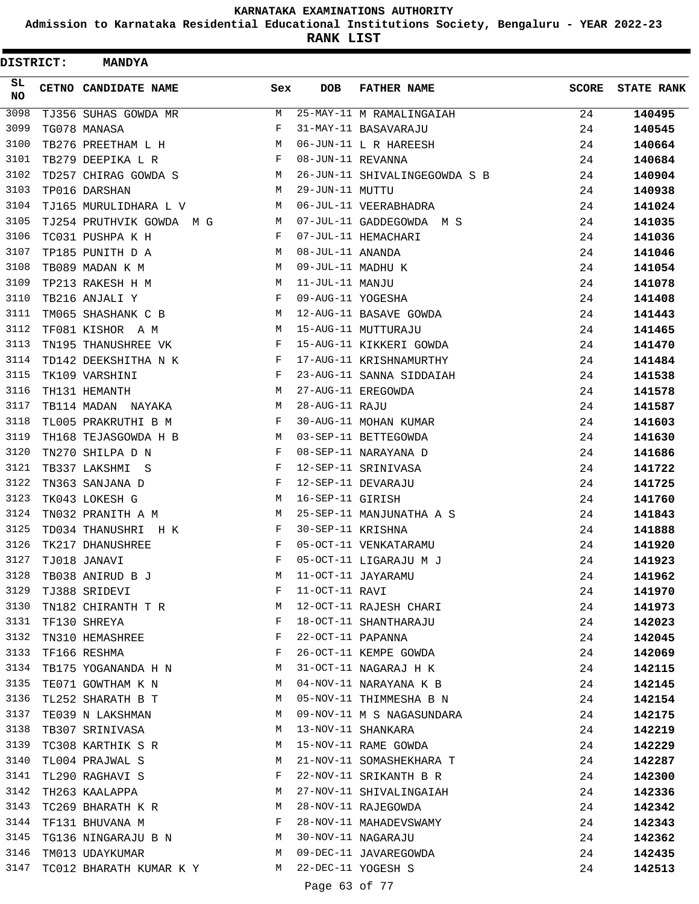**Admission to Karnataka Residential Educational Institutions Society, Bengaluru - YEAR 2022-23**

**RANK LIST**

 $\blacksquare$ 

| DISTRICT:       | <b>MANDYA</b>             |     |                   |                               |              |                   |
|-----------------|---------------------------|-----|-------------------|-------------------------------|--------------|-------------------|
| SL<br><b>NO</b> | CETNO CANDIDATE NAME      | Sex | <b>DOB</b>        | <b>FATHER NAME</b>            | <b>SCORE</b> | <b>STATE RANK</b> |
| 3098            | TJ356 SUHAS GOWDA MR      | М   |                   | 25-MAY-11 M RAMALINGAIAH      | 24           | 140495            |
| 3099            | TG078 MANASA              | F   |                   | 31-MAY-11 BASAVARAJU          | 24           | 140545            |
| 3100            | TB276 PREETHAM L H        | М   |                   | 06-JUN-11 L R HAREESH         | 24           | 140664            |
| 3101            | TB279 DEEPIKA L R         | F   | 08-JUN-11 REVANNA |                               | 24           | 140684            |
| 3102            | TD257 CHIRAG GOWDA S      | М   |                   | 26-JUN-11 SHIVALINGEGOWDA S B | 24           | 140904            |
| 3103            | TP016 DARSHAN             | М   | 29-JUN-11 MUTTU   |                               | 24           | 140938            |
| 3104            | TJ165 MURULIDHARA L V     | М   |                   | 06-JUL-11 VEERABHADRA         | 24           | 141024            |
| 3105            | TJ254 PRUTHVIK GOWDA M G  | М   |                   | 07-JUL-11 GADDEGOWDA M S      | 24           | 141035            |
| 3106            | TC031 PUSHPA K H          | F   |                   | 07-JUL-11 HEMACHARI           | 24           | 141036            |
| 3107            | TP185 PUNITH D A          | М   | 08-JUL-11 ANANDA  |                               | 24           | 141046            |
| 3108            | TB089 MADAN K M           | М   | 09-JUL-11 MADHU K |                               | 24           | 141054            |
| 3109            | TP213 RAKESH H M          | М   | 11-JUL-11 MANJU   |                               | 24           | 141078            |
| 3110            | TB216 ANJALI Y            | F   | 09-AUG-11 YOGESHA |                               | 24           | 141408            |
| 3111            | TM065 SHASHANK C B        | М   |                   | 12-AUG-11 BASAVE GOWDA        | 24           | 141443            |
| 3112            | TF081 KISHOR A M          | М   |                   | 15-AUG-11 MUTTURAJU           | 24           | 141465            |
| 3113            | TN195 THANUSHREE VK       | F   |                   | 15-AUG-11 KIKKERI GOWDA       | 24           | 141470            |
| 3114            | TD142 DEEKSHITHA N K      | F   |                   | 17-AUG-11 KRISHNAMURTHY       | 24           | 141484            |
| 3115            | TK109 VARSHINI            | F   |                   | 23-AUG-11 SANNA SIDDAIAH      | 24           | 141538            |
| 3116            | TH131 HEMANTH             | М   |                   | 27-AUG-11 EREGOWDA            | 24           | 141578            |
| 3117            | TB114 MADAN NAYAKA        | М   | 28-AUG-11 RAJU    |                               | 24           | 141587            |
| 3118            | TL005 PRAKRUTHI B M       | F   |                   | 30-AUG-11 MOHAN KUMAR         | 24           | 141603            |
| 3119            | TH168 TEJASGOWDA H B      | M   |                   | 03-SEP-11 BETTEGOWDA          | 24           | 141630            |
| 3120            | TN270 SHILPA D N          | F   |                   | 08-SEP-11 NARAYANA D          | 24           | 141686            |
| 3121            | TB337 LAKSHMI S           | F   |                   | 12-SEP-11 SRINIVASA           | 24           | 141722            |
| 3122            | TN363 SANJANA D           | F   |                   | 12-SEP-11 DEVARAJU            | 24           | 141725            |
| 3123            | TK043 LOKESH G            | М   | 16-SEP-11 GIRISH  |                               | 24           | 141760            |
| 3124            | TN032 PRANITH A M         | M   |                   | 25-SEP-11 MANJUNATHA A S      | 24           | 141843            |
| 3125            | TD034 THANUSHRI H K       | F   | 30-SEP-11 KRISHNA |                               | 24           | 141888            |
| 3126            | TK217 DHANUSHREE          | F   |                   | 05-OCT-11 VENKATARAMU         | 24           | 141920            |
| 3127            | TJ018 JANAVI              | F   |                   | 05-OCT-11 LIGARAJU M J        | 24           | 141923            |
| 3128            | TB038 ANIRUD B J          | М   |                   | 11-OCT-11 JAYARAMU            | 24           | 141962            |
| 3129            | TJ388 SRIDEVI             | F   | 11-OCT-11 RAVI    |                               | 24           | 141970            |
| 3130            | TN182 CHIRANTH T R        | M   |                   | 12-OCT-11 RAJESH CHARI        | 24           | 141973            |
|                 | 3131 TF130 SHREYA         | F   |                   | 18-OCT-11 SHANTHARAJU         | 24           | 142023            |
| 3132            | TN310 HEMASHREE           | F   | 22-OCT-11 PAPANNA |                               | 24           | 142045            |
| 3133            | TF166 RESHMA              | F   |                   | 26-OCT-11 KEMPE GOWDA         | 24           | 142069            |
| 3134            | TB175 YOGANANDA H N       | M   |                   | 31-OCT-11 NAGARAJ H K         | 24           | 142115            |
| 3135            | TE071 GOWTHAM K N         | M   |                   | 04-NOV-11 NARAYANA K B        | 24           | 142145            |
| 3136            | TL252 SHARATH B T         | М   |                   | 05-NOV-11 THIMMESHA B N       | 24           | 142154            |
| 3137            | TE039 N LAKSHMAN          | M   |                   | 09-NOV-11 M S NAGASUNDARA     | 24           | 142175            |
| 3138            | TB307 SRINIVASA           | M   |                   | 13-NOV-11 SHANKARA            | 24           | 142219            |
| 3139            | TC308 KARTHIK S R         | М   |                   | 15-NOV-11 RAME GOWDA          | 24           | 142229            |
| 3140            | TL004 PRAJWAL S           | М   |                   | 21-NOV-11 SOMASHEKHARA T      | 24           | 142287            |
| 3141            | TL290 RAGHAVI S           | F   |                   | 22-NOV-11 SRIKANTH B R        | 24           | 142300            |
| 3142            | TH263 KAALAPPA            | М   |                   | 27-NOV-11 SHIVALINGAIAH       | 24           | 142336            |
| 3143            | TC269 BHARATH K R         | M   |                   | 28-NOV-11 RAJEGOWDA           | 24           | 142342            |
| 3144            | TF131 BHUVANA M           | F   |                   | 28-NOV-11 MAHADEVSWAMY        | 24           | 142343            |
| 3145            | TG136 NINGARAJU B N M     |     |                   | 30-NOV-11 NAGARAJU            | 24           | 142362            |
| 3146            | TM013 UDAYKUMAR           | M   |                   | 09-DEC-11 JAVAREGOWDA         | 24           | 142435            |
| 3147            | TC012 BHARATH KUMAR K Y M |     |                   | 22-DEC-11 YOGESH S            | 24           | 142513            |
|                 |                           |     | Page 63 of 77     |                               |              |                   |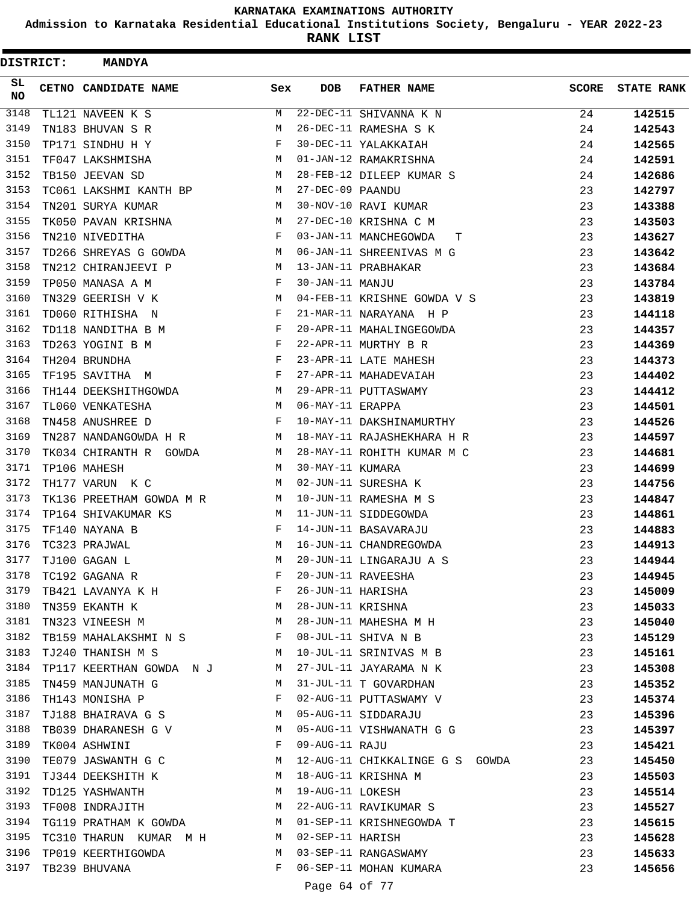**Admission to Karnataka Residential Educational Institutions Society, Bengaluru - YEAR 2022-23**

| <b>DISTRICT:</b> | <b>MANDYA</b>                       |              |                   |                                                |              |                   |
|------------------|-------------------------------------|--------------|-------------------|------------------------------------------------|--------------|-------------------|
| SL.<br>NO        | CETNO CANDIDATE NAME                | Sex          | <b>DOB</b>        | <b>FATHER NAME</b>                             | <b>SCORE</b> | <b>STATE RANK</b> |
| 3148             | TL121 NAVEEN K S                    | М            |                   | 22-DEC-11 SHIVANNA K N                         | 24           | 142515            |
| 3149             | TN183 BHUVAN S R                    | М            |                   | 26-DEC-11 RAMESHA S K                          | 24           | 142543            |
| 3150             | TP171 SINDHU H Y                    | F            |                   | 30-DEC-11 YALAKKAIAH                           | 24           | 142565            |
| 3151             | TF047 LAKSHMISHA                    | M            |                   | 01-JAN-12 RAMAKRISHNA                          | 24           | 142591            |
| 3152             | TB150 JEEVAN SD                     | M            |                   | 28-FEB-12 DILEEP KUMAR S                       | 24           | 142686            |
| 3153             | TC061 LAKSHMI KANTH BP M            |              | 27-DEC-09 PAANDU  |                                                | 23           | 142797            |
| 3154             | TN201 SURYA KUMAR                   | M            |                   | 30-NOV-10 RAVI KUMAR                           | 23           | 143388            |
| 3155             | TK050 PAVAN KRISHNA                 | M            |                   | 27-DEC-10 KRISHNA C M                          | 23           | 143503            |
| 3156             | TN210 NIVEDITHA                     | F            |                   | 03-JAN-11 MANCHEGOWDA<br>т                     | 23           | 143627            |
| 3157             | TD266 SHREYAS G GOWDA               | M            |                   | 06-JAN-11 SHREENIVAS M G                       | 23           | 143642            |
| 3158             | TN212 CHIRANJEEVI P                 | M            |                   | 13-JAN-11 PRABHAKAR                            | 23           | 143684            |
| 3159             | TP050 MANASA A M                    | F            | 30-JAN-11 MANJU   |                                                | 23           | 143784            |
| 3160             | TN329 GEERISH V K                   | M            |                   | 04-FEB-11 KRISHNE GOWDA V S                    | 23           | 143819            |
| 3161             | TD060 RITHISHA N                    | F            |                   | 21-MAR-11 NARAYANA H P                         | 23           | 144118            |
| 3162             | TD118 NANDITHA B M                  | F            |                   | 20-APR-11 MAHALINGEGOWDA                       | 23           | 144357            |
| 3163             | TD263 YOGINI B M                    | F            |                   | 22-APR-11 MURTHY B R                           | 23           | 144369            |
| 3164             | TH204 BRUNDHA                       | F            |                   | 23-APR-11 LATE MAHESH                          | 23           | 144373            |
| 3165             | TF195 SAVITHA M                     | $\mathbf{F}$ |                   | 27-APR-11 MAHADEVAIAH                          | 23           | 144402            |
| 3166             | TH144 DEEKSHITHGOWDA                | M            |                   | 29-APR-11 PUTTASWAMY                           | 23           | 144412            |
| 3167             | TL060 VENKATESHA                    | M            | 06-MAY-11 ERAPPA  |                                                | 23           | 144501            |
| 3168             | TN458 ANUSHREE D                    | F            |                   | 10-MAY-11 DAKSHINAMURTHY                       | 23           | 144526            |
| 3169             | TN287 NANDANGOWDA H R               | M            |                   | 18-MAY-11 RAJASHEKHARA H R                     | 23           | 144597            |
| 3170             | TK034 CHIRANTH R GOWDA              | M            |                   | 28-MAY-11 ROHITH KUMAR M C                     | 23           | 144681            |
| 3171             | TP106 MAHESH                        | M            | 30-MAY-11 KUMARA  |                                                | 23           | 144699            |
| 3172             | TH177 VARUN K C                     | М            |                   | 02-JUN-11 SURESHA K                            | 23           | 144756            |
| 3173             | TK136 PREETHAM GOWDA M R            | M            |                   | 10-JUN-11 RAMESHA M S                          | 23           | 144847            |
| 3174             | TP164 SHIVAKUMAR KS                 | M            |                   | 11-JUN-11 SIDDEGOWDA                           | 23           | 144861            |
| 3175             | TF140 NAYANA B                      | F            |                   | 14-JUN-11 BASAVARAJU                           | 23           | 144883            |
| 3176             | TC323 PRAJWAL                       | M            |                   | 16-JUN-11 CHANDREGOWDA                         | 23           | 144913            |
| 3177             | TJ100 GAGAN L                       | M            |                   | 20-JUN-11 LINGARAJU A S                        | 23           | 144944            |
| 3178             | TC192 GAGANA R                      | F            |                   | 20-JUN-11 RAVEESHA                             | 23           | 144945            |
| 3179             | TB421 LAVANYA K H                   | F            | 26-JUN-11 HARISHA |                                                | 23           | 145009            |
| 3180             | $M_{\odot}$<br>TN359 EKANTH K       |              | 28-JUN-11 KRISHNA |                                                | 23           | 145033            |
| 3181             | M<br>TN323 VINEESH M                |              |                   | 28-JUN-11 MAHESHA M H                          | 23           | 145040            |
| 3182             | TB159 MAHALAKSHMI N S F             |              |                   | 08-JUL-11 SHIVA N B                            | 23           | 145129            |
| 3183             | TJ240 THANISH M S<br>M <sub>1</sub> |              |                   | 10-JUL-11 SRINIVAS M B                         | 23           | 145161            |
| 3184             | TP117 KEERTHAN GOWDA NJ             | M            |                   | 27-JUL-11 JAYARAMA N K                         | 23           | 145308            |
| 3185             | TN459 MANJUNATH G                   | М            |                   | 31-JUL-11 T GOVARDHAN                          | 23           | 145352            |
| 3186             | TH143 MONISHA P                     | $\mathbf{F}$ |                   | 02-AUG-11 PUTTASWAMY V                         | 23           | 145374            |
| 3187             | TJ188 BHAIRAVA G S M                |              |                   | 05-AUG-11 SIDDARAJU                            | 23           | 145396            |
| 3188             | TB039 DHARANESH G V                 | М            |                   | 05-AUG-11 VISHWANATH G G                       | 23           | 145397            |
| 3189             | TK004 ASHWINI                       | F            | 09-AUG-11 RAJU    |                                                | 23           | 145421            |
| 3190             | TE079 JASWANTH G C                  | М            |                   | 12-AUG-11 CHIKKALINGE G S GOWDA                | 23           | 145450            |
| 3191             | TJ344 DEEKSHITH K                   | М            |                   | 18-AUG-11 KRISHNA M                            | 23           | 145503            |
| 3192<br>3193     | TD125 YASHWANTH                     | M<br>M       | 19-AUG-11 LOKESH  |                                                | 23           | 145514            |
|                  | TF008 INDRAJITH                     |              |                   | 22-AUG-11 RAVIKUMAR S                          | 23           | 145527            |
| 3194             | TG119 PRATHAM K GOWDA M             |              |                   | 01-SEP-11 KRISHNEGOWDA T                       | 23           | 145615            |
| 3195<br>3196     | TC310 THARUN KUMAR M H              | M<br>M       | 02-SEP-11 HARISH  |                                                | 23           | 145628            |
| 3197             | TP019 KEERTHIGOWDA<br>TB239 BHUVANA | F            |                   | 03-SEP-11 RANGASWAMY<br>06-SEP-11 MOHAN KUMARA | 23<br>23     | 145633<br>145656  |
|                  |                                     |              |                   |                                                |              |                   |
|                  |                                     |              | Page 64 of 77     |                                                |              |                   |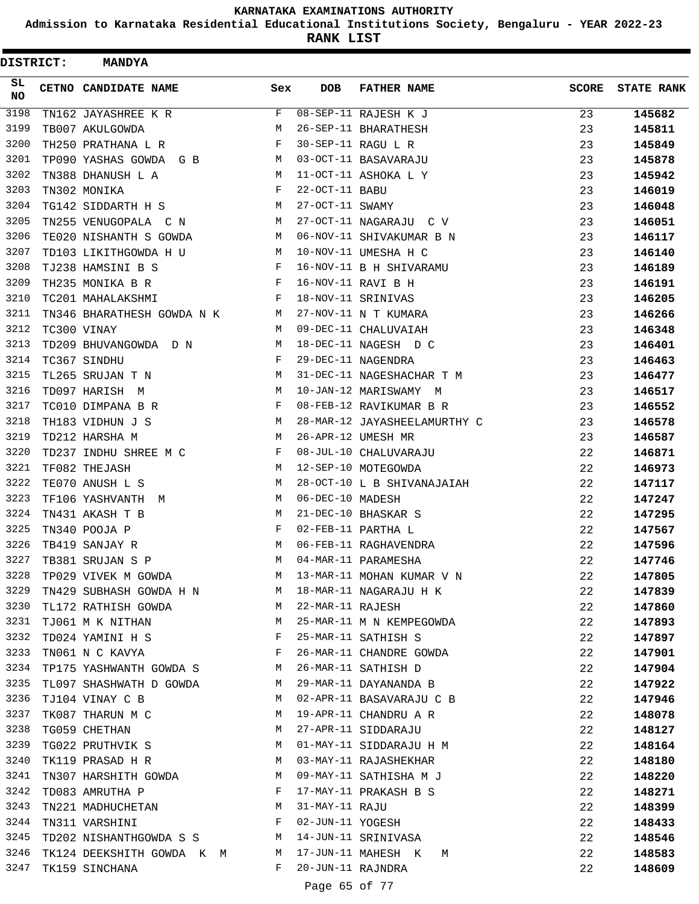**Admission to Karnataka Residential Educational Institutions Society, Bengaluru - YEAR 2022-23**

| <b>DISTRICT:</b> | <b>MANDYA</b>              |          |                   |                              |              |                   |
|------------------|----------------------------|----------|-------------------|------------------------------|--------------|-------------------|
| SL<br><b>NO</b>  | CETNO CANDIDATE NAME       | Sex      | <b>DOB</b>        | <b>FATHER NAME</b>           | <b>SCORE</b> | <b>STATE RANK</b> |
| 3198             | TN162 JAYASHREE K R        | F        |                   | 08-SEP-11 RAJESH K J         | 23           | 145682            |
| 3199             | TB007 AKULGOWDA            | M        |                   | 26-SEP-11 BHARATHESH         | 23           | 145811            |
| 3200             | TH250 PRATHANA L R         | F        |                   | 30-SEP-11 RAGU L R           | 23           | 145849            |
| 3201             | TP090 YASHAS GOWDA G B     | M        |                   | 03-OCT-11 BASAVARAJU         | 23           | 145878            |
| 3202             | TN388 DHANUSH L A          | M        |                   | 11-OCT-11 ASHOKA L Y         | 23           | 145942            |
| 3203             | TN302 MONIKA               | F        | 22-OCT-11 BABU    |                              | 23           | 146019            |
| 3204             | TG142 SIDDARTH H S         | M        | 27-OCT-11 SWAMY   |                              | 23           | 146048            |
| 3205             | TN255 VENUGOPALA C N       | M        |                   | 27-OCT-11 NAGARAJU C V       | 23           | 146051            |
| 3206             | TE020 NISHANTH S GOWDA     | M        |                   | 06-NOV-11 SHIVAKUMAR B N     | 23           | 146117            |
| 3207             | TD103 LIKITHGOWDA H U      | M        |                   | 10-NOV-11 UMESHA H C         | 23           | 146140            |
| 3208             | TJ238 HAMSINI B S          | F        |                   | 16-NOV-11 B H SHIVARAMU      | 23           | 146189            |
| 3209             | TH235 MONIKA B R           | F        |                   | 16-NOV-11 RAVI B H           | 23           | 146191            |
| 3210             | TC201 MAHALAKSHMI          | F        |                   | 18-NOV-11 SRINIVAS           | 23           | 146205            |
| 3211             | TN346 BHARATHESH GOWDA N K | M        |                   | 27-NOV-11 N T KUMARA         | 23           | 146266            |
| 3212             | TC300 VINAY                | M        |                   | 09-DEC-11 CHALUVAIAH         | 23           | 146348            |
| 3213             | TD209 BHUVANGOWDA D N      | M        |                   | 18-DEC-11 NAGESH D C         | 23           | 146401            |
| 3214             | TC367 SINDHU               | F        |                   | 29-DEC-11 NAGENDRA           | 23           | 146463            |
| 3215             | TL265 SRUJAN T N           | М        |                   | 31-DEC-11 NAGESHACHAR T M    | 23           | 146477            |
| 3216             | TD097 HARISH M             | M        |                   | 10-JAN-12 MARISWAMY M        | 23           | 146517            |
| 3217             | TC010 DIMPANA B R          | F        |                   | 08-FEB-12 RAVIKUMAR B R      | 23           | 146552            |
| 3218             | TH183 VIDHUN J S           | М        |                   | 28-MAR-12 JAYASHEELAMURTHY C | 23           | 146578            |
| 3219             | TD212 HARSHA M             | M        |                   | 26-APR-12 UMESH MR           | 23           | 146587            |
| 3220             | TD237 INDHU SHREE M C      | F        |                   | 08-JUL-10 CHALUVARAJU        | 22           | 146871            |
| 3221             | TF082 THEJASH              | M        |                   | 12-SEP-10 MOTEGOWDA          | 22           | 146973            |
| 3222             | TE070 ANUSH L S            | M        |                   | 28-OCT-10 L B SHIVANAJAIAH   | 22           | 147117            |
| 3223             | TF106 YASHVANTH M          | М        | 06-DEC-10 MADESH  |                              | 22           | 147247            |
| 3224             | TN431 AKASH T B            | M        |                   | 21-DEC-10 BHASKAR S          | 22           | 147295            |
| 3225             | TN340 POOJA P              | F        |                   | 02-FEB-11 PARTHA L           | 22           | 147567            |
| 3226             | TB419 SANJAY R             | M        |                   | 06-FEB-11 RAGHAVENDRA        | 22           | 147596            |
| 3227             | TB381 SRUJAN S P           | M        |                   | 04-MAR-11 PARAMESHA          | 22           | 147746            |
| 3228             | TP029 VIVEK M GOWDA        | M        |                   | 13-MAR-11 MOHAN KUMAR V N    | 22           | 147805            |
| 3229             | TN429 SUBHASH GOWDA H N M  |          |                   | 18-MAR-11 NAGARAJU H K       | 22           | 147839            |
| 3230             | TL172 RATHISH GOWDA        | M        | 22-MAR-11 RAJESH  |                              | 22           | 147860            |
| 3231             | TJ061 M K NITHAN           | <b>M</b> |                   | 25-MAR-11 M N KEMPEGOWDA     | 22           | 147893            |
| 3232             | TD024 YAMINI H S           | F        |                   | 25-MAR-11 SATHISH S          | 22           | 147897            |
| 3233             | TN061 N C KAVYA            | F        |                   | 26-MAR-11 CHANDRE GOWDA      | 22           | 147901            |
| 3234             | TP175 YASHWANTH GOWDA S    | M        |                   | 26-MAR-11 SATHISH D          | 22           | 147904            |
| 3235             | TL097 SHASHWATH D GOWDA    | M        |                   | 29-MAR-11 DAYANANDA B        | 22           | 147922            |
| 3236             | TJ104 VINAY C B            | M        |                   | 02-APR-11 BASAVARAJU C B     | 22           | 147946            |
| 3237             | TK087 THARUN M C           | М        |                   | 19-APR-11 CHANDRU A R        | 22           | 148078            |
| 3238             | TG059 CHETHAN              | M        |                   | 27-APR-11 SIDDARAJU          | 22           | 148127            |
| 3239             | TG022 PRUTHVIK S           | M        |                   | 01-MAY-11 SIDDARAJU H M      | 22           | 148164            |
| 3240             | TK119 PRASAD H R           | M        |                   | 03-MAY-11 RAJASHEKHAR        | 22           | 148180            |
| 3241             | TN307 HARSHITH GOWDA       | M        |                   | 09-MAY-11 SATHISHA M J       | 22           | 148220            |
| 3242             | TD083 AMRUTHA P            | F        |                   | 17-MAY-11 PRAKASH B S        | 22           | 148271            |
| 3243             | TN221 MADHUCHETAN          | M        | 31-MAY-11 RAJU    |                              | 22           | 148399            |
| 3244             | TN311 VARSHINI             | F        | 02-JUN-11 YOGESH  |                              | 22           | 148433            |
| 3245             | TD202 NISHANTHGOWDA S S    | M        |                   | 14-JUN-11 SRINIVASA          | 22           | 148546            |
| 3246             | TK124 DEEKSHITH GOWDA K M  | M        |                   | 17-JUN-11 MAHESH K<br>М      | 22           | 148583            |
| 3247             | TK159 SINCHANA             | F        | 20-JUN-11 RAJNDRA |                              | 22           | 148609            |
|                  |                            |          | Page 65 of 77     |                              |              |                   |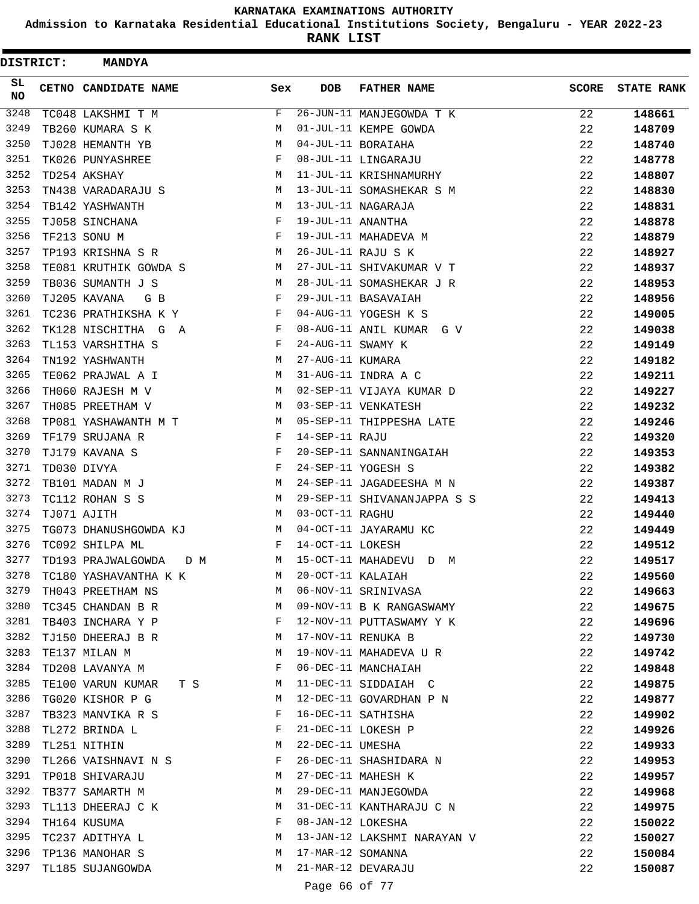**Admission to Karnataka Residential Educational Institutions Society, Bengaluru - YEAR 2022-23**

**RANK LIST**

| <b>DISTRICT:</b> | <b>MANDYA</b>                                                                                                                                                                                                                                       |            |                   |                             |              |                   |
|------------------|-----------------------------------------------------------------------------------------------------------------------------------------------------------------------------------------------------------------------------------------------------|------------|-------------------|-----------------------------|--------------|-------------------|
| SL<br><b>NO</b>  | CETNO CANDIDATE NAME                                                                                                                                                                                                                                | Sex        | <b>DOB</b>        | <b>FATHER NAME</b>          | <b>SCORE</b> | <b>STATE RANK</b> |
| 3248             | TC048 LAKSHMI T M                                                                                                                                                                                                                                   | F          |                   | 26-JUN-11 MANJEGOWDA T K    | 22           | 148661            |
| 3249             | TB260 KUMARA S K                                                                                                                                                                                                                                    | М          |                   | 01-JUL-11 KEMPE GOWDA       | 22           | 148709            |
| 3250             | TJ028 HEMANTH YB                                                                                                                                                                                                                                    | M          |                   | 04-JUL-11 BORAIAHA          | 22           | 148740            |
| 3251             | TK026 PUNYASHREE                                                                                                                                                                                                                                    | F          |                   | 08-JUL-11 LINGARAJU         | 22           | 148778            |
| 3252             | TD254 AKSHAY                                                                                                                                                                                                                                        | М          |                   | 11-JUL-11 KRISHNAMURHY      | 22           | 148807            |
| 3253             | TN438 VARADARAJU S                                                                                                                                                                                                                                  | М          |                   | 13-JUL-11 SOMASHEKAR S M    | 22           | 148830            |
| 3254             | TB142 YASHWANTH                                                                                                                                                                                                                                     | M          |                   | 13-JUL-11 NAGARAJA          | 22           | 148831            |
| 3255             | TJ058 SINCHANA                                                                                                                                                                                                                                      | F          | 19-JUL-11 ANANTHA |                             | 22           | 148878            |
| 3256             | TF213 SONU M                                                                                                                                                                                                                                        | F          |                   | 19-JUL-11 MAHADEVA M        | 22           | 148879            |
| 3257             | TP193 KRISHNA S R                                                                                                                                                                                                                                   | M          |                   | 26-JUL-11 RAJU S K          | 22           | 148927            |
| 3258             | TE081 KRUTHIK GOWDA S                                                                                                                                                                                                                               | М          |                   | 27-JUL-11 SHIVAKUMAR V T    | 22           | 148937            |
| 3259             | TB036 SUMANTH J S                                                                                                                                                                                                                                   | M          |                   | 28-JUL-11 SOMASHEKAR J R    | 22           | 148953            |
| 3260             | TJ205 KAVANA<br>G B                                                                                                                                                                                                                                 | F          |                   | 29-JUL-11 BASAVAIAH         | 22           | 148956            |
| 3261             | TC236 PRATHIKSHA K Y                                                                                                                                                                                                                                | F          |                   | 04-AUG-11 YOGESH K S        | 22           | 149005            |
| 3262             | TK128 NISCHITHA G A                                                                                                                                                                                                                                 | F          |                   | 08-AUG-11 ANIL KUMAR G V    | 22           | 149038            |
| 3263             | TL153 VARSHITHA S                                                                                                                                                                                                                                   | F          | 24-AUG-11 SWAMY K |                             | 22           | 149149            |
| 3264             | TN192 YASHWANTH                                                                                                                                                                                                                                     | М          | 27-AUG-11 KUMARA  |                             | 22           | 149182            |
| 3265             | TE062 PRAJWAL A I                                                                                                                                                                                                                                   | M          |                   | 31-AUG-11 INDRA A C         | 22           | 149211            |
| 3266             | TH060 RAJESH M V                                                                                                                                                                                                                                    | М          |                   | 02-SEP-11 VIJAYA KUMAR D    | 22           | 149227            |
| 3267             | TH085 PREETHAM V                                                                                                                                                                                                                                    | M          |                   | 03-SEP-11 VENKATESH         | 22           | 149232            |
| 3268             | TP081 YASHAWANTH M T                                                                                                                                                                                                                                | M          |                   | 05-SEP-11 THIPPESHA LATE    | 22           | 149246            |
| 3269             | TF179 SRUJANA R                                                                                                                                                                                                                                     | F          | 14-SEP-11 RAJU    |                             | 22           | 149320            |
| 3270             | TJ179 KAVANA S                                                                                                                                                                                                                                      | F          |                   | 20-SEP-11 SANNANINGAIAH     | 22           | 149353            |
| 3271             | TD030 DIVYA                                                                                                                                                                                                                                         | F          |                   | 24-SEP-11 YOGESH S          | 22           | 149382            |
| 3272             | TB101 MADAN M J                                                                                                                                                                                                                                     | M          |                   | 24-SEP-11 JAGADEESHA M N    | 22           | 149387            |
| 3273             | TC112 ROHAN S S                                                                                                                                                                                                                                     | M          |                   | 29-SEP-11 SHIVANANJAPPA S S | 22           | 149413            |
| 3274             | TJ071 AJITH                                                                                                                                                                                                                                         | M          | 03-OCT-11 RAGHU   |                             | 22           | 149440            |
| 3275             | TG073 DHANUSHGOWDA KJ                                                                                                                                                                                                                               | M          |                   | 04-OCT-11 JAYARAMU KC       | 22           | 149449            |
| 3276             | TC092 SHILPA ML                                                                                                                                                                                                                                     | F          | 14-OCT-11 LOKESH  |                             | 22           | 149512            |
| 3277             | TD193 PRAJWALGOWDA<br>D M                                                                                                                                                                                                                           | М          |                   | 15-OCT-11 MAHADEVU D M      | 22           | 149517            |
| 3278             | TC180 YASHAVANTHA K K                                                                                                                                                                                                                               | М          | 20-OCT-11 KALAIAH |                             | 22           | 149560            |
| 3279             | TH043 PREETHAM NS                                                                                                                                                                                                                                   | M          |                   | 06-NOV-11 SRINIVASA         | 22           | 149663            |
| 3280             | TC345 CHANDAN B R                                                                                                                                                                                                                                   | М          |                   | 09-NOV-11 B K RANGASWAMY    | 22           | 149675            |
| 3281             | TB403 INCHARA Y P                                                                                                                                                                                                                                   | $_{\rm F}$ |                   | 12-NOV-11 PUTTASWAMY Y K    | 22           | 149696            |
| 3282             | TJ150 DHEERAJ B R                                                                                                                                                                                                                                   | М          |                   | 17-NOV-11 RENUKA B          | 22           | 149730            |
| 3283             | TE137 MILAN M                                                                                                                                                                                                                                       | М          |                   | 19-NOV-11 MAHADEVA U R      | 22           | 149742            |
| 3284             | TD208 LAVANYA M                                                                                                                                                                                                                                     | F          |                   | 06-DEC-11 MANCHAIAH         | 22           | 149848            |
| 3285             | TE100 VARUN KUMAR<br>T S Services of the Services of the Services of the Services of the Services of the Services of the Services of the Services of the Services of the Services of the Services of the Services of the Services of the Services o | M          |                   | 11-DEC-11 SIDDAIAH C        | 22           | 149875            |
| 3286             | TG020 KISHOR P G                                                                                                                                                                                                                                    | М          |                   | 12-DEC-11 GOVARDHAN P N     | 22           | 149877            |
| 3287             | TB323 MANVIKA R S                                                                                                                                                                                                                                   | F          |                   | 16-DEC-11 SATHISHA          | 22           | 149902            |
| 3288             | TL272 BRINDA L                                                                                                                                                                                                                                      | F          |                   | 21-DEC-11 LOKESH P          | 22           | 149926            |
| 3289             | TL251 NITHIN                                                                                                                                                                                                                                        | М          | 22-DEC-11 UMESHA  |                             | 22           | 149933            |
| 3290             | TL266 VAISHNAVI N S                                                                                                                                                                                                                                 | F          |                   | 26-DEC-11 SHASHIDARA N      | 22           | 149953            |
| 3291             | TP018 SHIVARAJU                                                                                                                                                                                                                                     | M          |                   | 27-DEC-11 MAHESH K          | 22           | 149957            |
| 3292             | TB377 SAMARTH M                                                                                                                                                                                                                                     | М          |                   | 29-DEC-11 MANJEGOWDA        | 22           | 149968            |
| 3293             | TL113 DHEERAJ C K                                                                                                                                                                                                                                   | M          |                   | 31-DEC-11 KANTHARAJU C N    | 22           | 149975            |
| 3294             | TH164 KUSUMA                                                                                                                                                                                                                                        | F          | 08-JAN-12 LOKESHA |                             | 22           | 150022            |
| 3295             | TC237 ADITHYA L                                                                                                                                                                                                                                     | М          |                   | 13-JAN-12 LAKSHMI NARAYAN V | 22           | 150027            |
| 3296             | TP136 MANOHAR S                                                                                                                                                                                                                                     | М          | 17-MAR-12 SOMANNA |                             | 22           | 150084            |
| 3297             | TL185 SUJANGOWDA                                                                                                                                                                                                                                    | М          |                   | 21-MAR-12 DEVARAJU          | 22           | 150087            |
|                  |                                                                                                                                                                                                                                                     |            |                   |                             |              |                   |

Page 66 of 77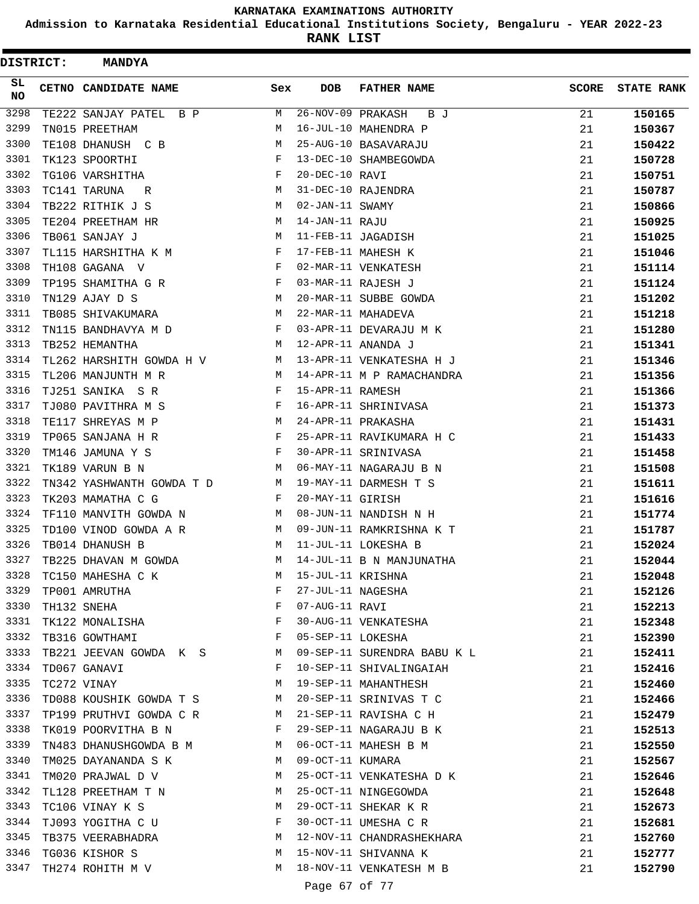**Admission to Karnataka Residential Educational Institutions Society, Bengaluru - YEAR 2022-23**

| <b>DISTRICT:</b> | <b>MANDYA</b>               |              |                   |                             |              |                   |
|------------------|-----------------------------|--------------|-------------------|-----------------------------|--------------|-------------------|
| SL<br><b>NO</b>  | <b>CETNO CANDIDATE NAME</b> | Sex          | <b>DOB</b>        | <b>FATHER NAME</b>          | <b>SCORE</b> | <b>STATE RANK</b> |
| 3298             | TE222 SANJAY PATEL B P      | M            | 26-NOV-09 PRAKASH | B J                         | 21           | 150165            |
| 3299             | TN015 PREETHAM              | M            |                   | 16-JUL-10 MAHENDRA P        | 21           | 150367            |
| 3300             | TE108 DHANUSH C B           | M            |                   | 25-AUG-10 BASAVARAJU        | 21           | 150422            |
| 3301             | TK123 SPOORTHI              | F            |                   | 13-DEC-10 SHAMBEGOWDA       | 21           | 150728            |
| 3302             | TG106 VARSHITHA             | F            | 20-DEC-10 RAVI    |                             | 21           | 150751            |
| 3303             | TC141 TARUNA<br>R           | М            |                   | 31-DEC-10 RAJENDRA          | 21           | 150787            |
| 3304             | TB222 RITHIK J S            | M            | 02-JAN-11 SWAMY   |                             | 21           | 150866            |
| 3305             | TE204 PREETHAM HR           | М            | 14-JAN-11 RAJU    |                             | 21           | 150925            |
| 3306             | TB061 SANJAY J              | М            |                   | 11-FEB-11 JAGADISH          | 21           | 151025            |
| 3307             | TL115 HARSHITHA K M         | F            |                   | 17-FEB-11 MAHESH K          | 21           | 151046            |
| 3308             | TH108 GAGANA V              | F            |                   | 02-MAR-11 VENKATESH         | 21           | 151114            |
| 3309             | TP195 SHAMITHA G R          | F            |                   | 03-MAR-11 RAJESH J          | 21           | 151124            |
| 3310             | TN129 AJAY D S              | М            |                   | 20-MAR-11 SUBBE GOWDA       | 21           | 151202            |
| 3311             | TB085 SHIVAKUMARA           | М            |                   | 22-MAR-11 MAHADEVA          | 21           | 151218            |
| 3312             | TN115 BANDHAVYA M D         | F            |                   | 03-APR-11 DEVARAJU M K      | 21           | 151280            |
| 3313             | TB252 HEMANTHA              | М            |                   | 12-APR-11 ANANDA J          | 21           | 151341            |
| 3314             | TL262 HARSHITH GOWDA H V    | M            |                   | 13-APR-11 VENKATESHA H J    | 21           | 151346            |
| 3315             | TL206 MANJUNTH M R          | М            |                   | 14-APR-11 M P RAMACHANDRA   | 21           | 151356            |
| 3316             | TJ251 SANIKA SR             | F            | 15-APR-11 RAMESH  |                             | 21           | 151366            |
| 3317             | TJ080 PAVITHRA M S          | F            |                   | 16-APR-11 SHRINIVASA        | 21           | 151373            |
| 3318             | TE117 SHREYAS M P           | M            |                   | 24-APR-11 PRAKASHA          | 21           | 151431            |
| 3319             | TP065 SANJANA H R           | F            |                   | 25-APR-11 RAVIKUMARA H C    | 21           | 151433            |
| 3320             | TM146 JAMUNA Y S            | F            |                   | 30-APR-11 SRINIVASA         | 21           | 151458            |
| 3321             | TK189 VARUN B N             | М            |                   | 06-MAY-11 NAGARAJU B N      | 21           | 151508            |
| 3322             | TN342 YASHWANTH GOWDA T D   | м            |                   | 19-MAY-11 DARMESH T S       | 21           | 151611            |
| 3323             | TK203 MAMATHA C G           | F            | 20-MAY-11 GIRISH  |                             | 21           | 151616            |
| 3324             | TF110 MANVITH GOWDA N       | M            |                   | 08-JUN-11 NANDISH N H       | 21           | 151774            |
| 3325             | TD100 VINOD GOWDA A R       | M            |                   | 09-JUN-11 RAMKRISHNA K T    | 21           | 151787            |
| 3326             | TB014 DHANUSH B             | M            |                   | 11-JUL-11 LOKESHA B         | 21           | 152024            |
| 3327             | TB225 DHAVAN M GOWDA        | M            |                   | 14-JUL-11 B N MANJUNATHA    | 21           | 152044            |
| 3328             | TC150 MAHESHA C K           | M            | 15-JUL-11 KRISHNA |                             | 21           | 152048            |
| 3329             | TP001 AMRUTHA               | F            |                   | 27-JUL-11 NAGESHA           | 21           | 152126            |
| 3330             | TH132 SNEHA                 | F            | 07-AUG-11 RAVI    |                             | 21           | 152213            |
| 3331             | TK122 MONALISHA             | F            |                   | 30-AUG-11 VENKATESHA        | 21           | 152348            |
| 3332             | TB316 GOWTHAMI              | $\mathbf{F}$ | 05-SEP-11 LOKESHA |                             | 21           | 152390            |
| 3333             | TB221 JEEVAN GOWDA K S      | M            |                   | 09-SEP-11 SURENDRA BABU K L | 21           | 152411            |
| 3334             | TD067 GANAVI                | F            |                   | 10-SEP-11 SHIVALINGAIAH     | 21           | 152416            |
| 3335             | TC272 VINAY                 | М            |                   | 19-SEP-11 MAHANTHESH        | 21           | 152460            |
| 3336             | TD088 KOUSHIK GOWDA T S     | M            |                   | 20-SEP-11 SRINIVAS T C      | 21           | 152466            |
| 3337             | TP199 PRUTHVI GOWDA C R     | M            |                   | 21-SEP-11 RAVISHA C H       | 21           | 152479            |
| 3338             | TK019 POORVITHA B N         | F            |                   | 29-SEP-11 NAGARAJU B K      | 21           | 152513            |
| 3339             | TN483 DHANUSHGOWDA B M M    |              |                   | 06-OCT-11 MAHESH B M        | 21           | 152550            |
| 3340             | TM025 DAYANANDA S K         | M            | 09-OCT-11 KUMARA  |                             | 21           | 152567            |
| 3341             | TM020 PRAJWAL D V           | М            |                   | 25-OCT-11 VENKATESHA D K    | 21           | 152646            |
| 3342             | TL128 PREETHAM T N          | М            |                   | 25-OCT-11 NINGEGOWDA        | 21           | 152648            |
| 3343             | TC106 VINAY K S             | М            |                   | 29-OCT-11 SHEKAR K R        | 21           | 152673            |
| 3344             | TJ093 YOGITHA C U           | F            |                   | 30-OCT-11 UMESHA C R        | 21           | 152681            |
| 3345             | TB375 VEERABHADRA           | M            |                   | 12-NOV-11 CHANDRASHEKHARA   | 21           | 152760            |
| 3346             | TG036 KISHOR S              | M            |                   | 15-NOV-11 SHIVANNA K        | 21           | 152777            |
| 3347             | TH274 ROHITH M V            | M            |                   | 18-NOV-11 VENKATESH M B     | 21           | 152790            |
|                  |                             |              | Page 67 of 77     |                             |              |                   |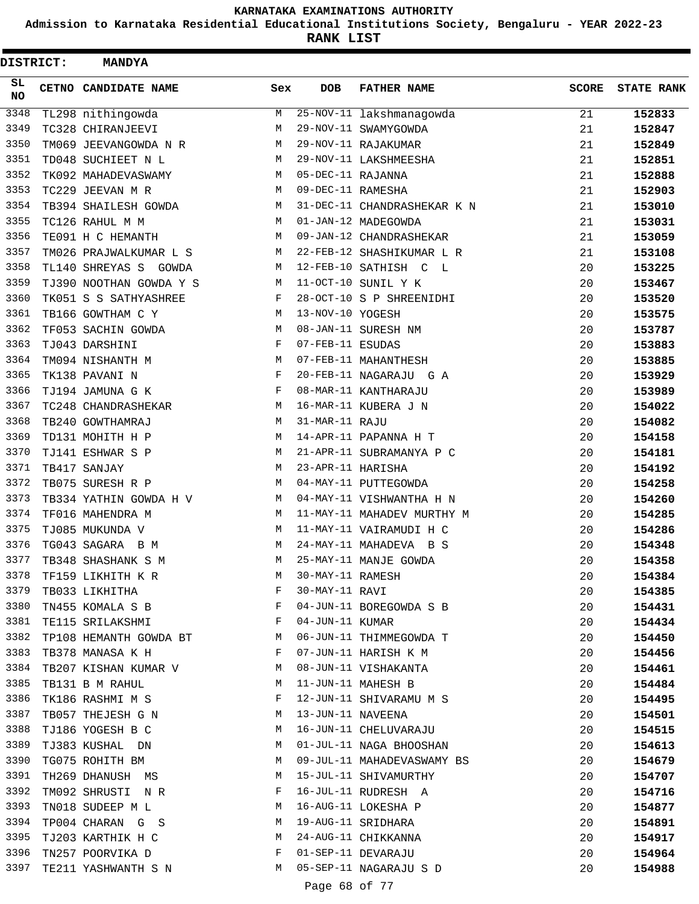**Admission to Karnataka Residential Educational Institutions Society, Bengaluru - YEAR 2022-23**

| DISTRICT:       | <b>MANDYA</b>           |              |                   |                             |              |                   |
|-----------------|-------------------------|--------------|-------------------|-----------------------------|--------------|-------------------|
| SL<br><b>NO</b> | CETNO CANDIDATE NAME    | Sex          | <b>DOB</b>        | <b>FATHER NAME</b>          | <b>SCORE</b> | <b>STATE RANK</b> |
| 3348            | TL298 nithingowda       | M            |                   | $25-NOV-11$ lakshmanagowda  | 21           | 152833            |
| 3349            | TC328 CHIRANJEEVI       | M            |                   | 29-NOV-11 SWAMYGOWDA        | 21           | 152847            |
| 3350            | TM069 JEEVANGOWDA N R   | M            |                   | 29-NOV-11 RAJAKUMAR         | 21           | 152849            |
| 3351            | TD048 SUCHIEET N L      | М            |                   | 29-NOV-11 LAKSHMEESHA       | 21           | 152851            |
| 3352            | TK092 MAHADEVASWAMY     | M            | 05-DEC-11 RAJANNA |                             | 21           | 152888            |
| 3353            | TC229 JEEVAN M R        | М            | 09-DEC-11 RAMESHA |                             | 21           | 152903            |
| 3354            | TB394 SHAILESH GOWDA    | M            |                   | 31-DEC-11 CHANDRASHEKAR K N | 21           | 153010            |
| 3355            | TC126 RAHUL M M         | M            |                   | 01-JAN-12 MADEGOWDA         | 21           | 153031            |
| 3356            | TE091 H C HEMANTH       | M            |                   | 09-JAN-12 CHANDRASHEKAR     | 21           | 153059            |
| 3357            | TM026 PRAJWALKUMAR L S  | М            |                   | 22-FEB-12 SHASHIKUMAR L R   | 21           | 153108            |
| 3358            | TL140 SHREYAS S GOWDA   | M            |                   | 12-FEB-10 SATHISH C L       | 20           | 153225            |
| 3359            | TJ390 NOOTHAN GOWDA Y S | М            |                   | 11-OCT-10 SUNIL Y K         | 20           | 153467            |
| 3360            | TK051 S S SATHYASHREE   | F            |                   | 28-OCT-10 S P SHREENIDHI    | 20           | 153520            |
| 3361            | TB166 GOWTHAM C Y       | М            | 13-NOV-10 YOGESH  |                             | 20           | 153575            |
| 3362            | TF053 SACHIN GOWDA      | M            |                   | 08-JAN-11 SURESH NM         | 20           | 153787            |
| 3363            | TJ043 DARSHINI          | F            | 07-FEB-11 ESUDAS  |                             | 20           | 153883            |
| 3364            | TM094 NISHANTH M        | М            |                   | 07-FEB-11 MAHANTHESH        | 20           | 153885            |
| 3365            | TK138 PAVANI N          | F            |                   | 20-FEB-11 NAGARAJU G A      | 20           | 153929            |
| 3366            | TJ194 JAMUNA G K        | F            |                   | 08-MAR-11 KANTHARAJU        | 20           | 153989            |
| 3367            | TC248 CHANDRASHEKAR     | М            |                   | 16-MAR-11 KUBERA J N        | 20           | 154022            |
| 3368            | TB240 GOWTHAMRAJ        | M            | 31-MAR-11 RAJU    |                             | 20           | 154082            |
| 3369            | TD131 MOHITH H P        | М            |                   | 14-APR-11 PAPANNA H T       | 20           | 154158            |
| 3370            | TJ141 ESHWAR S P        | M            |                   | 21-APR-11 SUBRAMANYA P C    | 20           | 154181            |
| 3371            | TB417 SANJAY            | M            | 23-APR-11 HARISHA |                             | 20           | 154192            |
| 3372            | TB075 SURESH R P        | M            |                   | 04-MAY-11 PUTTEGOWDA        | 20           | 154258            |
| 3373            | TB334 YATHIN GOWDA H V  | M            |                   | 04-MAY-11 VISHWANTHA H N    | 20           | 154260            |
| 3374            | TF016 MAHENDRA M        | M            |                   | 11-MAY-11 MAHADEV MURTHY M  | 20           | 154285            |
| 3375            | TJ085 MUKUNDA V         | М            |                   | 11-MAY-11 VAIRAMUDI H C     | 20           | 154286            |
| 3376            | TG043 SAGARA B M        | M            |                   | 24-MAY-11 MAHADEVA B S      | 20           | 154348            |
| 3377            | TB348 SHASHANK S M      | M            |                   | 25-MAY-11 MANJE GOWDA       | 20           | 154358            |
| 3378            | TF159 LIKHITH K R       | M            | 30-MAY-11 RAMESH  |                             | 20           | 154384            |
| 3379            | TB033 LIKHITHA          | F            | 30-MAY-11 RAVI    |                             | 20           | 154385            |
| 3380            | TN455 KOMALA S B        | F            |                   | 04-JUN-11 BOREGOWDA S B     | 20           | 154431            |
| 3381            | TE115 SRILAKSHMI        | $\mathbf{F}$ | 04-JUN-11 KUMAR   |                             | 20           | 154434            |
| 3382            | TP108 HEMANTH GOWDA BT  | М            |                   | 06-JUN-11 THIMMEGOWDA T     | 20           | 154450            |
| 3383            | TB378 MANASA K H        | F            |                   | 07-JUN-11 HARISH K M        | 20           | 154456            |
| 3384            | TB207 KISHAN KUMAR V    | M            |                   | 08-JUN-11 VISHAKANTA        | 20           | 154461            |
| 3385            | TB131 B M RAHUL         | М            |                   | 11-JUN-11 MAHESH B          | 20           | 154484            |
| 3386            | TK186 RASHMI M S        | F            |                   | 12-JUN-11 SHIVARAMU M S     | 20           | 154495            |
| 3387            | TB057 THEJESH G N       | M            | 13-JUN-11 NAVEENA |                             | 20           | 154501            |
| 3388            | TJ186 YOGESH B C        | М            |                   | 16-JUN-11 CHELUVARAJU       | 20           | 154515            |
| 3389            | TJ383 KUSHAL DN         | M            |                   | 01-JUL-11 NAGA BHOOSHAN     | 20           | 154613            |
| 3390            | TG075 ROHITH BM         | M            |                   | 09-JUL-11 MAHADEVASWAMY BS  | 20           | 154679            |
| 3391            | TH269 DHANUSH MS        | M            |                   | 15-JUL-11 SHIVAMURTHY       | 20           | 154707            |
| 3392            | TM092 SHRUSTI N R       | F            |                   | 16-JUL-11 RUDRESH A         | 20           | 154716            |
| 3393            | TN018 SUDEEP M L        | M            |                   | 16-AUG-11 LOKESHA P         | 20           | 154877            |
| 3394            | TP004 CHARAN G S        | М            |                   | 19-AUG-11 SRIDHARA          | 20           | 154891            |
| 3395            | TJ203 KARTHIK H C       | М            |                   | 24-AUG-11 CHIKKANNA         | 20           | 154917            |
| 3396            | TN257 POORVIKA D        | F            |                   | 01-SEP-11 DEVARAJU          | 20           | 154964            |
| 3397            | TE211 YASHWANTH S N     | M            |                   | 05-SEP-11 NAGARAJU S D      | 20           | 154988            |
|                 |                         |              |                   |                             |              |                   |
|                 |                         |              | Page 68 of 77     |                             |              |                   |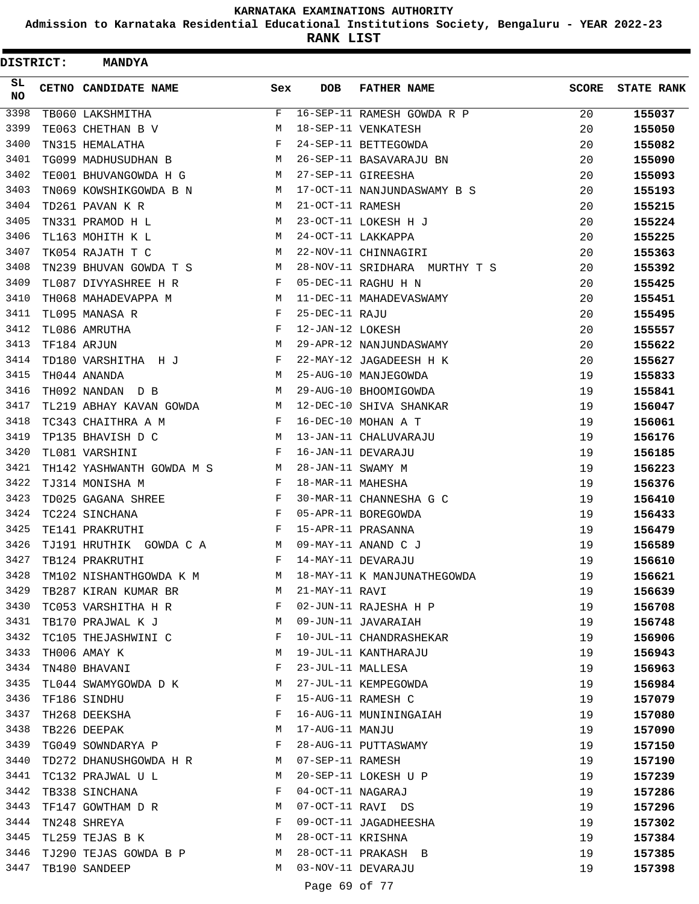**Admission to Karnataka Residential Educational Institutions Society, Bengaluru - YEAR 2022-23**

| DISTRICT:        | <b>MANDYA</b>             |              |                   |                               |              |                   |
|------------------|---------------------------|--------------|-------------------|-------------------------------|--------------|-------------------|
| SL.<br><b>NO</b> | CETNO CANDIDATE NAME      | Sex          | <b>DOB</b>        | <b>FATHER NAME</b>            | <b>SCORE</b> | <b>STATE RANK</b> |
| 3398             | TB060 LAKSHMITHA          | F            |                   | 16-SEP-11 RAMESH GOWDA R P    | 20           | 155037            |
| 3399             | TE063 CHETHAN B V         | М            |                   | 18-SEP-11 VENKATESH           | 20           | 155050            |
| 3400             | TN315 HEMALATHA           | F            |                   | 24-SEP-11 BETTEGOWDA          | 20           | 155082            |
| 3401             | TG099 MADHUSUDHAN B       | М            |                   | 26-SEP-11 BASAVARAJU BN       | 20           | 155090            |
| 3402             | TE001 BHUVANGOWDA H G     | M            |                   | 27-SEP-11 GIREESHA            | 20           | 155093            |
| 3403             | TN069 KOWSHIKGOWDA B N    | М            |                   | 17-OCT-11 NANJUNDASWAMY B S   | 20           | 155193            |
| 3404             | TD261 PAVAN K R           | M            | 21-OCT-11 RAMESH  |                               | 20           | 155215            |
| 3405             | TN331 PRAMOD H L          | М            |                   | 23-OCT-11 LOKESH H J          | 20           | 155224            |
| 3406             | TL163 MOHITH K L          | М            |                   | 24-OCT-11 LAKKAPPA            | 20           | 155225            |
| 3407             | TK054 RAJATH T C          | М            |                   | 22-NOV-11 CHINNAGIRI          | 20           | 155363            |
| 3408             | TN239 BHUVAN GOWDA T S    | M            |                   | 28-NOV-11 SRIDHARA MURTHY T S | 20           | 155392            |
| 3409             | TL087 DIVYASHREE H R      | F            |                   | 05-DEC-11 RAGHU H N           | 20           | 155425            |
| 3410             | TH068 MAHADEVAPPA M       | M            |                   | 11-DEC-11 MAHADEVASWAMY       | 20           | 155451            |
| 3411             | TL095 MANASA R            | F            | 25-DEC-11 RAJU    |                               | 20           | 155495            |
| 3412             | TL086 AMRUTHA             | F            | 12-JAN-12 LOKESH  |                               | 20           | 155557            |
| 3413             | TF184 ARJUN               | М            |                   | 29-APR-12 NANJUNDASWAMY       | 20           | 155622            |
| 3414             | TD180 VARSHITHA H J       | F            |                   | 22-MAY-12 JAGADEESH H K       | 20           | 155627            |
| 3415             | TH044 ANANDA              | M            |                   | 25-AUG-10 MANJEGOWDA          | 19           | 155833            |
| 3416             | TH092 NANDAN D B          | М            |                   | 29-AUG-10 BHOOMIGOWDA         | 19           | 155841            |
| 3417             | TL219 ABHAY KAVAN GOWDA   | M            |                   | 12-DEC-10 SHIVA SHANKAR       | 19           | 156047            |
| 3418             | TC343 CHAITHRA A M        | F            |                   | 16-DEC-10 MOHAN A T           | 19           | 156061            |
| 3419             | TP135 BHAVISH D C         | M            |                   | 13-JAN-11 CHALUVARAJU         | 19           | 156176            |
| 3420             | TL081 VARSHINI            | F            |                   | 16-JAN-11 DEVARAJU            | 19           | 156185            |
| 3421             | TH142 YASHWANTH GOWDA M S | M            | 28-JAN-11 SWAMY M |                               | 19           | 156223            |
| 3422             | TJ314 MONISHA M           | F            | 18-MAR-11 MAHESHA |                               | 19           | 156376            |
| 3423             | TD025 GAGANA SHREE        | F            |                   | 30-MAR-11 CHANNESHA G C       | 19           | 156410            |
| 3424             | TC224 SINCHANA            | F            |                   | 05-APR-11 BOREGOWDA           | 19           | 156433            |
| 3425             | TE141 PRAKRUTHI           | F            |                   | 15-APR-11 PRASANNA            | 19           | 156479            |
| 3426             | TJ191 HRUTHIK GOWDA C A   | M            |                   | 09-MAY-11 ANAND C J           | 19           | 156589            |
| 3427             | TB124 PRAKRUTHI           | F            |                   | 14-MAY-11 DEVARAJU            | 19           | 156610            |
| 3428             | TM102 NISHANTHGOWDA K M   |              |                   | M 18-MAY-11 K MANJUNATHEGOWDA | 19           | 156621            |
| 3429             | TB287 KIRAN KUMAR BR      | M            | 21-MAY-11 RAVI    |                               | 19           | 156639            |
| 3430             | TC053 VARSHITHA H R       | F            |                   | 02-JUN-11 RAJESHA H P         | 19           | 156708            |
| 3431             | TB170 PRAJWAL K J         | M            |                   | 09-JUN-11 JAVARAIAH           | 19           | 156748            |
| 3432             | TC105 THEJASHWINI C       | $\mathbf{F}$ |                   | 10-JUL-11 CHANDRASHEKAR       | 19           | 156906            |
| 3433             | TH006 AMAY K              | М            |                   | 19-JUL-11 KANTHARAJU          | 19           | 156943            |
| 3434             | TN480 BHAVANI             | F            |                   | 23-JUL-11 MALLESA             | 19           | 156963            |
| 3435             | TL044 SWAMYGOWDA D K      | M            |                   | 27-JUL-11 KEMPEGOWDA          | 19           | 156984            |
| 3436             | TF186 SINDHU              | F            |                   | 15-AUG-11 RAMESH C            | 19           | 157079            |
| 3437             | TH268 DEEKSHA             | F            |                   | 16-AUG-11 MUNININGAIAH        | 19           | 157080            |
| 3438             | TB226 DEEPAK              | М            | 17-AUG-11 MANJU   |                               | 19           | 157090            |
| 3439             | TG049 SOWNDARYA P F       |              |                   | 28-AUG-11 PUTTASWAMY          | 19           | 157150            |
| 3440             | TD272 DHANUSHGOWDA H R M  |              | 07-SEP-11 RAMESH  |                               | 19           | 157190            |
| 3441             | TC132 PRAJWAL U L         | M            |                   | 20-SEP-11 LOKESH U P          | 19           | 157239            |
| 3442             | TB338 SINCHANA            | F            |                   | 04-OCT-11 NAGARAJ             | 19           | 157286            |
| 3443             | TF147 GOWTHAM D R         | M            |                   | 07-OCT-11 RAVI DS             | 19           | 157296            |
| 3444             | TN248 SHREYA              | F            |                   | 09-OCT-11 JAGADHEESHA         | 19           | 157302            |
| 3445             | TL259 TEJAS B K           | M            | 28-OCT-11 KRISHNA |                               | 19           | 157384            |
| 3446             | TJ290 TEJAS GOWDA B P     | M            |                   | 28-OCT-11 PRAKASH B           | 19           | 157385            |
| 3447             | TB190 SANDEEP             | М            |                   | 03-NOV-11 DEVARAJU            | 19           | 157398            |
|                  |                           |              | Page 69 of 77     |                               |              |                   |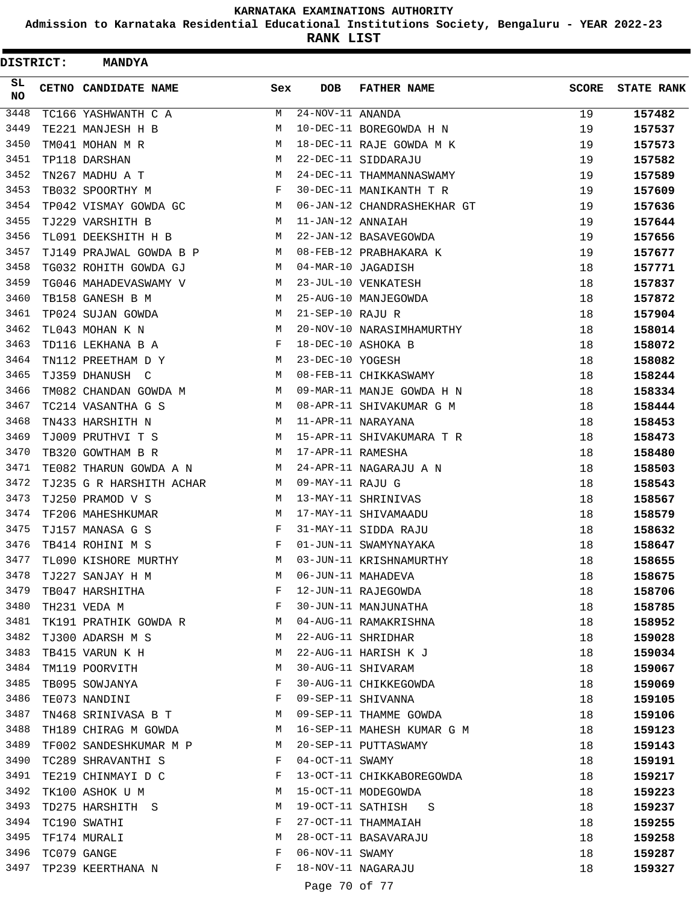**Admission to Karnataka Residential Educational Institutions Society, Bengaluru - YEAR 2022-23**

| <b>DISTRICT:</b> | <b>MANDYA</b>            |     |                                |                             |              |                   |
|------------------|--------------------------|-----|--------------------------------|-----------------------------|--------------|-------------------|
| SL.<br>NO.       | CETNO CANDIDATE NAME     | Sex | <b>DOB</b>                     | <b>FATHER NAME</b>          | <b>SCORE</b> | <b>STATE RANK</b> |
| 3448             | TC166 YASHWANTH C A      | М   | $\overline{24}$ -NOV-11 ANANDA |                             | 19           | 157482            |
| 3449             | TE221 MANJESH H B        | M   |                                | 10-DEC-11 BOREGOWDA H N     | 19           | 157537            |
| 3450             | TM041 MOHAN M R          | M   |                                | 18-DEC-11 RAJE GOWDA M K    | 19           | 157573            |
| 3451             | TP118 DARSHAN            | М   |                                | 22-DEC-11 SIDDARAJU         | 19           | 157582            |
| 3452             | TN267 MADHU A T          | M   |                                | 24-DEC-11 THAMMANNASWAMY    | 19           | 157589            |
| 3453             | TB032 SPOORTHY M         | F   |                                | 30-DEC-11 MANIKANTH T R     | 19           | 157609            |
| 3454             | TP042 VISMAY GOWDA GC    | M   |                                | 06-JAN-12 CHANDRASHEKHAR GT | 19           | 157636            |
| 3455             | TJ229 VARSHITH B         | M   | 11-JAN-12 ANNAIAH              |                             | 19           | 157644            |
| 3456             | TL091 DEEKSHITH H B      | M   |                                | 22-JAN-12 BASAVEGOWDA       | 19           | 157656            |
| 3457             | TJ149 PRAJWAL GOWDA B P  | М   |                                | 08-FEB-12 PRABHAKARA K      | 19           | 157677            |
| 3458             | TG032 ROHITH GOWDA GJ    | M   |                                | 04-MAR-10 JAGADISH          | 18           | 157771            |
| 3459             | TG046 MAHADEVASWAMY V    | M   |                                | 23-JUL-10 VENKATESH         | 18           | 157837            |
| 3460             | TB158 GANESH B M         | M   |                                | 25-AUG-10 MANJEGOWDA        | 18           | 157872            |
| 3461             | TP024 SUJAN GOWDA        | М   | 21-SEP-10 RAJU R               |                             | 18           | 157904            |
| 3462             | TL043 MOHAN K N          | M   |                                | 20-NOV-10 NARASIMHAMURTHY   | 18           | 158014            |
| 3463             | TD116 LEKHANA B A        | F   |                                | 18-DEC-10 ASHOKA B          | 18           | 158072            |
| 3464             | TN112 PREETHAM D Y       | М   | 23-DEC-10 YOGESH               |                             | 18           | 158082            |
| 3465             | TJ359 DHANUSH C          | М   |                                | 08-FEB-11 CHIKKASWAMY       | 18           | 158244            |
| 3466             | TM082 CHANDAN GOWDA M    | M   |                                | 09-MAR-11 MANJE GOWDA H N   | 18           | 158334            |
| 3467             | TC214 VASANTHA G S       | М   |                                | 08-APR-11 SHIVAKUMAR G M    | 18           | 158444            |
| 3468             | TN433 HARSHITH N         | M   |                                | 11-APR-11 NARAYANA          | 18           | 158453            |
| 3469             | TJ009 PRUTHVI T S        | M   |                                | 15-APR-11 SHIVAKUMARA T R   | 18           | 158473            |
| 3470             | TB320 GOWTHAM B R        | M   | 17-APR-11 RAMESHA              |                             | 18           | 158480            |
| 3471             | TE082 THARUN GOWDA A N   | M   |                                | 24-APR-11 NAGARAJU A N      | 18           | 158503            |
| 3472             | TJ235 G R HARSHITH ACHAR | M   | 09-MAY-11 RAJU G               |                             | 18           | 158543            |
| 3473             | TJ250 PRAMOD V S         | M   |                                | 13-MAY-11 SHRINIVAS         | 18           | 158567            |
| 3474             | TF206 MAHESHKUMAR        | M   |                                | 17-MAY-11 SHIVAMAADU        | 18           | 158579            |
| 3475             | TJ157 MANASA G S         | F   |                                | 31-MAY-11 SIDDA RAJU        | 18           | 158632            |
| 3476             | TB414 ROHINI M S         | F   |                                | 01-JUN-11 SWAMYNAYAKA       | 18           | 158647            |
| 3477             | TL090 KISHORE MURTHY     | M   |                                | 03-JUN-11 KRISHNAMURTHY     | 18           | 158655            |
| 3478             | TJ227 SANJAY H M         | M   |                                | 06-JUN-11 MAHADEVA          | 18           | 158675            |
| 3479             | TB047 HARSHITHA          | F   |                                | 12-JUN-11 RAJEGOWDA         | 18           | 158706            |
| 3480             | TH231 VEDA M             | F   |                                | 30-JUN-11 MANJUNATHA        | 18           | 158785            |
| 3481             | TK191 PRATHIK GOWDA R    | M   |                                | 04-AUG-11 RAMAKRISHNA       | 18           | 158952            |
| 3482             | TJ300 ADARSH M S         | М   |                                | 22-AUG-11 SHRIDHAR          | 18           | 159028            |
| 3483             | TB415 VARUN K H          | М   |                                | 22-AUG-11 HARISH K J        | 18           | 159034            |
| 3484             | TM119 POORVITH           | М   |                                | 30-AUG-11 SHIVARAM          | 18           | 159067            |
| 3485             | TB095 SOWJANYA           | F   |                                | 30-AUG-11 CHIKKEGOWDA       | 18           | 159069            |
| 3486             | TE073 NANDINI            | F   |                                | 09-SEP-11 SHIVANNA          | 18           | 159105            |
| 3487             | TN468 SRINIVASA B T      | M   |                                | 09-SEP-11 THAMME GOWDA      | 18           | 159106            |
| 3488             | TH189 CHIRAG M GOWDA     | M   |                                | 16-SEP-11 MAHESH KUMAR G M  | 18           | 159123            |
| 3489             | TF002 SANDESHKUMAR M P   | M   |                                | 20-SEP-11 PUTTASWAMY        | 18           | 159143            |
| 3490             | TC289 SHRAVANTHI S       | F   | $04-OCT-11$ SWAMY              |                             | 18           | 159191            |
| 3491             | TE219 CHINMAYI D C       | F   |                                | 13-OCT-11 CHIKKABOREGOWDA   | 18           | 159217            |
| 3492             | TK100 ASHOK U M          | M   |                                | 15-OCT-11 MODEGOWDA         | 18           | 159223            |
| 3493             | TD275 HARSHITH S         | М   |                                | 19-OCT-11 SATHISH S         | 18           | 159237            |
| 3494             | TC190 SWATHI             | F   |                                | 27-OCT-11 THAMMAIAH         | 18           | 159255            |
| 3495             | TF174 MURALI             | М   |                                | 28-OCT-11 BASAVARAJU        | 18           | 159258            |
| 3496             | TC079 GANGE              | F   | $06-NOV-11$ SWAMY              |                             | 18           | 159287            |
| 3497             | TP239 KEERTHANA N        | F   |                                | 18-NOV-11 NAGARAJU          | 18           | 159327            |
|                  |                          |     | Page 70 of 77                  |                             |              |                   |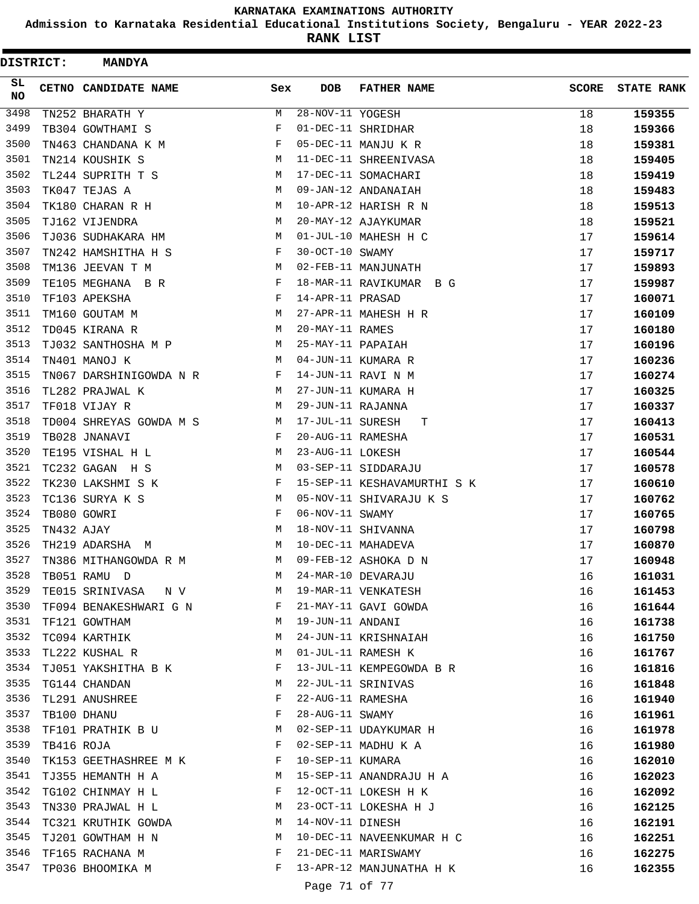**Admission to Karnataka Residential Educational Institutions Society, Bengaluru - YEAR 2022-23**

| DISTRICT:       |            | <b>MANDYA</b>                       |        |                   |                                                 |              |                   |
|-----------------|------------|-------------------------------------|--------|-------------------|-------------------------------------------------|--------------|-------------------|
| SL<br><b>NO</b> |            | CETNO CANDIDATE NAME                | Sex    | DOB               | <b>FATHER NAME</b>                              | <b>SCORE</b> | <b>STATE RANK</b> |
| 3498            |            | TN252 BHARATH Y                     | М      | 28-NOV-11 YOGESH  |                                                 | 18           | 159355            |
| 3499            |            | TB304 GOWTHAMI S                    | F      |                   | 01-DEC-11 SHRIDHAR                              | 18           | 159366            |
| 3500            |            | TN463 CHANDANA K M                  | F      |                   | 05-DEC-11 MANJU K R                             | 18           | 159381            |
| 3501            |            | TN214 KOUSHIK S                     | M      |                   | 11-DEC-11 SHREENIVASA                           | 18           | 159405            |
| 3502            |            | TL244 SUPRITH T S                   | M      |                   | 17-DEC-11 SOMACHARI                             | 18           | 159419            |
| 3503            |            | TK047 TEJAS A                       | М      |                   | 09-JAN-12 ANDANAIAH                             | 18           | 159483            |
| 3504            |            | TK180 CHARAN R H                    | М      |                   | 10-APR-12 HARISH R N                            | 18           | 159513            |
| 3505            |            | TJ162 VIJENDRA                      | M      |                   | 20-MAY-12 AJAYKUMAR                             | 18           | 159521            |
| 3506            |            | TJ036 SUDHAKARA HM                  | M      |                   | 01-JUL-10 MAHESH H C                            | 17           | 159614            |
| 3507            |            | TN242 HAMSHITHA H S                 | F      | 30-OCT-10 SWAMY   |                                                 | 17           | 159717            |
| 3508            |            | TM136 JEEVAN T M                    | М      |                   | 02-FEB-11 MANJUNATH                             | 17           | 159893            |
| 3509            |            | TE105 MEGHANA B R                   | F      |                   | 18-MAR-11 RAVIKUMAR B G                         | 17           | 159987            |
| 3510            |            | TF103 APEKSHA                       | F      | 14-APR-11 PRASAD  |                                                 | 17           | 160071            |
| 3511            |            | TM160 GOUTAM M                      | M      |                   | 27-APR-11 MAHESH H R                            | 17           | 160109            |
| 3512            |            | TD045 KIRANA R                      | М      | 20-MAY-11 RAMES   |                                                 | 17           | 160180            |
| 3513            |            | TJ032 SANTHOSHA M P                 | M      | 25-MAY-11 PAPAIAH |                                                 | 17           | 160196            |
| 3514            |            | TN401 MANOJ K                       | M      |                   | 04-JUN-11 KUMARA R                              | 17           | 160236            |
| 3515            |            | TN067 DARSHINIGOWDA N R             | F      |                   | 14-JUN-11 RAVI N M                              | 17           | 160274            |
| 3516            |            | TL282 PRAJWAL K                     | М      |                   | 27-JUN-11 KUMARA H                              | 17           | 160325            |
| 3517            |            | TF018 VIJAY R                       | М      | 29-JUN-11 RAJANNA |                                                 | 17           | 160337            |
| 3518            |            | TD004 SHREYAS GOWDA M S             | M      | 17-JUL-11 SURESH  | т                                               | 17           | 160413            |
| 3519            |            | TB028 JNANAVI                       | F      | 20-AUG-11 RAMESHA |                                                 | 17           | 160531            |
| 3520            |            | TE195 VISHAL H L                    | М      | 23-AUG-11 LOKESH  |                                                 | 17           | 160544            |
| 3521            |            | TC232 GAGAN H S                     | M      |                   | 03-SEP-11 SIDDARAJU                             | 17           | 160578            |
| 3522            |            | TK230 LAKSHMI S K                   | F      |                   | 15-SEP-11 KESHAVAMURTHI S K                     | 17           | 160610            |
| 3523            |            | TC136 SURYA K S                     | M      |                   | 05-NOV-11 SHIVARAJU K S                         | 17           | 160762            |
| 3524            |            | TB080 GOWRI                         | F      | 06-NOV-11 SWAMY   |                                                 | 17           | 160765            |
| 3525            | TN432 AJAY |                                     | М      |                   | 18-NOV-11 SHIVANNA                              | 17           | 160798            |
| 3526            |            | TH219 ADARSHA M                     | M      |                   | 10-DEC-11 MAHADEVA                              | 17           | 160870            |
| 3527            |            | TN386 MITHANGOWDA R M               | М      |                   | 09-FEB-12 ASHOKA D N                            | 17           | 160948            |
| 3528            |            | TB051 RAMU D                        | M      |                   | 24-MAR-10 DEVARAJU                              | 16           | 161031            |
| 3529            |            | TE015 SRINIVASA NV                  | М      |                   | 19-MAR-11 VENKATESH                             | 16           | 161453            |
| 3530            |            | TF094 BENAKESHWARI G N              | F      |                   | 21-MAY-11 GAVI GOWDA                            | 16           | 161644            |
| 3531            |            | TF121 GOWTHAM                       | М      | 19-JUN-11 ANDANI  |                                                 | 16           | 161738            |
| 3532            |            | TC094 KARTHIK                       | M      |                   | 24-JUN-11 KRISHNAIAH                            | 16           | 161750            |
| 3533            |            | TL222 KUSHAL R                      | М      |                   | 01-JUL-11 RAMESH K                              | 16           | 161767            |
| 3534            |            | TJ051 YAKSHITHA B K                 | F      |                   | 13-JUL-11 KEMPEGOWDA B R                        | 16           | 161816            |
| 3535            |            | TG144 CHANDAN                       | М      |                   | 22-JUL-11 SRINIVAS                              | 16           | 161848            |
| 3536            |            | TL291 ANUSHREE                      | F      |                   | 22-AUG-11 RAMESHA                               | 16           | 161940            |
| 3537            |            | TB100 DHANU                         | F      | 28-AUG-11 SWAMY   |                                                 | 16           | 161961            |
| 3538            |            | TF101 PRATHIK B U                   | M      |                   | 02-SEP-11 UDAYKUMAR H                           | 16           | 161978            |
| 3539            | TB416 ROJA |                                     | F      |                   | 02-SEP-11 MADHU K A                             | 16           | 161980            |
| 3540            |            | TK153 GEETHASHREE M K               | F      | 10-SEP-11 KUMARA  |                                                 | 16           | 162010            |
| 3541            |            | TJ355 HEMANTH H A                   | M      |                   | 15-SEP-11 ANANDRAJU H A                         | 16           | 162023            |
| 3542            |            | TG102 CHINMAY H L                   | F      |                   | 12-OCT-11 LOKESH H K                            | 16           | 162092            |
| 3543            |            | TN330 PRAJWAL H L                   | М      |                   | 23-OCT-11 LOKESHA H J                           | 16           | 162125            |
| 3544            |            | TC321 KRUTHIK GOWDA                 | M      | 14-NOV-11 DINESH  |                                                 | 16           | 162191            |
| 3545            |            | TJ201 GOWTHAM H N                   | M      |                   | 10-DEC-11 NAVEENKUMAR H C                       | 16           | 162251            |
| 3546<br>3547    |            | TF165 RACHANA M<br>TP036 BHOOMIKA M | F<br>F |                   | 21-DEC-11 MARISWAMY<br>13-APR-12 MANJUNATHA H K | 16           | 162275            |
|                 |            |                                     |        |                   |                                                 | 16           | 162355            |
|                 |            |                                     |        | Page 71 of 77     |                                                 |              |                   |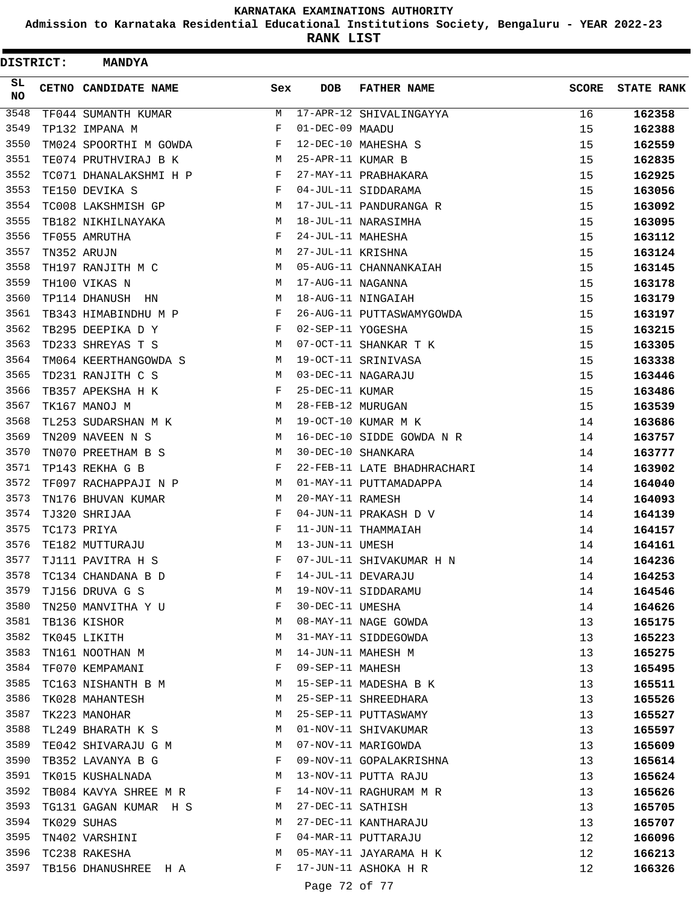**Admission to Karnataka Residential Educational Institutions Society, Bengaluru - YEAR 2022-23**

| <b>DISTRICT:</b> | <b>MANDYA</b>          |              |                   |                             |              |                   |
|------------------|------------------------|--------------|-------------------|-----------------------------|--------------|-------------------|
| SL<br>NO         | CETNO CANDIDATE NAME   | Sex          | <b>DOB</b>        | <b>FATHER NAME</b>          | <b>SCORE</b> | <b>STATE RANK</b> |
| 3548             | TF044 SUMANTH KUMAR    | М            |                   | 17-APR-12 SHIVALINGAYYA     | 16           | 162358            |
| 3549             | TP132 IMPANA M         | F            | 01-DEC-09 MAADU   |                             | 15           | 162388            |
| 3550             | TM024 SPOORTHI M GOWDA | F            |                   | 12-DEC-10 MAHESHA S         | 15           | 162559            |
| 3551             | TE074 PRUTHVIRAJ B K   | M            | 25-APR-11 KUMAR B |                             | 15           | 162835            |
| 3552             | TC071 DHANALAKSHMI H P | F            |                   | 27-MAY-11 PRABHAKARA        | 15           | 162925            |
| 3553             | TE150 DEVIKA S         | F            |                   | 04-JUL-11 SIDDARAMA         | 15           | 163056            |
| 3554             | TC008 LAKSHMISH GP     | М            |                   | 17-JUL-11 PANDURANGA R      | 15           | 163092            |
| 3555             | TB182 NIKHILNAYAKA     | M            |                   | 18-JUL-11 NARASIMHA         | 15           | 163095            |
| 3556             | TF055 AMRUTHA          | F            | 24-JUL-11 MAHESHA |                             | 15           | 163112            |
| 3557             | TN352 ARUJN            | М            | 27-JUL-11 KRISHNA |                             | 15           | 163124            |
| 3558             | TH197 RANJITH M C      | M            |                   | 05-AUG-11 CHANNANKAIAH      | 15           | 163145            |
| 3559             | TH100 VIKAS N          | M            | 17-AUG-11 NAGANNA |                             | 15           | 163178            |
| 3560             | TP114 DHANUSH HN       | M            |                   | 18-AUG-11 NINGAIAH          | 15           | 163179            |
| 3561             | TB343 HIMABINDHU M P   | F            |                   | 26-AUG-11 PUTTASWAMYGOWDA   | 15           | 163197            |
| 3562             | TB295 DEEPIKA D Y      | $\mathbf{F}$ | 02-SEP-11 YOGESHA |                             | 15           | 163215            |
| 3563             | TD233 SHREYAS T S      | М            |                   | 07-OCT-11 SHANKAR T K       | 15           | 163305            |
| 3564             | TM064 KEERTHANGOWDA S  | M            |                   | 19-OCT-11 SRINIVASA         | 15           | 163338            |
| 3565             | TD231 RANJITH C S      | М            |                   | 03-DEC-11 NAGARAJU          | 15           | 163446            |
| 3566             | TB357 APEKSHA H K      | F            | 25-DEC-11 KUMAR   |                             | 15           | 163486            |
| 3567             | TK167 MANOJ M          | M            | 28-FEB-12 MURUGAN |                             | 15           | 163539            |
| 3568             | TL253 SUDARSHAN M K    | M            |                   | 19-OCT-10 KUMAR M K         | 14           | 163686            |
| 3569             | TN209 NAVEEN N S       | M            |                   | 16-DEC-10 SIDDE GOWDA N R   | 14           | 163757            |
| 3570             | TN070 PREETHAM B S     | М            |                   | 30-DEC-10 SHANKARA          | 14           | 163777            |
| 3571             | TP143 REKHA G B        | F            |                   | 22-FEB-11 LATE BHADHRACHARI | 14           | 163902            |
| 3572             | TF097 RACHAPPAJI N P   | M            |                   | 01-MAY-11 PUTTAMADAPPA      | 14           | 164040            |
| 3573             | TN176 BHUVAN KUMAR     | М            | 20-MAY-11 RAMESH  |                             | 14           | 164093            |
| 3574             | TJ320 SHRIJAA          | F            |                   | 04-JUN-11 PRAKASH D V       | 14           | 164139            |
| 3575             | TC173 PRIYA            | F            |                   | 11-JUN-11 THAMMAIAH         | 14           | 164157            |
| 3576             | TE182 MUTTURAJU        | М            | 13-JUN-11 UMESH   |                             | 14           | 164161            |
| 3577             | TJ111 PAVITRA H S      | F            |                   | 07-JUL-11 SHIVAKUMAR H N    | 14           | 164236            |
| 3578             | TC134 CHANDANA B D     | F            |                   | 14-JUL-11 DEVARAJU          | 14           | 164253            |
| 3579             | TJ156 DRUVA G S        | M            |                   | 19-NOV-11 SIDDARAMU         | 14           | 164546            |
| 3580             | TN250 MANVITHA Y U     | F            | 30-DEC-11 UMESHA  |                             | 14           | 164626            |
| 3581             | TB136 KISHOR           | М            |                   | 08-MAY-11 NAGE GOWDA        | 13           | 165175            |
| 3582             | TK045 LIKITH           | М            |                   | 31-MAY-11 SIDDEGOWDA        | 13           | 165223            |
| 3583             | TN161 NOOTHAN M        | М            |                   | 14-JUN-11 MAHESH M          | 13           | 165275            |
| 3584             | TF070 KEMPAMANI        | F            | 09-SEP-11 MAHESH  |                             | 13           | 165495            |
| 3585             | TC163 NISHANTH B M     | M            |                   | 15-SEP-11 MADESHA B K       | 13           | 165511            |
| 3586             | TK028 MAHANTESH        | М            |                   | 25-SEP-11 SHREEDHARA        | 13           | 165526            |
| 3587             | TK223 MANOHAR          | М            |                   | 25-SEP-11 PUTTASWAMY        | 13           | 165527            |
| 3588             | TL249 BHARATH K S      | M            |                   | 01-NOV-11 SHIVAKUMAR        | 13           | 165597            |
| 3589             | TE042 SHIVARAJU G M    | M            |                   | 07-NOV-11 MARIGOWDA         | 13           | 165609            |
| 3590             | TB352 LAVANYA B G      | F            |                   | 09-NOV-11 GOPALAKRISHNA     | 13           | 165614            |
| 3591             | TK015 KUSHALNADA       | M            |                   | 13-NOV-11 PUTTA RAJU        | 13           | 165624            |
| 3592             | TB084 KAVYA SHREE M R  | F            |                   | 14-NOV-11 RAGHURAM M R      | 13           | 165626            |
| 3593             | TG131 GAGAN KUMAR H S  | M            | 27-DEC-11 SATHISH |                             | 13           | 165705            |
| 3594             | TK029 SUHAS            | М            |                   | 27-DEC-11 KANTHARAJU        | 13           | 165707            |
| 3595             | TN402 VARSHINI         | F            |                   | 04-MAR-11 PUTTARAJU         | 12           | 166096            |
| 3596             | TC238 RAKESHA          | M            |                   | 05-MAY-11 JAYARAMA H K      | 12           | 166213            |
| 3597             | TB156 DHANUSHREE H A   | F            |                   | 17-JUN-11 ASHOKA H R        | 12           | 166326            |
|                  |                        |              | Page 72 of 77     |                             |              |                   |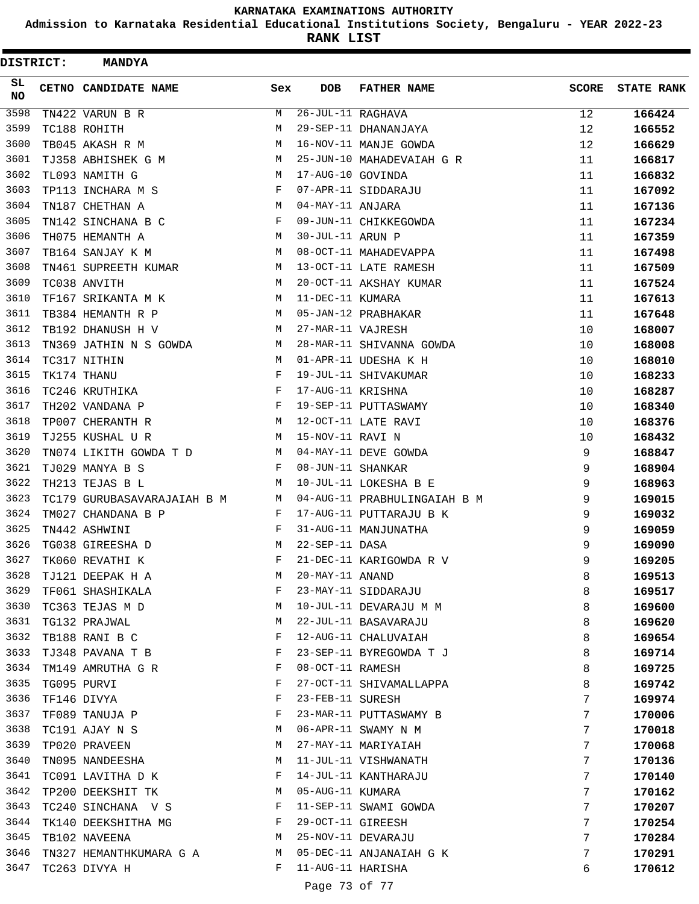**Admission to Karnataka Residential Educational Institutions Society, Bengaluru - YEAR 2022-23**

| <b>DISTRICT:</b> | <b>MANDYA</b>               |              |                   |                              |              |                   |
|------------------|-----------------------------|--------------|-------------------|------------------------------|--------------|-------------------|
| SL.<br>NO.       | CETNO CANDIDATE NAME        | Sex          | <b>DOB</b>        | <b>FATHER NAME</b>           | <b>SCORE</b> | <b>STATE RANK</b> |
| 3598             | TN422 VARUN B R             | M            | 26-JUL-11 RAGHAVA |                              | 12           | 166424            |
| 3599             | TC188 ROHITH                | M            |                   | 29-SEP-11 DHANANJAYA         | 12           | 166552            |
| 3600             | TB045 AKASH R M             | M            |                   | 16-NOV-11 MANJE GOWDA        | 12           | 166629            |
| 3601             | TJ358 ABHISHEK G M          | M            |                   | 25-JUN-10 MAHADEVAIAH G R    | 11           | 166817            |
| 3602             | TL093 NAMITH G              | M            | 17-AUG-10 GOVINDA |                              | 11           | 166832            |
| 3603             | TP113 INCHARA M S           | F            |                   | 07-APR-11 SIDDARAJU          | 11           | 167092            |
| 3604             | TN187 CHETHAN A             | M            | 04-MAY-11 ANJARA  |                              | 11           | 167136            |
| 3605             | TN142 SINCHANA B C          | F            |                   | 09-JUN-11 CHIKKEGOWDA        | 11           | 167234            |
| 3606             | TH075 HEMANTH A             | M            | 30-JUL-11 ARUN P  |                              | 11           | 167359            |
| 3607             | TB164 SANJAY K M            | M            |                   | 08-OCT-11 MAHADEVAPPA        | 11           | 167498            |
| 3608             | TN461 SUPREETH KUMAR        | M            |                   | 13-OCT-11 LATE RAMESH        | 11           | 167509            |
| 3609             | TC038 ANVITH                | М            |                   | 20-OCT-11 AKSHAY KUMAR       | 11           | 167524            |
| 3610             | TF167 SRIKANTA M K          | M            | 11-DEC-11 KUMARA  |                              | 11           | 167613            |
| 3611             | TB384 HEMANTH R P           | M            |                   | 05-JAN-12 PRABHAKAR          | 11           | 167648            |
| 3612             | TB192 DHANUSH H V           | M            | 27-MAR-11 VAJRESH |                              | 10           | 168007            |
| 3613             | TN369 JATHIN N S GOWDA      | M            |                   | 28-MAR-11 SHIVANNA GOWDA     | 10           | 168008            |
| 3614             | TC317 NITHIN                | M            |                   | 01-APR-11 UDESHA K H         | 10           | 168010            |
| 3615             | TK174 THANU                 | F            |                   | 19-JUL-11 SHIVAKUMAR         | 10           | 168233            |
| 3616             | TC246 KRUTHIKA              | F            | 17-AUG-11 KRISHNA |                              | 10           | 168287            |
| 3617             | TH202 VANDANA P             | F            |                   | 19-SEP-11 PUTTASWAMY         | 10           | 168340            |
| 3618             | TP007 CHERANTH R            | М            |                   | 12-OCT-11 LATE RAVI          | 10           | 168376            |
| 3619             | TJ255 KUSHAL U R            | M            | 15-NOV-11 RAVI N  |                              | 10           | 168432            |
| 3620             | TN074 LIKITH GOWDA T D      | M            |                   | 04-MAY-11 DEVE GOWDA         | 9            | 168847            |
| 3621             | TJ029 MANYA B S             | F            | 08-JUN-11 SHANKAR |                              | 9            | 168904            |
| 3622             | TH213 TEJAS B L             | M            |                   | 10-JUL-11 LOKESHA B E        | 9            | 168963            |
| 3623             | TC179 GURUBASAVARAJAIAH B M | M            |                   | 04-AUG-11 PRABHULINGAIAH B M | 9            | 169015            |
| 3624             | TM027 CHANDANA B P          | F            |                   | 17-AUG-11 PUTTARAJU B K      | 9            | 169032            |
| 3625             | TN442 ASHWINI               | F            |                   | 31-AUG-11 MANJUNATHA         | 9            | 169059            |
| 3626             | TG038 GIREESHA D            | M            | 22-SEP-11 DASA    |                              | 9            | 169090            |
| 3627             | TK060 REVATHI K             | F            |                   | 21-DEC-11 KARIGOWDA R V      | 9            | 169205            |
| 3628             | TJ121 DEEPAK H A            | М            | 20-MAY-11 ANAND   |                              | 8            | 169513            |
| 3629             | TF061 SHASHIKALA            | F            |                   | 23-MAY-11 SIDDARAJU          | 8            | 169517            |
| 3630             | TC363 TEJAS M D             | М            |                   | 10-JUL-11 DEVARAJU M M       | 8            | 169600            |
| 3631             | TG132 PRAJWAL               | М            |                   | 22-JUL-11 BASAVARAJU         | 8            | 169620            |
| 3632             | TB188 RANI B C              | F            |                   | 12-AUG-11 CHALUVAIAH         | 8            | 169654            |
| 3633             | TJ348 PAVANA T B            | F            |                   | 23-SEP-11 BYREGOWDA T J      | 8            | 169714            |
| 3634             | TM149 AMRUTHA G R           | F            | 08-OCT-11 RAMESH  |                              | 8            | 169725            |
| 3635             | TG095 PURVI                 | F            |                   | 27-OCT-11 SHIVAMALLAPPA      | 8            | 169742            |
| 3636             | TF146 DIVYA                 | F            | 23-FEB-11 SURESH  |                              | 7            | 169974            |
| 3637             | TF089 TANUJA P              | F            |                   | 23-MAR-11 PUTTASWAMY B       | 7            | 170006            |
| 3638             | TC191 AJAY N S              | М            |                   | 06-APR-11 SWAMY N M          | 7            | 170018            |
| 3639             | TP020 PRAVEEN               | М            |                   | 27-MAY-11 MARIYAIAH          | 7            | 170068            |
| 3640             | TN095 NANDEESHA             | М            |                   | 11-JUL-11 VISHWANATH         | 7            | 170136            |
| 3641             | TC091 LAVITHA D K           | F            |                   | 14-JUL-11 KANTHARAJU         | 7            | 170140            |
| 3642             | TP200 DEEKSHIT TK           | M            | 05-AUG-11 KUMARA  |                              | 7            | 170162            |
| 3643             | TC240 SINCHANA V S          | F            |                   | 11-SEP-11 SWAMI GOWDA        | 7            | 170207            |
| 3644             | TK140 DEEKSHITHA MG         | $\mathbf{F}$ | 29-OCT-11 GIREESH |                              | 7            | 170254            |
| 3645             | TB102 NAVEENA               | M            |                   | 25-NOV-11 DEVARAJU           | 7            | 170284            |
| 3646             | TN327 HEMANTHKUMARA G A     | M            |                   | 05-DEC-11 ANJANAIAH G K      | 7            | 170291            |
| 3647             | TC263 DIVYA H               | F            | 11-AUG-11 HARISHA |                              | 6            | 170612            |
|                  |                             |              |                   |                              |              |                   |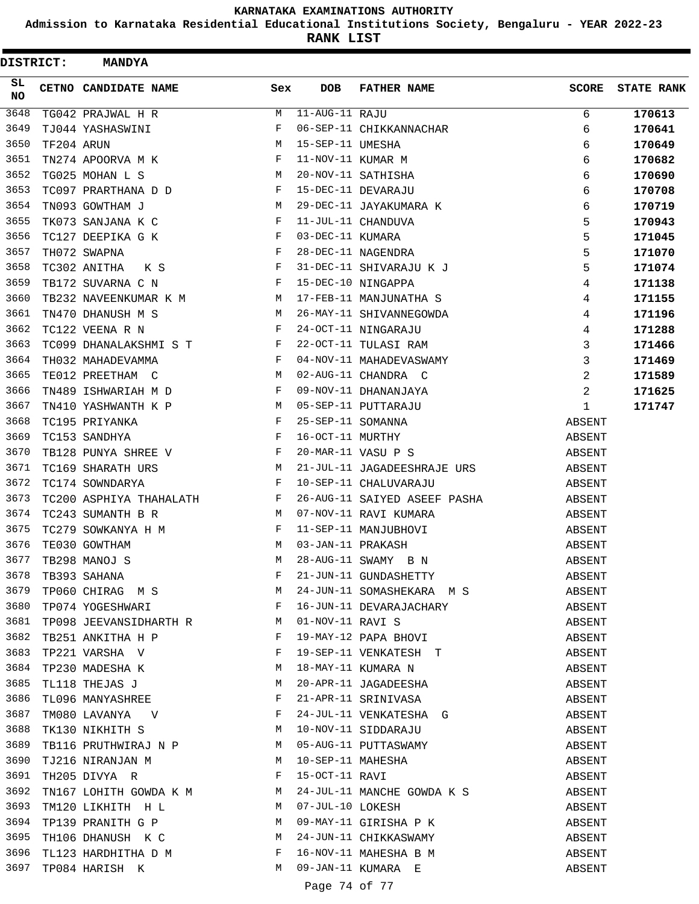**Admission to Karnataka Residential Educational Institutions Society, Bengaluru - YEAR 2022-23**

| <b>DISTRICT:</b> |            | <b>MANDYA</b>        |                                                                            |                                 |                   |                                          |              |                   |
|------------------|------------|----------------------|----------------------------------------------------------------------------|---------------------------------|-------------------|------------------------------------------|--------------|-------------------|
| SL.<br><b>NO</b> |            | CETNO CANDIDATE NAME |                                                                            | Sex                             | <b>DOB</b>        | <b>FATHER NAME</b>                       | <b>SCORE</b> | <b>STATE RANK</b> |
| 3648             |            | TG042 PRAJWAL H R    |                                                                            | М                               | 11-AUG-11 RAJU    |                                          | 6            | 170613            |
| 3649             |            | TJ044 YASHASWINI     |                                                                            | F                               |                   | 06-SEP-11 CHIKKANNACHAR                  | 6            | 170641            |
| 3650             | TF204 ARUN |                      |                                                                            | М                               | 15-SEP-11 UMESHA  |                                          | 6            | 170649            |
| 3651             |            | TN274 APOORVA M K    |                                                                            | F                               | 11-NOV-11 KUMAR M |                                          | 6            | 170682            |
| 3652             |            | TG025 MOHAN L S      |                                                                            | М                               |                   | 20-NOV-11 SATHISHA                       | 6            | 170690            |
| 3653             |            |                      | TC097 PRARTHANA D D                                                        | F                               |                   | 15-DEC-11 DEVARAJU                       | 6            | 170708            |
| 3654             |            | TN093 GOWTHAM J      |                                                                            | M                               |                   | 29-DEC-11 JAYAKUMARA K                   | 6            | 170719            |
| 3655             |            | TK073 SANJANA K C    |                                                                            | F                               |                   | 11-JUL-11 CHANDUVA                       | 5            | 170943            |
| 3656             |            | TC127 DEEPIKA G K    |                                                                            | F                               | 03-DEC-11 KUMARA  |                                          | 5            | 171045            |
| 3657             |            | TH072 SWAPNA         |                                                                            | F                               |                   | 28-DEC-11 NAGENDRA                       | 5            | 171070            |
| 3658             |            | TC302 ANITHA         | K S                                                                        | $\mathbf{F}$                    |                   | 31-DEC-11 SHIVARAJU K J                  | 5            | 171074            |
| 3659             |            | TB172 SUVARNA C N    |                                                                            | $\mathbf{F}$                    |                   | 15-DEC-10 NINGAPPA                       | 4            | 171138            |
| 3660             |            |                      | TB232 NAVEENKUMAR K M                                                      | M                               |                   | 17-FEB-11 MANJUNATHA S                   | 4            | 171155            |
| 3661             |            | TN470 DHANUSH M S    |                                                                            | M                               |                   | 26-MAY-11 SHIVANNEGOWDA                  | 4            | 171196            |
| 3662             |            | TC122 VEENA R N      |                                                                            | F                               |                   | 24-OCT-11 NINGARAJU                      | 4            | 171288            |
| 3663             |            |                      | TC099 DHANALAKSHMI S T F                                                   |                                 |                   | 22-OCT-11 TULASI RAM                     | 3            | 171466            |
| 3664             |            | TH032 MAHADEVAMMA    |                                                                            | F                               |                   | 04-NOV-11 MAHADEVASWAMY                  | 3            | 171469            |
| 3665             |            | TE012 PREETHAM C     |                                                                            | М                               |                   | 02-AUG-11 CHANDRA C                      | 2            | 171589            |
| 3666             |            | TN489 ISHWARIAH M D  |                                                                            | F                               |                   | 09-NOV-11 DHANANJAYA                     | 2            | 171625            |
| 3667             |            | TN410 YASHWANTH K P  |                                                                            | M                               |                   | 05-SEP-11 PUTTARAJU                      | 1            | 171747            |
| 3668             |            | TC195 PRIYANKA       |                                                                            | F                               | 25-SEP-11 SOMANNA |                                          | ABSENT       |                   |
| 3669             |            | TC153 SANDHYA        | $\mathbf{F}$                                                               |                                 | 16-OCT-11 MURTHY  |                                          | ABSENT       |                   |
| 3670             |            | TB128 PUNYA SHREE V  |                                                                            | F                               |                   | 20-MAR-11 VASU P S                       | ABSENT       |                   |
| 3671             |            | TC169 SHARATH URS    |                                                                            | M                               |                   | 21-JUL-11 JAGADEESHRAJE URS              | ABSENT       |                   |
| 3672             |            | TC174 SOWNDARYA      |                                                                            | F                               |                   | 10-SEP-11 CHALUVARAJU                    | ABSENT       |                   |
| 3673             |            |                      | TC200 ASPHIYA THAHALATH F                                                  |                                 |                   | 26-AUG-11 SAIYED ASEEF PASHA             | ABSENT       |                   |
| 3674             |            | TC243 SUMANTH B R    |                                                                            | M                               |                   | 07-NOV-11 RAVI KUMARA                    | ABSENT       |                   |
| 3675             |            | TC279 SOWKANYA H M   |                                                                            | F                               |                   | 11-SEP-11 MANJUBHOVI                     | ABSENT       |                   |
| 3676             |            | TE030 GOWTHAM        |                                                                            | M                               | 03-JAN-11 PRAKASH |                                          | ABSENT       |                   |
| 3677             |            | TB298 MANOJ S        |                                                                            | M                               |                   | 28-AUG-11 SWAMY B N                      | ABSENT       |                   |
| 3678             |            |                      | TB393 SAHANA<br>TP060 CHIRAG M S                                           | F                               |                   | 21-JUN-11 GUNDASHETTY                    | ABSENT       |                   |
| 3679             |            |                      |                                                                            | M                               |                   | 24-JUN-11 SOMASHEKARA M S                | ABSENT       |                   |
| 3680             |            | TP074 YOGESHWARI     | $\mathbf{F}$ and $\mathbf{F}$ and $\mathbf{F}$                             |                                 |                   | 16-JUN-11 DEVARAJACHARY                  | ABSENT       |                   |
| 3681             |            |                      |                                                                            |                                 | 01-NOV-11 RAVI S  |                                          | ABSENT       |                   |
| 3682             |            |                      | TP098 JEEVANSIDHARTH R<br>TB251 ANKITHA H P<br>P                           |                                 |                   | 01-NOV-11 RAVI S<br>19-MAY-12 PAPA BHOVI | ABSENT       |                   |
| 3683             |            | TP221 VARSHA V       | $\mathbf{F}^{\mathcal{I}}$                                                 |                                 |                   | 19-SEP-11 VENKATESH T                    | ABSENT       |                   |
| 3684             |            |                      | TP230 MADESHA K                                                            | M                               |                   | 18-MAY-11 KUMARA N                       | ABSENT       |                   |
| 3685             |            | TL118 THEJAS J       |                                                                            | M                               |                   | 20-APR-11 JAGADEESHA                     | ABSENT       |                   |
| 3686             |            | TL096 MANYASHREE     |                                                                            | F                               |                   | 21-APR-11 SRINIVASA                      | ABSENT       |                   |
| 3687             |            |                      | $\begin{tabular}{lllll} TMO 80 & LAVANYA & & V & & & & F \\ \end{tabular}$ |                                 |                   | 24-JUL-11 VENKATESHA G                   | ABSENT       |                   |
| 3688             |            |                      | TK130 NIKHITH S M                                                          |                                 |                   | 10-NOV-11 SIDDARAJU                      | ABSENT       |                   |
| 3689             |            |                      | TB116 PRUTHWIRAJ N P M                                                     |                                 |                   | 05-AUG-11 PUTTASWAMY                     | ABSENT       |                   |
| 3690             |            | TJ216 NIRANJAN M     | M                                                                          |                                 |                   | 10-SEP-11 MAHESHA                        | ABSENT       |                   |
| 3691             |            | TH205 DIVYA R        |                                                                            | $\mathbf{F}$ . The $\mathbf{F}$ | 15-OCT-11 RAVI    |                                          | ABSENT       |                   |
| 3692             |            |                      | TN167 LOHITH GOWDA K M M                                                   |                                 |                   | 24-JUL-11 MANCHE GOWDA K S               | ABSENT       |                   |
| 3693             |            |                      | TM120 LIKHITH H L M                                                        |                                 | 07-JUL-10 LOKESH  |                                          | ABSENT       |                   |
| 3694             |            |                      | TP139 PRANITH G P                                                          | M                               |                   | 09-MAY-11 GIRISHA P K                    | ABSENT       |                   |
| 3695             |            |                      | TH106 DHANUSH K C M                                                        |                                 |                   | 24-JUN-11 CHIKKASWAMY                    | ABSENT       |                   |
| 3696             |            |                      | TL123 HARDHITHA D M                                                        | F                               |                   | 16-NOV-11 MAHESHA B M                    | ABSENT       |                   |
| 3697             |            |                      | TP084 HARISH K                                                             | M                               |                   | 09-JAN-11 KUMARA E                       | ABSENT       |                   |
|                  |            |                      |                                                                            |                                 | Page 74 of 77     |                                          |              |                   |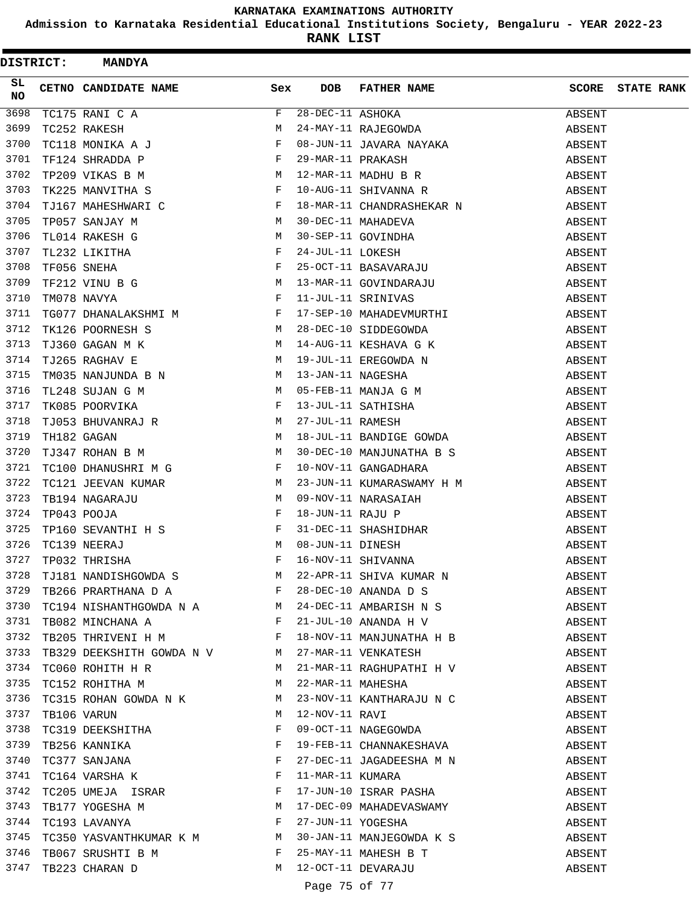**Admission to Karnataka Residential Educational Institutions Society, Bengaluru - YEAR 2022-23**

| <b>DISTRICT:</b> |  | <b>MANDYA</b>                                                                                  |            |                  |                                                                                                                                     |        |                   |
|------------------|--|------------------------------------------------------------------------------------------------|------------|------------------|-------------------------------------------------------------------------------------------------------------------------------------|--------|-------------------|
| SL<br>NO         |  | CETNO CANDIDATE NAME                                                                           | Sex        | <b>DOB</b>       | FATHER NAME                                                                                                                         | SCORE  | <b>STATE RANK</b> |
| 3698             |  | TC252 RAKESH M<br>TC118 MONIKA A J<br>TF124 SHRADDA P F<br>TP209 VIKAS B M<br>TK225 MANVITHA S |            | 28-DEC-11 ASHOKA |                                                                                                                                     | ABSENT |                   |
| 3699             |  |                                                                                                |            |                  | 28-DEC-11 ASHOKA<br>24-MAY-11 RAJEGOWDA                                                                                             | ABSENT |                   |
| 3700             |  |                                                                                                |            |                  |                                                                                                                                     | ABSENT |                   |
| 3701             |  |                                                                                                |            |                  | 08-JUN-11 JAVARA NAYAKA<br>29-MAR-11 PRAKASH<br>12-MAR-11 MADHU B R<br>10-AUG-11 SHIVANNA R                                         | ABSENT |                   |
| 3702             |  |                                                                                                |            |                  |                                                                                                                                     | ABSENT |                   |
| 3703             |  |                                                                                                |            |                  |                                                                                                                                     | ABSENT |                   |
| 3704             |  | TJ167 MAHESHWARI C<br>F                                                                        |            |                  | 18-MAR-11 CHANDRASHEKAR N                                                                                                           | ABSENT |                   |
| 3705             |  | TP057 SANJAY M                                                                                 |            |                  |                                                                                                                                     | ABSENT |                   |
| 3706             |  | $\begin{array}{c}\n M \\  M\n \end{array}$<br>TL014 RAKESH G                                   |            |                  | 30-DEC-11 MAHADEVA<br>30-SEP-11 GOVINDHA<br>24-JUL-11 LOKESH<br>25-OCT-11 BASAVARAJU<br>13-MAR-11 GOVINDARAJU<br>11-JUL-11 SRINIVAS | ABSENT |                   |
| 3707             |  |                                                                                                |            |                  |                                                                                                                                     | ABSENT |                   |
| 3708             |  | TL232 LIKITHA<br>TF056 SNEHA<br>TF212 VINU B G<br>TM078 NAVYA<br>F                             |            |                  |                                                                                                                                     | ABSENT |                   |
| 3709             |  |                                                                                                |            |                  |                                                                                                                                     | ABSENT |                   |
| 3710             |  |                                                                                                |            |                  |                                                                                                                                     | ABSENT |                   |
| 3711             |  | TG077 DHANALAKSHMI M F                                                                         |            |                  | 17-SEP-10 MAHADEVMURTHI                                                                                                             | ABSENT |                   |
| 3712             |  | $\frac{M}{M}$<br>TK126 POORNESH S                                                              |            |                  | 28-DEC-10 SIDDEGOWDA<br>14-AUG-11 KESHAVA G K                                                                                       | ABSENT |                   |
| 3713             |  | TJ360 GAGAN M K                                                                                |            |                  |                                                                                                                                     | ABSENT |                   |
| 3714             |  | TJ265 RAGHAV E                                                                                 | М          |                  | 19-JUL-11 EREGOWDA N                                                                                                                | ABSENT |                   |
| 3715             |  | TM035 NANJUNDA B N M                                                                           |            |                  |                                                                                                                                     | ABSENT |                   |
| 3716             |  |                                                                                                |            |                  | 13-JAN-11 NAGESHA<br>05-FEB-11 MANJA G M<br>13-JUL-11 SATHISHA<br>27-JUL-11 RAMESH<br>18-JUL-11 RAMESH                              | ABSENT |                   |
| 3717             |  | TL248 SUJAN G M M M M M TK085 POORVIKA                                                         |            |                  |                                                                                                                                     | ABSENT |                   |
| 3718             |  |                                                                                                |            |                  |                                                                                                                                     | ABSENT |                   |
| 3719             |  | TJ053 BHUVANRAJ R<br>TH182 GAGAN M                                                             |            |                  | 18-JUL-11 BANDIGE GOWDA                                                                                                             | ABSENT |                   |
| 3720             |  | M<br>TJ347 ROHAN B M                                                                           |            |                  | 30-DEC-10 MANJUNATHA B S                                                                                                            | ABSENT |                   |
| 3721             |  | TC100 DHANUSHRI M G                                                                            | F          |                  | 10-NOV-11 GANGADHARA                                                                                                                | ABSENT |                   |
| 3722             |  | TC121 JEEVAN KUMAR M                                                                           |            |                  | 23-JUN-11 KUMARASWAMY H M                                                                                                           | ABSENT |                   |
| 3723             |  | TB194 NAGARAJU                                                                                 | M          |                  |                                                                                                                                     | ABSENT |                   |
| 3724             |  | TP043 POOJA                                                                                    | $_{\rm F}$ |                  | 09-NOV-11 NARASAIAH<br>18-JUN-11 RAJU P<br>31-DEC-11 SHASHIDHAR<br>08-JUN-11 DINESH<br>16-NOV-11 SHIVANNA                           | ABSENT |                   |
| 3725             |  | TP160 SEVANTHI H S $F$ TC120 NUTER I                                                           |            |                  |                                                                                                                                     | ABSENT |                   |
| 3726             |  | TC139 NEERAJ                                                                                   |            |                  |                                                                                                                                     | ABSENT |                   |
| 3727             |  | $\begin{aligned} \mathbb{M} \\ \mathbb{F} \end{aligned}$<br>TP032 THRISHA                      |            |                  |                                                                                                                                     | ABSENT |                   |
|                  |  |                                                                                                |            |                  | 3728 TJ181 NANDISHGOWDA S<br>3729 TB266 PRARTHANA D A REPORTED BY F 28-DEC-10 ANANDA D S                                            | ABSENT |                   |
|                  |  |                                                                                                |            |                  |                                                                                                                                     | ABSENT |                   |
|                  |  |                                                                                                |            |                  | 3730 TC194 NISHANTHGOWDA N A M 24-DEC-11 AMBARISH N S                                                                               | ABSENT |                   |
|                  |  | 3731 TB082 MINCHANA A F                                                                        |            |                  | 21-JUL-10 ANANDA H V                                                                                                                | ABSENT |                   |
|                  |  | 3732 TB205 THRIVENI H M                                                                        |            |                  | 18-NOV-11 MANJUNATHA H B                                                                                                            | ABSENT |                   |
|                  |  | 3733 TB329 DEEKSHITH GOWDA N V M 27-MAR-11 VENKATESH                                           |            |                  |                                                                                                                                     | ABSENT |                   |
| 3734             |  | TC060 ROHITH H R M                                                                             |            |                  | 21-MAR-11 RAGHUPATHI H V                                                                                                            | ABSENT |                   |
| 3735             |  | TC152 ROHITHA M                                                                                |            |                  | 22-MAR-11 MAHESHA                                                                                                                   | ABSENT |                   |
|                  |  |                                                                                                |            |                  |                                                                                                                                     | ABSENT |                   |
|                  |  |                                                                                                |            |                  |                                                                                                                                     | ABSENT |                   |
| 3738             |  | TC319 DEEKSHITHA                                                                               | F          |                  | 23-NOV-11 KANTHARAJU N C<br>12-NOV-11 RAVI<br>09-OCT-11 NAGEGOWDA                                                                   | ABSENT |                   |
| 3739             |  |                                                                                                |            |                  | 19-FEB-11 CHANNAKESHAVA                                                                                                             | ABSENT |                   |
| 3740             |  | TB256 KANNIKA F<br>TC377 SANJANA F<br>TC164 VARSHA K F                                         |            |                  | 27-DEC-11 JAGADEESHA M N                                                                                                            | ABSENT |                   |
| 3741             |  |                                                                                                |            |                  |                                                                                                                                     | ABSENT |                   |
| 3742             |  | TC205 UMEJA ISRAR F                                                                            |            |                  | 11-MAR-11 KUMARA<br>17-JUN-10 ISRAR PASHA                                                                                           | ABSENT |                   |
| 3743             |  | TB177 YOGESHA M                                                                                |            |                  |                                                                                                                                     | ABSENT |                   |
|                  |  | 3744 TC193 LAVANYA F                                                                           |            |                  | 17-DEC-09 MAHADEVASWAMY<br>27-JUN-11 YOGESHA                                                                                        | ABSENT |                   |
|                  |  |                                                                                                |            |                  | 3745 TC350 YASVANTHKUMAR K M M 30-JAN-11 MANJEGOWDA K S                                                                             | ABSENT |                   |
| 3746             |  | TB067 SRUSHTI B M F                                                                            |            |                  | 25-MAY-11 MAHESH B T                                                                                                                | ABSENT |                   |
|                  |  | 3747 TB223 CHARAN D                                                                            | M          |                  | 12-OCT-11 DEVARAJU                                                                                                                  | ABSENT |                   |
|                  |  |                                                                                                |            |                  |                                                                                                                                     |        |                   |
|                  |  |                                                                                                |            |                  | Page 75 of 77                                                                                                                       |        |                   |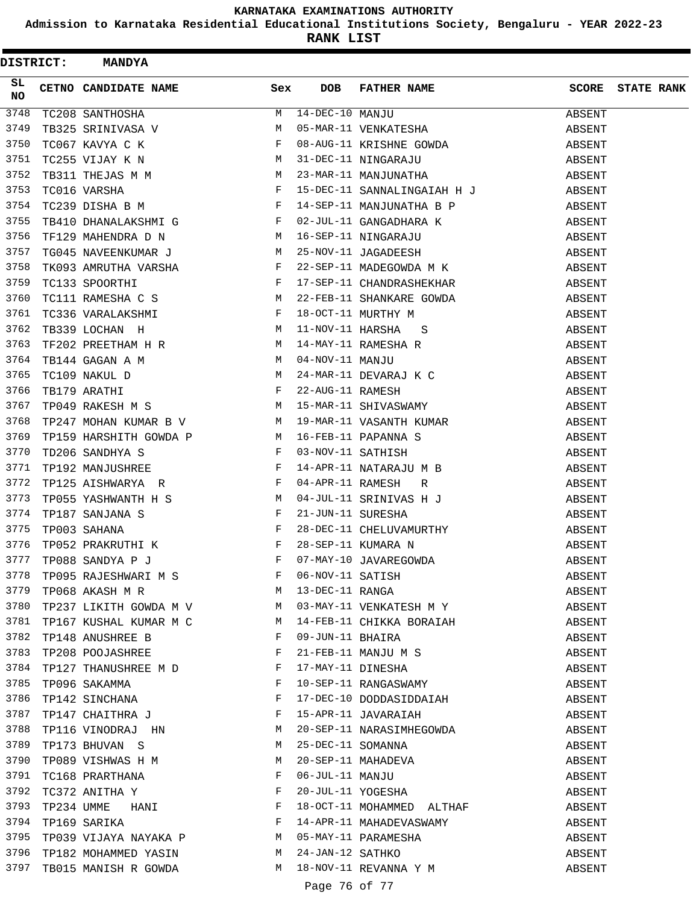**Admission to Karnataka Residential Educational Institutions Society, Bengaluru - YEAR 2022-23**

**RANK LIST**

| <b>DISTRICT:</b> |  | <b>MANDYA</b>                                                                                                                                                                                                                                                                                                                                                                                              |                               |                       |                                                                                                                                                                    |        |                   |
|------------------|--|------------------------------------------------------------------------------------------------------------------------------------------------------------------------------------------------------------------------------------------------------------------------------------------------------------------------------------------------------------------------------------------------------------|-------------------------------|-----------------------|--------------------------------------------------------------------------------------------------------------------------------------------------------------------|--------|-------------------|
| SL<br>NO         |  | CETNO CANDIDATE NAME                                                                                                                                                                                                                                                                                                                                                                                       | Sex                           | <b>DOB</b>            | FATHER NAME                                                                                                                                                        | SCORE  | <b>STATE RANK</b> |
| 3748             |  | TC208 SANTHOSHA                                                                                                                                                                                                                                                                                                                                                                                            | M                             | $14 - DEC - 10$ MANJU |                                                                                                                                                                    | ABSENT |                   |
| 3749             |  | TB325 SRINIVASA V M<br>TC067 KAVYA C K F<br>TC255 VIJAY K N M                                                                                                                                                                                                                                                                                                                                              |                               |                       | 14-DEC-10 MANJU<br>05-MAR-11 VENKATESHA                                                                                                                            | ABSENT |                   |
| 3750             |  |                                                                                                                                                                                                                                                                                                                                                                                                            |                               |                       |                                                                                                                                                                    | ABSENT |                   |
| 3751             |  |                                                                                                                                                                                                                                                                                                                                                                                                            |                               |                       | 08-AUG-11 KRISHNE GOWDA<br>31-DEC-11 NINGARAJU<br>23-MAR-11 MANJUNATHA                                                                                             | ABSENT |                   |
| 3752             |  | TB311 THEJAS M M                                                                                                                                                                                                                                                                                                                                                                                           |                               |                       |                                                                                                                                                                    | ABSENT |                   |
| 3753             |  | $\mathbb F$<br>TC016 VARSHA                                                                                                                                                                                                                                                                                                                                                                                |                               |                       | 15-DEC-11 SANNALINGAIAH H J                                                                                                                                        | ABSENT |                   |
| 3754             |  | $\mathbb{F}^{\mathbb{Z}}$<br>TC239 DISHA B M                                                                                                                                                                                                                                                                                                                                                               |                               |                       | 14-SEP-11 MANJUNATHA B P                                                                                                                                           | ABSENT |                   |
| 3755             |  | TB410 DHANALAKSHMI G F                                                                                                                                                                                                                                                                                                                                                                                     |                               |                       | 02-JUL-11 GANGADHARA K                                                                                                                                             | ABSENT |                   |
| 3756             |  | TF129 MAHENDRA D N<br><b>M</b>                                                                                                                                                                                                                                                                                                                                                                             |                               |                       |                                                                                                                                                                    | ABSENT |                   |
| 3757             |  | TG045 NAVEENKUMAR J M                                                                                                                                                                                                                                                                                                                                                                                      |                               |                       | 16-SEP-11 NINGARAJU<br>25-NOV-11 JAGADEESH<br>22-SEP-11                                                                                                            | ABSENT |                   |
| 3758             |  | TK093 AMRUTHA VARSHA F<br>TC133 SPOORTHI F<br>TC111 RAMESHA C S                                                                                                                                                                                                                                                                                                                                            |                               |                       | 22-SEP-11 MADEGOWDA M K                                                                                                                                            | ABSENT |                   |
| 3759             |  |                                                                                                                                                                                                                                                                                                                                                                                                            |                               |                       | 17-SEP-11 CHANDRASHEKHAR                                                                                                                                           | ABSENT |                   |
| 3760             |  |                                                                                                                                                                                                                                                                                                                                                                                                            |                               |                       |                                                                                                                                                                    | ABSENT |                   |
| 3761             |  | TC336 VARALAKSHMI F                                                                                                                                                                                                                                                                                                                                                                                        |                               |                       |                                                                                                                                                                    | ABSENT |                   |
| 3762             |  | M<br>TB339 LOCHAN H                                                                                                                                                                                                                                                                                                                                                                                        |                               |                       | 22-FEB-11 SHANKARE GOWDA<br>18-OCT-11 MURTHY M<br>11-NOV-11 HARSHA S                                                                                               | ABSENT |                   |
| 3763             |  | TF202 PREETHAM H R M                                                                                                                                                                                                                                                                                                                                                                                       |                               |                       |                                                                                                                                                                    | ABSENT |                   |
| 3764             |  | M<br>TB144 GAGAN A M                                                                                                                                                                                                                                                                                                                                                                                       |                               |                       |                                                                                                                                                                    | ABSENT |                   |
| 3765             |  | TC109 NAKUL D                                                                                                                                                                                                                                                                                                                                                                                              |                               |                       |                                                                                                                                                                    | ABSENT |                   |
| 3766             |  | TB179 ARATHI                                                                                                                                                                                                                                                                                                                                                                                               |                               |                       |                                                                                                                                                                    | ABSENT |                   |
| 3767             |  | TP049 RAKESH M S                                                                                                                                                                                                                                                                                                                                                                                           |                               |                       |                                                                                                                                                                    | ABSENT |                   |
| 3768             |  | TP247 MOHAN KUMAR B V M                                                                                                                                                                                                                                                                                                                                                                                    |                               |                       | 14-MAY-11 RAMESHA R<br>04-NOV-11 MANJU<br>24-MAR-11 DEVARAJ K C<br>22-AUG-11 RAMESH<br>15-MAR-11 SHIVASWAMY<br>19-MAR-11 VIASANTH VIMAR<br>19-MAR-11 VASANTH KUMAR | ABSENT |                   |
| 3769             |  |                                                                                                                                                                                                                                                                                                                                                                                                            |                               |                       | 16-FEB-11 PAPANNA S                                                                                                                                                | ABSENT |                   |
| 3770             |  |                                                                                                                                                                                                                                                                                                                                                                                                            |                               | 03-NOV-11 SATHISH     |                                                                                                                                                                    | ABSENT |                   |
| 3771             |  | TP159 HARSHITH GOWDA P<br>TD206 SANDHYA S<br>TP192 MANJUSHREE<br>F                                                                                                                                                                                                                                                                                                                                         |                               |                       | 14-APR-11 NATARAJU M B                                                                                                                                             | ABSENT |                   |
| 3772             |  | TP125 AISHWARYA R F                                                                                                                                                                                                                                                                                                                                                                                        |                               | 04-APR-11 RAMESH      | R                                                                                                                                                                  | ABSENT |                   |
| 3773             |  | TP055 YASHWANTH H S M                                                                                                                                                                                                                                                                                                                                                                                      |                               |                       |                                                                                                                                                                    | ABSENT |                   |
| 3774             |  | TP187 SANJANA S<br>TP003 SAHANA F<br>TP052 PRAKRUTHI K<br>F                                                                                                                                                                                                                                                                                                                                                |                               |                       | 04-JUL-11 SRINIVAS H J<br>21-JUN-11 SURESHA                                                                                                                        | ABSENT |                   |
| 3775             |  |                                                                                                                                                                                                                                                                                                                                                                                                            |                               |                       | 28-DEC-11 CHELUVAMURTHY                                                                                                                                            | ABSENT |                   |
| 3776             |  |                                                                                                                                                                                                                                                                                                                                                                                                            |                               |                       |                                                                                                                                                                    | ABSENT |                   |
| 3777             |  | $\mathbf{F} = \mathbf{F} \times \mathbf{F}$<br>TP088 SANDYA P J                                                                                                                                                                                                                                                                                                                                            |                               |                       | 28-SEP-11 KUMARA N<br>07-MAY-10 JAVAREGOWDA                                                                                                                        | ABSENT |                   |
|                  |  |                                                                                                                                                                                                                                                                                                                                                                                                            |                               |                       |                                                                                                                                                                    | ABSENT |                   |
|                  |  |                                                                                                                                                                                                                                                                                                                                                                                                            |                               |                       |                                                                                                                                                                    | ABSENT |                   |
|                  |  | 3778 TP095 RAJESHWARI M S<br>3779 TP068 AKASH M R M 13-DEC-11 RANGA<br>3780 TP237 LIKITH GOWDA M V M 03-MAY-11 VENKATESH M Y                                                                                                                                                                                                                                                                               |                               |                       |                                                                                                                                                                    | ABSENT |                   |
|                  |  |                                                                                                                                                                                                                                                                                                                                                                                                            |                               |                       |                                                                                                                                                                    | ABSENT |                   |
|                  |  | 3781 TP167 KUSHAL KUMAR M C $\footnotesize\begin{array}{lllllllllllllllll} &\text{M} & 14-\text{FEB}-11 & \text{CHIKKA} & \text{BORAIAH} \nonumber \\ \text{3782} & \text{TP148} & \text{ANUSHREE B} & \text{F} & 09-\text{JUN}-11 & \text{BHAIRA} \nonumber \\ \text{3783} & \text{TP208} & \text{POOJASHREE} & \text{F} & 21-\text{FEB}-11 & \text{MANJU M S} \nonumber \\ \text{3784} & \text{TP127} &$ |                               |                       |                                                                                                                                                                    | ABSENT |                   |
|                  |  |                                                                                                                                                                                                                                                                                                                                                                                                            |                               |                       |                                                                                                                                                                    | ABSENT |                   |
|                  |  |                                                                                                                                                                                                                                                                                                                                                                                                            |                               |                       |                                                                                                                                                                    | ABSENT |                   |
|                  |  |                                                                                                                                                                                                                                                                                                                                                                                                            |                               |                       |                                                                                                                                                                    | ABSENT |                   |
| 3786             |  | TP142 SINCHANA                                                                                                                                                                                                                                                                                                                                                                                             | $\mathbf{F}$                  |                       | 17-DEC-10 DODDASIDDAIAH                                                                                                                                            | ABSENT |                   |
|                  |  | 3787 TP147 CHAITHRA $J$                                                                                                                                                                                                                                                                                                                                                                                    |                               |                       | 15-APR-11 JAVARAIAH                                                                                                                                                | ABSENT |                   |
|                  |  | 3788 TP116 VINODRAJ HN M                                                                                                                                                                                                                                                                                                                                                                                   |                               |                       | 20-SEP-11 NARASIMHEGOWDA                                                                                                                                           | ABSENT |                   |
|                  |  | 3789 TP173 BHUVAN S M                                                                                                                                                                                                                                                                                                                                                                                      |                               |                       | 20 SEP 11 NANARAMENTOS<br>20-SEP-11 MAHADEVA<br>06-JUL-11 MANJU<br>20-JUL-11 YOGESHA                                                                               | ABSENT |                   |
|                  |  | 3790 TP089 VISHWAS H M<br>0006                                                                                                                                                                                                                                                                                                                                                                             |                               |                       |                                                                                                                                                                    | ABSENT |                   |
|                  |  | 3791 TC168 PRARTHANA $F$<br>3792 TC372 ANITHA Y                                                                                                                                                                                                                                                                                                                                                            | F                             |                       |                                                                                                                                                                    | ABSENT |                   |
|                  |  |                                                                                                                                                                                                                                                                                                                                                                                                            |                               |                       |                                                                                                                                                                    | ABSENT |                   |
| 3793             |  | TP234 UMME HANI F                                                                                                                                                                                                                                                                                                                                                                                          |                               |                       | 18-OCT-11 MOHAMMED ALTHAF                                                                                                                                          | ABSENT |                   |
|                  |  | 3794 TP169 SARIKA                                                                                                                                                                                                                                                                                                                                                                                          | $\mathbf{F}$ and $\mathbf{F}$ |                       | 14-APR-11 MAHADEVASWAMY                                                                                                                                            | ABSENT |                   |
|                  |  | 3795 TP039 VIJAYA NAYAKA P M 05-MAY-11 PARAMESHA                                                                                                                                                                                                                                                                                                                                                           |                               |                       |                                                                                                                                                                    | ABSENT |                   |
|                  |  | 3796 TP182 MOHAMMED YASIN M                                                                                                                                                                                                                                                                                                                                                                                |                               |                       | 24-JAN-12 SATHKO                                                                                                                                                   | ABSENT |                   |
|                  |  | 3797 TB015 MANISH R GOWDA                                                                                                                                                                                                                                                                                                                                                                                  | M                             |                       | 18-NOV-11 REVANNA Y M                                                                                                                                              | ABSENT |                   |

Page 76 of 77